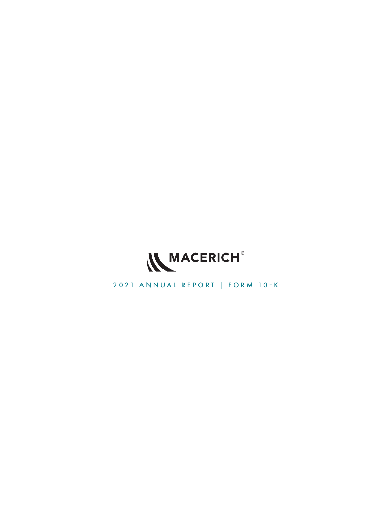2021 ANNUAL REPORT | FORM 10-K

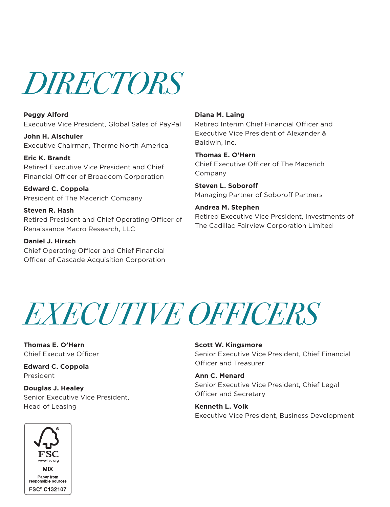# *DIRECTORS*

**Peggy Alford** Executive Vice President, Global Sales of PayPal

**John H. Alschuler** Executive Chairman, Therme North America

**Eric K. Brandt** Retired Executive Vice President and Chief Financial Officer of Broadcom Corporation

**Edward C. Coppola** President of The Macerich Company

**Steven R. Hash** Retired President and Chief Operating Officer of Renaissance Macro Research, LLC

**Daniel J. Hirsch**

Chief Operating Officer and Chief Financial Officer of Cascade Acquisition Corporation **Diana M. Laing**

Retired Interim Chief Financial Officer and Executive Vice President of Alexander & Baldwin, Inc.

**Thomas E. O'Hern** Chief Executive Officer of The Macerich Company

**Steven L. Soboroff** Managing Partner of Soboroff Partners

**Andrea M. Stephen** Retired Executive Vice President, Investments of The Cadillac Fairview Corporation Limited

# *EXECUTIVE OFFICERS*

**Thomas E. O'Hern** Chief Executive Officer

**Edward C. Coppola** President

**Douglas J. Healey** Senior Executive Vice President, Head of Leasing

**Scott W. Kingsmore** Senior Executive Vice President, Chief Financial Officer and Treasurer

**Ann C. Menard** Senior Executive Vice President, Chief Legal Officer and Secretary

**Kenneth L. Volk** Executive Vice President, Business Development

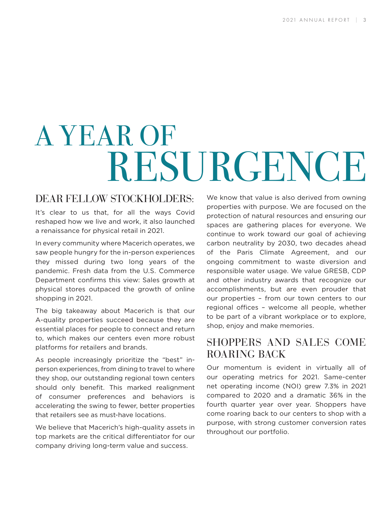# A YEAR OF **RESURGENCE**

## DEAR FELLOW STOCKHOLDERS:

It's clear to us that, for all the ways Covid reshaped how we live and work, it also launched a renaissance for physical retail in 2021.

In every community where Macerich operates, we saw people hungry for the in-person experiences they missed during two long years of the pandemic. Fresh data from the U.S. Commerce Department confirms this view: Sales growth at physical stores outpaced the growth of online shopping in 2021.

The big takeaway about Macerich is that our A-quality properties succeed because they are essential places for people to connect and return to, which makes our centers even more robust platforms for retailers and brands.

As people increasingly prioritize the "best" inperson experiences, from dining to travel to where they shop, our outstanding regional town centers should only benefit. This marked realignment of consumer preferences and behaviors is accelerating the swing to fewer, better properties that retailers see as must-have locations.

We believe that Macerich's high-quality assets in top markets are the critical differentiator for our company driving long-term value and success.

We know that value is also derived from owning properties with purpose. We are focused on the protection of natural resources and ensuring our spaces are gathering places for everyone. We continue to work toward our goal of achieving carbon neutrality by 2030, two decades ahead of the Paris Climate Agreement, and our ongoing commitment to waste diversion and responsible water usage. We value GRESB, CDP and other industry awards that recognize our accomplishments, but are even prouder that our properties – from our town centers to our regional offices – welcome all people, whether to be part of a vibrant workplace or to explore, shop, enjoy and make memories.

## SHOPPERS AND SALES COME ROARING BACK

Our momentum is evident in virtually all of our operating metrics for 2021. Same-center net operating income (NOI) grew 7.3% in 2021 compared to 2020 and a dramatic 36% in the fourth quarter year over year. Shoppers have come roaring back to our centers to shop with a purpose, with strong customer conversion rates throughout our portfolio.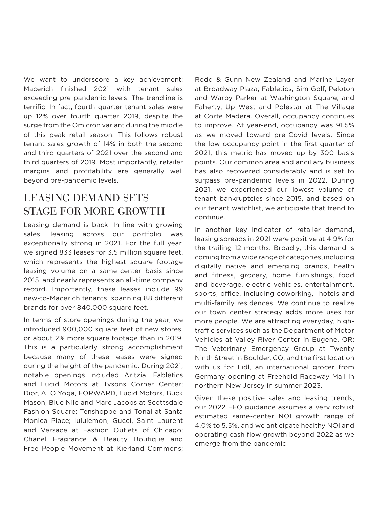We want to underscore a key achievement: Macerich finished 2021 with tenant sales exceeding pre-pandemic levels. The trendline is terrific. In fact, fourth-quarter tenant sales were up 12% over fourth quarter 2019, despite the surge from the Omicron variant during the middle of this peak retail season. This follows robust tenant sales growth of 14% in both the second and third quarters of 2021 over the second and third quarters of 2019. Most importantly, retailer margins and profitability are generally well beyond pre-pandemic levels.

## LEASING DEMAND SETS STAGE FOR MORE GROWTH

Leasing demand is back. In line with growing sales, leasing across our portfolio was exceptionally strong in 2021. For the full year, we signed 833 leases for 3.5 million square feet, which represents the highest square footage leasing volume on a same-center basis since 2015, and nearly represents an all-time company record. Importantly, these leases include 99 new-to-Macerich tenants, spanning 88 different brands for over 840,000 square feet.

In terms of store openings during the year, we introduced 900,000 square feet of new stores, or about 2% more square footage than in 2019. This is a particularly strong accomplishment because many of these leases were signed during the height of the pandemic. During 2021, notable openings included Aritzia, Fabletics and Lucid Motors at Tysons Corner Center; Dior, ALO Yoga, FORWARD, Lucid Motors, Buck Mason, Blue Nile and Marc Jacobs at Scottsdale Fashion Square; Tenshoppe and Tonal at Santa Monica Place; lululemon, Gucci, Saint Laurent and Versace at Fashion Outlets of Chicago; Chanel Fragrance & Beauty Boutique and Free People Movement at Kierland Commons; Rodd & Gunn New Zealand and Marine Layer at Broadway Plaza; Fabletics, Sim Golf, Peloton and Warby Parker at Washington Square; and Faherty, Up West and Polestar at The Village at Corte Madera. Overall, occupancy continues to improve. At year-end, occupancy was 91.5% as we moved toward pre-Covid levels. Since the low occupancy point in the first quarter of 2021, this metric has moved up by 300 basis points. Our common area and ancillary business has also recovered considerably and is set to surpass pre-pandemic levels in 2022. During 2021, we experienced our lowest volume of tenant bankruptcies since 2015, and based on our tenant watchlist, we anticipate that trend to continue.

In another key indicator of retailer demand, leasing spreads in 2021 were positive at 4.9% for the trailing 12 months. Broadly, this demand is coming from a wide range of categories, including digitally native and emerging brands, health and fitness, grocery, home furnishings, food and beverage, electric vehicles, entertainment, sports, office, including coworking, hotels and multi-family residences. We continue to realize our town center strategy adds more uses for more people. We are attracting everyday, hightraffic services such as the Department of Motor Vehicles at Valley River Center in Eugene, OR; The Veterinary Emergency Group at Twenty Ninth Street in Boulder, CO; and the first location with us for Lidl, an international grocer from Germany opening at Freehold Raceway Mall in northern New Jersey in summer 2023.

Given these positive sales and leasing trends, our 2022 FFO guidance assumes a very robust estimated same-center NOI growth range of 4.0% to 5.5%, and we anticipate healthy NOI and operating cash flow growth beyond 2022 as we emerge from the pandemic.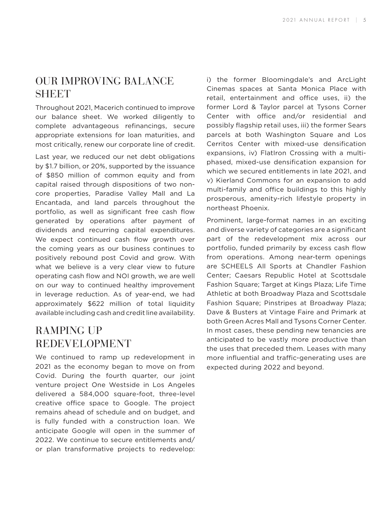## OUR IMPROVING BALANCE **SHEET**

Throughout 2021, Macerich continued to improve our balance sheet. We worked diligently to complete advantageous refinancings, secure appropriate extensions for loan maturities, and most critically, renew our corporate line of credit.

Last year, we reduced our net debt obligations by \$1.7 billion, or 20%, supported by the issuance of \$850 million of common equity and from capital raised through dispositions of two noncore properties, Paradise Valley Mall and La Encantada, and land parcels throughout the portfolio, as well as significant free cash flow generated by operations after payment of dividends and recurring capital expenditures. We expect continued cash flow growth over the coming years as our business continues to positively rebound post Covid and grow. With what we believe is a very clear view to future operating cash flow and NOI growth, we are well on our way to continued healthy improvement in leverage reduction. As of year-end, we had approximately \$622 million of total liquidity available including cash and credit line availability.

# RAMPING UP REDEVELOPMENT

We continued to ramp up redevelopment in 2021 as the economy began to move on from Covid. During the fourth quarter, our joint venture project One Westside in Los Angeles delivered a 584,000 square-foot, three-level creative office space to Google. The project remains ahead of schedule and on budget, and is fully funded with a construction loan. We anticipate Google will open in the summer of 2022. We continue to secure entitlements and/ or plan transformative projects to redevelop:

i) the former Bloomingdale's and ArcLight Cinemas spaces at Santa Monica Place with retail, entertainment and office uses, ii) the former Lord & Taylor parcel at Tysons Corner Center with office and/or residential and possibly flagship retail uses, iii) the former Sears parcels at both Washington Square and Los Cerritos Center with mixed-use densification expansions, iv) FlatIron Crossing with a multiphased, mixed-use densification expansion for which we secured entitlements in late 2021, and v) Kierland Commons for an expansion to add multi-family and office buildings to this highly prosperous, amenity-rich lifestyle property in northeast Phoenix.

Prominent, large-format names in an exciting and diverse variety of categories are a significant part of the redevelopment mix across our portfolio, funded primarily by excess cash flow from operations. Among near-term openings are SCHEELS All Sports at Chandler Fashion Center; Caesars Republic Hotel at Scottsdale Fashion Square; Target at Kings Plaza; Life Time Athletic at both Broadway Plaza and Scottsdale Fashion Square; Pinstripes at Broadway Plaza; Dave & Busters at Vintage Faire and Primark at both Green Acres Mall and Tysons Corner Center. In most cases, these pending new tenancies are anticipated to be vastly more productive than the uses that preceded them. Leases with many more influential and traffic-generating uses are expected during 2022 and beyond.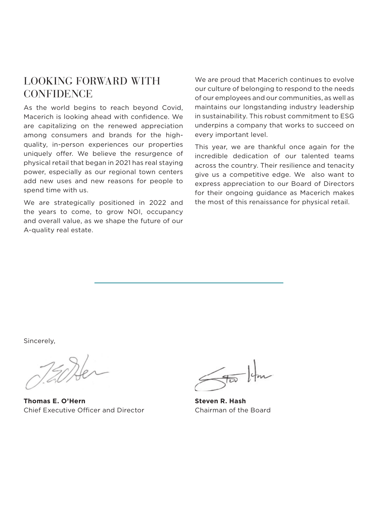# LOOKING FORWARD WITH **CONFIDENCE**

As the world begins to reach beyond Covid, Macerich is looking ahead with confidence. We are capitalizing on the renewed appreciation among consumers and brands for the highquality, in-person experiences our properties uniquely offer. We believe the resurgence of physical retail that began in 2021 has real staying power, especially as our regional town centers add new uses and new reasons for people to spend time with us.

We are strategically positioned in 2022 and the years to come, to grow NOI, occupancy and overall value, as we shape the future of our A-quality real estate.

We are proud that Macerich continues to evolve our culture of belonging to respond to the needs of our employees and our communities, as well as maintains our longstanding industry leadership in sustainability. This robust commitment to ESG underpins a company that works to succeed on every important level.

This year, we are thankful once again for the incredible dedication of our talented teams across the country. Their resilience and tenacity give us a competitive edge. We also want to express appreciation to our Board of Directors for their ongoing guidance as Macerich makes the most of this renaissance for physical retail.

Sincerely,

**Thomas E. O'Hern** Chief Executive Officer and Director

**Steven R. Hash** Chairman of the Board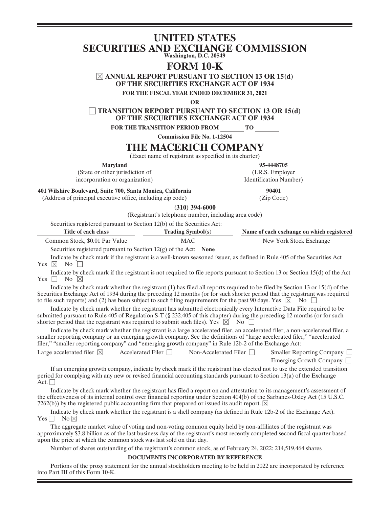### **UNITED STATES SECURITIES AND EXCHANGE COMMISSION**

**Washington, D.C. 20549**

### **FORM 10-K**

È **ANNUAL REPORT PURSUANT TO SECTION 13 OR 15(d) OF THE SECURITIES EXCHANGE ACT OF 1934**

**FOR THE FISCAL YEAR ENDED DECEMBER 31, 2021**

**OR**

' **TRANSITION REPORT PURSUANT TO SECTION 13 OR 15(d) OF THE SECURITIES EXCHANGE ACT OF 1934**

**FOR THE TRANSITION PERIOD FROM TO**

**Commission File No. 1-12504**

## **THE MACERICH COMPANY**

(Exact name of registrant as specified in its charter)

**Maryland 95-4448705**

(State or other jurisdiction of incorporation or organization) (I.R.S. Employer

**401 Wilshire Boulevard, Suite 700, Santa Monica, California 90401**

(Address of principal executive office, including zip code) (Zip Code)

**(310) 394-6000**

(Registrant's telephone number, including area code)

| Securities registered pursuant to Section 12(b) of the Securities Act: |                          |                                           |  |  |  |
|------------------------------------------------------------------------|--------------------------|-------------------------------------------|--|--|--|
| Title of each class                                                    | <b>Trading Symbol(s)</b> | Name of each exchange on which registered |  |  |  |
| Common Stock, \$0.01 Par Value                                         | MAC                      | New York Stock Exchange                   |  |  |  |

Securities registered pursuant to Section 12(g) of the Act: **None**

Indicate by check mark if the registrant is a well-known seasoned issuer, as defined in Rule 405 of the Securities Act Yes  $\times$  No  $\Box$ 

Indicate by check mark if the registrant is not required to file reports pursuant to Section 13 or Section 15(d) of the Act Yes  $\Box$  No  $\boxtimes$ 

Indicate by check mark whether the registrant (1) has filed all reports required to be filed by Section 13 or 15(d) of the Securities Exchange Act of 1934 during the preceding 12 months (or for such shorter period that the registrant was required to file such reports) and (2) has been subject to such filing requirements for the past 90 days. Yes  $\boxtimes$  No  $\Box$ 

Indicate by check mark whether the registrant has submitted electronically every Interactive Data File required to be submitted pursuant to Rule 405 of Regulation S-T (§ 232.405 of this chapter) during the preceding 12 months (or for such shorter period that the registrant was required to submit such files). Yes  $\overline{\boxtimes}$  No  $\overline{\Box}$ 

Indicate by check mark whether the registrant is a large accelerated filer, an accelerated filer, a non-accelerated filer, a smaller reporting company or an emerging growth company. See the definitions of "large accelerated filer," "accelerated filer," "smaller reporting company" and "emerging growth company" in Rule 12b-2 of the Exchange Act:

Large accelerated filer  $\boxtimes$  Accelerated Filer  $\Box$  Non-Accelerated Filer  $\Box$  Smaller Reporting Company  $\Box$ Emerging Growth Company  $\Box$ 

If an emerging growth company, indicate by check mark if the registrant has elected not to use the extended transition period for complying with any new or revised financial accounting standards pursuant to Section 13(a) of the Exchange  $Act.$ 

Indicate by check mark whether the registrant has filed a report on and attestation to its management's assessment of the effectiveness of its internal control over financial reporting under Section 404(b) of the Sarbanes-Oxley Act (15 U.S.C. 7262(b)) by the registered public accounting firm that prepared or issued its audit report.  $\boxtimes$ 

Indicate by check mark whether the registrant is a shell company (as defined in Rule 12b-2 of the Exchange Act).  $Yes \Box No \boxtimes$ 

The aggregate market value of voting and non-voting common equity held by non-affiliates of the registrant was approximately \$3.8 billion as of the last business day of the registrant's most recently completed second fiscal quarter based upon the price at which the common stock was last sold on that day.

Number of shares outstanding of the registrant's common stock, as of February 24, 2022: 214,519,464 shares

#### **DOCUMENTS INCORPORATED BY REFERENCE**

Portions of the proxy statement for the annual stockholders meeting to be held in 2022 are incorporated by reference into Part III of this Form 10-K.

Identification Number)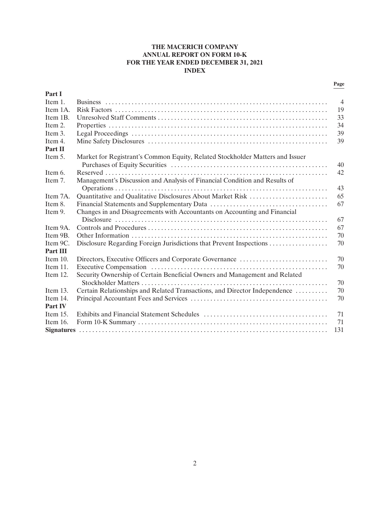#### **THE MACERICH COMPANY ANNUAL REPORT ON FORM 10-K FOR THE YEAR ENDED DECEMBER 31, 2021 INDEX**

**Page**

| Part I      |                                                                               |                |
|-------------|-------------------------------------------------------------------------------|----------------|
| Item 1.     |                                                                               | $\overline{4}$ |
| Item 1A.    |                                                                               | 19             |
| Item 1B.    |                                                                               | 33             |
| Item 2.     |                                                                               | 34             |
| Item 3.     |                                                                               | 39             |
| Item 4.     |                                                                               | 39             |
| Part II     |                                                                               |                |
| Item 5.     | Market for Registrant's Common Equity, Related Stockholder Matters and Issuer | 40             |
| Item 6.     |                                                                               | 42             |
| Item 7.     | Management's Discussion and Analysis of Financial Condition and Results of    | 43             |
| Item 7A.    | Quantitative and Qualitative Disclosures About Market Risk                    | 65             |
| Item 8.     |                                                                               | 67             |
| Item 9.     | Changes in and Disagreements with Accountants on Accounting and Financial     |                |
|             |                                                                               | 67             |
| Item 9A.    |                                                                               | 67             |
| Item 9B.    |                                                                               | 70             |
| Item 9C.    |                                                                               | 70             |
| Part III    |                                                                               |                |
| Item $10$ . | Directors, Executive Officers and Corporate Governance                        | 70             |
| Item 11.    |                                                                               | 70             |
| Item 12.    | Security Ownership of Certain Beneficial Owners and Management and Related    | 70             |
| Item 13.    | Certain Relationships and Related Transactions, and Director Independence     | 70             |
| Item 14.    |                                                                               | 70             |
| Part IV     |                                                                               |                |
| Item $15$ . |                                                                               | 71             |
| Item 16.    |                                                                               | 71             |
|             |                                                                               | 131            |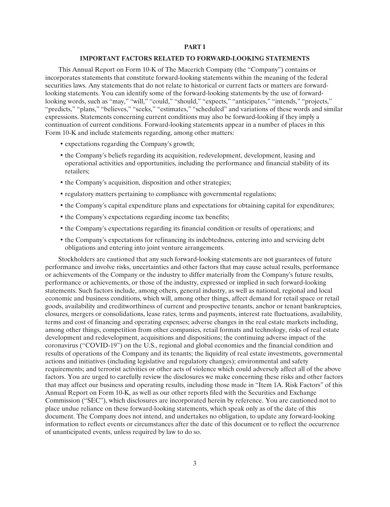#### **IMPORTANT FACTORS RELATED TO FORWARD-LOOKING STATEMENTS**

This Annual Report on Form 10-K of The Macerich Company (the "Company") contains or incorporates statements that constitute forward-looking statements within the meaning of the federal securities laws. Any statements that do not relate to historical or current facts or matters are forwardlooking statements. You can identify some of the forward-looking statements by the use of forwardlooking words, such as "may," "will," "could," "should," "expects," "anticipates," "intends," "projects," "predicts," "plans," "believes," "seeks," "estimates," "scheduled" and variations of these words and similar expressions. Statements concerning current conditions may also be forward-looking if they imply a continuation of current conditions. Forward-looking statements appear in a number of places in this Form 10-K and include statements regarding, among other matters:

- expectations regarding the Company's growth;
- the Company's beliefs regarding its acquisition, redevelopment, development, leasing and operational activities and opportunities, including the performance and financial stability of its retailers;
- the Company's acquisition, disposition and other strategies;
- regulatory matters pertaining to compliance with governmental regulations;
- the Company's capital expenditure plans and expectations for obtaining capital for expenditures;
- the Company's expectations regarding income tax benefits;
- the Company's expectations regarding its financial condition or results of operations; and
- the Company's expectations for refinancing its indebtedness, entering into and servicing debt obligations and entering into joint venture arrangements.

Stockholders are cautioned that any such forward-looking statements are not guarantees of future performance and involve risks, uncertainties and other factors that may cause actual results, performance or achievements of the Company or the industry to differ materially from the Company's future results, performance or achievements, or those of the industry, expressed or implied in such forward-looking statements. Such factors include, among others, general industry, as well as national, regional and local economic and business conditions, which will, among other things, affect demand for retail space or retail goods, availability and creditworthiness of current and prospective tenants, anchor or tenant bankruptcies, closures, mergers or consolidations, lease rates, terms and payments, interest rate fluctuations, availability, terms and cost of financing and operating expenses; adverse changes in the real estate markets including, among other things, competition from other companies, retail formats and technology, risks of real estate development and redevelopment, acquisitions and dispositions; the continuing adverse impact of the coronavirus ("COVID-19") on the U.S., regional and global economies and the financial condition and results of operations of the Company and its tenants; the liquidity of real estate investments, governmental actions and initiatives (including legislative and regulatory changes); environmental and safety requirements; and terrorist activities or other acts of violence which could adversely affect all of the above factors. You are urged to carefully review the disclosures we make concerning these risks and other factors that may affect our business and operating results, including those made in "Item 1A. Risk Factors" of this Annual Report on Form 10-K, as well as our other reports filed with the Securities and Exchange Commission ("SEC"), which disclosures are incorporated herein by reference. You are cautioned not to place undue reliance on these forward-looking statements, which speak only as of the date of this document. The Company does not intend, and undertakes no obligation, to update any forward-looking information to reflect events or circumstances after the date of this document or to reflect the occurrence of unanticipated events, unless required by law to do so.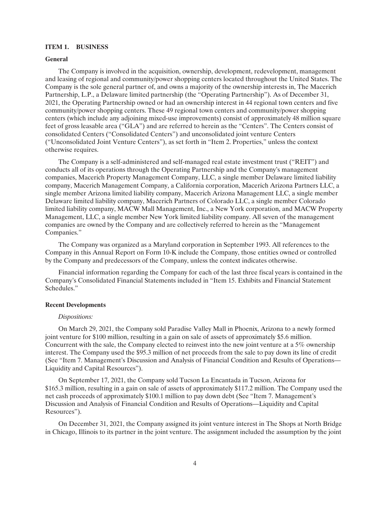#### **ITEM 1. BUSINESS**

#### **General**

The Company is involved in the acquisition, ownership, development, redevelopment, management and leasing of regional and community/power shopping centers located throughout the United States. The Company is the sole general partner of, and owns a majority of the ownership interests in, The Macerich Partnership, L.P., a Delaware limited partnership (the "Operating Partnership"). As of December 31, 2021, the Operating Partnership owned or had an ownership interest in 44 regional town centers and five community/power shopping centers. These 49 regional town centers and community/power shopping centers (which include any adjoining mixed-use improvements) consist of approximately 48 million square feet of gross leasable area ("GLA") and are referred to herein as the "Centers". The Centers consist of consolidated Centers ("Consolidated Centers") and unconsolidated joint venture Centers ("Unconsolidated Joint Venture Centers"), as set forth in "Item 2. Properties," unless the context otherwise requires.

The Company is a self-administered and self-managed real estate investment trust ("REIT") and conducts all of its operations through the Operating Partnership and the Company's management companies, Macerich Property Management Company, LLC, a single member Delaware limited liability company, Macerich Management Company, a California corporation, Macerich Arizona Partners LLC, a single member Arizona limited liability company, Macerich Arizona Management LLC, a single member Delaware limited liability company, Macerich Partners of Colorado LLC, a single member Colorado limited liability company, MACW Mall Management, Inc., a New York corporation, and MACW Property Management, LLC, a single member New York limited liability company. All seven of the management companies are owned by the Company and are collectively referred to herein as the "Management Companies."

The Company was organized as a Maryland corporation in September 1993. All references to the Company in this Annual Report on Form 10-K include the Company, those entities owned or controlled by the Company and predecessors of the Company, unless the context indicates otherwise.

Financial information regarding the Company for each of the last three fiscal years is contained in the Company's Consolidated Financial Statements included in "Item 15. Exhibits and Financial Statement Schedules."

#### **Recent Developments**

#### *Dispositions:*

On March 29, 2021, the Company sold Paradise Valley Mall in Phoenix, Arizona to a newly formed joint venture for \$100 million, resulting in a gain on sale of assets of approximately \$5.6 million. Concurrent with the sale, the Company elected to reinvest into the new joint venture at a 5% ownership interest. The Company used the \$95.3 million of net proceeds from the sale to pay down its line of credit (See "Item 7. Management's Discussion and Analysis of Financial Condition and Results of Operations— Liquidity and Capital Resources").

On September 17, 2021, the Company sold Tucson La Encantada in Tucson, Arizona for \$165.3 million, resulting in a gain on sale of assets of approximately \$117.2 million. The Company used the net cash proceeds of approximately \$100.1 million to pay down debt (See "Item 7. Management's Discussion and Analysis of Financial Condition and Results of Operations—Liquidity and Capital Resources").

On December 31, 2021, the Company assigned its joint venture interest in The Shops at North Bridge in Chicago, Illinois to its partner in the joint venture. The assignment included the assumption by the joint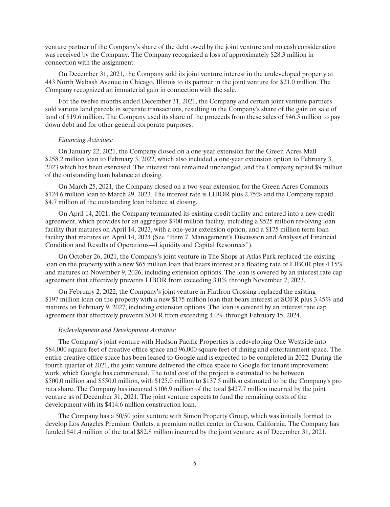venture partner of the Company's share of the debt owed by the joint venture and no cash consideration was received by the Company. The Company recognized a loss of approximately \$28.3 million in connection with the assignment.

On December 31, 2021, the Company sold its joint venture interest in the undeveloped property at 443 North Wabash Avenue in Chicago, Illinois to its partner in the joint venture for \$21.0 million. The Company recognized an immaterial gain in connection with the sale.

For the twelve months ended December 31, 2021, the Company and certain joint venture partners sold various land parcels in separate transactions, resulting in the Company's share of the gain on sale of land of \$19.6 million. The Company used its share of the proceeds from these sales of \$46.5 million to pay down debt and for other general corporate purposes.

#### *Financing Activities:*

On January 22, 2021, the Company closed on a one-year extension for the Green Acres Mall \$258.2 million loan to February 3, 2022, which also included a one-year extension option to February 3, 2023 which has been exercised. The interest rate remained unchanged, and the Company repaid \$9 million of the outstanding loan balance at closing.

On March 25, 2021, the Company closed on a two-year extension for the Green Acres Commons \$124.6 million loan to March 29, 2023. The interest rate is LIBOR plus 2.75% and the Company repaid \$4.7 million of the outstanding loan balance at closing.

On April 14, 2021, the Company terminated its existing credit facility and entered into a new credit agreement, which provides for an aggregate \$700 million facility, including a \$525 million revolving loan facility that matures on April 14, 2023, with a one-year extension option, and a \$175 million term loan facility that matures on April 14, 2024 (See "Item 7. Management's Discussion and Analysis of Financial Condition and Results of Operations—Liquidity and Capital Resources").

On October 26, 2021, the Company's joint venture in The Shops at Atlas Park replaced the existing loan on the property with a new \$65 million loan that bears interest at a floating rate of LIBOR plus 4.15% and matures on November 9, 2026, including extension options. The loan is covered by an interest rate cap agreement that effectively prevents LIBOR from exceeding 3.0% through November 7, 2023.

On February 2, 2022, the Company's joint venture in FlatIron Crossing replaced the existing \$197 million loan on the property with a new \$175 million loan that bears interest at SOFR plus 3.45% and matures on February 9, 2027, including extension options. The loan is covered by an interest rate cap agreement that effectively prevents SOFR from exceeding 4.0% through February 15, 2024.

#### *Redevelopment and Development Activities:*

The Company's joint venture with Hudson Pacific Properties is redeveloping One Westside into 584,000 square feet of creative office space and 96,000 square feet of dining and entertainment space. The entire creative office space has been leased to Google and is expected to be completed in 2022. During the fourth quarter of 2021, the joint venture delivered the office space to Google for tenant improvement work, which Google has commenced. The total cost of the project is estimated to be between \$500.0 million and \$550.0 million, with \$125.0 million to \$137.5 million estimated to be the Company's pro rata share. The Company has incurred \$106.9 million of the total \$427.7 million incurred by the joint venture as of December 31, 2021. The joint venture expects to fund the remaining costs of the development with its \$414.6 million construction loan.

The Company has a 50/50 joint venture with Simon Property Group, which was initially formed to develop Los Angeles Premium Outlets, a premium outlet center in Carson, California. The Company has funded \$41.4 million of the total \$82.8 million incurred by the joint venture as of December 31, 2021.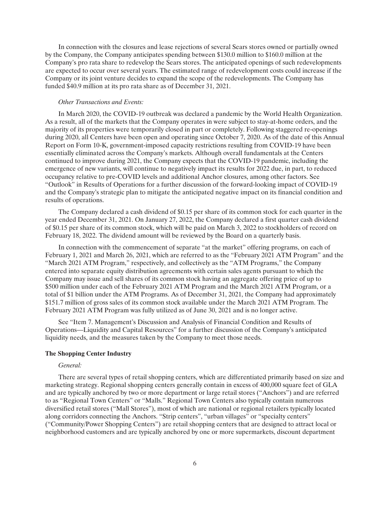In connection with the closures and lease rejections of several Sears stores owned or partially owned by the Company, the Company anticipates spending between \$130.0 million to \$160.0 million at the Company's pro rata share to redevelop the Sears stores. The anticipated openings of such redevelopments are expected to occur over several years. The estimated range of redevelopment costs could increase if the Company or its joint venture decides to expand the scope of the redevelopments. The Company has funded \$40.9 million at its pro rata share as of December 31, 2021.

#### *Other Transactions and Events:*

In March 2020, the COVID-19 outbreak was declared a pandemic by the World Health Organization. As a result, all of the markets that the Company operates in were subject to stay-at-home orders, and the majority of its properties were temporarily closed in part or completely. Following staggered re-openings during 2020, all Centers have been open and operating since October 7, 2020. As of the date of this Annual Report on Form 10-K, government-imposed capacity restrictions resulting from COVID-19 have been essentially eliminated across the Company's markets. Although overall fundamentals at the Centers continued to improve during 2021, the Company expects that the COVID-19 pandemic, including the emergence of new variants, will continue to negatively impact its results for 2022 due, in part, to reduced occupancy relative to pre-COVID levels and additional Anchor closures, among other factors. See "Outlook" in Results of Operations for a further discussion of the forward-looking impact of COVID-19 and the Company's strategic plan to mitigate the anticipated negative impact on its financial condition and results of operations.

The Company declared a cash dividend of \$0.15 per share of its common stock for each quarter in the year ended December 31, 2021. On January 27, 2022, the Company declared a first quarter cash dividend of \$0.15 per share of its common stock, which will be paid on March 3, 2022 to stockholders of record on February 18, 2022. The dividend amount will be reviewed by the Board on a quarterly basis.

In connection with the commencement of separate "at the market" offering programs, on each of February 1, 2021 and March 26, 2021, which are referred to as the "February 2021 ATM Program" and the "March 2021 ATM Program," respectively, and collectively as the "ATM Programs," the Company entered into separate equity distribution agreements with certain sales agents pursuant to which the Company may issue and sell shares of its common stock having an aggregate offering price of up to \$500 million under each of the February 2021 ATM Program and the March 2021 ATM Program, or a total of \$1 billion under the ATM Programs. As of December 31, 2021, the Company had approximately \$151.7 million of gross sales of its common stock available under the March 2021 ATM Program. The February 2021 ATM Program was fully utilized as of June 30, 2021 and is no longer active.

See "Item 7. Management's Discussion and Analysis of Financial Condition and Results of Operations—Liquidity and Capital Resources" for a further discussion of the Company's anticipated liquidity needs, and the measures taken by the Company to meet those needs.

#### **The Shopping Center Industry**

#### *General:*

There are several types of retail shopping centers, which are differentiated primarily based on size and marketing strategy. Regional shopping centers generally contain in excess of 400,000 square feet of GLA and are typically anchored by two or more department or large retail stores ("Anchors") and are referred to as "Regional Town Centers" or "Malls." Regional Town Centers also typically contain numerous diversified retail stores ("Mall Stores"), most of which are national or regional retailers typically located along corridors connecting the Anchors. "Strip centers", "urban villages" or "specialty centers" ("Community/Power Shopping Centers") are retail shopping centers that are designed to attract local or neighborhood customers and are typically anchored by one or more supermarkets, discount department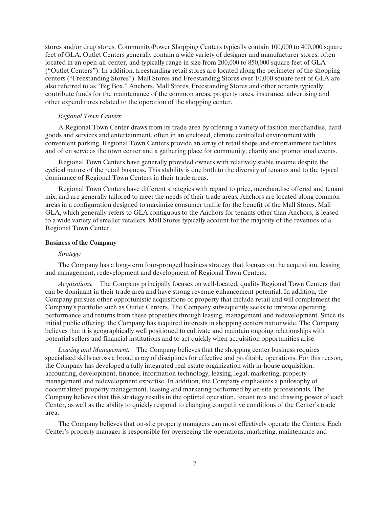stores and/or drug stores. Community/Power Shopping Centers typically contain 100,000 to 400,000 square feet of GLA. Outlet Centers generally contain a wide variety of designer and manufacturer stores, often located in an open-air center, and typically range in size from 200,000 to 850,000 square feet of GLA ("Outlet Centers"). In addition, freestanding retail stores are located along the perimeter of the shopping centers ("Freestanding Stores"). Mall Stores and Freestanding Stores over 10,000 square feet of GLA are also referred to as "Big Box." Anchors, Mall Stores, Freestanding Stores and other tenants typically contribute funds for the maintenance of the common areas, property taxes, insurance, advertising and other expenditures related to the operation of the shopping center.

#### *Regional Town Centers:*

A Regional Town Center draws from its trade area by offering a variety of fashion merchandise, hard goods and services and entertainment, often in an enclosed, climate controlled environment with convenient parking. Regional Town Centers provide an array of retail shops and entertainment facilities and often serve as the town center and a gathering place for community, charity and promotional events.

Regional Town Centers have generally provided owners with relatively stable income despite the cyclical nature of the retail business. This stability is due both to the diversity of tenants and to the typical dominance of Regional Town Centers in their trade areas.

Regional Town Centers have different strategies with regard to price, merchandise offered and tenant mix, and are generally tailored to meet the needs of their trade areas. Anchors are located along common areas in a configuration designed to maximize consumer traffic for the benefit of the Mall Stores. Mall GLA, which generally refers to GLA contiguous to the Anchors for tenants other than Anchors, is leased to a wide variety of smaller retailers. Mall Stores typically account for the majority of the revenues of a Regional Town Center.

#### **Business of the Company**

#### *Strategy:*

The Company has a long-term four-pronged business strategy that focuses on the acquisition, leasing and management, redevelopment and development of Regional Town Centers.

*Acquisitions.* The Company principally focuses on well-located, quality Regional Town Centers that can be dominant in their trade area and have strong revenue enhancement potential. In addition, the Company pursues other opportunistic acquisitions of property that include retail and will complement the Company's portfolio such as Outlet Centers. The Company subsequently seeks to improve operating performance and returns from these properties through leasing, management and redevelopment. Since its initial public offering, the Company has acquired interests in shopping centers nationwide. The Company believes that it is geographically well positioned to cultivate and maintain ongoing relationships with potential sellers and financial institutions and to act quickly when acquisition opportunities arise.

*Leasing and Management.* The Company believes that the shopping center business requires specialized skills across a broad array of disciplines for effective and profitable operations. For this reason, the Company has developed a fully integrated real estate organization with in-house acquisition, accounting, development, finance, information technology, leasing, legal, marketing, property management and redevelopment expertise. In addition, the Company emphasizes a philosophy of decentralized property management, leasing and marketing performed by on-site professionals. The Company believes that this strategy results in the optimal operation, tenant mix and drawing power of each Center, as well as the ability to quickly respond to changing competitive conditions of the Center's trade area.

The Company believes that on-site property managers can most effectively operate the Centers. Each Center's property manager is responsible for overseeing the operations, marketing, maintenance and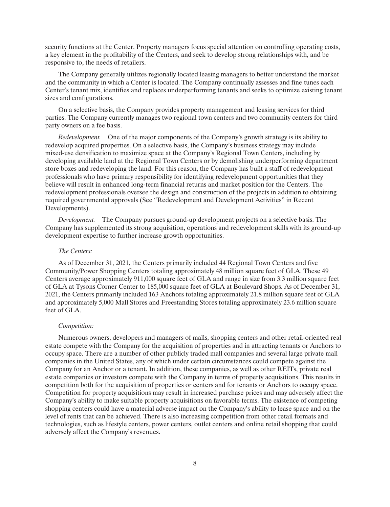security functions at the Center. Property managers focus special attention on controlling operating costs, a key element in the profitability of the Centers, and seek to develop strong relationships with, and be responsive to, the needs of retailers.

The Company generally utilizes regionally located leasing managers to better understand the market and the community in which a Center is located. The Company continually assesses and fine tunes each Center's tenant mix, identifies and replaces underperforming tenants and seeks to optimize existing tenant sizes and configurations.

On a selective basis, the Company provides property management and leasing services for third parties. The Company currently manages two regional town centers and two community centers for third party owners on a fee basis.

*Redevelopment.* One of the major components of the Company's growth strategy is its ability to redevelop acquired properties. On a selective basis, the Company's business strategy may include mixed-use densification to maximize space at the Company's Regional Town Centers, including by developing available land at the Regional Town Centers or by demolishing underperforming department store boxes and redeveloping the land. For this reason, the Company has built a staff of redevelopment professionals who have primary responsibility for identifying redevelopment opportunities that they believe will result in enhanced long-term financial returns and market position for the Centers. The redevelopment professionals oversee the design and construction of the projects in addition to obtaining required governmental approvals (See "Redevelopment and Development Activities" in Recent Developments).

*Development.* The Company pursues ground-up development projects on a selective basis. The Company has supplemented its strong acquisition, operations and redevelopment skills with its ground-up development expertise to further increase growth opportunities.

#### *The Centers:*

As of December 31, 2021, the Centers primarily included 44 Regional Town Centers and five Community/Power Shopping Centers totaling approximately 48 million square feet of GLA. These 49 Centers average approximately 911,000 square feet of GLA and range in size from 3.3 million square feet of GLA at Tysons Corner Center to 185,000 square feet of GLA at Boulevard Shops. As of December 31, 2021, the Centers primarily included 163 Anchors totaling approximately 21.8 million square feet of GLA and approximately 5,000 Mall Stores and Freestanding Stores totaling approximately 23.6 million square feet of GLA.

#### *Competition:*

Numerous owners, developers and managers of malls, shopping centers and other retail-oriented real estate compete with the Company for the acquisition of properties and in attracting tenants or Anchors to occupy space. There are a number of other publicly traded mall companies and several large private mall companies in the United States, any of which under certain circumstances could compete against the Company for an Anchor or a tenant. In addition, these companies, as well as other REITs, private real estate companies or investors compete with the Company in terms of property acquisitions. This results in competition both for the acquisition of properties or centers and for tenants or Anchors to occupy space. Competition for property acquisitions may result in increased purchase prices and may adversely affect the Company's ability to make suitable property acquisitions on favorable terms. The existence of competing shopping centers could have a material adverse impact on the Company's ability to lease space and on the level of rents that can be achieved. There is also increasing competition from other retail formats and technologies, such as lifestyle centers, power centers, outlet centers and online retail shopping that could adversely affect the Company's revenues.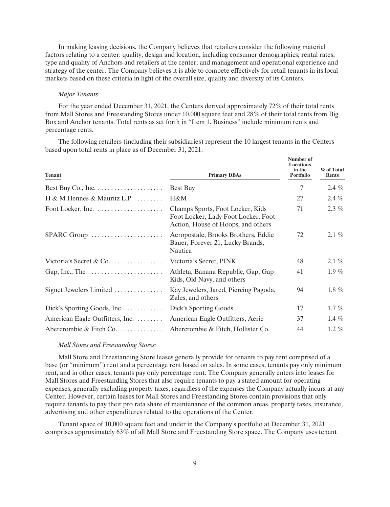In making leasing decisions, the Company believes that retailers consider the following material factors relating to a center: quality, design and location, including consumer demographics; rental rates; type and quality of Anchors and retailers at the center; and management and operational experience and strategy of the center. The Company believes it is able to compete effectively for retail tenants in its local markets based on these criteria in light of the overall size, quality and diversity of its Centers.

#### *Major Tenants:*

For the year ended December 31, 2021, the Centers derived approximately 72% of their total rents from Mall Stores and Freestanding Stores under 10,000 square feet and 28% of their total rents from Big Box and Anchor tenants. Total rents as set forth in "Item 1. Business" include minimum rents and percentage rents.

The following retailers (including their subsidiaries) represent the 10 largest tenants in the Centers based upon total rents in place as of December 31, 2021:

| <b>Tenant</b>                                            | <b>Primary DBAs</b>                                                                                           | Number of<br><b>Locations</b><br>in the<br><b>Portfolio</b> | % of Total<br><b>Rents</b> |
|----------------------------------------------------------|---------------------------------------------------------------------------------------------------------------|-------------------------------------------------------------|----------------------------|
| Best Buy Co., Inc. $\dots \dots \dots \dots \dots \dots$ | <b>Best Buy</b>                                                                                               | 7                                                           | $2.4\%$                    |
| $H \& M$ Hennes $\&$ Mauritz L.P. $\ldots \ldots$        | H&M                                                                                                           | 27                                                          | $2.4\%$                    |
|                                                          | Champs Sports, Foot Locker, Kids<br>Foot Locker, Lady Foot Locker, Foot<br>Action, House of Hoops, and others | 71                                                          | $2.3\%$                    |
| SPARC Group                                              | Aeropostale, Brooks Brothers, Eddie<br>Bauer, Forever 21, Lucky Brands,<br>Nautica                            | 72                                                          | $2.1\%$                    |
| Victoria's Secret & Co.                                  | Victoria's Secret, PINK                                                                                       | 48                                                          | $2.1\%$                    |
| Gap, Inc., The                                           | Athleta, Banana Republic, Gap, Gap<br>Kids, Old Navy, and others                                              | 41                                                          | $1.9\%$                    |
| Signet Jewelers Limited                                  | Kay Jewelers, Jared, Piercing Pagoda,<br>Zales, and others                                                    | 94                                                          | $1.8\%$                    |
| Dick's Sporting Goods, Inc.                              | Dick's Sporting Goods                                                                                         | 17                                                          | $1.7\%$                    |
| American Eagle Outfitters, Inc.                          | American Eagle Outfitters, Aerie                                                                              | 37                                                          | 1.4 $%$                    |
| Abercrombie & Fitch Co.                                  | Abercrombie & Fitch, Hollister Co.                                                                            | 44                                                          | $1.2\%$                    |
|                                                          |                                                                                                               |                                                             |                            |

#### *Mall Stores and Freestanding Stores:*

Mall Store and Freestanding Store leases generally provide for tenants to pay rent comprised of a base (or "minimum") rent and a percentage rent based on sales. In some cases, tenants pay only minimum rent, and in other cases, tenants pay only percentage rent. The Company generally enters into leases for Mall Stores and Freestanding Stores that also require tenants to pay a stated amount for operating expenses, generally excluding property taxes, regardless of the expenses the Company actually incurs at any Center. However, certain leases for Mall Stores and Freestanding Stores contain provisions that only require tenants to pay their pro rata share of maintenance of the common areas, property taxes, insurance, advertising and other expenditures related to the operations of the Center.

Tenant space of 10,000 square feet and under in the Company's portfolio at December 31, 2021 comprises approximately 63% of all Mall Store and Freestanding Store space. The Company uses tenant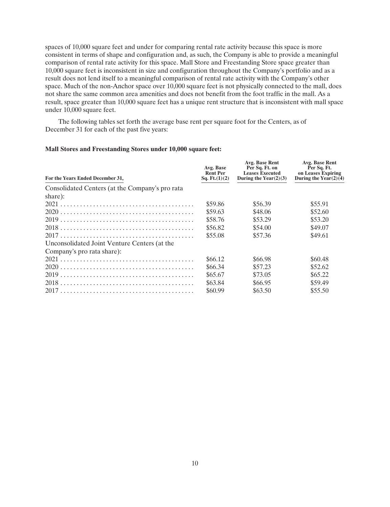spaces of 10,000 square feet and under for comparing rental rate activity because this space is more consistent in terms of shape and configuration and, as such, the Company is able to provide a meaningful comparison of rental rate activity for this space. Mall Store and Freestanding Store space greater than 10,000 square feet is inconsistent in size and configuration throughout the Company's portfolio and as a result does not lend itself to a meaningful comparison of rental rate activity with the Company's other space. Much of the non-Anchor space over 10,000 square feet is not physically connected to the mall, does not share the same common area amenities and does not benefit from the foot traffic in the mall. As a result, space greater than 10,000 square feet has a unique rent structure that is inconsistent with mall space under 10,000 square feet.

The following tables set forth the average base rent per square foot for the Centers, as of December 31 for each of the past five years:

#### **Mall Stores and Freestanding Stores under 10,000 square feet:**

| For the Years Ended December 31,                | Avg. Base<br><b>Rent Per</b><br>Sq. Ft.(1)(2) | Avg. Base Rent<br>Per Sq. Ft. on<br><b>Leases Executed</b><br>During the Year $(2)(3)$ | Avg. Base Rent<br>Per Sq. Ft.<br>on Leases Expiring<br>During the Year $(2)(4)$ |
|-------------------------------------------------|-----------------------------------------------|----------------------------------------------------------------------------------------|---------------------------------------------------------------------------------|
| Consolidated Centers (at the Company's pro rata |                                               |                                                                                        |                                                                                 |
| share):                                         |                                               |                                                                                        |                                                                                 |
|                                                 | \$59.86                                       | \$56.39                                                                                | \$55.91                                                                         |
|                                                 | \$59.63                                       | \$48.06                                                                                | \$52.60                                                                         |
|                                                 | \$58.76                                       | \$53.29                                                                                | \$53.20                                                                         |
|                                                 | \$56.82                                       | \$54.00                                                                                | \$49.07                                                                         |
|                                                 | \$55.08                                       | \$57.36                                                                                | \$49.61                                                                         |
| Unconsolidated Joint Venture Centers (at the    |                                               |                                                                                        |                                                                                 |
| Company's pro rata share):                      |                                               |                                                                                        |                                                                                 |
|                                                 | \$66.12                                       | \$66.98                                                                                | \$60.48                                                                         |
|                                                 | \$66.34                                       | \$57.23                                                                                | \$52.62                                                                         |
|                                                 | \$65.67                                       | \$73.05                                                                                | \$65.22                                                                         |
|                                                 | \$63.84                                       | \$66.95                                                                                | \$59.49                                                                         |
|                                                 | \$60.99                                       | \$63.50                                                                                | \$55.50                                                                         |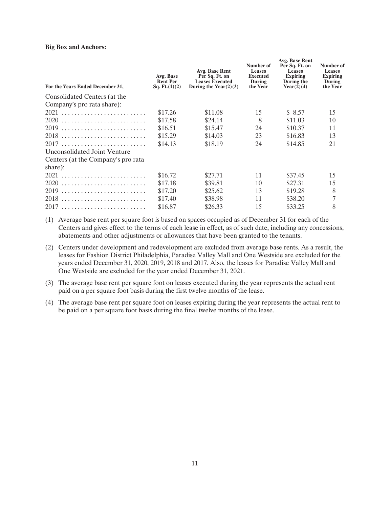#### **Big Box and Anchors:**

| For the Years Ended December 31,   | Avg. Base<br><b>Rent Per</b><br>Sq. $Ft.(1)(2)$ | Avg. Base Rent<br>Per Sq. Ft. on<br><b>Leases Executed</b><br>During the Year $(2)(3)$ | Number of<br><b>Leases</b><br><b>Executed</b><br>During<br>the Year | 111.1<br>Per Sq. Ft. on<br><b>Leases</b><br><b>Expiring</b><br>During the<br>Year $(2)(4)$ | Number of<br>Leases<br><b>Expiring</b><br>During<br>the Year |
|------------------------------------|-------------------------------------------------|----------------------------------------------------------------------------------------|---------------------------------------------------------------------|--------------------------------------------------------------------------------------------|--------------------------------------------------------------|
| Consolidated Centers (at the       |                                                 |                                                                                        |                                                                     |                                                                                            |                                                              |
| Company's pro rata share):         |                                                 |                                                                                        |                                                                     |                                                                                            |                                                              |
|                                    | \$17.26                                         | \$11.08                                                                                | 15                                                                  | \$ 8.57                                                                                    | 15                                                           |
|                                    | \$17.58                                         | \$24.14                                                                                | 8                                                                   | \$11.03                                                                                    | 10                                                           |
|                                    | \$16.51                                         | \$15.47                                                                                | 24                                                                  | \$10.37                                                                                    | 11                                                           |
|                                    | \$15.29                                         | \$14.03                                                                                | 23                                                                  | \$16.83                                                                                    | 13                                                           |
|                                    | \$14.13                                         | \$18.19                                                                                | 24                                                                  | \$14.85                                                                                    | 21                                                           |
| Unconsolidated Joint Venture       |                                                 |                                                                                        |                                                                     |                                                                                            |                                                              |
| Centers (at the Company's pro rata |                                                 |                                                                                        |                                                                     |                                                                                            |                                                              |
| share):                            |                                                 |                                                                                        |                                                                     |                                                                                            |                                                              |
| 2021                               | \$16.72                                         | \$27.71                                                                                | 11                                                                  | \$37.45                                                                                    | 15                                                           |
|                                    | \$17.18                                         | \$39.81                                                                                | 10                                                                  | \$27.31                                                                                    | 15                                                           |
|                                    | \$17.20                                         | \$25.62                                                                                | 13                                                                  | \$19.28                                                                                    | 8                                                            |
|                                    | \$17.40                                         | \$38.98                                                                                | 11                                                                  | \$38.20                                                                                    | 7                                                            |
|                                    | \$16.87                                         | \$26.33                                                                                | 15                                                                  | \$33.25                                                                                    | 8                                                            |

**Avg. Base Rent**

(1) Average base rent per square foot is based on spaces occupied as of December 31 for each of the Centers and gives effect to the terms of each lease in effect, as of such date, including any concessions, abatements and other adjustments or allowances that have been granted to the tenants.

- (2) Centers under development and redevelopment are excluded from average base rents. As a result, the leases for Fashion District Philadelphia, Paradise Valley Mall and One Westside are excluded for the years ended December 31, 2020, 2019, 2018 and 2017. Also, the leases for Paradise Valley Mall and One Westside are excluded for the year ended December 31, 2021.
- (3) The average base rent per square foot on leases executed during the year represents the actual rent paid on a per square foot basis during the first twelve months of the lease.
- (4) The average base rent per square foot on leases expiring during the year represents the actual rent to be paid on a per square foot basis during the final twelve months of the lease.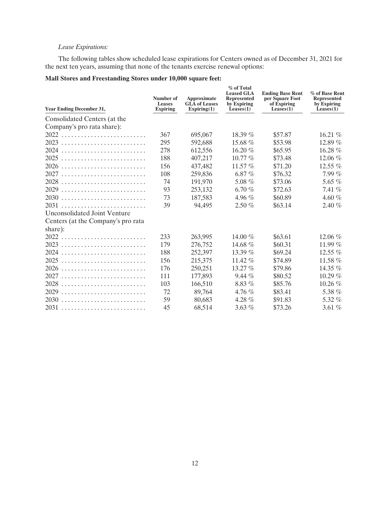### *Lease Expirations:*

The following tables show scheduled lease expirations for Centers owned as of December 31, 2021 for the next ten years, assuming that none of the tenants exercise renewal options:

#### **Mall Stores and Freestanding Stores under 10,000 square feet:**

| <b>Year Ending December 31,</b>     | Number of<br><b>Leases</b><br><b>Expiring</b> | Approximate<br><b>GLA</b> of Leases<br>Expiring $(1)$ | % of Total<br><b>Leased GLA</b><br><b>Represented</b><br>by Expiring<br>Leases(1) | <b>Ending Base Rent</b><br>per Square Foot<br>of Expiring<br>Leases(1) | % of Base Rent<br><b>Represented</b><br>by Expiring<br>Leases(1) |
|-------------------------------------|-----------------------------------------------|-------------------------------------------------------|-----------------------------------------------------------------------------------|------------------------------------------------------------------------|------------------------------------------------------------------|
| Consolidated Centers (at the        |                                               |                                                       |                                                                                   |                                                                        |                                                                  |
| Company's pro rata share):          |                                               |                                                       |                                                                                   |                                                                        |                                                                  |
|                                     | 367                                           | 695,067                                               | $18.39\%$                                                                         | \$57.87                                                                | 16.21 $%$                                                        |
|                                     | 295                                           | 592,688                                               | 15.68 %                                                                           | \$53.98                                                                | 12.89 %                                                          |
|                                     | 278                                           | 612,556                                               | $16.20\%$                                                                         | \$65.95                                                                | 16.28 %                                                          |
|                                     | 188                                           | 407,217                                               | $10.77\%$                                                                         | \$73.48                                                                | 12.06 %                                                          |
|                                     | 156                                           | 437,482                                               | 11.57 $%$                                                                         | \$71.20                                                                | 12.55 %                                                          |
|                                     | 108                                           | 259,836                                               | $6.87\%$                                                                          | \$76.32                                                                | $7.99\%$                                                         |
|                                     | 74                                            | 191,970                                               | 5.08 %                                                                            | \$73.06                                                                | 5.65 %                                                           |
|                                     | 93                                            | 253,132                                               | $6.70\%$                                                                          | \$72.63                                                                | 7.41 %                                                           |
|                                     | 73                                            | 187,583                                               | 4.96 $%$                                                                          | \$60.89                                                                | 4.60 $%$                                                         |
|                                     | 39                                            | 94,495                                                | $2.50\%$                                                                          | \$63.14                                                                | 2.40%                                                            |
| <b>Unconsolidated Joint Venture</b> |                                               |                                                       |                                                                                   |                                                                        |                                                                  |
| Centers (at the Company's pro rata  |                                               |                                                       |                                                                                   |                                                                        |                                                                  |
| share):                             |                                               |                                                       |                                                                                   |                                                                        |                                                                  |
|                                     | 233                                           | 263,995                                               | 14.00 $\%$                                                                        | \$63.61                                                                | $12.06\%$                                                        |
|                                     | 179                                           | 276,752                                               | 14.68 %                                                                           | \$60.31                                                                | 11.99 %                                                          |
|                                     | 188                                           | 252,397                                               | 13.39 %                                                                           | \$69.24                                                                | 12.55 $%$                                                        |
| 2025                                | 156                                           | 215,375                                               | 11.42 %                                                                           | \$74.89                                                                | 11.58 %                                                          |
|                                     | 176                                           | 250,251                                               | 13.27 %                                                                           | \$79.86                                                                | 14.35 %                                                          |
|                                     | 111                                           | 177,893                                               | $9.44\%$                                                                          | \$80.52                                                                | $10.29\%$                                                        |
|                                     | 103                                           | 166,510                                               | 8.83 %                                                                            | \$85.76                                                                | $10.26\%$                                                        |
| 2029                                | 72                                            | 89,764                                                | $4.76\%$                                                                          | \$83.41                                                                | 5.38 %                                                           |
|                                     | 59                                            | 80,683                                                | 4.28 %                                                                            | \$91.83                                                                | 5.32 %                                                           |
|                                     | 45                                            | 68,514                                                | 3.63%                                                                             | \$73.26                                                                | 3.61 $%$                                                         |
|                                     |                                               |                                                       |                                                                                   |                                                                        |                                                                  |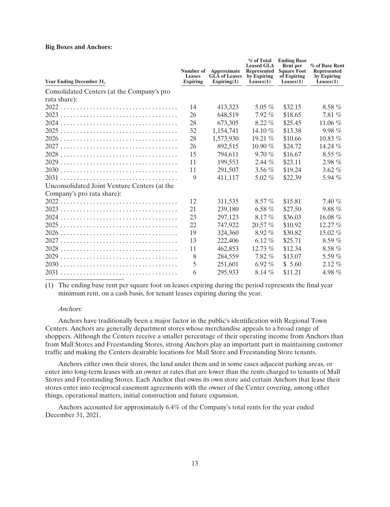#### **Big Boxes and Anchors:**

| <b>Year Ending December 31,</b>              | Number of<br><b>Leases</b><br><b>Expiring</b> | Approximate<br><b>GLA</b> of Leases<br>Expiring $(1)$ | % of Total<br><b>Leased GLA</b><br>Represented<br>by Expiring<br>Leases(1) | <b>Ending Base</b><br><b>Rent</b> per<br><b>Square Foot</b><br>of Expiring<br>Leases(1) | % of Base Rent<br><b>Represented</b><br>by Expiring<br>Leases(1) |
|----------------------------------------------|-----------------------------------------------|-------------------------------------------------------|----------------------------------------------------------------------------|-----------------------------------------------------------------------------------------|------------------------------------------------------------------|
| Consolidated Centers (at the Company's pro   |                                               |                                                       |                                                                            |                                                                                         |                                                                  |
| rata share):                                 |                                               |                                                       |                                                                            |                                                                                         |                                                                  |
|                                              | 14                                            | 413,323                                               | 5.05 $%$                                                                   | \$32.15                                                                                 | $8.58\%$                                                         |
|                                              | 26                                            | 648,519                                               | $7.92\%$                                                                   | \$18.65                                                                                 | $7.81\%$                                                         |
|                                              | 28                                            | 673,305                                               | $8.22\%$                                                                   | \$25.45                                                                                 | 11.06 $%$                                                        |
|                                              | 32                                            | 1,154,741                                             | 14.10 %                                                                    | \$13.38                                                                                 | 9.98%                                                            |
|                                              | 28                                            | 1,573,930                                             | 19.21 %                                                                    | \$10.66                                                                                 | 10.83 %                                                          |
|                                              | 26                                            | 892,515                                               | $10.90\%$                                                                  | \$24.72                                                                                 | 14.24 %                                                          |
|                                              | 15                                            | 794,611                                               | $9.70\%$                                                                   | \$16.67                                                                                 | $8.55\%$                                                         |
|                                              | 11                                            | 199,553                                               | $2.44\%$                                                                   | \$23.11                                                                                 | 2.98 %                                                           |
|                                              | 11                                            | 291,507                                               | $3.56\%$                                                                   | \$19.24                                                                                 | $3.62\%$                                                         |
|                                              | 9                                             | 411,117                                               | $5.02\%$                                                                   | \$22.39                                                                                 | 5.94 $%$                                                         |
| Unconsolidated Joint Venture Centers (at the |                                               |                                                       |                                                                            |                                                                                         |                                                                  |
| Company's pro rata share):                   |                                               |                                                       |                                                                            |                                                                                         |                                                                  |
|                                              | 12                                            | 311,535                                               | $8.57\%$                                                                   | \$15.81                                                                                 | 7.40 $%$                                                         |
|                                              | 21                                            | 239,180                                               | 6.58 $%$                                                                   | \$27.50                                                                                 | $9.88\%$                                                         |
|                                              | 23                                            | 297,123                                               | $8.17\%$                                                                   | \$36.03                                                                                 | 16.08 %                                                          |
|                                              | 22                                            | 747,922                                               | 20.57%                                                                     | \$10.92                                                                                 | 12.27 %                                                          |
|                                              | 19                                            | 324,360                                               | $8.92\%$                                                                   | \$30.82                                                                                 | 15.02 %                                                          |
|                                              | 13                                            | 222,406                                               | $6.12\%$                                                                   | \$25.71                                                                                 | 8.59%                                                            |
|                                              | 11                                            | 462,853                                               | 12.73 %                                                                    | \$12.34                                                                                 | 8.58%                                                            |
|                                              | 8                                             | 284,559                                               | $7.82\%$                                                                   | \$13.07                                                                                 | 5.59 $%$                                                         |
|                                              | 5                                             | 251,601                                               | $6.92\%$                                                                   | \$5.60                                                                                  | $2.12\%$                                                         |
|                                              | 6                                             | 295,933                                               | $8.14\%$                                                                   | \$11.21                                                                                 | 4.98 $%$                                                         |
|                                              |                                               |                                                       |                                                                            |                                                                                         |                                                                  |

(1) The ending base rent per square foot on leases expiring during the period represents the final year minimum rent, on a cash basis, for tenant leases expiring during the year.

#### *Anchors:*

Anchors have traditionally been a major factor in the public's identification with Regional Town Centers. Anchors are generally department stores whose merchandise appeals to a broad range of shoppers. Although the Centers receive a smaller percentage of their operating income from Anchors than from Mall Stores and Freestanding Stores, strong Anchors play an important part in maintaining customer traffic and making the Centers desirable locations for Mall Store and Freestanding Store tenants.

Anchors either own their stores, the land under them and in some cases adjacent parking areas, or enter into long-term leases with an owner at rates that are lower than the rents charged to tenants of Mall Stores and Freestanding Stores. Each Anchor that owns its own store and certain Anchors that lease their stores enter into reciprocal easement agreements with the owner of the Center covering, among other things, operational matters, initial construction and future expansion.

Anchors accounted for approximately 6.4% of the Company's total rents for the year ended December 31, 2021.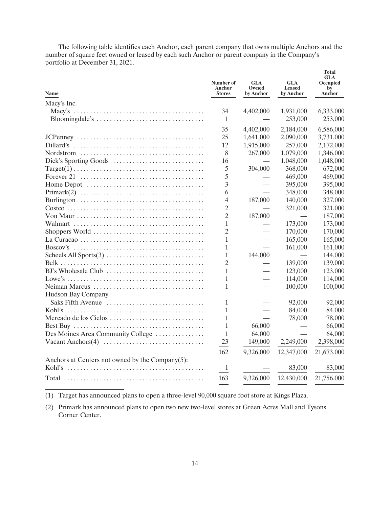The following table identifies each Anchor, each parent company that owns multiple Anchors and the number of square feet owned or leased by each such Anchor or parent company in the Company's portfolio at December 31, 2021.

| Name                                            | Number of<br>Anchor<br><b>Stores</b> | <b>GLA</b><br>Owned<br>by Anchor | <b>GLA</b><br><b>Leased</b><br>by Anchor | <b>Total</b><br><b>GLA</b><br>Occupied<br>by<br>Anchor |
|-------------------------------------------------|--------------------------------------|----------------------------------|------------------------------------------|--------------------------------------------------------|
| Macy's Inc.                                     |                                      |                                  |                                          |                                                        |
|                                                 | 34                                   | 4,402,000                        | 1,931,000                                | 6,333,000                                              |
|                                                 | 1                                    |                                  | 253,000                                  | 253,000                                                |
|                                                 | 35                                   | 4,402,000                        | 2,184,000                                | 6,586,000                                              |
|                                                 | 25                                   | 1,641,000                        | 2,090,000                                | 3,731,000                                              |
|                                                 | 12                                   | 1,915,000                        | 257,000                                  | 2,172,000                                              |
|                                                 | 8                                    | 267,000                          | 1,079,000                                | 1,346,000                                              |
| Dick's Sporting Goods                           | 16                                   |                                  | 1,048,000                                | 1,048,000                                              |
|                                                 | $\sqrt{5}$                           | 304,000                          | 368,000                                  | 672,000                                                |
|                                                 | 5                                    |                                  | 469,000                                  | 469,000                                                |
|                                                 | 3                                    |                                  | 395,000                                  | 395,000                                                |
|                                                 | 6                                    |                                  | 348,000                                  | 348,000                                                |
|                                                 | 4                                    | 187,000                          | 140,000                                  | 327,000                                                |
|                                                 | $\overline{2}$                       |                                  | 321,000                                  | 321,000                                                |
|                                                 | $\overline{2}$                       | 187,000                          |                                          | 187,000                                                |
|                                                 | 1                                    |                                  | 173,000                                  | 173,000                                                |
|                                                 | $\overline{2}$                       |                                  | 170,000                                  | 170,000                                                |
|                                                 | 1                                    |                                  | 165,000                                  | 165,000                                                |
|                                                 | 1                                    |                                  | 161,000                                  | 161,000                                                |
|                                                 | $\mathbf{1}$                         | 144,000                          |                                          | 144,000                                                |
|                                                 | $\overline{2}$                       |                                  | 139,000                                  | 139,000                                                |
| BJ's Wholesale Club                             | 1                                    |                                  | 123,000                                  | 123,000                                                |
|                                                 | 1                                    |                                  | 114,000                                  | 114,000                                                |
| Neiman Marcus                                   | 1                                    |                                  | 100,000                                  | 100,000                                                |
| <b>Hudson Bay Company</b>                       |                                      |                                  |                                          |                                                        |
|                                                 | 1                                    |                                  | 92,000                                   | 92,000                                                 |
| Kohl's                                          | 1                                    |                                  | 84,000                                   | 84,000                                                 |
| Mercado de los Cielos                           | 1                                    |                                  | 78,000                                   | 78,000                                                 |
|                                                 | 1                                    | 66,000                           |                                          | 66,000                                                 |
| Des Moines Area Community College               | 1                                    | 64,000                           |                                          | 64,000                                                 |
|                                                 | 23                                   | 149,000                          | 2,249,000                                | 2,398,000                                              |
|                                                 | 162                                  | 9,326,000                        | 12,347,000                               | 21,673,000                                             |
| Anchors at Centers not owned by the Company(5): |                                      |                                  |                                          |                                                        |
|                                                 | 1                                    |                                  | 83,000                                   | 83,000                                                 |
|                                                 | 163                                  | 9,326,000                        | 12,430,000                               | 21,756,000                                             |
|                                                 |                                      |                                  |                                          |                                                        |

(1) Target has announced plans to open a three-level 90,000 square foot store at Kings Plaza.

(2) Primark has announced plans to open two new two-level stores at Green Acres Mall and Tysons Corner Center.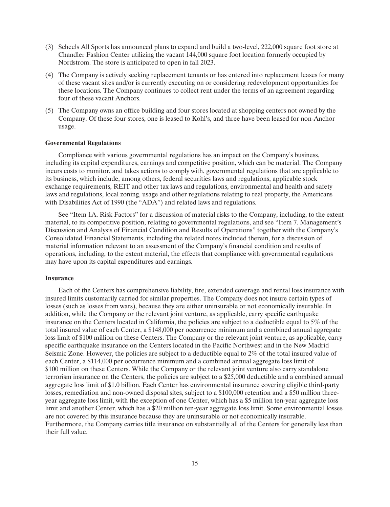- (3) Scheels All Sports has announced plans to expand and build a two-level, 222,000 square foot store at Chandler Fashion Center utilizing the vacant 144,000 square foot location formerly occupied by Nordstrom. The store is anticipated to open in fall 2023.
- (4) The Company is actively seeking replacement tenants or has entered into replacement leases for many of these vacant sites and/or is currently executing on or considering redevelopment opportunities for these locations. The Company continues to collect rent under the terms of an agreement regarding four of these vacant Anchors.
- (5) The Company owns an office building and four stores located at shopping centers not owned by the Company. Of these four stores, one is leased to Kohl's, and three have been leased for non-Anchor usage.

#### **Governmental Regulations**

Compliance with various governmental regulations has an impact on the Company's business, including its capital expenditures, earnings and competitive position, which can be material. The Company incurs costs to monitor, and takes actions to comply with, governmental regulations that are applicable to its business, which include, among others, federal securities laws and regulations, applicable stock exchange requirements, REIT and other tax laws and regulations, environmental and health and safety laws and regulations, local zoning, usage and other regulations relating to real property, the Americans with Disabilities Act of 1990 (the "ADA") and related laws and regulations.

See "Item 1A. Risk Factors" for a discussion of material risks to the Company, including, to the extent material, to its competitive position, relating to governmental regulations, and see "Item 7. Management's Discussion and Analysis of Financial Condition and Results of Operations" together with the Company's Consolidated Financial Statements, including the related notes included therein, for a discussion of material information relevant to an assessment of the Company's financial condition and results of operations, including, to the extent material, the effects that compliance with governmental regulations may have upon its capital expenditures and earnings.

#### **Insurance**

Each of the Centers has comprehensive liability, fire, extended coverage and rental loss insurance with insured limits customarily carried for similar properties. The Company does not insure certain types of losses (such as losses from wars), because they are either uninsurable or not economically insurable. In addition, while the Company or the relevant joint venture, as applicable, carry specific earthquake insurance on the Centers located in California, the policies are subject to a deductible equal to 5% of the total insured value of each Center, a \$148,000 per occurrence minimum and a combined annual aggregate loss limit of \$100 million on these Centers. The Company or the relevant joint venture, as applicable, carry specific earthquake insurance on the Centers located in the Pacific Northwest and in the New Madrid Seismic Zone. However, the policies are subject to a deductible equal to 2% of the total insured value of each Center, a \$114,000 per occurrence minimum and a combined annual aggregate loss limit of \$100 million on these Centers. While the Company or the relevant joint venture also carry standalone terrorism insurance on the Centers, the policies are subject to a \$25,000 deductible and a combined annual aggregate loss limit of \$1.0 billion. Each Center has environmental insurance covering eligible third-party losses, remediation and non-owned disposal sites, subject to a \$100,000 retention and a \$50 million threeyear aggregate loss limit, with the exception of one Center, which has a \$5 million ten-year aggregate loss limit and another Center, which has a \$20 million ten-year aggregate loss limit. Some environmental losses are not covered by this insurance because they are uninsurable or not economically insurable. Furthermore, the Company carries title insurance on substantially all of the Centers for generally less than their full value.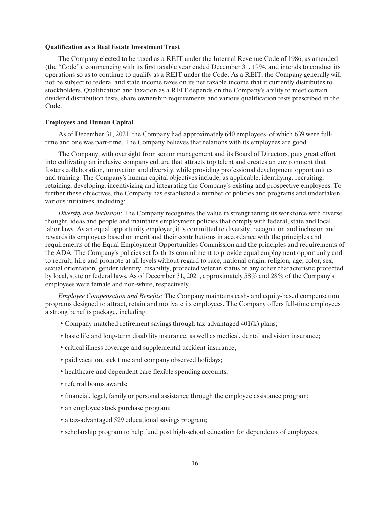#### **Qualification as a Real Estate Investment Trust**

The Company elected to be taxed as a REIT under the Internal Revenue Code of 1986, as amended (the "Code"), commencing with its first taxable year ended December 31, 1994, and intends to conduct its operations so as to continue to qualify as a REIT under the Code. As a REIT, the Company generally will not be subject to federal and state income taxes on its net taxable income that it currently distributes to stockholders. Qualification and taxation as a REIT depends on the Company's ability to meet certain dividend distribution tests, share ownership requirements and various qualification tests prescribed in the Code.

#### **Employees and Human Capital**

As of December 31, 2021, the Company had approximately 640 employees, of which 639 were fulltime and one was part-time. The Company believes that relations with its employees are good.

The Company, with oversight from senior management and its Board of Directors, puts great effort into cultivating an inclusive company culture that attracts top talent and creates an environment that fosters collaboration, innovation and diversity, while providing professional development opportunities and training. The Company's human capital objectives include, as applicable, identifying, recruiting, retaining, developing, incentivizing and integrating the Company's existing and prospective employees. To further these objectives, the Company has established a number of policies and programs and undertaken various initiatives, including:

*Diversity and Inclusion:* The Company recognizes the value in strengthening its workforce with diverse thought, ideas and people and maintains employment policies that comply with federal, state and local labor laws. As an equal opportunity employer, it is committed to diversity, recognition and inclusion and rewards its employees based on merit and their contributions in accordance with the principles and requirements of the Equal Employment Opportunities Commission and the principles and requirements of the ADA. The Company's policies set forth its commitment to provide equal employment opportunity and to recruit, hire and promote at all levels without regard to race, national origin, religion, age, color, sex, sexual orientation, gender identity, disability, protected veteran status or any other characteristic protected by local, state or federal laws. As of December 31, 2021, approximately 58% and 28% of the Company's employees were female and non-white, respectively.

*Employee Compensation and Benefits:* The Company maintains cash- and equity-based compensation programs designed to attract, retain and motivate its employees. The Company offers full-time employees a strong benefits package, including:

- Company-matched retirement savings through tax-advantaged 401(k) plans;
- basic life and long-term disability insurance, as well as medical, dental and vision insurance;
- critical illness coverage and supplemental accident insurance;
- paid vacation, sick time and company observed holidays;
- healthcare and dependent care flexible spending accounts;
- referral bonus awards;
- financial, legal, family or personal assistance through the employee assistance program;
- an employee stock purchase program;
- a tax-advantaged 529 educational savings program;
- scholarship program to help fund post high-school education for dependents of employees;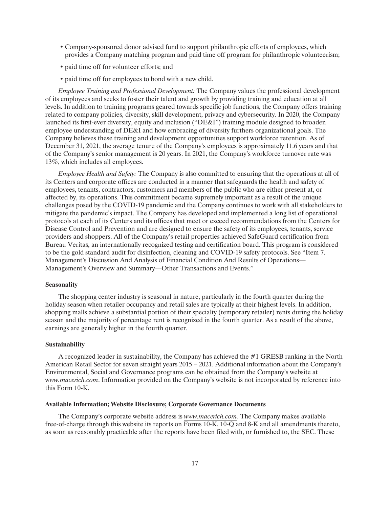- Company-sponsored donor advised fund to support philanthropic efforts of employees, which provides a Company matching program and paid time off program for philanthropic volunteerism;
- paid time off for volunteer efforts; and
- paid time off for employees to bond with a new child.

*Employee Training and Professional Development:* The Company values the professional development of its employees and seeks to foster their talent and growth by providing training and education at all levels. In addition to training programs geared towards specific job functions, the Company offers training related to company policies, diversity, skill development, privacy and cybersecurity. In 2020, the Company launched its first-ever diversity, equity and inclusion ("DE&I") training module designed to broaden employee understanding of DE&I and how embracing of diversity furthers organizational goals. The Company believes these training and development opportunities support workforce retention. As of December 31, 2021, the average tenure of the Company's employees is approximately 11.6 years and that of the Company's senior management is 20 years. In 2021, the Company's workforce turnover rate was 13%, which includes all employees.

*Employee Health and Safety:* The Company is also committed to ensuring that the operations at all of its Centers and corporate offices are conducted in a manner that safeguards the health and safety of employees, tenants, contractors, customers and members of the public who are either present at, or affected by, its operations. This commitment became supremely important as a result of the unique challenges posed by the COVID-19 pandemic and the Company continues to work with all stakeholders to mitigate the pandemic's impact. The Company has developed and implemented a long list of operational protocols at each of its Centers and its offices that meet or exceed recommendations from the Centers for Disease Control and Prevention and are designed to ensure the safety of its employees, tenants, service providers and shoppers. All of the Company's retail properties achieved SafeGuard certification from Bureau Veritas, an internationally recognized testing and certification board. This program is considered to be the gold standard audit for disinfection, cleaning and COVID-19 safety protocols. See "Item 7. Management's Discussion And Analysis of Financial Condition And Results of Operations— Management's Overview and Summary—Other Transactions and Events."

#### **Seasonality**

The shopping center industry is seasonal in nature, particularly in the fourth quarter during the holiday season when retailer occupancy and retail sales are typically at their highest levels. In addition, shopping malls achieve a substantial portion of their specialty (temporary retailer) rents during the holiday season and the majority of percentage rent is recognized in the fourth quarter. As a result of the above, earnings are generally higher in the fourth quarter.

#### **Sustainability**

A recognized leader in sustainability, the Company has achieved the #1 GRESB ranking in the North American Retail Sector for seven straight years 2015 – 2021. Additional information about the Company's Environmental, Social and Governance programs can be obtained from the Company's website at w*ww.macerich.com*. Information provided on the Company's website is not incorporated by reference into this Form 10-K.

#### **Available Information; Website Disclosure; Corporate Governance Documents**

The Company's corporate website address is *www.macerich.com*. The Company makes available free-of-charge through this website its reports on Forms 10-K, 10-Q and 8-K and all amendments thereto, as soon as reasonably practicable after the reports have been filed with, or furnished to, the SEC. These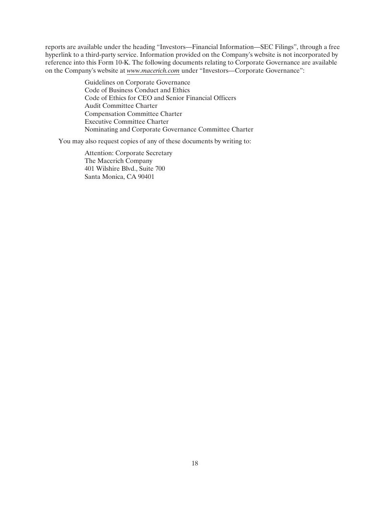reports are available under the heading "Investors—Financial Information—SEC Filings", through a free hyperlink to a third-party service. Information provided on the Company's website is not incorporated by reference into this Form 10-K. The following documents relating to Corporate Governance are available on the Company's website at *www.macerich.com* under "Investors—Corporate Governance":

> Guidelines on Corporate Governance Code of Business Conduct and Ethics Code of Ethics for CEO and Senior Financial Officers Audit Committee Charter Compensation Committee Charter Executive Committee Charter Nominating and Corporate Governance Committee Charter

You may also request copies of any of these documents by writing to:

Attention: Corporate Secretary The Macerich Company 401 Wilshire Blvd., Suite 700 Santa Monica, CA 90401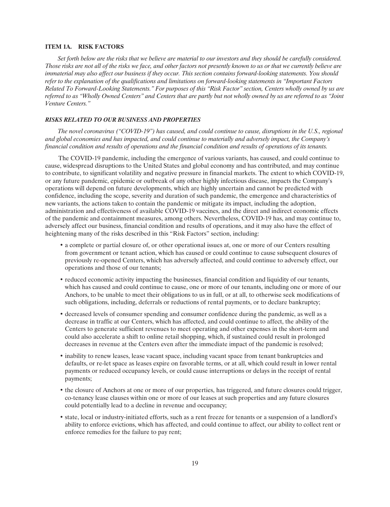#### **ITEM 1A. RISK FACTORS**

*Set forth below are the risks that we believe are material to our investors and they should be carefully considered. Those risks are not all of the risks we face, and other factors not presently known to us or that we currently believe are immaterial may also affect our business if they occur. This section contains forward-looking statements. You should refer to the explanation of the qualifications and limitations on forward-looking statements in "Important Factors Related To Forward-Looking Statements." For purposes of this "Risk Factor" section, Centers wholly owned by us are referred to as "Wholly Owned Centers" and Centers that are partly but not wholly owned by us are referred to as "Joint Venture Centers."*

#### *RISKS RELATED TO OUR BUSINESS AND PROPERTIES*

*The novel coronavirus ("COVID-19") has caused, and could continue to cause, disruptions in the U.S., regional and global economies and has impacted, and could continue to materially and adversely impact, the Company's financial condition and results of operations and the financial condition and results of operations of its tenants.*

The COVID-19 pandemic, including the emergence of various variants, has caused, and could continue to cause, widespread disruptions to the United States and global economy and has contributed, and may continue to contribute, to significant volatility and negative pressure in financial markets. The extent to which COVID-19, or any future pandemic, epidemic or outbreak of any other highly infectious disease, impacts the Company's operations will depend on future developments, which are highly uncertain and cannot be predicted with confidence, including the scope, severity and duration of such pandemic, the emergence and characteristics of new variants, the actions taken to contain the pandemic or mitigate its impact, including the adoption, administration and effectiveness of available COVID-19 vaccines, and the direct and indirect economic effects of the pandemic and containment measures, among others. Nevertheless, COVID-19 has, and may continue to, adversely affect our business, financial condition and results of operations, and it may also have the effect of heightening many of the risks described in this "Risk Factors" section, including:

- a complete or partial closure of, or other operational issues at, one or more of our Centers resulting from government or tenant action, which has caused or could continue to cause subsequent closures of previously re-opened Centers, which has adversely affected, and could continue to adversely effect, our operations and those of our tenants;
- reduced economic activity impacting the businesses, financial condition and liquidity of our tenants, which has caused and could continue to cause, one or more of our tenants, including one or more of our Anchors, to be unable to meet their obligations to us in full, or at all, to otherwise seek modifications of such obligations, including, deferrals or reductions of rental payments, or to declare bankruptcy;
- decreased levels of consumer spending and consumer confidence during the pandemic, as well as a decrease in traffic at our Centers, which has affected, and could continue to affect, the ability of the Centers to generate sufficient revenues to meet operating and other expenses in the short-term and could also accelerate a shift to online retail shopping, which, if sustained could result in prolonged decreases in revenue at the Centers even after the immediate impact of the pandemic is resolved;
- inability to renew leases, lease vacant space, including vacant space from tenant bankruptcies and defaults, or re-let space as leases expire on favorable terms, or at all, which could result in lower rental payments or reduced occupancy levels, or could cause interruptions or delays in the receipt of rental payments;
- the closure of Anchors at one or more of our properties, has triggered, and future closures could trigger, co-tenancy lease clauses within one or more of our leases at such properties and any future closures could potentially lead to a decline in revenue and occupancy;
- state, local or industry-initiated efforts, such as a rent freeze for tenants or a suspension of a landlord's ability to enforce evictions, which has affected, and could continue to affect, our ability to collect rent or enforce remedies for the failure to pay rent;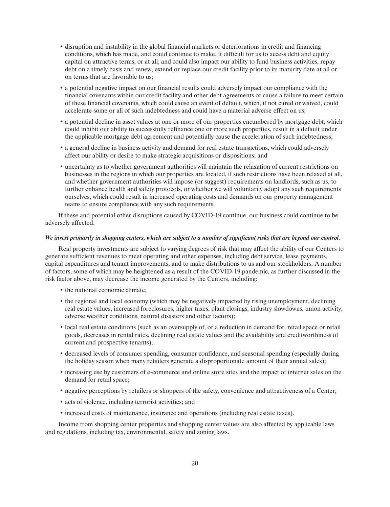- disruption and instability in the global financial markets or deteriorations in credit and financing conditions, which has made, and could continue to make, it difficult for us to access debt and equity capital on attractive terms, or at all, and could also impact our ability to fund business activities, repay debt on a timely basis and renew, extend or replace our credit facility prior to its maturity date at all or on terms that are favorable to us;
- a potential negative impact on our financial results could adversely impact our compliance with the financial covenants within our credit facility and other debt agreements or cause a failure to meet certain of these financial covenants, which could cause an event of default, which, if not cured or waived, could accelerate some or all of such indebtedness and could have a material adverse effect on us;
- a potential decline in asset values at one or more of our properties encumbered by mortgage debt, which could inhibit our ability to successfully refinance one or more such properties, result in a default under the applicable mortgage debt agreement and potentially cause the acceleration of such indebtedness;
- a general decline in business activity and demand for real estate transactions, which could adversely affect our ability or desire to make strategic acquisitions or dispositions; and
- uncertainty as to whether government authorities will maintain the relaxation of current restrictions on businesses in the regions in which our properties are located, if such restrictions have been relaxed at all, and whether government authorities will impose (or suggest) requirements on landlords, such as us, to further enhance health and safety protocols, or whether we will voluntarily adopt any such requirements ourselves, which could result in increased operating costs and demands on our property management teams to ensure compliance with any such requirements.

If these and potential other disruptions caused by COVID-19 continue, our business could continue to be adversely affected.

#### *We invest primarily in shopping centers, which are subject to a number of significant risks that are beyond our control.*

Real property investments are subject to varying degrees of risk that may affect the ability of our Centers to generate sufficient revenues to meet operating and other expenses, including debt service, lease payments, capital expenditures and tenant improvements, and to make distributions to us and our stockholders. A number of factors, some of which may be heightened as a result of the COVID-19 pandemic, as further discussed in the risk factor above, may decrease the income generated by the Centers, including:

- the national economic climate;
- the regional and local economy (which may be negatively impacted by rising unemployment, declining real estate values, increased foreclosures, higher taxes, plant closings, industry slowdowns, union activity, adverse weather conditions, natural disasters and other factors);
- local real estate conditions (such as an oversupply of, or a reduction in demand for, retail space or retail goods, decreases in rental rates, declining real estate values and the availability and creditworthiness of current and prospective tenants);
- decreased levels of consumer spending, consumer confidence, and seasonal spending (especially during the holiday season when many retailers generate a disproportionate amount of their annual sales);
- increasing use by customers of e-commerce and online store sites and the impact of internet sales on the demand for retail space;
- negative perceptions by retailers or shoppers of the safety, convenience and attractiveness of a Center;
- acts of violence, including terrorist activities; and
- increased costs of maintenance, insurance and operations (including real estate taxes).

Income from shopping center properties and shopping center values are also affected by applicable laws and regulations, including tax, environmental, safety and zoning laws.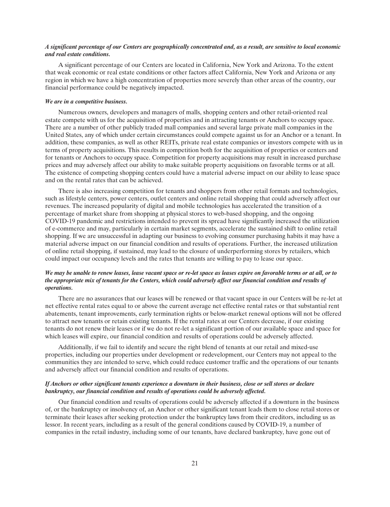#### *A significant percentage of our Centers are geographically concentrated and, as a result, are sensitive to local economic and real estate conditions.*

A significant percentage of our Centers are located in California, New York and Arizona. To the extent that weak economic or real estate conditions or other factors affect California, New York and Arizona or any region in which we have a high concentration of properties more severely than other areas of the country, our financial performance could be negatively impacted.

#### *We are in a competitive business.*

Numerous owners, developers and managers of malls, shopping centers and other retail-oriented real estate compete with us for the acquisition of properties and in attracting tenants or Anchors to occupy space. There are a number of other publicly traded mall companies and several large private mall companies in the United States, any of which under certain circumstances could compete against us for an Anchor or a tenant. In addition, these companies, as well as other REITs, private real estate companies or investors compete with us in terms of property acquisitions. This results in competition both for the acquisition of properties or centers and for tenants or Anchors to occupy space. Competition for property acquisitions may result in increased purchase prices and may adversely affect our ability to make suitable property acquisitions on favorable terms or at all. The existence of competing shopping centers could have a material adverse impact on our ability to lease space and on the rental rates that can be achieved.

There is also increasing competition for tenants and shoppers from other retail formats and technologies, such as lifestyle centers, power centers, outlet centers and online retail shopping that could adversely affect our revenues. The increased popularity of digital and mobile technologies has accelerated the transition of a percentage of market share from shopping at physical stores to web-based shopping, and the ongoing COVID-19 pandemic and restrictions intended to prevent its spread have significantly increased the utilization of e-commerce and may, particularly in certain market segments, accelerate the sustained shift to online retail shopping. If we are unsuccessful in adapting our business to evolving consumer purchasing habits it may have a material adverse impact on our financial condition and results of operations. Further, the increased utilization of online retail shopping, if sustained, may lead to the closure of underperforming stores by retailers, which could impact our occupancy levels and the rates that tenants are willing to pay to lease our space.

#### *We may be unable to renew leases, lease vacant space or re-let space as leases expire on favorable terms or at all, or to the appropriate mix of tenants for the Centers, which could adversely affect our financial condition and results of operations.*

There are no assurances that our leases will be renewed or that vacant space in our Centers will be re-let at net effective rental rates equal to or above the current average net effective rental rates or that substantial rent abatements, tenant improvements, early termination rights or below-market renewal options will not be offered to attract new tenants or retain existing tenants. If the rental rates at our Centers decrease, if our existing tenants do not renew their leases or if we do not re-let a significant portion of our available space and space for which leases will expire, our financial condition and results of operations could be adversely affected.

Additionally, if we fail to identify and secure the right blend of tenants at our retail and mixed-use properties, including our properties under development or redevelopment, our Centers may not appeal to the communities they are intended to serve, which could reduce customer traffic and the operations of our tenants and adversely affect our financial condition and results of operations.

#### *If Anchors or other significant tenants experience a downturn in their business, close or sell stores or declare bankruptcy, our financial condition and results of operations could be adversely affected.*

Our financial condition and results of operations could be adversely affected if a downturn in the business of, or the bankruptcy or insolvency of, an Anchor or other significant tenant leads them to close retail stores or terminate their leases after seeking protection under the bankruptcy laws from their creditors, including us as lessor. In recent years, including as a result of the general conditions caused by COVID-19, a number of companies in the retail industry, including some of our tenants, have declared bankruptcy, have gone out of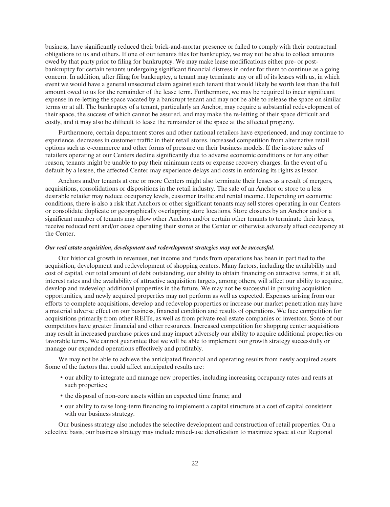business, have significantly reduced their brick-and-mortar presence or failed to comply with their contractual obligations to us and others. If one of our tenants files for bankruptcy, we may not be able to collect amounts owed by that party prior to filing for bankruptcy. We may make lease modifications either pre- or postbankruptcy for certain tenants undergoing significant financial distress in order for them to continue as a going concern. In addition, after filing for bankruptcy, a tenant may terminate any or all of its leases with us, in which event we would have a general unsecured claim against such tenant that would likely be worth less than the full amount owed to us for the remainder of the lease term. Furthermore, we may be required to incur significant expense in re-letting the space vacated by a bankrupt tenant and may not be able to release the space on similar terms or at all. The bankruptcy of a tenant, particularly an Anchor, may require a substantial redevelopment of their space, the success of which cannot be assured, and may make the re-letting of their space difficult and costly, and it may also be difficult to lease the remainder of the space at the affected property.

Furthermore, certain department stores and other national retailers have experienced, and may continue to experience, decreases in customer traffic in their retail stores, increased competition from alternative retail options such as e-commerce and other forms of pressure on their business models. If the in-store sales of retailers operating at our Centers decline significantly due to adverse economic conditions or for any other reason, tenants might be unable to pay their minimum rents or expense recovery charges. In the event of a default by a lessee, the affected Center may experience delays and costs in enforcing its rights as lessor.

Anchors and/or tenants at one or more Centers might also terminate their leases as a result of mergers, acquisitions, consolidations or dispositions in the retail industry. The sale of an Anchor or store to a less desirable retailer may reduce occupancy levels, customer traffic and rental income. Depending on economic conditions, there is also a risk that Anchors or other significant tenants may sell stores operating in our Centers or consolidate duplicate or geographically overlapping store locations. Store closures by an Anchor and/or a significant number of tenants may allow other Anchors and/or certain other tenants to terminate their leases, receive reduced rent and/or cease operating their stores at the Center or otherwise adversely affect occupancy at the Center.

#### *Our real estate acquisition, development and redevelopment strategies may not be successful.*

Our historical growth in revenues, net income and funds from operations has been in part tied to the acquisition, development and redevelopment of shopping centers. Many factors, including the availability and cost of capital, our total amount of debt outstanding, our ability to obtain financing on attractive terms, if at all, interest rates and the availability of attractive acquisition targets, among others, will affect our ability to acquire, develop and redevelop additional properties in the future. We may not be successful in pursuing acquisition opportunities, and newly acquired properties may not perform as well as expected. Expenses arising from our efforts to complete acquisitions, develop and redevelop properties or increase our market penetration may have a material adverse effect on our business, financial condition and results of operations. We face competition for acquisitions primarily from other REITs, as well as from private real estate companies or investors. Some of our competitors have greater financial and other resources. Increased competition for shopping center acquisitions may result in increased purchase prices and may impact adversely our ability to acquire additional properties on favorable terms. We cannot guarantee that we will be able to implement our growth strategy successfully or manage our expanded operations effectively and profitably.

We may not be able to achieve the anticipated financial and operating results from newly acquired assets. Some of the factors that could affect anticipated results are:

- our ability to integrate and manage new properties, including increasing occupancy rates and rents at such properties;
- the disposal of non-core assets within an expected time frame; and
- our ability to raise long-term financing to implement a capital structure at a cost of capital consistent with our business strategy.

Our business strategy also includes the selective development and construction of retail properties. On a selective basis, our business strategy may include mixed-use densification to maximize space at our Regional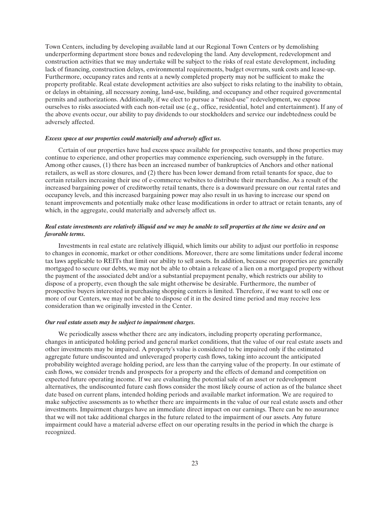Town Centers, including by developing available land at our Regional Town Centers or by demolishing underperforming department store boxes and redeveloping the land. Any development, redevelopment and construction activities that we may undertake will be subject to the risks of real estate development, including lack of financing, construction delays, environmental requirements, budget overruns, sunk costs and lease-up. Furthermore, occupancy rates and rents at a newly completed property may not be sufficient to make the property profitable. Real estate development activities are also subject to risks relating to the inability to obtain, or delays in obtaining, all necessary zoning, land-use, building, and occupancy and other required governmental permits and authorizations. Additionally, if we elect to pursue a "mixed-use" redevelopment, we expose ourselves to risks associated with each non-retail use (e.g., office, residential, hotel and entertainment). If any of the above events occur, our ability to pay dividends to our stockholders and service our indebtedness could be adversely affected.

#### *Excess space at our properties could materially and adversely affect us.*

Certain of our properties have had excess space available for prospective tenants, and those properties may continue to experience, and other properties may commence experiencing, such oversupply in the future. Among other causes, (1) there has been an increased number of bankruptcies of Anchors and other national retailers, as well as store closures, and (2) there has been lower demand from retail tenants for space, due to certain retailers increasing their use of e-commerce websites to distribute their merchandise. As a result of the increased bargaining power of creditworthy retail tenants, there is a downward pressure on our rental rates and occupancy levels, and this increased bargaining power may also result in us having to increase our spend on tenant improvements and potentially make other lease modifications in order to attract or retain tenants, any of which, in the aggregate, could materially and adversely affect us.

#### *Real estate investments are relatively illiquid and we may be unable to sell properties at the time we desire and on favorable terms.*

Investments in real estate are relatively illiquid, which limits our ability to adjust our portfolio in response to changes in economic, market or other conditions. Moreover, there are some limitations under federal income tax laws applicable to REITs that limit our ability to sell assets. In addition, because our properties are generally mortgaged to secure our debts, we may not be able to obtain a release of a lien on a mortgaged property without the payment of the associated debt and/or a substantial prepayment penalty, which restricts our ability to dispose of a property, even though the sale might otherwise be desirable. Furthermore, the number of prospective buyers interested in purchasing shopping centers is limited. Therefore, if we want to sell one or more of our Centers, we may not be able to dispose of it in the desired time period and may receive less consideration than we originally invested in the Center.

#### *Our real estate assets may be subject to impairment charges.*

We periodically assess whether there are any indicators, including property operating performance, changes in anticipated holding period and general market conditions, that the value of our real estate assets and other investments may be impaired. A property's value is considered to be impaired only if the estimated aggregate future undiscounted and unleveraged property cash flows, taking into account the anticipated probability weighted average holding period, are less than the carrying value of the property. In our estimate of cash flows, we consider trends and prospects for a property and the effects of demand and competition on expected future operating income. If we are evaluating the potential sale of an asset or redevelopment alternatives, the undiscounted future cash flows consider the most likely course of action as of the balance sheet date based on current plans, intended holding periods and available market information. We are required to make subjective assessments as to whether there are impairments in the value of our real estate assets and other investments. Impairment charges have an immediate direct impact on our earnings. There can be no assurance that we will not take additional charges in the future related to the impairment of our assets. Any future impairment could have a material adverse effect on our operating results in the period in which the charge is recognized.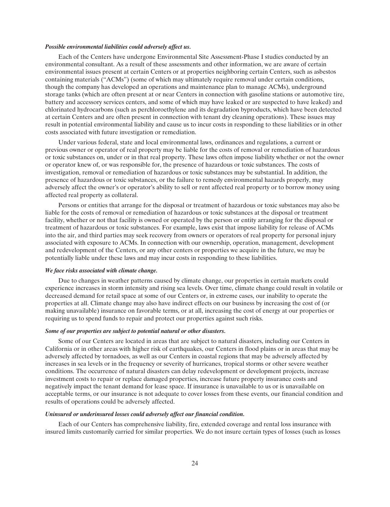#### *Possible environmental liabilities could adversely affect us.*

Each of the Centers have undergone Environmental Site Assessment-Phase I studies conducted by an environmental consultant. As a result of these assessments and other information, we are aware of certain environmental issues present at certain Centers or at properties neighboring certain Centers, such as asbestos containing materials ("ACMs") (some of which may ultimately require removal under certain conditions, though the company has developed an operations and maintenance plan to manage ACMs), underground storage tanks (which are often present at or near Centers in connection with gasoline stations or automotive tire, battery and accessory services centers, and some of which may have leaked or are suspected to have leaked) and chlorinated hydrocarbons (such as perchloroethylene and its degradation byproducts, which have been detected at certain Centers and are often present in connection with tenant dry cleaning operations). These issues may result in potential environmental liability and cause us to incur costs in responding to these liabilities or in other costs associated with future investigation or remediation.

Under various federal, state and local environmental laws, ordinances and regulations, a current or previous owner or operator of real property may be liable for the costs of removal or remediation of hazardous or toxic substances on, under or in that real property. These laws often impose liability whether or not the owner or operator knew of, or was responsible for, the presence of hazardous or toxic substances. The costs of investigation, removal or remediation of hazardous or toxic substances may be substantial. In addition, the presence of hazardous or toxic substances, or the failure to remedy environmental hazards properly, may adversely affect the owner's or operator's ability to sell or rent affected real property or to borrow money using affected real property as collateral.

Persons or entities that arrange for the disposal or treatment of hazardous or toxic substances may also be liable for the costs of removal or remediation of hazardous or toxic substances at the disposal or treatment facility, whether or not that facility is owned or operated by the person or entity arranging for the disposal or treatment of hazardous or toxic substances. For example, laws exist that impose liability for release of ACMs into the air, and third parties may seek recovery from owners or operators of real property for personal injury associated with exposure to ACMs. In connection with our ownership, operation, management, development and redevelopment of the Centers, or any other centers or properties we acquire in the future, we may be potentially liable under these laws and may incur costs in responding to these liabilities.

#### *We face risks associated with climate change.*

Due to changes in weather patterns caused by climate change, our properties in certain markets could experience increases in storm intensity and rising sea levels. Over time, climate change could result in volatile or decreased demand for retail space at some of our Centers or, in extreme cases, our inability to operate the properties at all. Climate change may also have indirect effects on our business by increasing the cost of (or making unavailable) insurance on favorable terms, or at all, increasing the cost of energy at our properties or requiring us to spend funds to repair and protect our properties against such risks.

#### *Some of our properties are subject to potential natural or other disasters.*

Some of our Centers are located in areas that are subject to natural disasters, including our Centers in California or in other areas with higher risk of earthquakes, our Centers in flood plains or in areas that may be adversely affected by tornadoes, as well as our Centers in coastal regions that may be adversely affected by increases in sea levels or in the frequency or severity of hurricanes, tropical storms or other severe weather conditions. The occurrence of natural disasters can delay redevelopment or development projects, increase investment costs to repair or replace damaged properties, increase future property insurance costs and negatively impact the tenant demand for lease space. If insurance is unavailable to us or is unavailable on acceptable terms, or our insurance is not adequate to cover losses from these events, our financial condition and results of operations could be adversely affected.

#### *Uninsured or underinsured losses could adversely affect our financial condition.*

Each of our Centers has comprehensive liability, fire, extended coverage and rental loss insurance with insured limits customarily carried for similar properties. We do not insure certain types of losses (such as losses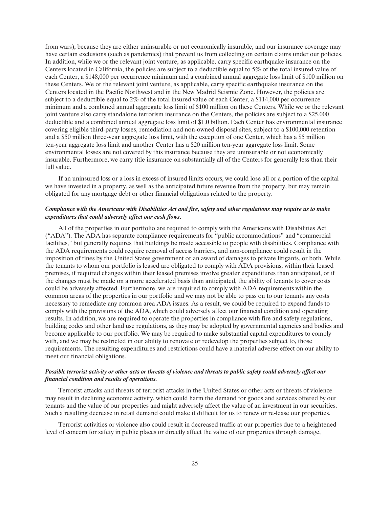from wars), because they are either uninsurable or not economically insurable, and our insurance coverage may have certain exclusions (such as pandemics) that prevent us from collecting on certain claims under our policies. In addition, while we or the relevant joint venture, as applicable, carry specific earthquake insurance on the Centers located in California, the policies are subject to a deductible equal to 5% of the total insured value of each Center, a \$148,000 per occurrence minimum and a combined annual aggregate loss limit of \$100 million on these Centers. We or the relevant joint venture, as applicable, carry specific earthquake insurance on the Centers located in the Pacific Northwest and in the New Madrid Seismic Zone. However, the policies are subject to a deductible equal to 2% of the total insured value of each Center, a \$114,000 per occurrence minimum and a combined annual aggregate loss limit of \$100 million on these Centers. While we or the relevant joint venture also carry standalone terrorism insurance on the Centers, the policies are subject to a \$25,000 deductible and a combined annual aggregate loss limit of \$1.0 billion. Each Center has environmental insurance covering eligible third-party losses, remediation and non-owned disposal sites, subject to a \$100,000 retention and a \$50 million three-year aggregate loss limit, with the exception of one Center, which has a \$5 million ten-year aggregate loss limit and another Center has a \$20 million ten-year aggregate loss limit. Some environmental losses are not covered by this insurance because they are uninsurable or not economically insurable. Furthermore, we carry title insurance on substantially all of the Centers for generally less than their full value.

If an uninsured loss or a loss in excess of insured limits occurs, we could lose all or a portion of the capital we have invested in a property, as well as the anticipated future revenue from the property, but may remain obligated for any mortgage debt or other financial obligations related to the property.

#### *Compliance with the Americans with Disabilities Act and fire, safety and other regulations may require us to make expenditures that could adversely affect our cash flows.*

All of the properties in our portfolio are required to comply with the Americans with Disabilities Act ("ADA"). The ADA has separate compliance requirements for "public accommodations" and "commercial facilities," but generally requires that buildings be made accessible to people with disabilities. Compliance with the ADA requirements could require removal of access barriers, and non-compliance could result in the imposition of fines by the United States government or an award of damages to private litigants, or both. While the tenants to whom our portfolio is leased are obligated to comply with ADA provisions, within their leased premises, if required changes within their leased premises involve greater expenditures than anticipated, or if the changes must be made on a more accelerated basis than anticipated, the ability of tenants to cover costs could be adversely affected. Furthermore, we are required to comply with ADA requirements within the common areas of the properties in our portfolio and we may not be able to pass on to our tenants any costs necessary to remediate any common area ADA issues. As a result, we could be required to expend funds to comply with the provisions of the ADA, which could adversely affect our financial condition and operating results. In addition, we are required to operate the properties in compliance with fire and safety regulations, building codes and other land use regulations, as they may be adopted by governmental agencies and bodies and become applicable to our portfolio. We may be required to make substantial capital expenditures to comply with, and we may be restricted in our ability to renovate or redevelop the properties subject to, those requirements. The resulting expenditures and restrictions could have a material adverse effect on our ability to meet our financial obligations.

#### *Possible terrorist activity or other acts or threats of violence and threats to public safety could adversely affect our financial condition and results of operations.*

Terrorist attacks and threats of terrorist attacks in the United States or other acts or threats of violence may result in declining economic activity, which could harm the demand for goods and services offered by our tenants and the value of our properties and might adversely affect the value of an investment in our securities. Such a resulting decrease in retail demand could make it difficult for us to renew or re-lease our properties.

Terrorist activities or violence also could result in decreased traffic at our properties due to a heightened level of concern for safety in public places or directly affect the value of our properties through damage,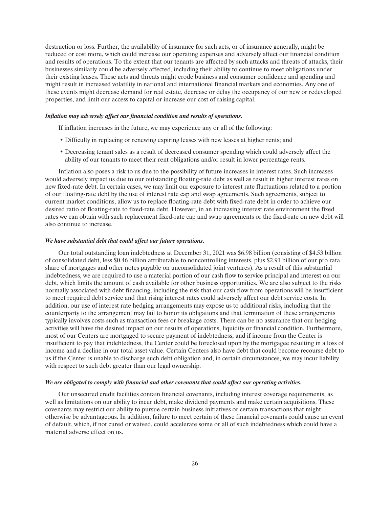destruction or loss. Further, the availability of insurance for such acts, or of insurance generally, might be reduced or cost more, which could increase our operating expenses and adversely affect our financial condition and results of operations. To the extent that our tenants are affected by such attacks and threats of attacks, their businesses similarly could be adversely affected, including their ability to continue to meet obligations under their existing leases. These acts and threats might erode business and consumer confidence and spending and might result in increased volatility in national and international financial markets and economies. Any one of these events might decrease demand for real estate, decrease or delay the occupancy of our new or redeveloped properties, and limit our access to capital or increase our cost of raising capital.

#### *Inflation may adversely affect our financial condition and results of operations.*

If inflation increases in the future, we may experience any or all of the following:

- Difficulty in replacing or renewing expiring leases with new leases at higher rents; and
- Decreasing tenant sales as a result of decreased consumer spending which could adversely affect the ability of our tenants to meet their rent obligations and/or result in lower percentage rents.

Inflation also poses a risk to us due to the possibility of future increases in interest rates. Such increases would adversely impact us due to our outstanding floating-rate debt as well as result in higher interest rates on new fixed-rate debt. In certain cases, we may limit our exposure to interest rate fluctuations related to a portion of our floating-rate debt by the use of interest rate cap and swap agreements. Such agreements, subject to current market conditions, allow us to replace floating-rate debt with fixed-rate debt in order to achieve our desired ratio of floating-rate to fixed-rate debt. However, in an increasing interest rate environment the fixed rates we can obtain with such replacement fixed-rate cap and swap agreements or the fixed-rate on new debt will also continue to increase.

#### *We have substantial debt that could affect our future operations.*

Our total outstanding loan indebtedness at December 31, 2021 was \$6.98 billion (consisting of \$4.53 billion of consolidated debt, less \$0.46 billion attributable to noncontrolling interests, plus \$2.91 billion of our pro rata share of mortgages and other notes payable on unconsolidated joint ventures). As a result of this substantial indebtedness, we are required to use a material portion of our cash flow to service principal and interest on our debt, which limits the amount of cash available for other business opportunities. We are also subject to the risks normally associated with debt financing, including the risk that our cash flow from operations will be insufficient to meet required debt service and that rising interest rates could adversely affect our debt service costs. In addition, our use of interest rate hedging arrangements may expose us to additional risks, including that the counterparty to the arrangement may fail to honor its obligations and that termination of these arrangements typically involves costs such as transaction fees or breakage costs. There can be no assurance that our hedging activities will have the desired impact on our results of operations, liquidity or financial condition. Furthermore, most of our Centers are mortgaged to secure payment of indebtedness, and if income from the Center is insufficient to pay that indebtedness, the Center could be foreclosed upon by the mortgagee resulting in a loss of income and a decline in our total asset value. Certain Centers also have debt that could become recourse debt to us if the Center is unable to discharge such debt obligation and, in certain circumstances, we may incur liability with respect to such debt greater than our legal ownership.

#### *We are obligated to comply with financial and other covenants that could affect our operating activities.*

Our unsecured credit facilities contain financial covenants, including interest coverage requirements, as well as limitations on our ability to incur debt, make dividend payments and make certain acquisitions. These covenants may restrict our ability to pursue certain business initiatives or certain transactions that might otherwise be advantageous. In addition, failure to meet certain of these financial covenants could cause an event of default, which, if not cured or waived, could accelerate some or all of such indebtedness which could have a material adverse effect on us.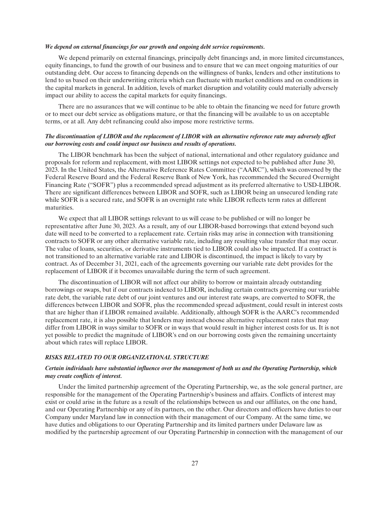#### *We depend on external financings for our growth and ongoing debt service requirements.*

We depend primarily on external financings, principally debt financings and, in more limited circumstances, equity financings, to fund the growth of our business and to ensure that we can meet ongoing maturities of our outstanding debt. Our access to financing depends on the willingness of banks, lenders and other institutions to lend to us based on their underwriting criteria which can fluctuate with market conditions and on conditions in the capital markets in general. In addition, levels of market disruption and volatility could materially adversely impact our ability to access the capital markets for equity financings.

There are no assurances that we will continue to be able to obtain the financing we need for future growth or to meet our debt service as obligations mature, or that the financing will be available to us on acceptable terms, or at all. Any debt refinancing could also impose more restrictive terms.

#### *The discontinuation of LIBOR and the replacement of LIBOR with an alternative reference rate may adversely affect our borrowing costs and could impact our business and results of operations.*

The LIBOR benchmark has been the subject of national, international and other regulatory guidance and proposals for reform and replacement, with most LIBOR settings not expected to be published after June 30, 2023. In the United States, the Alternative Reference Rates Committee ("AARC"), which was convened by the Federal Reserve Board and the Federal Reserve Bank of New York, has recommended the Secured Overnight Financing Rate ("SOFR") plus a recommended spread adjustment as its preferred alternative to USD-LIBOR. There are significant differences between LIBOR and SOFR, such as LIBOR being an unsecured lending rate while SOFR is a secured rate, and SOFR is an overnight rate while LIBOR reflects term rates at different maturities.

We expect that all LIBOR settings relevant to us will cease to be published or will no longer be representative after June 30, 2023. As a result, any of our LIBOR-based borrowings that extend beyond such date will need to be converted to a replacement rate. Certain risks may arise in connection with transitioning contracts to SOFR or any other alternative variable rate, including any resulting value transfer that may occur. The value of loans, securities, or derivative instruments tied to LIBOR could also be impacted. If a contract is not transitioned to an alternative variable rate and LIBOR is discontinued, the impact is likely to vary by contract. As of December 31, 2021, each of the agreements governing our variable rate debt provides for the replacement of LIBOR if it becomes unavailable during the term of such agreement.

The discontinuation of LIBOR will not affect our ability to borrow or maintain already outstanding borrowings or swaps, but if our contracts indexed to LIBOR, including certain contracts governing our variable rate debt, the variable rate debt of our joint ventures and our interest rate swaps, are converted to SOFR, the differences between LIBOR and SOFR, plus the recommended spread adjustment, could result in interest costs that are higher than if LIBOR remained available. Additionally, although SOFR is the AARC's recommended replacement rate, it is also possible that lenders may instead choose alternative replacement rates that may differ from LIBOR in ways similar to SOFR or in ways that would result in higher interest costs for us. It is not yet possible to predict the magnitude of LIBOR's end on our borrowing costs given the remaining uncertainty about which rates will replace LIBOR.

#### *RISKS RELATED TO OUR ORGANIZATIONAL STRUCTURE*

#### *Certain individuals have substantial influence over the management of both us and the Operating Partnership, which may create conflicts of interest.*

Under the limited partnership agreement of the Operating Partnership, we, as the sole general partner, are responsible for the management of the Operating Partnership's business and affairs. Conflicts of interest may exist or could arise in the future as a result of the relationships between us and our affiliates, on the one hand, and our Operating Partnership or any of its partners, on the other. Our directors and officers have duties to our Company under Maryland law in connection with their management of our Company. At the same time, we have duties and obligations to our Operating Partnership and its limited partners under Delaware law as modified by the partnership agreement of our Operating Partnership in connection with the management of our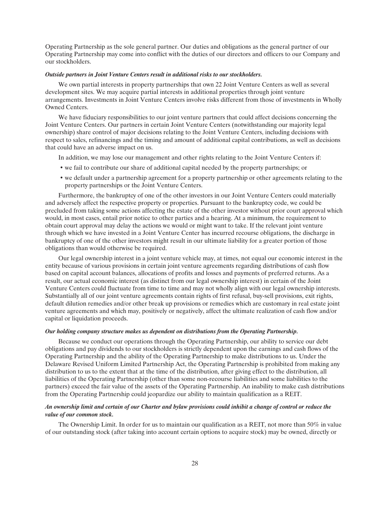Operating Partnership as the sole general partner. Our duties and obligations as the general partner of our Operating Partnership may come into conflict with the duties of our directors and officers to our Company and our stockholders.

#### *Outside partners in Joint Venture Centers result in additional risks to our stockholders.*

We own partial interests in property partnerships that own 22 Joint Venture Centers as well as several development sites. We may acquire partial interests in additional properties through joint venture arrangements. Investments in Joint Venture Centers involve risks different from those of investments in Wholly Owned Centers.

We have fiduciary responsibilities to our joint venture partners that could affect decisions concerning the Joint Venture Centers. Our partners in certain Joint Venture Centers (notwithstanding our majority legal ownership) share control of major decisions relating to the Joint Venture Centers, including decisions with respect to sales, refinancings and the timing and amount of additional capital contributions, as well as decisions that could have an adverse impact on us.

In addition, we may lose our management and other rights relating to the Joint Venture Centers if:

- we fail to contribute our share of additional capital needed by the property partnerships; or
- we default under a partnership agreement for a property partnership or other agreements relating to the property partnerships or the Joint Venture Centers.

Furthermore, the bankruptcy of one of the other investors in our Joint Venture Centers could materially and adversely affect the respective property or properties. Pursuant to the bankruptcy code, we could be precluded from taking some actions affecting the estate of the other investor without prior court approval which would, in most cases, entail prior notice to other parties and a hearing. At a minimum, the requirement to obtain court approval may delay the actions we would or might want to take. If the relevant joint venture through which we have invested in a Joint Venture Center has incurred recourse obligations, the discharge in bankruptcy of one of the other investors might result in our ultimate liability for a greater portion of those obligations than would otherwise be required.

Our legal ownership interest in a joint venture vehicle may, at times, not equal our economic interest in the entity because of various provisions in certain joint venture agreements regarding distributions of cash flow based on capital account balances, allocations of profits and losses and payments of preferred returns. As a result, our actual economic interest (as distinct from our legal ownership interest) in certain of the Joint Venture Centers could fluctuate from time to time and may not wholly align with our legal ownership interests. Substantially all of our joint venture agreements contain rights of first refusal, buy-sell provisions, exit rights, default dilution remedies and/or other break up provisions or remedies which are customary in real estate joint venture agreements and which may, positively or negatively, affect the ultimate realization of cash flow and/or capital or liquidation proceeds.

#### *Our holding company structure makes us dependent on distributions from the Operating Partnership.*

Because we conduct our operations through the Operating Partnership, our ability to service our debt obligations and pay dividends to our stockholders is strictly dependent upon the earnings and cash flows of the Operating Partnership and the ability of the Operating Partnership to make distributions to us. Under the Delaware Revised Uniform Limited Partnership Act, the Operating Partnership is prohibited from making any distribution to us to the extent that at the time of the distribution, after giving effect to the distribution, all liabilities of the Operating Partnership (other than some non-recourse liabilities and some liabilities to the partners) exceed the fair value of the assets of the Operating Partnership. An inability to make cash distributions from the Operating Partnership could jeopardize our ability to maintain qualification as a REIT.

#### *An ownership limit and certain of our Charter and bylaw provisions could inhibit a change of control or reduce the value of our common stock.*

The Ownership Limit. In order for us to maintain our qualification as a REIT, not more than  $50\%$  in value of our outstanding stock (after taking into account certain options to acquire stock) may be owned, directly or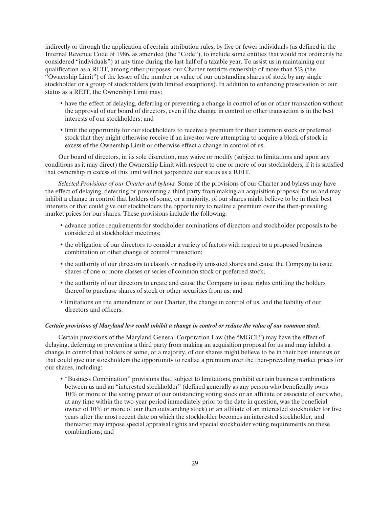indirectly or through the application of certain attribution rules, by five or fewer individuals (as defined in the Internal Revenue Code of 1986, as amended (the "Code"), to include some entities that would not ordinarily be considered "individuals") at any time during the last half of a taxable year. To assist us in maintaining our qualification as a REIT, among other purposes, our Charter restricts ownership of more than 5% (the "Ownership Limit") of the lesser of the number or value of our outstanding shares of stock by any single stockholder or a group of stockholders (with limited exceptions). In addition to enhancing preservation of our status as a REIT, the Ownership Limit may:

- have the effect of delaying, deferring or preventing a change in control of us or other transaction without the approval of our board of directors, even if the change in control or other transaction is in the best interests of our stockholders; and
- limit the opportunity for our stockholders to receive a premium for their common stock or preferred stock that they might otherwise receive if an investor were attempting to acquire a block of stock in excess of the Ownership Limit or otherwise effect a change in control of us.

Our board of directors, in its sole discretion, may waive or modify (subject to limitations and upon any conditions as it may direct) the Ownership Limit with respect to one or more of our stockholders, if it is satisfied that ownership in excess of this limit will not jeopardize our status as a REIT.

*Selected Provisions of our Charter and bylaws.* Some of the provisions of our Charter and bylaws may have the effect of delaying, deferring or preventing a third party from making an acquisition proposal for us and may inhibit a change in control that holders of some, or a majority, of our shares might believe to be in their best interests or that could give our stockholders the opportunity to realize a premium over the then-prevailing market prices for our shares. These provisions include the following:

- advance notice requirements for stockholder nominations of directors and stockholder proposals to be considered at stockholder meetings;
- the obligation of our directors to consider a variety of factors with respect to a proposed business combination or other change of control transaction;
- the authority of our directors to classify or reclassify unissued shares and cause the Company to issue shares of one or more classes or series of common stock or preferred stock;
- the authority of our directors to create and cause the Company to issue rights entitling the holders thereof to purchase shares of stock or other securities from us; and
- limitations on the amendment of our Charter, the change in control of us, and the liability of our directors and officers.

#### *Certain provisions of Maryland law could inhibit a change in control or reduce the value of our common stock.*

Certain provisions of the Maryland General Corporation Law (the "MGCL") may have the effect of delaying, deferring or preventing a third party from making an acquisition proposal for us and may inhibit a change in control that holders of some, or a majority, of our shares might believe to be in their best interests or that could give our stockholders the opportunity to realize a premium over the then-prevailing market prices for our shares, including:

• "Business Combination" provisions that, subject to limitations, prohibit certain business combinations between us and an "interested stockholder" (defined generally as any person who beneficially owns 10% or more of the voting power of our outstanding voting stock or an affiliate or associate of ours who, at any time within the two-year period immediately prior to the date in question, was the beneficial owner of 10% or more of our then outstanding stock) or an affiliate of an interested stockholder for five years after the most recent date on which the stockholder becomes an interested stockholder, and thereafter may impose special appraisal rights and special stockholder voting requirements on these combinations; and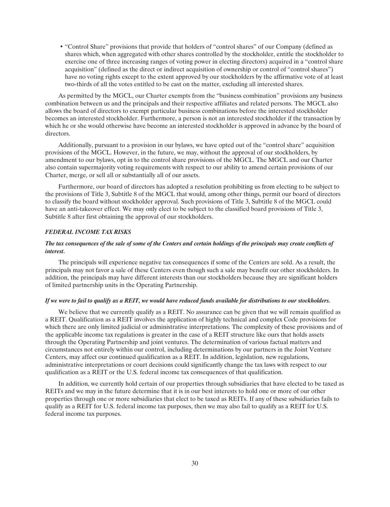• "Control Share" provisions that provide that holders of "control shares" of our Company (defined as shares which, when aggregated with other shares controlled by the stockholder, entitle the stockholder to exercise one of three increasing ranges of voting power in electing directors) acquired in a "control share acquisition" (defined as the direct or indirect acquisition of ownership or control of "control shares") have no voting rights except to the extent approved by our stockholders by the affirmative vote of at least two-thirds of all the votes entitled to be cast on the matter, excluding all interested shares.

As permitted by the MGCL, our Charter exempts from the "business combination" provisions any business combination between us and the principals and their respective affiliates and related persons. The MGCL also allows the board of directors to exempt particular business combinations before the interested stockholder becomes an interested stockholder. Furthermore, a person is not an interested stockholder if the transaction by which he or she would otherwise have become an interested stockholder is approved in advance by the board of directors.

Additionally, pursuant to a provision in our bylaws, we have opted out of the "control share" acquisition provisions of the MGCL. However, in the future, we may, without the approval of our stockholders, by amendment to our bylaws, opt in to the control share provisions of the MGCL. The MGCL and our Charter also contain supermajority voting requirements with respect to our ability to amend certain provisions of our Charter, merge, or sell all or substantially all of our assets.

Furthermore, our board of directors has adopted a resolution prohibiting us from electing to be subject to the provisions of Title 3, Subtitle 8 of the MGCL that would, among other things, permit our board of directors to classify the board without stockholder approval. Such provisions of Title 3, Subtitle 8 of the MGCL could have an anti-takeover effect. We may only elect to be subject to the classified board provisions of Title 3, Subtitle 8 after first obtaining the approval of our stockholders.

#### *FEDERAL INCOME TAX RISKS*

#### *The tax consequences of the sale of some of the Centers and certain holdings of the principals may create conflicts of interest.*

The principals will experience negative tax consequences if some of the Centers are sold. As a result, the principals may not favor a sale of these Centers even though such a sale may benefit our other stockholders. In addition, the principals may have different interests than our stockholders because they are significant holders of limited partnership units in the Operating Partnership.

#### *If we were to fail to qualify as a REIT, we would have reduced funds available for distributions to our stockholders.*

We believe that we currently qualify as a REIT. No assurance can be given that we will remain qualified as a REIT. Qualification as a REIT involves the application of highly technical and complex Code provisions for which there are only limited judicial or administrative interpretations. The complexity of these provisions and of the applicable income tax regulations is greater in the case of a REIT structure like ours that holds assets through the Operating Partnership and joint ventures. The determination of various factual matters and circumstances not entirely within our control, including determinations by our partners in the Joint Venture Centers, may affect our continued qualification as a REIT. In addition, legislation, new regulations, administrative interpretations or court decisions could significantly change the tax laws with respect to our qualification as a REIT or the U.S. federal income tax consequences of that qualification.

In addition, we currently hold certain of our properties through subsidiaries that have elected to be taxed as REITs and we may in the future determine that it is in our best interests to hold one or more of our other properties through one or more subsidiaries that elect to be taxed as REITs. If any of these subsidiaries fails to qualify as a REIT for U.S. federal income tax purposes, then we may also fail to qualify as a REIT for U.S. federal income tax purposes.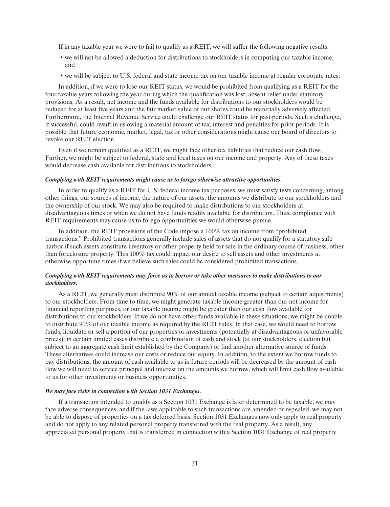If in any taxable year we were to fail to qualify as a REIT, we will suffer the following negative results:

- we will not be allowed a deduction for distributions to stockholders in computing our taxable income; and
- we will be subject to U.S. federal and state income tax on our taxable income at regular corporate rates.

In addition, if we were to lose our REIT status, we would be prohibited from qualifying as a REIT for the four taxable years following the year during which the qualification was lost, absent relief under statutory provisions. As a result, net income and the funds available for distributions to our stockholders would be reduced for at least five years and the fair market value of our shares could be materially adversely affected. Furthermore, the Internal Revenue Service could challenge our REIT status for past periods. Such a challenge, if successful, could result in us owing a material amount of tax, interest and penalties for prior periods. It is possible that future economic, market, legal, tax or other considerations might cause our board of directors to revoke our REIT election.

Even if we remain qualified as a REIT, we might face other tax liabilities that reduce our cash flow. Further, we might be subject to federal, state and local taxes on our income and property. Any of these taxes would decrease cash available for distributions to stockholders.

#### *Complying with REIT requirements might cause us to forego otherwise attractive opportunities.*

In order to qualify as a REIT for U.S. federal income tax purposes, we must satisfy tests concerning, among other things, our sources of income, the nature of our assets, the amounts we distribute to our stockholders and the ownership of our stock. We may also be required to make distributions to our stockholders at disadvantageous times or when we do not have funds readily available for distribution. Thus, compliance with REIT requirements may cause us to forego opportunities we would otherwise pursue.

In addition, the REIT provisions of the Code impose a 100% tax on income from "prohibited transactions." Prohibited transactions generally include sales of assets that do not qualify for a statutory safe harbor if such assets constitute inventory or other property held for sale in the ordinary course of business, other than foreclosure property. This 100% tax could impact our desire to sell assets and other investments at otherwise opportune times if we believe such sales could be considered prohibited transactions.

### *Complying with REIT requirements may force us to borrow or take other measures to make distributions to our stockholders.*

As a REIT, we generally must distribute 90% of our annual taxable income (subject to certain adjustments) to our stockholders. From time to time, we might generate taxable income greater than our net income for financial reporting purposes, or our taxable income might be greater than our cash flow available for distributions to our stockholders. If we do not have other funds available in these situations, we might be unable to distribute 90% of our taxable income as required by the REIT rules. In that case, we would need to borrow funds, liquidate or sell a portion of our properties or investments (potentially at disadvantageous or unfavorable prices), in certain limited cases distribute a combination of cash and stock (at our stockholders' election but subject to an aggregate cash limit established by the Company) or find another alternative source of funds. These alternatives could increase our costs or reduce our equity. In addition, to the extent we borrow funds to pay distributions, the amount of cash available to us in future periods will be decreased by the amount of cash flow we will need to service principal and interest on the amounts we borrow, which will limit cash flow available to us for other investments or business opportunities.

#### *We may face risks in connection with Section 1031 Exchanges.*

If a transaction intended to qualify as a Section 1031 Exchange is later determined to be taxable, we may face adverse consequences, and if the laws applicable to such transactions are amended or repealed, we may not be able to dispose of properties on a tax deferred basis. Section 1031 Exchanges now only apply to real property and do not apply to any related personal property transferred with the real property. As a result, any appreciated personal property that is transferred in connection with a Section 1031 Exchange of real property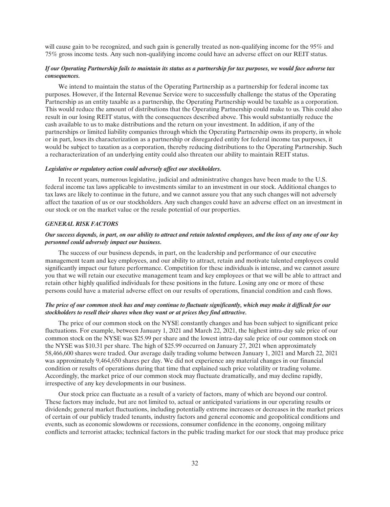will cause gain to be recognized, and such gain is generally treated as non-qualifying income for the 95% and 75% gross income tests. Any such non-qualifying income could have an adverse effect on our REIT status.

### *If our Operating Partnership fails to maintain its status as a partnership for tax purposes, we would face adverse tax consequences.*

We intend to maintain the status of the Operating Partnership as a partnership for federal income tax purposes. However, if the Internal Revenue Service were to successfully challenge the status of the Operating Partnership as an entity taxable as a partnership, the Operating Partnership would be taxable as a corporation. This would reduce the amount of distributions that the Operating Partnership could make to us. This could also result in our losing REIT status, with the consequences described above. This would substantially reduce the cash available to us to make distributions and the return on your investment. In addition, if any of the partnerships or limited liability companies through which the Operating Partnership owns its property, in whole or in part, loses its characterization as a partnership or disregarded entity for federal income tax purposes, it would be subject to taxation as a corporation, thereby reducing distributions to the Operating Partnership. Such a recharacterization of an underlying entity could also threaten our ability to maintain REIT status.

#### *Legislative or regulatory action could adversely affect our stockholders.*

In recent years, numerous legislative, judicial and administrative changes have been made to the U.S. federal income tax laws applicable to investments similar to an investment in our stock. Additional changes to tax laws are likely to continue in the future, and we cannot assure you that any such changes will not adversely affect the taxation of us or our stockholders. Any such changes could have an adverse effect on an investment in our stock or on the market value or the resale potential of our properties.

### *GENERAL RISK FACTORS*

### *Our success depends, in part, on our ability to attract and retain talented employees, and the loss of any one of our key personnel could adversely impact our business.*

The success of our business depends, in part, on the leadership and performance of our executive management team and key employees, and our ability to attract, retain and motivate talented employees could significantly impact our future performance. Competition for these individuals is intense, and we cannot assure you that we will retain our executive management team and key employees or that we will be able to attract and retain other highly qualified individuals for these positions in the future. Losing any one or more of these persons could have a material adverse effect on our results of operations, financial condition and cash flows.

### *The price of our common stock has and may continue to fluctuate significantly, which may make it difficult for our stockholders to resell their shares when they want or at prices they find attractive.*

The price of our common stock on the NYSE constantly changes and has been subject to significant price fluctuations. For example, between January 1, 2021 and March 22, 2021, the highest intra-day sale price of our common stock on the NYSE was \$25.99 per share and the lowest intra-day sale price of our common stock on the NYSE was \$10.31 per share. The high of \$25.99 occurred on January 27, 2021 when approximately 58,466,600 shares were traded. Our average daily trading volume between January 1, 2021 and March 22, 2021 was approximately 9,464,650 shares per day. We did not experience any material changes in our financial condition or results of operations during that time that explained such price volatility or trading volume. Accordingly, the market price of our common stock may fluctuate dramatically, and may decline rapidly, irrespective of any key developments in our business.

Our stock price can fluctuate as a result of a variety of factors, many of which are beyond our control. These factors may include, but are not limited to, actual or anticipated variations in our operating results or dividends; general market fluctuations, including potentially extreme increases or decreases in the market prices of certain of our publicly traded tenants, industry factors and general economic and geopolitical conditions and events, such as economic slowdowns or recessions, consumer confidence in the economy, ongoing military conflicts and terrorist attacks; technical factors in the public trading market for our stock that may produce price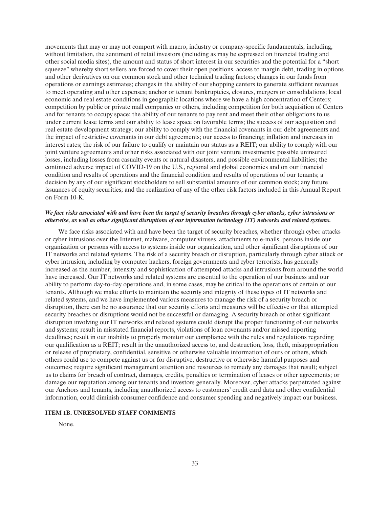movements that may or may not comport with macro, industry or company-specific fundamentals, including, without limitation, the sentiment of retail investors (including as may be expressed on financial trading and other social media sites), the amount and status of short interest in our securities and the potential for a "short squeeze" whereby short sellers are forced to cover their open positions, access to margin debt, trading in options and other derivatives on our common stock and other technical trading factors; changes in our funds from operations or earnings estimates; changes in the ability of our shopping centers to generate sufficient revenues to meet operating and other expenses; anchor or tenant bankruptcies, closures, mergers or consolidations; local economic and real estate conditions in geographic locations where we have a high concentration of Centers; competition by public or private mall companies or others, including competition for both acquisition of Centers and for tenants to occupy space; the ability of our tenants to pay rent and meet their other obligations to us under current lease terms and our ability to lease space on favorable terms; the success of our acquisition and real estate development strategy; our ability to comply with the financial covenants in our debt agreements and the impact of restrictive covenants in our debt agreements; our access to financing; inflation and increases in interest rates; the risk of our failure to qualify or maintain our status as a REIT; our ability to comply with our joint venture agreements and other risks associated with our joint venture investments; possible uninsured losses, including losses from casualty events or natural disasters, and possible environmental liabilities; the continued adverse impact of COVID-19 on the U.S., regional and global economies and on our financial condition and results of operations and the financial condition and results of operations of our tenants; a decision by any of our significant stockholders to sell substantial amounts of our common stock; any future issuances of equity securities; and the realization of any of the other risk factors included in this Annual Report on Form 10-K.

### *We face risks associated with and have been the target of security breaches through cyber attacks, cyber intrusions or otherwise, as well as other significant disruptions of our information technology (IT) networks and related systems.*

We face risks associated with and have been the target of security breaches, whether through cyber attacks or cyber intrusions over the Internet, malware, computer viruses, attachments to e-mails, persons inside our organization or persons with access to systems inside our organization, and other significant disruptions of our IT networks and related systems. The risk of a security breach or disruption, particularly through cyber attack or cyber intrusion, including by computer hackers, foreign governments and cyber terrorists, has generally increased as the number, intensity and sophistication of attempted attacks and intrusions from around the world have increased. Our IT networks and related systems are essential to the operation of our business and our ability to perform day-to-day operations and, in some cases, may be critical to the operations of certain of our tenants. Although we make efforts to maintain the security and integrity of these types of IT networks and related systems, and we have implemented various measures to manage the risk of a security breach or disruption, there can be no assurance that our security efforts and measures will be effective or that attempted security breaches or disruptions would not be successful or damaging. A security breach or other significant disruption involving our IT networks and related systems could disrupt the proper functioning of our networks and systems; result in misstated financial reports, violations of loan covenants and/or missed reporting deadlines; result in our inability to properly monitor our compliance with the rules and regulations regarding our qualification as a REIT; result in the unauthorized access to, and destruction, loss, theft, misappropriation or release of proprietary, confidential, sensitive or otherwise valuable information of ours or others, which others could use to compete against us or for disruptive, destructive or otherwise harmful purposes and outcomes; require significant management attention and resources to remedy any damages that result; subject us to claims for breach of contract, damages, credits, penalties or termination of leases or other agreements; or damage our reputation among our tenants and investors generally. Moreover, cyber attacks perpetrated against our Anchors and tenants, including unauthorized access to customers' credit card data and other confidential information, could diminish consumer confidence and consumer spending and negatively impact our business.

### **ITEM 1B. UNRESOLVED STAFF COMMENTS**

None.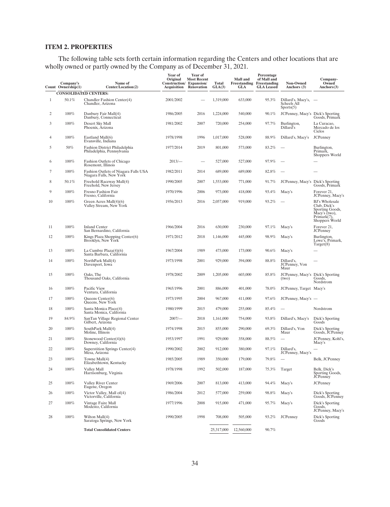# **ITEM 2. PROPERTIES**

The following table sets forth certain information regarding the Centers and other locations that are wholly owned or partly owned by the Company as of December 31, 2021.

|              | Company's<br>Count Ownership(1) | Name of<br>Center/Location(2)                                   | Year of<br>Original<br>Construction/ Expansion/<br>Acquisition | Year of<br><b>Most Recent</b><br>Renovation | Total<br>GLA(3) | Mall and<br>Freestanding<br>GLA | Percentage<br>of Mall and<br>Freestanding<br><b>GLA Leased</b> | Non-Owned<br>Anchors (3)                         | Company-<br>Owned<br>Anchors $(3)$                                                                  |
|--------------|---------------------------------|-----------------------------------------------------------------|----------------------------------------------------------------|---------------------------------------------|-----------------|---------------------------------|----------------------------------------------------------------|--------------------------------------------------|-----------------------------------------------------------------------------------------------------|
|              |                                 | <b>CONSOLIDATED CENTERS:</b>                                    |                                                                |                                             |                 |                                 |                                                                |                                                  |                                                                                                     |
| $\mathbf{1}$ | 50.1%                           | Chandler Fashion Center(4)<br>Chandler, Arizona                 | 2001/2002                                                      |                                             | 1,319,000       | 633,000                         | 95.3%                                                          | Dillard's, Macy's, —<br>Scheels All<br>Sports(5) |                                                                                                     |
| 2            | 100%                            | Danbury Fair Mall(4)<br>Danbury, Connecticut                    | 1986/2005                                                      | 2016                                        | 1,224,000       | 540,000                         | 90.1%                                                          | JCPenney, Macy's Dick's Sporting                 | Goods, Primark                                                                                      |
| 3            | 100%                            | Desert Sky Mall<br>Phoenix, Árizona                             | 1981/2002                                                      | 2007                                        | 720,000         | 254,000                         | 97.7%                                                          | Burlington,<br>Dillard's                         | La Curacao,<br>Mercado de los<br>Cielos                                                             |
| 4            | 100%                            | Eastland Mall(6)<br>Evansville, Indiana                         | 1978/1998                                                      | 1996                                        | 1,017,000       | 528,000                         | 88.9%                                                          | Dillard's, Macy's                                | <b>JCPenney</b>                                                                                     |
| 5            | 50%                             | Fashion District Philadelphia<br>Philadelphia, Pennsylvania     | 1977/2014                                                      | 2019                                        | 801,000         | 573,000                         | 83.2%                                                          |                                                  | Burlington,<br>Primark,<br>Shoppers World                                                           |
| 6            | 100%                            | Fashion Outlets of Chicago<br>Rosemont, Illinois                | 2013/                                                          |                                             | 527,000         | 527,000                         | 97.9%                                                          | $\overline{\phantom{a}}$                         |                                                                                                     |
| 7            | 100%                            | Fashion Outlets of Niagara Falls USA<br>Niagara Falls, New York | 1982/2011                                                      | 2014                                        | 689,000         | 689,000                         | 82.8%                                                          |                                                  |                                                                                                     |
| 8            | 50.1%                           | Freehold Raceway Mall(4)<br>Freehold, New Jersey                | 1990/2005                                                      | 2007                                        | 1,553,000       | 771,000                         | 91.7%                                                          | JCPenney, Macy's Dick's Sporting                 | Goods, Primark                                                                                      |
| 9            | $100\%$                         | Fresno Fashion Fair<br>Fresno, California                       | 1970/1996                                                      | 2006                                        | 973,000         | 418,000                         | 93.4%                                                          | Macy's                                           | Forever 21,<br>JCPenney, Macy's                                                                     |
| 10           | 100%                            | Green Acres Mall(4)(6)<br>Valley Stream, New York               | 1956/2013                                                      | 2016                                        | 2,057,000       | 919,000                         | 93.2%                                                          |                                                  | BJ's Wholesale<br>Club, Dick's<br>Sporting Goods,<br>Macy's (two),<br>Primark(7),<br>Shoppers World |
| 11           | 100%                            | <b>Inland Center</b><br>San Bernardino, California              | 1966/2004                                                      | 2016                                        | 630,000         | 230,000                         | 97.1%                                                          | Macy's                                           | Forever 21,<br><b>JCPenney</b>                                                                      |
| 12           | 100%                            | Kings Plaza Shopping Center(6)<br>Brooklyn, New York            | 1971/2012                                                      | 2018                                        | 1,146,000       | 445,000                         | 98.9%                                                          | Macy's                                           | Burlington,<br>Lowe's, Primark,<br>Target(8)                                                        |
| 13           | $100\%$                         | La Cumbre Plaza $(4)(6)$<br>Santa Barbara, California           | 1967/2004                                                      | 1989                                        | 473,000         | 173,000                         | $90.6\%$                                                       | Macy's                                           |                                                                                                     |
| 14           | 100%                            | NorthPark Mall(4)<br>Davenport, Iowa                            | 1973/1998                                                      | 2001                                        | 929,000         | 394,000                         | 88.8%                                                          | Dillard's,<br>JCPenney, Von<br>Maur              |                                                                                                     |
| 15           | 100%                            | Oaks, The<br>Thousand Oaks, California                          | 1978/2002                                                      | 2009                                        | 1,205,000       | 603,000                         | 85.8%                                                          | JCPenney, Macy's Dick's Sporting<br>(two)        | Goods,<br>Nordstrom                                                                                 |
| 16           | 100%                            | Pacific View<br>Ventura, California                             | 1965/1996                                                      | 2001                                        | 886,000         | 401,000                         | 78.0%                                                          | JCPenney, Target Macy's                          |                                                                                                     |
| 17           | 100%                            | Queens Center(6)<br>Queens, New York                            | 1973/1995                                                      | 2004                                        | 967,000         | 411,000                         | 97.6%                                                          | JCPenney, Macy's                                 |                                                                                                     |
| 18           | 100%                            | Santa Monica Place(4)<br>Santa Monica, California               | 1980/1999                                                      | 2015                                        | 479,000         | 255,000                         | 85.4%                                                          |                                                  | Nordstrom                                                                                           |
| 19           | 84.9%                           | SanTan Village Regional Center<br>Gilbert, Arizona              | 2007/                                                          | 2018                                        | 1,161,000       | 754,000                         | 93.8%                                                          | Dillard's, Macy's                                | Dick's Sporting<br>Goods                                                                            |
| 20           | 100%                            | SouthPark Mall(4)<br>Moline, Illinois                           | 1974/1998                                                      | 2015                                        | 855,000         | 290,000                         | 69.3%                                                          | Dillard's, Von<br>Maur                           | Dick's Sporting<br>Goods, JCPenney                                                                  |
| 21           | 100%                            | Stonewood Center $(4)(6)$<br>Downey, California                 | 1953/1997                                                      | 1991                                        | 929,000         | 358,000                         | 88.5%                                                          |                                                  | JCPenney, Kohl's,<br>Macy's                                                                         |
| 22           | 100%                            | Superstition Springs Center(4)<br>Mesa, Arizona                 | 1990/2002                                                      | 2002                                        | 912,000         | 380,000                         | 97.1%                                                          | Dillard's.<br>JCPenney, Macy's                   |                                                                                                     |
| 23           | 100%                            | Towne Mall(4)<br>Elizabethtown, Kentucky                        | 1985/2005                                                      | 1989                                        | 350,000         | 179,000                         | 79.8%                                                          | $\overline{\phantom{a}}$                         | Belk, JCPenney                                                                                      |
| 24           | 100%                            | Valley Mall<br>Harrisonburg, Virginia                           | 1978/1998                                                      | 1992                                        | 502,000         | 187,000                         | 75.3%                                                          | Target                                           | Belk, Dick's<br>Sporting Goods,<br><b>JCPenney</b>                                                  |
| 25           | 100%                            | Valley River Center<br>Eugene, Oregon                           | 1969/2006                                                      | 2007                                        | 813,000         | 413,000                         | 94.4%                                                          | Macy's                                           | <b>JCPenney</b>                                                                                     |
| 26           | 100%                            | Victor Valley, Mall of(4)<br>Victorville, California            | 1986/2004                                                      | 2012                                        | 577,000         | 259,000                         | 98.8%                                                          | Macy's                                           | Dick's Sporting<br>Goods, JCPenney                                                                  |
| 27           | 100%                            | Vintage Faire Mall<br>Modesto, California                       | 1977/1996                                                      | 2008                                        | 915,000         | 471,000                         | 95.7%                                                          | Macy's                                           | Dick's Sporting<br>Goods,<br>JCPenney, Macy's                                                       |
| 28           | 100%                            | Wilton Mall(4)<br>Saratoga Springs, New York                    | 1990/2005                                                      | 1998                                        | 708,000         | 505,000                         | 93.2%                                                          | <b>JCPenney</b>                                  | Dick's Sporting<br>Goods                                                                            |
|              |                                 | <b>Total Consolidated Centers</b>                               |                                                                |                                             | 25,317,000      | 12,560,000                      | 90.7%                                                          |                                                  |                                                                                                     |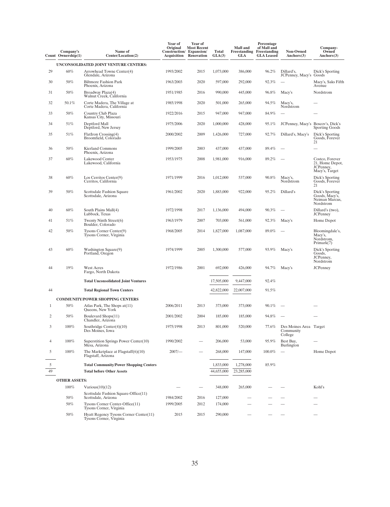|         | Company's<br>Count Ownership(1) | Name of<br>Center/Location(2)                                                     | Year of<br>Original<br>Construction/ Expansion/<br>Acquisition | Year of<br><b>Most Recent</b><br>Renovation | Total<br>GLA(3)         | Mall and<br>Freestanding<br>GLA | Percentage<br>of Mall and<br>Freestanding<br><b>GLA Leased</b> | Non-Owned<br>Anchors(3)                        | Company-<br>Owned<br>Anchors(3)                                   |
|---------|---------------------------------|-----------------------------------------------------------------------------------|----------------------------------------------------------------|---------------------------------------------|-------------------------|---------------------------------|----------------------------------------------------------------|------------------------------------------------|-------------------------------------------------------------------|
|         |                                 | UNCONSOLIDATED JOINT VENTURE CENTERS:                                             |                                                                |                                             |                         |                                 |                                                                |                                                |                                                                   |
| 29      | 60%                             | Arrowhead Towne Center(4)<br>Glendale, Arizona                                    | 1993/2002                                                      | 2015                                        | 1,073,000               | 386,000                         | 96.2%                                                          | Dillard's,<br>JCPenney, Macy's                 | Dick's Sporting<br>Goods                                          |
| 30      | 50%                             | <b>Biltmore Fashion Park</b><br>Phoenix, Arizona                                  | 1963/2003                                                      | 2020                                        | 597,000                 | 292,000                         | 92.3%                                                          |                                                | Macy's, Saks Fifth<br>Avenue                                      |
| 31      | 50%                             | Broadway Plaza(4)<br>Walnut Creek, California                                     | 1951/1985                                                      | 2016                                        | 990,000                 | 445,000                         | 96.8%                                                          | Macy's                                         | Nordstrom                                                         |
| 32      | 50.1%                           | Corte Madera, The Village at<br>Corte Madera, California                          | 1985/1998                                                      | 2020                                        | 501,000                 | 265,000                         | 94.5%                                                          | Macy's,<br>Nordstrom                           |                                                                   |
| 33      | 50%                             | Country Club Plaza<br>Kansas City, Missouri                                       | 1922/2016                                                      | 2015                                        | 947,000                 | 947,000                         | 84.9%                                                          |                                                |                                                                   |
| 34      | 51%                             | Deptford Mall<br>Deptford, New Jersey                                             | 1975/2006                                                      | 2020                                        | 1,000,000               | 428,000                         | 95.1%                                                          | JCPenney, Macy's Boscov's, Dick's              | <b>Sporting Goods</b>                                             |
| 35      | 51%                             | FlatIron Crossing(4)<br>Broomfield, Colorado                                      | 2000/2002                                                      | 2009                                        | 1,426,000               | 727,000                         | 92.7%                                                          | Dillard's, Macy's                              | Dick's Sporting<br>Goods, Forever<br>21                           |
| 36      | 50%                             | Kierland Commons<br>Phoenix, Arizona                                              | 1999/2005                                                      | 2003                                        | 437,000                 | 437,000                         | 89.4%                                                          |                                                |                                                                   |
| 37      | 60%                             | Lakewood Center<br>Lakewood, California                                           | 1953/1975                                                      | 2008                                        | 1,981,000               | 916,000                         | 89.2%                                                          |                                                | Costco, Forever<br>21, Home Depot,<br>JCPenney,<br>Macy's, Target |
| 38      | 60%                             | Los Cerritos Center(9)<br>Cerritos, California                                    | 1971/1999                                                      | 2016                                        | 1,012,000               | 537,000                         | 90.8%                                                          | Macy's,<br>Nordstrom                           | Dick's Sporting<br>Goods, Forever<br>21                           |
| 39      | 50%                             | Scottsdale Fashion Square<br>Scottsdale, Arizona                                  | 1961/2002                                                      | 2020                                        | 1,883,000               | 922,000                         | 95.2%                                                          | Dillard's                                      | Dick's Sporting<br>Goods, Macy's,<br>Neiman Marcus.<br>Nordstrom  |
| 40      | 60%                             | South Plains Mall(4)<br>Lubbock, Texas                                            | 1972/1998                                                      | 2017                                        | 1,136,000               | 494,000                         | 90.3%                                                          |                                                | Dillard's (two),<br><b>JCPenney</b>                               |
| 41      | 51%                             | Twenty Ninth Street(6)<br>Boulder, Colorado                                       | 1963/1979                                                      | 2007                                        | 703,000                 | 561,000                         | 92.3%                                                          | Macy's                                         | Home Depot                                                        |
| 42      | 50%                             | Tysons Corner Center(9)<br>Tysons Corner, Virginia                                | 1968/2005                                                      | 2014                                        | 1,827,000               | 1,087,000                       | 89.0%                                                          |                                                | Bloomingdale's,<br>Macy's,<br>Nordstrom,<br>Primary(7)            |
| 43      | 60%                             | Washington Square(9)<br>Portland, Oregon                                          | 1974/1999                                                      | 2005                                        | 1,300,000               | 577,000                         | 93.9%                                                          | Macy's                                         | Dick's Sporting<br>Goods,<br>JCPenney,<br>Nordstrom               |
| 44      | 19%                             | West Acres<br>Fargo, North Dakota                                                 | 1972/1986                                                      | 2001                                        | 692,000                 | 426,000                         | 94.7%                                                          | Macy's                                         | <b>JCPenney</b>                                                   |
|         |                                 | <b>Total Unconsolidated Joint Ventures</b>                                        |                                                                |                                             | 17,505,000              | 9,447,000                       | 92.4%                                                          |                                                |                                                                   |
| 44      |                                 | <b>Total Regional Town Centers</b>                                                |                                                                |                                             | 42,822,000              | 22,007,000                      | 91.5%                                                          |                                                |                                                                   |
|         |                                 | <b>COMMUNITY/POWER SHOPPING CENTERS</b>                                           |                                                                |                                             |                         |                                 |                                                                |                                                |                                                                   |
| 1       | 50%                             | Atlas Park, The Shops at (11)<br>Queens, New York                                 | 2006/2011                                                      | 2013                                        | 373,000                 | 373,000                         | 90.1%                                                          |                                                |                                                                   |
| 2       | 50%                             | Boulevard Shops(11)<br>Chandler, Arizona                                          | 2001/2002                                                      | 2004                                        | 185,000                 | 185,000                         | 94.8%                                                          |                                                |                                                                   |
| 3       | 100%                            | Southridge Center(4)(10)<br>Des Moines, Iowa                                      | 1975/1998                                                      | 2013                                        | 801,000                 | 520,000                         | 77.6%                                                          | Des Moines Area Target<br>Community<br>College |                                                                   |
| 4       | 100%                            | Superstition Springs Power Center(10)<br>Mesa, Arizona                            | 1990/2002                                                      |                                             | 206,000                 | 53,000                          | 95.9%                                                          | Best Buy,<br>Burlington                        |                                                                   |
| 5       | 100%                            | The Marketplace at Flagstaff $(6)(10)$<br>Flagstaff, Arizona                      | 2007/                                                          |                                             | 268,000                 | 147,000                         | 100.0%                                                         |                                                | Home Depot                                                        |
| 5<br>49 |                                 | <b>Total Community/Power Shopping Centers</b><br><b>Total before Other Assets</b> |                                                                |                                             | 1,833,000<br>44,655,000 | 1,278,000<br>23,285,000         | 85.9%                                                          |                                                |                                                                   |
|         | <b>OTHER ASSETS:</b>            |                                                                                   |                                                                |                                             |                         |                                 |                                                                |                                                |                                                                   |
|         | 100%                            | Various $(10)(12)$                                                                |                                                                |                                             | 348,000                 | 265,000                         |                                                                |                                                | Kohl's                                                            |
|         | 50%                             | Scottsdale Fashion Square-Office(11)<br>Scottsdale, Arizona                       | 1984/2002                                                      | 2016                                        | 127,000                 |                                 |                                                                |                                                |                                                                   |
|         | 50%                             | Tysons Corner Center-Office(11)<br>Tysons Corner, Virginia                        | 1999/2005                                                      | 2012                                        | 174,000                 |                                 |                                                                |                                                |                                                                   |
|         | 50%                             | Hyatt Regency Tysons Corner Center(11)<br>Tysons Corner, Virginia                 | 2015                                                           | 2015                                        | 290,000                 |                                 |                                                                |                                                |                                                                   |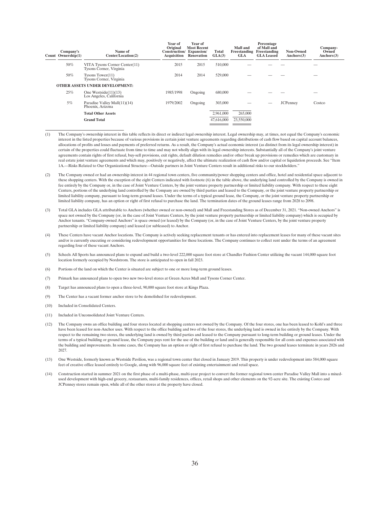| Company's<br>Count Ownership(1) | Name of<br>Center/Location(2)                            | Year of<br>Original<br>Construction/<br><b>Acquisition</b> | Year of<br><b>Most Recent</b><br>Expansion/<br>Renovation | Total<br>GLA(3) | Mall and<br>Freestanding<br>GLA | Percentage<br>of Mall and<br>Freestanding<br><b>GLA</b> Leased | <b>Non-Owned</b><br>Anchors(3) | Company-<br>Owned<br>Anchors $(3)$ |
|---------------------------------|----------------------------------------------------------|------------------------------------------------------------|-----------------------------------------------------------|-----------------|---------------------------------|----------------------------------------------------------------|--------------------------------|------------------------------------|
| 50%                             | VITA Tysons Corner Center(11)<br>Tysons Corner, Virginia | 2015                                                       | 2015                                                      | 510,000         |                                 |                                                                |                                |                                    |
| 50%                             | Tysons Tower $(11)$<br>Tysons Corner, Virginia           | 2014                                                       | 2014                                                      | 529,000         |                                 |                                                                |                                |                                    |
|                                 | <b>OTHER ASSETS UNDER DEVELOPMENT:</b>                   |                                                            |                                                           |                 |                                 |                                                                |                                |                                    |
| 25%                             | One Westside $(11)(13)$<br>Los Angeles, California       | 1985/1998                                                  | Ongoing                                                   | 680,000         |                                 |                                                                |                                |                                    |
| 5%                              | Paradise Valley Mall(11)(14)<br>Phoenix, Arizona         | 1979/2002                                                  | Ongoing                                                   | 303,000         |                                 | -                                                              | <b>JCPenney</b>                | Costco                             |
|                                 | <b>Total Other Assets</b>                                |                                                            |                                                           | 2,961,000       | 265,000                         |                                                                |                                |                                    |
|                                 | <b>Grand Total</b>                                       |                                                            |                                                           | 47,616,000      | 23,550,000                      |                                                                |                                |                                    |
|                                 |                                                          |                                                            |                                                           |                 |                                 |                                                                |                                |                                    |

- (1) The Company's ownership interest in this table reflects its direct or indirect legal ownership interest. Legal ownership may, at times, not equal the Company's economic interest in the listed properties because of various provisions in certain joint venture agreements regarding distributions of cash flow based on capital account balances, allocations of profits and losses and payments of preferred returns. As a result, the Company's actual economic interest (as distinct from its legal ownership interest) in certain of the properties could fluctuate from time to time and may not wholly align with its legal ownership interests. Substantially all of the Company's joint venture agreements contain rights of first refusal, buy-sell provisions, exit rights, default dilution remedies and/or other break up provisions or remedies which are customary in real estate joint venture agreements and which may, positively or negatively, affect the ultimate realization of cash flow and/or capital or liquidation proceeds. See "Item 1A.—Risks Related to Our Organizational Structure—Outside partners in Joint Venture Centers result in additional risks to our stockholders."
- (2) The Company owned or had an ownership interest in 44 regional town centers, five community/power shopping centers and office, hotel and residential space adjacent to these shopping centers. With the exception of the eight Centers indicated with footnote (6) in the table above, the underlying land controlled by the Company is owned in fee entirely by the Company or, in the case of Joint Venture Centers, by the joint venture property partnership or limited liability company. With respect to these eight Centers, portions of the underlying land controlled by the Company are owned by third parties and leased to the Company, or the joint venture property partnership or limited liability company, pursuant to long-term ground leases. Under the terms of a typical ground lease, the Company, or the joint venture property partnership or limited liability company, has an option or right of first refusal to purchase the land. The termination dates of the ground leases range from 2028 to 2098.
- (3) Total GLA includes GLA attributable to Anchors (whether owned or non-owned) and Mall and Freestanding Stores as of December 31, 2021. "Non-owned Anchors" is space not owned by the Company (or, in the case of Joint Venture Centers, by the joint venture property partnership or limited liability company) which is occupied by Anchor tenants. "Company-owned Anchors" is space owned (or leased) by the Company (or, in the case of Joint Venture Centers, by the joint venture property partnership or limited liability company) and leased (or subleased) to Anchor.
- (4) These Centers have vacant Anchor locations. The Company is actively seeking replacement tenants or has entered into replacement leases for many of these vacant sites and/or is currently executing or considering redevelopment opportunities for these locations. The Company continues to collect rent under the terms of an agreement regarding four of these vacant Anchors.
- (5) Scheels All Sports has announced plans to expand and build a two-level 222,000 square foot store at Chandler Fashion Center utilizing the vacant 144,000 square foot location formerly occupied by Nordstrom. The store is anticipated to open in fall 2023.
- (6) Portions of the land on which the Center is situated are subject to one or more long-term ground leases.
- (7) Primark has announced plans to open two new two-level stores at Green Acres Mall and Tysons Corner Center.
- (8) Target has announced plans to open a three-level, 90,000 square foot store at Kings Plaza.
- (9) The Center has a vacant former anchor store to be demolished for redevelopment.
- (10) Included in Consolidated Centers.
- (11) Included in Unconsolidated Joint Venture Centers.
- (12) The Company owns an office building and four stores located at shopping centers not owned by the Company. Of the four stores, one has been leased to Kohl's and three have been leased for non-Anchor uses. With respect to the office building and two of the four stores, the underlying land is owned in fee entirely by the Company. With respect to the remaining two stores, the underlying land is owned by third parties and leased to the Company pursuant to long-term building or ground leases. Under the terms of a typical building or ground lease, the Company pays rent for the use of the building or land and is generally responsible for all costs and expenses associated with the building and improvements. In some cases, the Company has an option or right of first refusal to purchase the land. The two ground leases terminate in years 2026 and 2027.
- (13) One Westside, formerly known as Westside Pavilion, was a regional town center that closed in January 2019. This property is under redevelopment into 584,000 square feet of creative office leased entirely to Google, along with 96,000 square feet of existing entertainment and retail space.
- (14) Construction started in summer 2021 on the first phase of a multi-phase, multi-year project to convert the former regional town center Paradise Valley Mall into a mixedused development with high-end grocery, restaurants, multi-family residences, offices, retail shops and other elements on the 92-acre site. The existing Costco and JCPenney stores remain open, while all of the other stores at the property have closed.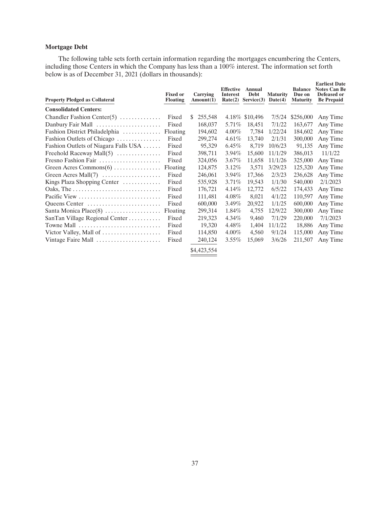# **Mortgage Debt**

The following table sets forth certain information regarding the mortgages encumbering the Centers, including those Centers in which the Company has less than a 100% interest. The information set forth below is as of December 31, 2021 (dollars in thousands):

| <b>Property Pledged as Collateral</b> | <b>Fixed or</b><br><b>Floating</b> | Carrying<br>Amount(1) | <b>Effective</b><br><b>Interest</b><br>Rate(2) | Annual<br>Debt<br>Service(3) | <b>Maturity</b><br>Date(4) | <b>Balance</b><br>Due on<br><b>Maturity</b> | <b>Earliest Date</b><br><b>Notes Can Be</b><br>Defeased or<br><b>Be Prepaid</b> |
|---------------------------------------|------------------------------------|-----------------------|------------------------------------------------|------------------------------|----------------------------|---------------------------------------------|---------------------------------------------------------------------------------|
| <b>Consolidated Centers:</b>          |                                    |                       |                                                |                              |                            |                                             |                                                                                 |
| Chandler Fashion Center $(5)$         | Fixed                              | 255,548<br>S.         |                                                | 4.18\% \$10,496              | 7/5/24                     | \$256,000                                   | Any Time                                                                        |
| Danbury Fair Mall                     | Fixed                              | 168,037               | 5.71\%                                         | 18,451                       | 7/1/22                     | 163,677                                     | Any Time                                                                        |
| Fashion District Philadelphia         | Floating                           | 194,602               | $4.00\%$                                       | 7,784                        | 1/22/24                    | 184,602                                     | Any Time                                                                        |
| Fashion Outlets of Chicago            | Fixed                              | 299,274               | $4.61\%$                                       | 13,740                       | 2/1/31                     | 300,000                                     | Any Time                                                                        |
| Fashion Outlets of Niagara Falls USA  | Fixed                              | 95,329                | $6.45\%$                                       | 8,719                        | 10/6/23                    | 91,135                                      | Any Time                                                                        |
| Freehold Raceway Mall(5) $\dots$      | Fixed                              | 398,711               | $3.94\%$                                       | 15,600                       | 11/1/29                    | 386,013                                     | 11/1/22                                                                         |
| Fresno Fashion Fair                   | Fixed                              | 324,056               | $3.67\%$                                       | 11,658                       | 11/1/26                    | 325,000                                     | Any Time                                                                        |
| Green Acres Commons $(6)$             | Floating                           | 124,875               | $3.12\%$                                       | 3,571                        | 3/29/23                    | 125,320                                     | Any Time                                                                        |
| Green Acres Mall $(7)$                | Fixed                              | 246,061               | $3.94\%$                                       | 17,366                       | 2/3/23                     | 236,628                                     | Any Time                                                                        |
| Kings Plaza Shopping Center           | Fixed                              | 535,928               | $3.71\%$                                       | 19,543                       | 1/1/30                     | 540,000                                     | 2/1/2023                                                                        |
|                                       | Fixed                              | 176,721               | 4.14%                                          | 12,772                       | 6/5/22                     | 174,433                                     | Any Time                                                                        |
|                                       | Fixed                              | 111,481               | $4.08\%$                                       | 8,021                        | 4/1/22                     | 110,597                                     | Any Time                                                                        |
| Queens Center                         | Fixed                              | 600,000               | $3.49\%$                                       | 20,922                       | 1/1/25                     | 600,000                                     | Any Time                                                                        |
| Santa Monica Place(8)                 | Floating                           | 299,314               | $1.84\%$                                       | 4,755                        | 12/9/22                    | 300,000                                     | Any Time                                                                        |
| SanTan Village Regional Center        | Fixed                              | 219,323               | $4.34\%$                                       | 9,460                        | 7/1/29                     | 220,000                                     | 7/1/2023                                                                        |
| Towne Mall                            | Fixed                              | 19,320                | 4.48%                                          | 1,404                        | 11/1/22                    | 18,886                                      | Any Time                                                                        |
| Victor Valley, Mall of                | Fixed                              | 114,850               | $4.00\%$                                       | 4,560                        | 9/1/24                     | 115,000                                     | Any Time                                                                        |
| Vintage Faire Mall                    | Fixed                              | 240,124               | $3.55\%$                                       | 15,069                       | 3/6/26                     | 211,507                                     | Any Time                                                                        |
|                                       |                                    | \$4,423,554           |                                                |                              |                            |                                             |                                                                                 |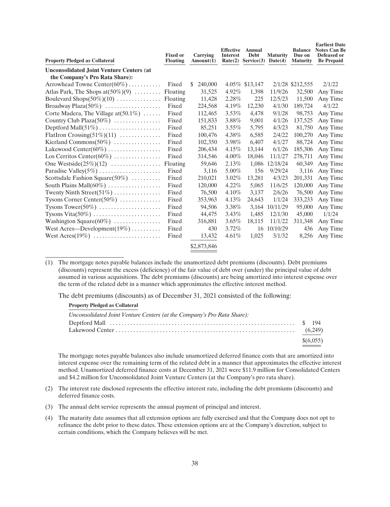| <b>Property Pledged as Collateral</b>           | <b>Fixed or</b><br><b>Floating</b> | Carrying<br>Amount(1) | <b>Effective</b><br><b>Interest</b><br>Rate(2) | Annual<br>Debt<br>Service(3) | <b>Maturity</b><br>Date(4) | <b>Balance</b><br>Due on<br><b>Maturity</b> | <b>Notes Can Be</b><br>Defeased or<br><b>Be Prepaid</b> |
|-------------------------------------------------|------------------------------------|-----------------------|------------------------------------------------|------------------------------|----------------------------|---------------------------------------------|---------------------------------------------------------|
| <b>Unconsolidated Joint Venture Centers (at</b> |                                    |                       |                                                |                              |                            |                                             |                                                         |
| the Company's Pro Rata Share):                  |                                    |                       |                                                |                              |                            |                                             |                                                         |
| Arrowhead Towne Center(60%)                     | Fixed                              | S<br>240,000          |                                                | 4.05\% \$13,147              |                            | 2/1/28 \$212,555                            | 2/1/22                                                  |
| Atlas Park, The Shops at $(50\%)$ (9)           | Floating                           | 31,525                | 4.92%                                          | 1,398                        | 11/9/26                    | 32,500                                      | Any Time                                                |
| Boulevard Shops $(50\%)(10)$                    | Floating                           | 11,428                | 2.28%                                          | 225                          | 12/5/23                    | 11,500                                      | Any Time                                                |
| Broadway Plaza $(50\%)$                         | Fixed                              | 224,568               | 4.19%                                          | 12,230                       | 4/1/30                     | 189,724                                     | 4/1/22                                                  |
| Corte Madera, The Village at $(50.1\%)$         | Fixed                              | 112,465               | 3.53%                                          | 4,478                        | 9/1/28                     | 98,753                                      | Any Time                                                |
| Country Club Plaza $(50\%)$                     | Fixed                              | 151,833               | 3.88%                                          | 9,001                        | 4/1/26                     | 137,525                                     | Any Time                                                |
| Deptford Mall(51%)                              | Fixed                              | 85,251                | $3.55\%$                                       | 5,795                        | 4/3/23                     | 81,750                                      | Any Time                                                |
| FlatIron Crossing $(51\%)$ (11)                 | Fixed                              | 100,476               | 4.38%                                          | 6,585                        | 2/4/22                     | 100,270                                     | Any Time                                                |
| Kierland Commons $(50\%)$                       | Fixed                              | 102,350               | 3.98%                                          | 6,407                        | 4/1/27                     | 88,724                                      | Any Time                                                |
| Lakewood Center $(60\%)$                        | Fixed                              | 206,434               | 4.15%                                          | 13,144                       | 6/1/26                     | 185,306                                     | Any Time                                                |
| Los Cerritos Center $(60\%)$                    | Fixed                              | 314,546               | $4.00\%$                                       | 18,046                       | 11/1/27                    | 278,711                                     | Any Time                                                |
| One Westside $(25\%)(12)$                       | Floating                           | 59,646                | 2.13%                                          | 1,086                        | 12/18/24                   | 60,349                                      | Any Time                                                |
| Paradise Valley $(5\%)$                         | Fixed                              | 3,116                 | 5.00%                                          | 156                          | 9/29/24                    | 3,116                                       | Any Time                                                |
| Scottsdale Fashion Square $(50\%)$              | Fixed                              | 210,021               | $3.02\%$                                       | 13,281                       | 4/3/23                     | 201,331                                     | Any Time                                                |
| South Plains Mall $(60\%)$                      | Fixed                              | 120,000               | 4.22%                                          | 5,065                        | 11/6/25                    | 120,000                                     | Any Time                                                |
| Twenty Ninth Street $(51\%)$                    | Fixed                              | 76,500                | $4.10\%$                                       | 3,137                        | 2/6/26                     | 76,500                                      | Any Time                                                |
| Tysons Corner Center $(50\%)$                   | Fixed                              | 353,963               | $4.13\%$                                       | 24,643                       | 1/1/24                     | 333,233                                     | Any Time                                                |
|                                                 | Fixed                              | 94,506                | 3.38%                                          | 3,164                        | 10/11/29                   | 95,000                                      | Any Time                                                |
| Tysons Vita $(50\%)$                            | Fixed                              | 44,475                | $3.43\%$                                       | 1,485                        | 12/1/30                    | 45,000                                      | 1/1/24                                                  |
| Washington Square $(60\%)$                      | Fixed                              | 316,881               | $3.65\%$                                       | 18,115                       | 11/1/22                    | 311,348                                     | Any Time                                                |
| West Acres—Development $(19\%)$                 | Fixed                              | 430                   | 3.72%                                          | 16                           | 10/10/29                   | 436                                         | Any Time                                                |
|                                                 | Fixed                              | 13,432                | 4.61%                                          | 1,025                        | 3/1/32                     | 8,256                                       | Any Time                                                |
|                                                 |                                    | \$2,873,846           |                                                |                              |                            |                                             |                                                         |

**Earliest Date**

(1) The mortgage notes payable balances include the unamortized debt premiums (discounts). Debt premiums (discounts) represent the excess (deficiency) of the fair value of debt over (under) the principal value of debt assumed in various acquisitions. The debt premiums (discounts) are being amortized into interest expense over the term of the related debt in a manner which approximates the effective interest method.

The debt premiums (discounts) as of December 31, 2021 consisted of the following:

|  |  |  | <b>Property Pledged as Collateral</b> |
|--|--|--|---------------------------------------|
|--|--|--|---------------------------------------|

| Unconsolidated Joint Venture Centers (at the Company's Pro Rata Share): |           |
|-------------------------------------------------------------------------|-----------|
|                                                                         |           |
|                                                                         |           |
|                                                                         | \$(6,055) |

The mortgage notes payable balances also include unamortized deferred finance costs that are amortized into interest expense over the remaining term of the related debt in a manner that approximates the effective interest method. Unamortized deferred finance costs at December 31, 2021 were \$11.9 million for Consolidated Centers and \$4.2 million for Unconsolidated Joint Venture Centers (at the Company's pro rata share).

- (2) The interest rate disclosed represents the effective interest rate, including the debt premiums (discounts) and deferred finance costs.
- (3) The annual debt service represents the annual payment of principal and interest.
- (4) The maturity date assumes that all extension options are fully exercised and that the Company does not opt to refinance the debt prior to these dates. These extension options are at the Company's discretion, subject to certain conditions, which the Company believes will be met.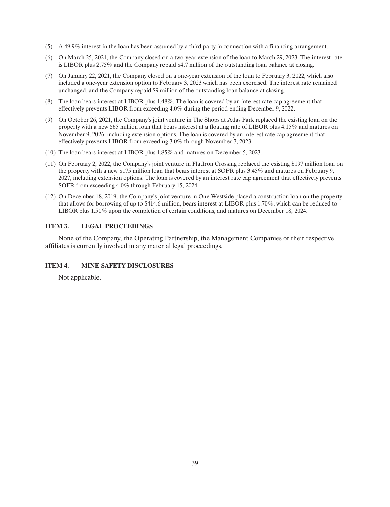- (5) A 49.9% interest in the loan has been assumed by a third party in connection with a financing arrangement.
- (6) On March 25, 2021, the Company closed on a two-year extension of the loan to March 29, 2023. The interest rate is LIBOR plus 2.75% and the Company repaid \$4.7 million of the outstanding loan balance at closing.
- (7) On January 22, 2021, the Company closed on a one-year extension of the loan to February 3, 2022, which also included a one-year extension option to February 3, 2023 which has been exercised. The interest rate remained unchanged, and the Company repaid \$9 million of the outstanding loan balance at closing.
- (8) The loan bears interest at LIBOR plus 1.48%. The loan is covered by an interest rate cap agreement that effectively prevents LIBOR from exceeding 4.0% during the period ending December 9, 2022.
- (9) On October 26, 2021, the Company's joint venture in The Shops at Atlas Park replaced the existing loan on the property with a new \$65 million loan that bears interest at a floating rate of LIBOR plus 4.15% and matures on November 9, 2026, including extension options. The loan is covered by an interest rate cap agreement that effectively prevents LIBOR from exceeding 3.0% through November 7, 2023.
- (10) The loan bears interest at LIBOR plus 1.85% and matures on December 5, 2023.
- (11) On February 2, 2022, the Company's joint venture in FlatIron Crossing replaced the existing \$197 million loan on the property with a new \$175 million loan that bears interest at SOFR plus 3.45% and matures on February 9, 2027, including extension options. The loan is covered by an interest rate cap agreement that effectively prevents SOFR from exceeding 4.0% through February 15, 2024.
- (12) On December 18, 2019, the Company's joint venture in One Westside placed a construction loan on the property that allows for borrowing of up to \$414.6 million, bears interest at LIBOR plus 1.70%, which can be reduced to LIBOR plus 1.50% upon the completion of certain conditions, and matures on December 18, 2024.

### **ITEM 3. LEGAL PROCEEDINGS**

None of the Company, the Operating Partnership, the Management Companies or their respective affiliates is currently involved in any material legal proceedings.

### **ITEM 4. MINE SAFETY DISCLOSURES**

Not applicable.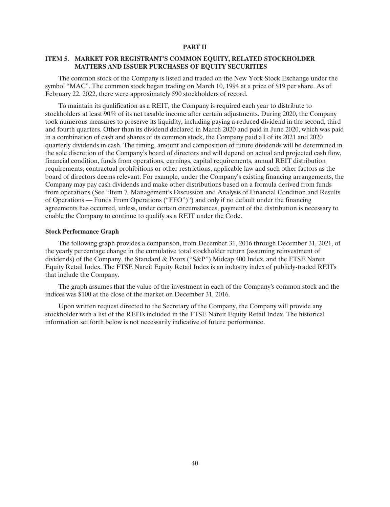### **PART II**

## **ITEM 5. MARKET FOR REGISTRANT'S COMMON EQUITY, RELATED STOCKHOLDER MATTERS AND ISSUER PURCHASES OF EQUITY SECURITIES**

The common stock of the Company is listed and traded on the New York Stock Exchange under the symbol "MAC". The common stock began trading on March 10, 1994 at a price of \$19 per share. As of February 22, 2022, there were approximately 590 stockholders of record.

To maintain its qualification as a REIT, the Company is required each year to distribute to stockholders at least 90% of its net taxable income after certain adjustments. During 2020, the Company took numerous measures to preserve its liquidity, including paying a reduced dividend in the second, third and fourth quarters. Other than its dividend declared in March 2020 and paid in June 2020, which was paid in a combination of cash and shares of its common stock, the Company paid all of its 2021 and 2020 quarterly dividends in cash. The timing, amount and composition of future dividends will be determined in the sole discretion of the Company's board of directors and will depend on actual and projected cash flow, financial condition, funds from operations, earnings, capital requirements, annual REIT distribution requirements, contractual prohibitions or other restrictions, applicable law and such other factors as the board of directors deems relevant. For example, under the Company's existing financing arrangements, the Company may pay cash dividends and make other distributions based on a formula derived from funds from operations (See "Item 7. Management's Discussion and Analysis of Financial Condition and Results of Operations — Funds From Operations ("FFO")") and only if no default under the financing agreements has occurred, unless, under certain circumstances, payment of the distribution is necessary to enable the Company to continue to qualify as a REIT under the Code.

#### **Stock Performance Graph**

The following graph provides a comparison, from December 31, 2016 through December 31, 2021, of the yearly percentage change in the cumulative total stockholder return (assuming reinvestment of dividends) of the Company, the Standard & Poors ("S&P") Midcap 400 Index, and the FTSE Nareit Equity Retail Index. The FTSE Nareit Equity Retail Index is an industry index of publicly-traded REITs that include the Company.

The graph assumes that the value of the investment in each of the Company's common stock and the indices was \$100 at the close of the market on December 31, 2016.

Upon written request directed to the Secretary of the Company, the Company will provide any stockholder with a list of the REITs included in the FTSE Nareit Equity Retail Index. The historical information set forth below is not necessarily indicative of future performance.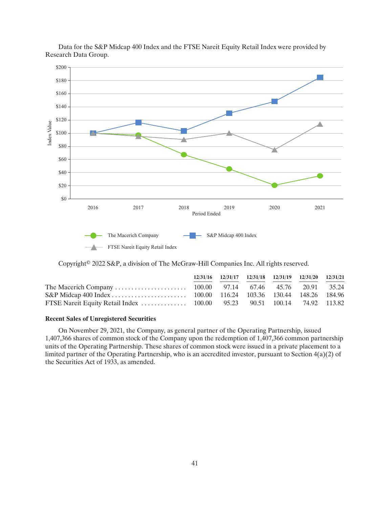

Data for the S&P Midcap 400 Index and the FTSE Nareit Equity Retail Index were provided by Research Data Group.

Copyright© 2022 S&P, a division of The McGraw-Hill Companies Inc. All rights reserved.

|  |  | $12/31/16$ $12/31/17$ $12/31/18$ $12/31/19$ $12/31/20$ $12/31/21$ |  |
|--|--|-------------------------------------------------------------------|--|
|  |  |                                                                   |  |
|  |  |                                                                   |  |
|  |  |                                                                   |  |

## **Recent Sales of Unregistered Securities**

On November 29, 2021, the Company, as general partner of the Operating Partnership, issued 1,407,366 shares of common stock of the Company upon the redemption of 1,407,366 common partnership units of the Operating Partnership. These shares of common stock were issued in a private placement to a limited partner of the Operating Partnership, who is an accredited investor, pursuant to Section 4(a)(2) of the Securities Act of 1933, as amended.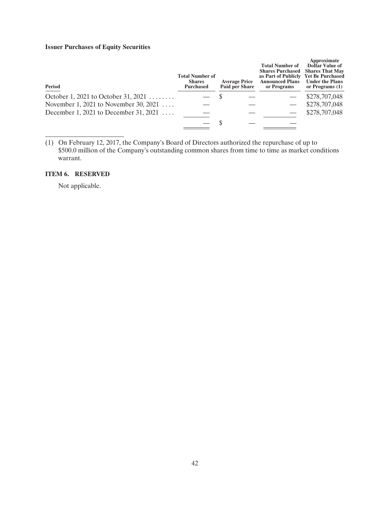# **Issuer Purchases of Equity Securities**

| Period                                | <b>Total Number of</b><br><b>Shares</b><br><b>Purchased</b> | <b>Average Price</b><br><b>Paid per Share</b> | <b>Total Number of</b><br><b>Shares Purchased</b><br>as Part of Publicly<br><b>Announced Plans</b><br>or Programs | Approximate<br><b>Dollar Value of</b><br><b>Shares That May</b><br><b>Yet Be Purchased</b><br><b>Under the Plans</b><br>or Programs (1) |
|---------------------------------------|-------------------------------------------------------------|-----------------------------------------------|-------------------------------------------------------------------------------------------------------------------|-----------------------------------------------------------------------------------------------------------------------------------------|
| October 1, 2021 to October 31, 2021   |                                                             | <sup>\$</sup>                                 |                                                                                                                   | \$278,707,048                                                                                                                           |
| November 1, 2021 to November 30, 2021 |                                                             |                                               |                                                                                                                   | \$278,707,048                                                                                                                           |
| December 1, 2021 to December 31, 2021 |                                                             |                                               |                                                                                                                   | \$278,707,048                                                                                                                           |
|                                       |                                                             |                                               |                                                                                                                   |                                                                                                                                         |

(1) On February 12, 2017, the Company's Board of Directors authorized the repurchase of up to \$500.0 million of the Company's outstanding common shares from time to time as market conditions warrant.

# **ITEM 6. RESERVED**

Not applicable.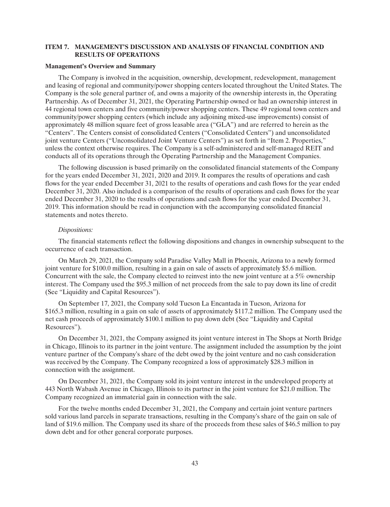### **ITEM 7. MANAGEMENT'S DISCUSSION AND ANALYSIS OF FINANCIAL CONDITION AND RESULTS OF OPERATIONS**

### **Management's Overview and Summary**

The Company is involved in the acquisition, ownership, development, redevelopment, management and leasing of regional and community/power shopping centers located throughout the United States. The Company is the sole general partner of, and owns a majority of the ownership interests in, the Operating Partnership. As of December 31, 2021, the Operating Partnership owned or had an ownership interest in 44 regional town centers and five community/power shopping centers. These 49 regional town centers and community/power shopping centers (which include any adjoining mixed-use improvements) consist of approximately 48 million square feet of gross leasable area ("GLA") and are referred to herein as the "Centers". The Centers consist of consolidated Centers ("Consolidated Centers") and unconsolidated joint venture Centers ("Unconsolidated Joint Venture Centers") as set forth in "Item 2. Properties," unless the context otherwise requires. The Company is a self-administered and self-managed REIT and conducts all of its operations through the Operating Partnership and the Management Companies.

The following discussion is based primarily on the consolidated financial statements of the Company for the years ended December 31, 2021, 2020 and 2019. It compares the results of operations and cash flows for the year ended December 31, 2021 to the results of operations and cash flows for the year ended December 31, 2020. Also included is a comparison of the results of operations and cash flows for the year ended December 31, 2020 to the results of operations and cash flows for the year ended December 31, 2019. This information should be read in conjunction with the accompanying consolidated financial statements and notes thereto.

#### *Dispositions:*

The financial statements reflect the following dispositions and changes in ownership subsequent to the occurrence of each transaction.

On March 29, 2021, the Company sold Paradise Valley Mall in Phoenix, Arizona to a newly formed joint venture for \$100.0 million, resulting in a gain on sale of assets of approximately \$5.6 million. Concurrent with the sale, the Company elected to reinvest into the new joint venture at a 5% ownership interest. The Company used the \$95.3 million of net proceeds from the sale to pay down its line of credit (See "Liquidity and Capital Resources").

On September 17, 2021, the Company sold Tucson La Encantada in Tucson, Arizona for \$165.3 million, resulting in a gain on sale of assets of approximately \$117.2 million. The Company used the net cash proceeds of approximately \$100.1 million to pay down debt (See "Liquidity and Capital Resources").

On December 31, 2021, the Company assigned its joint venture interest in The Shops at North Bridge in Chicago, Illinois to its partner in the joint venture. The assignment included the assumption by the joint venture partner of the Company's share of the debt owed by the joint venture and no cash consideration was received by the Company. The Company recognized a loss of approximately \$28.3 million in connection with the assignment.

On December 31, 2021, the Company sold its joint venture interest in the undeveloped property at 443 North Wabash Avenue in Chicago, Illinois to its partner in the joint venture for \$21.0 million. The Company recognized an immaterial gain in connection with the sale.

For the twelve months ended December 31, 2021, the Company and certain joint venture partners sold various land parcels in separate transactions, resulting in the Company's share of the gain on sale of land of \$19.6 million. The Company used its share of the proceeds from these sales of \$46.5 million to pay down debt and for other general corporate purposes.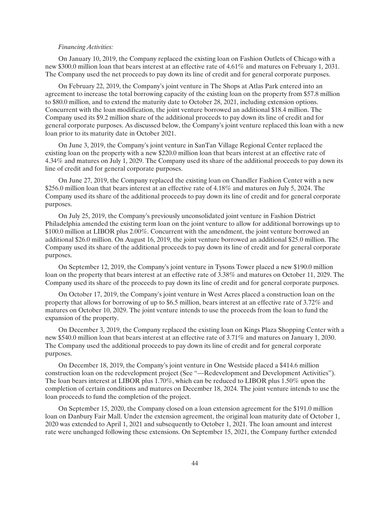#### *Financing Activities:*

On January 10, 2019, the Company replaced the existing loan on Fashion Outlets of Chicago with a new \$300.0 million loan that bears interest at an effective rate of 4.61% and matures on February 1, 2031. The Company used the net proceeds to pay down its line of credit and for general corporate purposes.

On February 22, 2019, the Company's joint venture in The Shops at Atlas Park entered into an agreement to increase the total borrowing capacity of the existing loan on the property from \$57.8 million to \$80.0 million, and to extend the maturity date to October 28, 2021, including extension options. Concurrent with the loan modification, the joint venture borrowed an additional \$18.4 million. The Company used its \$9.2 million share of the additional proceeds to pay down its line of credit and for general corporate purposes. As discussed below, the Company's joint venture replaced this loan with a new loan prior to its maturity date in October 2021.

On June 3, 2019, the Company's joint venture in SanTan Village Regional Center replaced the existing loan on the property with a new \$220.0 million loan that bears interest at an effective rate of 4.34% and matures on July 1, 2029. The Company used its share of the additional proceeds to pay down its line of credit and for general corporate purposes.

On June 27, 2019, the Company replaced the existing loan on Chandler Fashion Center with a new \$256.0 million loan that bears interest at an effective rate of 4.18% and matures on July 5, 2024. The Company used its share of the additional proceeds to pay down its line of credit and for general corporate purposes.

On July 25, 2019, the Company's previously unconsolidated joint venture in Fashion District Philadelphia amended the existing term loan on the joint venture to allow for additional borrowings up to \$100.0 million at LIBOR plus 2.00%. Concurrent with the amendment, the joint venture borrowed an additional \$26.0 million. On August 16, 2019, the joint venture borrowed an additional \$25.0 million. The Company used its share of the additional proceeds to pay down its line of credit and for general corporate purposes.

On September 12, 2019, the Company's joint venture in Tysons Tower placed a new \$190.0 million loan on the property that bears interest at an effective rate of 3.38% and matures on October 11, 2029. The Company used its share of the proceeds to pay down its line of credit and for general corporate purposes.

On October 17, 2019, the Company's joint venture in West Acres placed a construction loan on the property that allows for borrowing of up to \$6.5 million, bears interest at an effective rate of 3.72% and matures on October 10, 2029. The joint venture intends to use the proceeds from the loan to fund the expansion of the property.

On December 3, 2019, the Company replaced the existing loan on Kings Plaza Shopping Center with a new \$540.0 million loan that bears interest at an effective rate of 3.71% and matures on January 1, 2030. The Company used the additional proceeds to pay down its line of credit and for general corporate purposes.

On December 18, 2019, the Company's joint venture in One Westside placed a \$414.6 million construction loan on the redevelopment project (See "—Redevelopment and Development Activities"). The loan bears interest at LIBOR plus 1.70%, which can be reduced to LIBOR plus 1.50% upon the completion of certain conditions and matures on December 18, 2024. The joint venture intends to use the loan proceeds to fund the completion of the project.

On September 15, 2020, the Company closed on a loan extension agreement for the \$191.0 million loan on Danbury Fair Mall. Under the extension agreement, the original loan maturity date of October 1, 2020 was extended to April 1, 2021 and subsequently to October 1, 2021. The loan amount and interest rate were unchanged following these extensions. On September 15, 2021, the Company further extended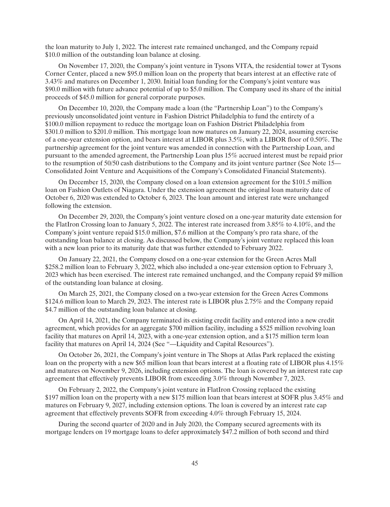the loan maturity to July 1, 2022. The interest rate remained unchanged, and the Company repaid \$10.0 million of the outstanding loan balance at closing.

On November 17, 2020, the Company's joint venture in Tysons VITA, the residential tower at Tysons Corner Center, placed a new \$95.0 million loan on the property that bears interest at an effective rate of 3.43% and matures on December 1, 2030. Initial loan funding for the Company's joint venture was \$90.0 million with future advance potential of up to \$5.0 million. The Company used its share of the initial proceeds of \$45.0 million for general corporate purposes.

On December 10, 2020, the Company made a loan (the "Partnership Loan") to the Company's previously unconsolidated joint venture in Fashion District Philadelphia to fund the entirety of a \$100.0 million repayment to reduce the mortgage loan on Fashion District Philadelphia from \$301.0 million to \$201.0 million. This mortgage loan now matures on January 22, 2024, assuming exercise of a one-year extension option, and bears interest at LIBOR plus 3.5%, with a LIBOR floor of 0.50%. The partnership agreement for the joint venture was amended in connection with the Partnership Loan, and pursuant to the amended agreement, the Partnership Loan plus 15% accrued interest must be repaid prior to the resumption of 50/50 cash distributions to the Company and its joint venture partner (See Note 15— Consolidated Joint Venture and Acquisitions of the Company's Consolidated Financial Statements).

On December 15, 2020, the Company closed on a loan extension agreement for the \$101.5 million loan on Fashion Outlets of Niagara. Under the extension agreement the original loan maturity date of October 6, 2020 was extended to October 6, 2023. The loan amount and interest rate were unchanged following the extension.

On December 29, 2020, the Company's joint venture closed on a one-year maturity date extension for the FlatIron Crossing loan to January 5, 2022. The interest rate increased from 3.85% to 4.10%, and the Company's joint venture repaid \$15.0 million, \$7.6 million at the Company's pro rata share, of the outstanding loan balance at closing. As discussed below, the Company's joint venture replaced this loan with a new loan prior to its maturity date that was further extended to February 2022.

On January 22, 2021, the Company closed on a one-year extension for the Green Acres Mall \$258.2 million loan to February 3, 2022, which also included a one-year extension option to February 3, 2023 which has been exercised. The interest rate remained unchanged, and the Company repaid \$9 million of the outstanding loan balance at closing.

On March 25, 2021, the Company closed on a two-year extension for the Green Acres Commons \$124.6 million loan to March 29, 2023. The interest rate is LIBOR plus 2.75% and the Company repaid \$4.7 million of the outstanding loan balance at closing.

On April 14, 2021, the Company terminated its existing credit facility and entered into a new credit agreement, which provides for an aggregate \$700 million facility, including a \$525 million revolving loan facility that matures on April 14, 2023, with a one-year extension option, and a \$175 million term loan facility that matures on April 14, 2024 (See "—Liquidity and Capital Resources").

On October 26, 2021, the Company's joint venture in The Shops at Atlas Park replaced the existing loan on the property with a new \$65 million loan that bears interest at a floating rate of LIBOR plus 4.15% and matures on November 9, 2026, including extension options. The loan is covered by an interest rate cap agreement that effectively prevents LIBOR from exceeding 3.0% through November 7, 2023.

On February 2, 2022, the Company's joint venture in FlatIron Crossing replaced the existing \$197 million loan on the property with a new \$175 million loan that bears interest at SOFR plus 3.45% and matures on February 9, 2027, including extension options. The loan is covered by an interest rate cap agreement that effectively prevents SOFR from exceeding 4.0% through February 15, 2024.

During the second quarter of 2020 and in July 2020, the Company secured agreements with its mortgage lenders on 19 mortgage loans to defer approximately \$47.2 million of both second and third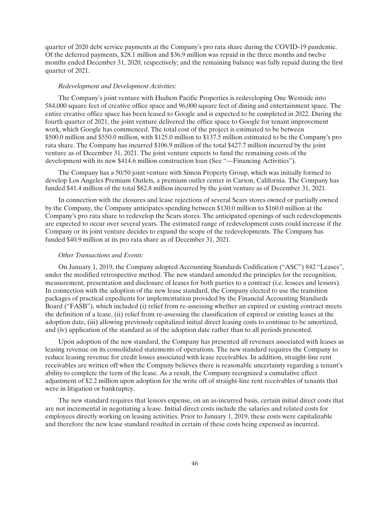quarter of 2020 debt service payments at the Company's pro rata share during the COVID-19 pandemic. Of the deferred payments, \$28.1 million and \$36.9 million was repaid in the three months and twelve months ended December 31, 2020, respectively; and the remaining balance was fully repaid during the first quarter of 2021.

#### *Redevelopment and Development Activities:*

The Company's joint venture with Hudson Pacific Properties is redeveloping One Westside into 584,000 square feet of creative office space and 96,000 square feet of dining and entertainment space. The entire creative office space has been leased to Google and is expected to be completed in 2022. During the fourth quarter of 2021, the joint venture delivered the office space to Google for tenant improvement work, which Google has commenced. The total cost of the project is estimated to be between \$500.0 million and \$550.0 million, with \$125.0 million to \$137.5 million estimated to be the Company's pro rata share. The Company has incurred \$106.9 million of the total \$427.7 million incurred by the joint venture as of December 31, 2021. The joint venture expects to fund the remaining costs of the development with its new \$414.6 million construction loan (See "—Financing Activities").

The Company has a 50/50 joint venture with Simon Property Group, which was initially formed to develop Los Angeles Premium Outlets, a premium outlet center in Carson, California. The Company has funded \$41.4 million of the total \$82.8 million incurred by the joint venture as of December 31, 2021.

In connection with the closures and lease rejections of several Sears stores owned or partially owned by the Company, the Company anticipates spending between \$130.0 million to \$160.0 million at the Company's pro rata share to redevelop the Sears stores. The anticipated openings of such redevelopments are expected to occur over several years. The estimated range of redevelopment costs could increase if the Company or its joint venture decides to expand the scope of the redevelopments. The Company has funded \$40.9 million at its pro rata share as of December 31, 2021.

#### *Other Transactions and Events:*

On January 1, 2019, the Company adopted Accounting Standards Codification ("ASC") 842 "Leases", under the modified retrospective method. The new standard amended the principles for the recognition, measurement, presentation and disclosure of leases for both parties to a contract (i.e. lessees and lessors). In connection with the adoption of the new lease standard, the Company elected to use the transition packages of practical expedients for implementation provided by the Financial Accounting Standards Board ("FASB"), which included (i) relief from re-assessing whether an expired or existing contract meets the definition of a lease, (ii) relief from re-assessing the classification of expired or existing leases at the adoption date, (iii) allowing previously capitalized initial direct leasing costs to continue to be amortized, and (iv) application of the standard as of the adoption date rather than to all periods presented.

Upon adoption of the new standard, the Company has presented all revenues associated with leases as leasing revenue on its consolidated statements of operations. The new standard requires the Company to reduce leasing revenue for credit losses associated with lease receivables. In addition, straight-line rent receivables are written off when the Company believes there is reasonable uncertainty regarding a tenant's ability to complete the term of the lease. As a result, the Company recognized a cumulative effect adjustment of \$2.2 million upon adoption for the write off of straight-line rent receivables of tenants that were in litigation or bankruptcy.

The new standard requires that lessors expense, on an as-incurred basis, certain initial direct costs that are not incremental in negotiating a lease. Initial direct costs include the salaries and related costs for employees directly working on leasing activities. Prior to January 1, 2019, these costs were capitalizable and therefore the new lease standard resulted in certain of these costs being expensed as incurred.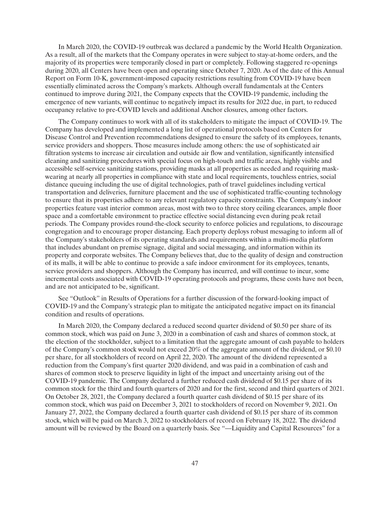In March 2020, the COVID-19 outbreak was declared a pandemic by the World Health Organization. As a result, all of the markets that the Company operates in were subject to stay-at-home orders, and the majority of its properties were temporarily closed in part or completely. Following staggered re-openings during 2020, all Centers have been open and operating since October 7, 2020. As of the date of this Annual Report on Form 10-K, government-imposed capacity restrictions resulting from COVID-19 have been essentially eliminated across the Company's markets. Although overall fundamentals at the Centers continued to improve during 2021, the Company expects that the COVID-19 pandemic, including the emergence of new variants, will continue to negatively impact its results for 2022 due, in part, to reduced occupancy relative to pre-COVID levels and additional Anchor closures, among other factors.

The Company continues to work with all of its stakeholders to mitigate the impact of COVID-19. The Company has developed and implemented a long list of operational protocols based on Centers for Disease Control and Prevention recommendations designed to ensure the safety of its employees, tenants, service providers and shoppers. Those measures include among others: the use of sophisticated air filtration systems to increase air circulation and outside air flow and ventilation, significantly intensified cleaning and sanitizing procedures with special focus on high-touch and traffic areas, highly visible and accessible self-service sanitizing stations, providing masks at all properties as needed and requiring maskwearing at nearly all properties in compliance with state and local requirements, touchless entries, social distance queuing including the use of digital technologies, path of travel guidelines including vertical transportation and deliveries, furniture placement and the use of sophisticated traffic-counting technology to ensure that its properties adhere to any relevant regulatory capacity constraints. The Company's indoor properties feature vast interior common areas, most with two to three story ceiling clearances, ample floor space and a comfortable environment to practice effective social distancing even during peak retail periods. The Company provides round-the-clock security to enforce policies and regulations, to discourage congregation and to encourage proper distancing. Each property deploys robust messaging to inform all of the Company's stakeholders of its operating standards and requirements within a multi-media platform that includes abundant on premise signage, digital and social messaging, and information within its property and corporate websites. The Company believes that, due to the quality of design and construction of its malls, it will be able to continue to provide a safe indoor environment for its employees, tenants, service providers and shoppers. Although the Company has incurred, and will continue to incur, some incremental costs associated with COVID-19 operating protocols and programs, these costs have not been, and are not anticipated to be, significant.

See "Outlook" in Results of Operations for a further discussion of the forward-looking impact of COVID-19 and the Company's strategic plan to mitigate the anticipated negative impact on its financial condition and results of operations.

In March 2020, the Company declared a reduced second quarter dividend of \$0.50 per share of its common stock, which was paid on June 3, 2020 in a combination of cash and shares of common stock, at the election of the stockholder, subject to a limitation that the aggregate amount of cash payable to holders of the Company's common stock would not exceed 20% of the aggregate amount of the dividend, or \$0.10 per share, for all stockholders of record on April 22, 2020. The amount of the dividend represented a reduction from the Company's first quarter 2020 dividend, and was paid in a combination of cash and shares of common stock to preserve liquidity in light of the impact and uncertainty arising out of the COVID-19 pandemic. The Company declared a further reduced cash dividend of \$0.15 per share of its common stock for the third and fourth quarters of 2020 and for the first, second and third quarters of 2021. On October 28, 2021, the Company declared a fourth quarter cash dividend of \$0.15 per share of its common stock, which was paid on December 3, 2021 to stockholders of record on November 9, 2021. On January 27, 2022, the Company declared a fourth quarter cash dividend of \$0.15 per share of its common stock, which will be paid on March 3, 2022 to stockholders of record on February 18, 2022. The dividend amount will be reviewed by the Board on a quarterly basis. See "—Liquidity and Capital Resources" for a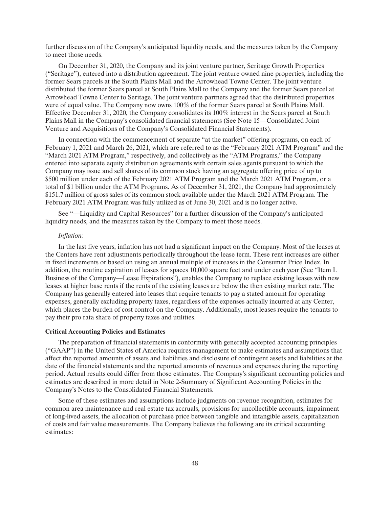further discussion of the Company's anticipated liquidity needs, and the measures taken by the Company to meet those needs.

On December 31, 2020, the Company and its joint venture partner, Seritage Growth Properties ("Seritage"), entered into a distribution agreement. The joint venture owned nine properties, including the former Sears parcels at the South Plains Mall and the Arrowhead Towne Center. The joint venture distributed the former Sears parcel at South Plains Mall to the Company and the former Sears parcel at Arrowhead Towne Center to Seritage. The joint venture partners agreed that the distributed properties were of equal value. The Company now owns 100% of the former Sears parcel at South Plains Mall. Effective December 31, 2020, the Company consolidates its 100% interest in the Sears parcel at South Plains Mall in the Company's consolidated financial statements (See Note 15—Consolidated Joint Venture and Acquisitions of the Company's Consolidated Financial Statements).

In connection with the commencement of separate "at the market" offering programs, on each of February 1, 2021 and March 26, 2021, which are referred to as the "February 2021 ATM Program" and the "March 2021 ATM Program," respectively, and collectively as the "ATM Programs," the Company entered into separate equity distribution agreements with certain sales agents pursuant to which the Company may issue and sell shares of its common stock having an aggregate offering price of up to \$500 million under each of the February 2021 ATM Program and the March 2021 ATM Program, or a total of \$1 billion under the ATM Programs. As of December 31, 2021, the Company had approximately \$151.7 million of gross sales of its common stock available under the March 2021 ATM Program. The February 2021 ATM Program was fully utilized as of June 30, 2021 and is no longer active.

See "—Liquidity and Capital Resources" for a further discussion of the Company's anticipated liquidity needs, and the measures taken by the Company to meet those needs.

## *Inflation:*

In the last five years, inflation has not had a significant impact on the Company. Most of the leases at the Centers have rent adjustments periodically throughout the lease term. These rent increases are either in fixed increments or based on using an annual multiple of increases in the Consumer Price Index. In addition, the routine expiration of leases for spaces 10,000 square feet and under each year (See "Item I. Business of the Company—Lease Expirations"), enables the Company to replace existing leases with new leases at higher base rents if the rents of the existing leases are below the then existing market rate. The Company has generally entered into leases that require tenants to pay a stated amount for operating expenses, generally excluding property taxes, regardless of the expenses actually incurred at any Center, which places the burden of cost control on the Company. Additionally, most leases require the tenants to pay their pro rata share of property taxes and utilities.

### **Critical Accounting Policies and Estimates**

The preparation of financial statements in conformity with generally accepted accounting principles ("GAAP") in the United States of America requires management to make estimates and assumptions that affect the reported amounts of assets and liabilities and disclosure of contingent assets and liabilities at the date of the financial statements and the reported amounts of revenues and expenses during the reporting period. Actual results could differ from those estimates. The Company's significant accounting policies and estimates are described in more detail in Note 2-Summary of Significant Accounting Policies in the Company's Notes to the Consolidated Financial Statements.

Some of these estimates and assumptions include judgments on revenue recognition, estimates for common area maintenance and real estate tax accruals, provisions for uncollectible accounts, impairment of long-lived assets, the allocation of purchase price between tangible and intangible assets, capitalization of costs and fair value measurements. The Company believes the following are its critical accounting estimates: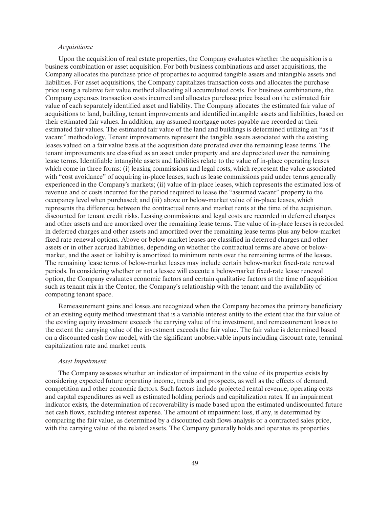#### *Acquisitions:*

Upon the acquisition of real estate properties, the Company evaluates whether the acquisition is a business combination or asset acquisition. For both business combinations and asset acquisitions, the Company allocates the purchase price of properties to acquired tangible assets and intangible assets and liabilities. For asset acquisitions, the Company capitalizes transaction costs and allocates the purchase price using a relative fair value method allocating all accumulated costs. For business combinations, the Company expenses transaction costs incurred and allocates purchase price based on the estimated fair value of each separately identified asset and liability. The Company allocates the estimated fair value of acquisitions to land, building, tenant improvements and identified intangible assets and liabilities, based on their estimated fair values. In addition, any assumed mortgage notes payable are recorded at their estimated fair values. The estimated fair value of the land and buildings is determined utilizing an "as if vacant" methodology. Tenant improvements represent the tangible assets associated with the existing leases valued on a fair value basis at the acquisition date prorated over the remaining lease terms. The tenant improvements are classified as an asset under property and are depreciated over the remaining lease terms. Identifiable intangible assets and liabilities relate to the value of in-place operating leases which come in three forms: (i) leasing commissions and legal costs, which represent the value associated with "cost avoidance" of acquiring in-place leases, such as lease commissions paid under terms generally experienced in the Company's markets; (ii) value of in-place leases, which represents the estimated loss of revenue and of costs incurred for the period required to lease the "assumed vacant" property to the occupancy level when purchased; and (iii) above or below-market value of in-place leases, which represents the difference between the contractual rents and market rents at the time of the acquisition, discounted for tenant credit risks. Leasing commissions and legal costs are recorded in deferred charges and other assets and are amortized over the remaining lease terms. The value of in-place leases is recorded in deferred charges and other assets and amortized over the remaining lease terms plus any below-market fixed rate renewal options. Above or below-market leases are classified in deferred charges and other assets or in other accrued liabilities, depending on whether the contractual terms are above or belowmarket, and the asset or liability is amortized to minimum rents over the remaining terms of the leases. The remaining lease terms of below-market leases may include certain below-market fixed-rate renewal periods. In considering whether or not a lessee will execute a below-market fixed-rate lease renewal option, the Company evaluates economic factors and certain qualitative factors at the time of acquisition such as tenant mix in the Center, the Company's relationship with the tenant and the availability of competing tenant space.

Remeasurement gains and losses are recognized when the Company becomes the primary beneficiary of an existing equity method investment that is a variable interest entity to the extent that the fair value of the existing equity investment exceeds the carrying value of the investment, and remeasurement losses to the extent the carrying value of the investment exceeds the fair value. The fair value is determined based on a discounted cash flow model, with the significant unobservable inputs including discount rate, terminal capitalization rate and market rents.

### *Asset Impairment:*

The Company assesses whether an indicator of impairment in the value of its properties exists by considering expected future operating income, trends and prospects, as well as the effects of demand, competition and other economic factors. Such factors include projected rental revenue, operating costs and capital expenditures as well as estimated holding periods and capitalization rates. If an impairment indicator exists, the determination of recoverability is made based upon the estimated undiscounted future net cash flows, excluding interest expense. The amount of impairment loss, if any, is determined by comparing the fair value, as determined by a discounted cash flows analysis or a contracted sales price, with the carrying value of the related assets. The Company generally holds and operates its properties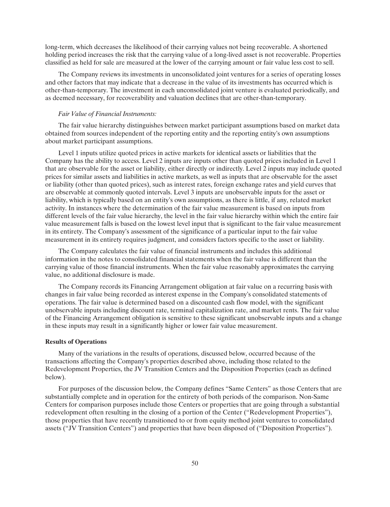long-term, which decreases the likelihood of their carrying values not being recoverable. A shortened holding period increases the risk that the carrying value of a long-lived asset is not recoverable. Properties classified as held for sale are measured at the lower of the carrying amount or fair value less cost to sell.

The Company reviews its investments in unconsolidated joint ventures for a series of operating losses and other factors that may indicate that a decrease in the value of its investments has occurred which is other-than-temporary. The investment in each unconsolidated joint venture is evaluated periodically, and as deemed necessary, for recoverability and valuation declines that are other-than-temporary.

### *Fair Value of Financial Instruments:*

The fair value hierarchy distinguishes between market participant assumptions based on market data obtained from sources independent of the reporting entity and the reporting entity's own assumptions about market participant assumptions.

Level 1 inputs utilize quoted prices in active markets for identical assets or liabilities that the Company has the ability to access. Level 2 inputs are inputs other than quoted prices included in Level 1 that are observable for the asset or liability, either directly or indirectly. Level 2 inputs may include quoted prices for similar assets and liabilities in active markets, as well as inputs that are observable for the asset or liability (other than quoted prices), such as interest rates, foreign exchange rates and yield curves that are observable at commonly quoted intervals. Level 3 inputs are unobservable inputs for the asset or liability, which is typically based on an entity's own assumptions, as there is little, if any, related market activity. In instances where the determination of the fair value measurement is based on inputs from different levels of the fair value hierarchy, the level in the fair value hierarchy within which the entire fair value measurement falls is based on the lowest level input that is significant to the fair value measurement in its entirety. The Company's assessment of the significance of a particular input to the fair value measurement in its entirety requires judgment, and considers factors specific to the asset or liability.

The Company calculates the fair value of financial instruments and includes this additional information in the notes to consolidated financial statements when the fair value is different than the carrying value of those financial instruments. When the fair value reasonably approximates the carrying value, no additional disclosure is made.

The Company records its Financing Arrangement obligation at fair value on a recurring basis with changes in fair value being recorded as interest expense in the Company's consolidated statements of operations. The fair value is determined based on a discounted cash flow model, with the significant unobservable inputs including discount rate, terminal capitalization rate, and market rents. The fair value of the Financing Arrangement obligation is sensitive to these significant unobservable inputs and a change in these inputs may result in a significantly higher or lower fair value measurement.

### **Results of Operations**

Many of the variations in the results of operations, discussed below, occurred because of the transactions affecting the Company's properties described above, including those related to the Redevelopment Properties, the JV Transition Centers and the Disposition Properties (each as defined below).

For purposes of the discussion below, the Company defines "Same Centers" as those Centers that are substantially complete and in operation for the entirety of both periods of the comparison. Non-Same Centers for comparison purposes include those Centers or properties that are going through a substantial redevelopment often resulting in the closing of a portion of the Center ("Redevelopment Properties"), those properties that have recently transitioned to or from equity method joint ventures to consolidated assets ("JV Transition Centers") and properties that have been disposed of ("Disposition Properties").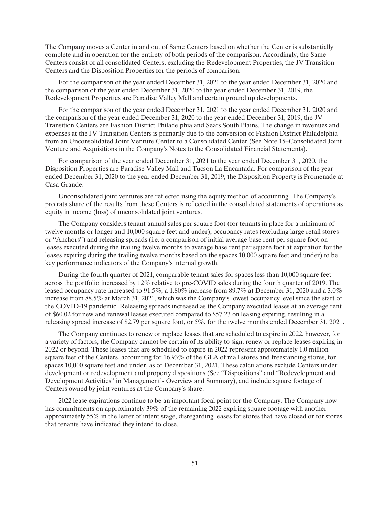The Company moves a Center in and out of Same Centers based on whether the Center is substantially complete and in operation for the entirety of both periods of the comparison. Accordingly, the Same Centers consist of all consolidated Centers, excluding the Redevelopment Properties, the JV Transition Centers and the Disposition Properties for the periods of comparison.

For the comparison of the year ended December 31, 2021 to the year ended December 31, 2020 and the comparison of the year ended December 31, 2020 to the year ended December 31, 2019, the Redevelopment Properties are Paradise Valley Mall and certain ground up developments.

For the comparison of the year ended December 31, 2021 to the year ended December 31, 2020 and the comparison of the year ended December 31, 2020 to the year ended December 31, 2019, the JV Transition Centers are Fashion District Philadelphia and Sears South Plains. The change in revenues and expenses at the JV Transition Centers is primarily due to the conversion of Fashion District Philadelphia from an Unconsolidated Joint Venture Center to a Consolidated Center (See Note 15–Consolidated Joint Venture and Acquisitions in the Company's Notes to the Consolidated Financial Statements).

For comparison of the year ended December 31, 2021 to the year ended December 31, 2020, the Disposition Properties are Paradise Valley Mall and Tucson La Encantada. For comparison of the year ended December 31, 2020 to the year ended December 31, 2019, the Disposition Property is Promenade at Casa Grande.

Unconsolidated joint ventures are reflected using the equity method of accounting. The Company's pro rata share of the results from these Centers is reflected in the consolidated statements of operations as equity in income (loss) of unconsolidated joint ventures.

The Company considers tenant annual sales per square foot (for tenants in place for a minimum of twelve months or longer and 10,000 square feet and under), occupancy rates (excluding large retail stores or "Anchors") and releasing spreads (i.e. a comparison of initial average base rent per square foot on leases executed during the trailing twelve months to average base rent per square foot at expiration for the leases expiring during the trailing twelve months based on the spaces 10,000 square feet and under) to be key performance indicators of the Company's internal growth.

During the fourth quarter of 2021, comparable tenant sales for spaces less than 10,000 square feet across the portfolio increased by 12% relative to pre-COVID sales during the fourth quarter of 2019. The leased occupancy rate increased to 91.5%, a 1.80% increase from 89.7% at December 31, 2020 and a 3.0% increase from 88.5% at March 31, 2021, which was the Company's lowest occupancy level since the start of the COVID-19 pandemic. Releasing spreads increased as the Company executed leases at an average rent of \$60.02 for new and renewal leases executed compared to \$57.23 on leasing expiring, resulting in a releasing spread increase of \$2.79 per square foot, or 5%, for the twelve months ended December 31, 2021.

The Company continues to renew or replace leases that are scheduled to expire in 2022, however, for a variety of factors, the Company cannot be certain of its ability to sign, renew or replace leases expiring in 2022 or beyond. These leases that are scheduled to expire in 2022 represent approximately 1.0 million square feet of the Centers, accounting for 16.93% of the GLA of mall stores and freestanding stores, for spaces 10,000 square feet and under, as of December 31, 2021. These calculations exclude Centers under development or redevelopment and property dispositions (See "Dispositions" and "Redevelopment and Development Activities" in Management's Overview and Summary), and include square footage of Centers owned by joint ventures at the Company's share.

2022 lease expirations continue to be an important focal point for the Company. The Company now has commitments on approximately 39% of the remaining 2022 expiring square footage with another approximately 55% in the letter of intent stage, disregarding leases for stores that have closed or for stores that tenants have indicated they intend to close.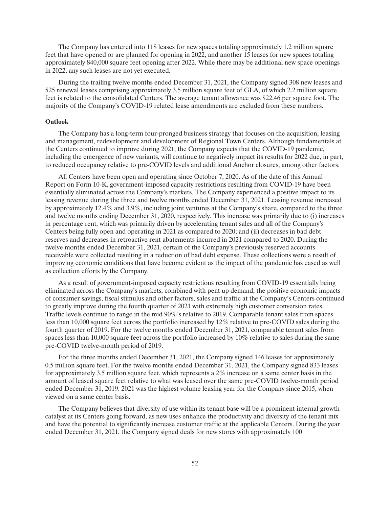The Company has entered into 118 leases for new spaces totaling approximately 1.2 million square feet that have opened or are planned for opening in 2022, and another 15 leases for new spaces totaling approximately 840,000 square feet opening after 2022. While there may be additional new space openings in 2022, any such leases are not yet executed.

During the trailing twelve months ended December 31, 2021, the Company signed 308 new leases and 525 renewal leases comprising approximately 3.5 million square feet of GLA, of which 2.2 million square feet is related to the consolidated Centers. The average tenant allowance was \$22.46 per square foot. The majority of the Company's COVID-19 related lease amendments are excluded from these numbers.

#### **Outlook**

The Company has a long-term four-pronged business strategy that focuses on the acquisition, leasing and management, redevelopment and development of Regional Town Centers. Although fundamentals at the Centers continued to improve during 2021, the Company expects that the COVID-19 pandemic, including the emergence of new variants, will continue to negatively impact its results for 2022 due, in part, to reduced occupancy relative to pre-COVID levels and additional Anchor closures, among other factors.

All Centers have been open and operating since October 7, 2020. As of the date of this Annual Report on Form 10-K, government-imposed capacity restrictions resulting from COVID-19 have been essentially eliminated across the Company's markets. The Company experienced a positive impact to its leasing revenue during the three and twelve months ended December 31, 2021. Leasing revenue increased by approximately 12.4% and 3.9%, including joint ventures at the Company's share, compared to the three and twelve months ending December 31, 2020, respectively. This increase was primarily due to (i) increases in percentage rent, which was primarily driven by accelerating tenant sales and all of the Company's Centers being fully open and operating in 2021 as compared to 2020; and (ii) decreases in bad debt reserves and decreases in retroactive rent abatements incurred in 2021 compared to 2020. During the twelve months ended December 31, 2021, certain of the Company's previously reserved accounts receivable were collected resulting in a reduction of bad debt expense. These collections were a result of improving economic conditions that have become evident as the impact of the pandemic has eased as well as collection efforts by the Company.

As a result of government-imposed capacity restrictions resulting from COVID-19 essentially being eliminated across the Company's markets, combined with pent up demand, the positive economic impacts of consumer savings, fiscal stimulus and other factors, sales and traffic at the Company's Centers continued to greatly improve during the fourth quarter of 2021 with extremely high customer conversion rates. Traffic levels continue to range in the mid 90%'s relative to 2019. Comparable tenant sales from spaces less than 10,000 square feet across the portfolio increased by 12% relative to pre-COVID sales during the fourth quarter of 2019. For the twelve months ended December 31, 2021, comparable tenant sales from spaces less than 10,000 square feet across the portfolio increased by 10% relative to sales during the same pre-COVID twelve-month period of 2019.

For the three months ended December 31, 2021, the Company signed 146 leases for approximately 0.5 million square feet. For the twelve months ended December 31, 2021, the Company signed 833 leases for approximately 3.5 million square feet, which represents a 2% increase on a same center basis in the amount of leased square feet relative to what was leased over the same pre-COVID twelve-month period ended December 31, 2019. 2021 was the highest volume leasing year for the Company since 2015, when viewed on a same center basis.

The Company believes that diversity of use within its tenant base will be a prominent internal growth catalyst at its Centers going forward, as new uses enhance the productivity and diversity of the tenant mix and have the potential to significantly increase customer traffic at the applicable Centers. During the year ended December 31, 2021, the Company signed deals for new stores with approximately 100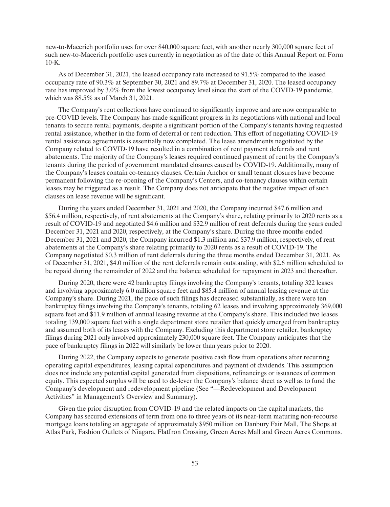new-to-Macerich portfolio uses for over 840,000 square feet, with another nearly 300,000 square feet of such new-to-Macerich portfolio uses currently in negotiation as of the date of this Annual Report on Form 10-K.

As of December 31, 2021, the leased occupancy rate increased to 91.5% compared to the leased occupancy rate of 90.3% at September 30, 2021 and 89.7% at December 31, 2020. The leased occupancy rate has improved by 3.0% from the lowest occupancy level since the start of the COVID-19 pandemic, which was 88.5% as of March 31, 2021.

The Company's rent collections have continued to significantly improve and are now comparable to pre-COVID levels. The Company has made significant progress in its negotiations with national and local tenants to secure rental payments, despite a significant portion of the Company's tenants having requested rental assistance, whether in the form of deferral or rent reduction. This effort of negotiating COVID-19 rental assistance agreements is essentially now completed. The lease amendments negotiated by the Company related to COVID-19 have resulted in a combination of rent payment deferrals and rent abatements. The majority of the Company's leases required continued payment of rent by the Company's tenants during the period of government mandated closures caused by COVID-19. Additionally, many of the Company's leases contain co-tenancy clauses. Certain Anchor or small tenant closures have become permanent following the re-opening of the Company's Centers, and co-tenancy clauses within certain leases may be triggered as a result. The Company does not anticipate that the negative impact of such clauses on lease revenue will be significant.

During the years ended December 31, 2021 and 2020, the Company incurred \$47.6 million and \$56.4 million, respectively, of rent abatements at the Company's share, relating primarily to 2020 rents as a result of COVID-19 and negotiated \$4.6 million and \$32.9 million of rent deferrals during the years ended December 31, 2021 and 2020, respectively, at the Company's share. During the three months ended December 31, 2021 and 2020, the Company incurred \$1.3 million and \$37.9 million, respectively, of rent abatements at the Company's share relating primarily to 2020 rents as a result of COVID-19. The Company negotiated \$0.3 million of rent deferrals during the three months ended December 31, 2021. As of December 31, 2021, \$4.0 million of the rent deferrals remain outstanding, with \$2.6 million scheduled to be repaid during the remainder of 2022 and the balance scheduled for repayment in 2023 and thereafter.

During 2020, there were 42 bankruptcy filings involving the Company's tenants, totaling 322 leases and involving approximately 6.0 million square feet and \$85.4 million of annual leasing revenue at the Company's share. During 2021, the pace of such filings has decreased substantially, as there were ten bankruptcy filings involving the Company's tenants, totaling 62 leases and involving approximately 369,000 square feet and \$11.9 million of annual leasing revenue at the Company's share. This included two leases totaling 139,000 square feet with a single department store retailer that quickly emerged from bankruptcy and assumed both of its leases with the Company. Excluding this department store retailer, bankruptcy filings during 2021 only involved approximately 230,000 square feet. The Company anticipates that the pace of bankruptcy filings in 2022 will similarly be lower than years prior to 2020.

During 2022, the Company expects to generate positive cash flow from operations after recurring operating capital expenditures, leasing capital expenditures and payment of dividends. This assumption does not include any potential capital generated from dispositions, refinancings or issuances of common equity. This expected surplus will be used to de-lever the Company's balance sheet as well as to fund the Company's development and redevelopment pipeline (See "—Redevelopment and Development Activities" in Management's Overview and Summary).

Given the prior disruption from COVID-19 and the related impacts on the capital markets, the Company has secured extensions of term from one to three years of its near-term maturing non-recourse mortgage loans totaling an aggregate of approximately \$950 million on Danbury Fair Mall, The Shops at Atlas Park, Fashion Outlets of Niagara, FlatIron Crossing, Green Acres Mall and Green Acres Commons.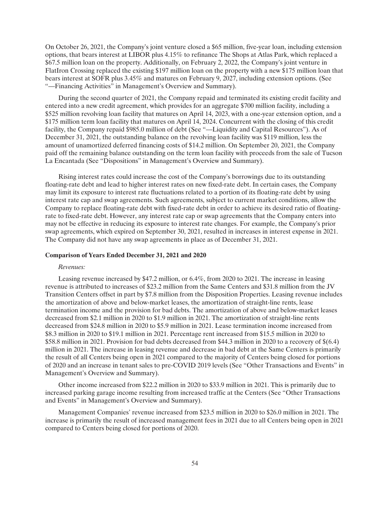On October 26, 2021, the Company's joint venture closed a \$65 million, five-year loan, including extension options, that bears interest at LIBOR plus 4.15% to refinance The Shops at Atlas Park, which replaced a \$67.5 million loan on the property. Additionally, on February 2, 2022, the Company's joint venture in FlatIron Crossing replaced the existing \$197 million loan on the property with a new \$175 million loan that bears interest at SOFR plus 3.45% and matures on February 9, 2027, including extension options. (See "—Financing Activities" in Management's Overview and Summary).

During the second quarter of 2021, the Company repaid and terminated its existing credit facility and entered into a new credit agreement, which provides for an aggregate \$700 million facility, including a \$525 million revolving loan facility that matures on April 14, 2023, with a one-year extension option, and a \$175 million term loan facility that matures on April 14, 2024. Concurrent with the closing of this credit facility, the Company repaid \$985.0 million of debt (See "—Liquidity and Capital Resources"). As of December 31, 2021, the outstanding balance on the revolving loan facility was \$119 million, less the amount of unamortized deferred financing costs of \$14.2 million. On September 20, 2021, the Company paid off the remaining balance outstanding on the term loan facility with proceeds from the sale of Tucson La Encantada (See "Dispositions" in Management's Overview and Summary).

Rising interest rates could increase the cost of the Company's borrowings due to its outstanding floating-rate debt and lead to higher interest rates on new fixed-rate debt. In certain cases, the Company may limit its exposure to interest rate fluctuations related to a portion of its floating-rate debt by using interest rate cap and swap agreements. Such agreements, subject to current market conditions, allow the Company to replace floating-rate debt with fixed-rate debt in order to achieve its desired ratio of floatingrate to fixed-rate debt. However, any interest rate cap or swap agreements that the Company enters into may not be effective in reducing its exposure to interest rate changes. For example, the Company's prior swap agreements, which expired on September 30, 2021, resulted in increases in interest expense in 2021. The Company did not have any swap agreements in place as of December 31, 2021.

#### **Comparison of Years Ended December 31, 2021 and 2020**

### *Revenues:*

Leasing revenue increased by \$47.2 million, or 6.4%, from 2020 to 2021. The increase in leasing revenue is attributed to increases of \$23.2 million from the Same Centers and \$31.8 million from the JV Transition Centers offset in part by \$7.8 million from the Disposition Properties. Leasing revenue includes the amortization of above and below-market leases, the amortization of straight-line rents, lease termination income and the provision for bad debts. The amortization of above and below-market leases decreased from \$2.1 million in 2020 to \$1.9 million in 2021. The amortization of straight-line rents decreased from \$24.8 million in 2020 to \$5.9 million in 2021. Lease termination income increased from \$8.3 million in 2020 to \$19.1 million in 2021. Percentage rent increased from \$15.5 million in 2020 to \$58.8 million in 2021. Provision for bad debts decreased from \$44.3 million in 2020 to a recovery of \$(6.4) million in 2021. The increase in leasing revenue and decrease in bad debt at the Same Centers is primarily the result of all Centers being open in 2021 compared to the majority of Centers being closed for portions of 2020 and an increase in tenant sales to pre-COVID 2019 levels (See "Other Transactions and Events" in Management's Overview and Summary).

Other income increased from \$22.2 million in 2020 to \$33.9 million in 2021. This is primarily due to increased parking garage income resulting from increased traffic at the Centers (See "Other Transactions and Events" in Management's Overview and Summary).

Management Companies' revenue increased from \$23.5 million in 2020 to \$26.0 million in 2021. The increase is primarily the result of increased management fees in 2021 due to all Centers being open in 2021 compared to Centers being closed for portions of 2020.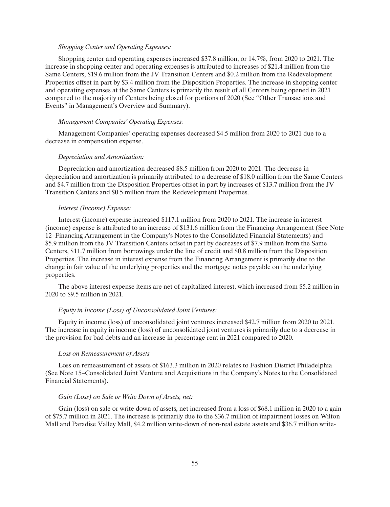### *Shopping Center and Operating Expenses:*

Shopping center and operating expenses increased \$37.8 million, or 14.7%, from 2020 to 2021. The increase in shopping center and operating expenses is attributed to increases of \$21.4 million from the Same Centers, \$19.6 million from the JV Transition Centers and \$0.2 million from the Redevelopment Properties offset in part by \$3.4 million from the Disposition Properties. The increase in shopping center and operating expenses at the Same Centers is primarily the result of all Centers being opened in 2021 compared to the majority of Centers being closed for portions of 2020 (See "Other Transactions and Events" in Management's Overview and Summary).

### *Management Companies' Operating Expenses:*

Management Companies' operating expenses decreased \$4.5 million from 2020 to 2021 due to a decrease in compensation expense.

### *Depreciation and Amortization:*

Depreciation and amortization decreased \$8.5 million from 2020 to 2021. The decrease in depreciation and amortization is primarily attributed to a decrease of \$18.0 million from the Same Centers and \$4.7 million from the Disposition Properties offset in part by increases of \$13.7 million from the JV Transition Centers and \$0.5 million from the Redevelopment Properties.

### *Interest (Income) Expense:*

Interest (income) expense increased \$117.1 million from 2020 to 2021. The increase in interest (income) expense is attributed to an increase of \$131.6 million from the Financing Arrangement (See Note 12–Financing Arrangement in the Company's Notes to the Consolidated Financial Statements) and \$5.9 million from the JV Transition Centers offset in part by decreases of \$7.9 million from the Same Centers, \$11.7 million from borrowings under the line of credit and \$0.8 million from the Disposition Properties. The increase in interest expense from the Financing Arrangement is primarily due to the change in fair value of the underlying properties and the mortgage notes payable on the underlying properties.

The above interest expense items are net of capitalized interest, which increased from \$5.2 million in 2020 to \$9.5 million in 2021.

#### *Equity in Income (Loss) of Unconsolidated Joint Ventures:*

Equity in income (loss) of unconsolidated joint ventures increased \$42.7 million from 2020 to 2021. The increase in equity in income (loss) of unconsolidated joint ventures is primarily due to a decrease in the provision for bad debts and an increase in percentage rent in 2021 compared to 2020.

#### *Loss on Remeasurement of Assets*

Loss on remeasurement of assets of \$163.3 million in 2020 relates to Fashion District Philadelphia (See Note 15–Consolidated Joint Venture and Acquisitions in the Company's Notes to the Consolidated Financial Statements).

#### *Gain (Loss) on Sale or Write Down of Assets, net:*

Gain (loss) on sale or write down of assets, net increased from a loss of \$68.1 million in 2020 to a gain of \$75.7 million in 2021. The increase is primarily due to the \$36.7 million of impairment losses on Wilton Mall and Paradise Valley Mall, \$4.2 million write-down of non-real estate assets and \$36.7 million write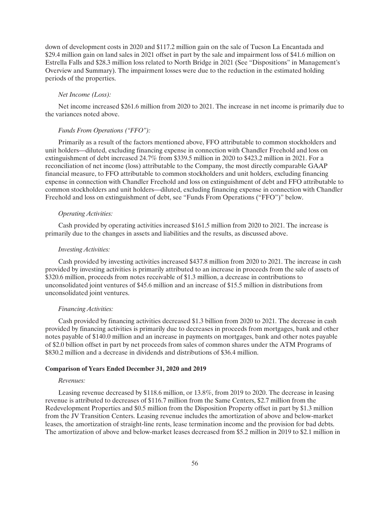down of development costs in 2020 and \$117.2 million gain on the sale of Tucson La Encantada and \$29.4 million gain on land sales in 2021 offset in part by the sale and impairment loss of \$41.6 million on Estrella Falls and \$28.3 million loss related to North Bridge in 2021 (See "Dispositions" in Management's Overview and Summary). The impairment losses were due to the reduction in the estimated holding periods of the properties.

### *Net Income (Loss):*

Net income increased \$261.6 million from 2020 to 2021. The increase in net income is primarily due to the variances noted above.

### *Funds From Operations ("FFO"):*

Primarily as a result of the factors mentioned above, FFO attributable to common stockholders and unit holders—diluted, excluding financing expense in connection with Chandler Freehold and loss on extinguishment of debt increased 24.7% from \$339.5 million in 2020 to \$423.2 million in 2021. For a reconciliation of net income (loss) attributable to the Company, the most directly comparable GAAP financial measure, to FFO attributable to common stockholders and unit holders, excluding financing expense in connection with Chandler Freehold and loss on extinguishment of debt and FFO attributable to common stockholders and unit holders—diluted, excluding financing expense in connection with Chandler Freehold and loss on extinguishment of debt, see "Funds From Operations ("FFO")" below.

#### *Operating Activities:*

Cash provided by operating activities increased \$161.5 million from 2020 to 2021. The increase is primarily due to the changes in assets and liabilities and the results, as discussed above.

### *Investing Activities:*

Cash provided by investing activities increased \$437.8 million from 2020 to 2021. The increase in cash provided by investing activities is primarily attributed to an increase in proceeds from the sale of assets of \$320.6 million, proceeds from notes receivable of \$1.3 million, a decrease in contributions to unconsolidated joint ventures of \$45.6 million and an increase of \$15.5 million in distributions from unconsolidated joint ventures.

#### *Financing Activities:*

Cash provided by financing activities decreased \$1.3 billion from 2020 to 2021. The decrease in cash provided by financing activities is primarily due to decreases in proceeds from mortgages, bank and other notes payable of \$140.0 million and an increase in payments on mortgages, bank and other notes payable of \$2.0 billion offset in part by net proceeds from sales of common shares under the ATM Programs of \$830.2 million and a decrease in dividends and distributions of \$36.4 million.

### **Comparison of Years Ended December 31, 2020 and 2019**

#### *Revenues:*

Leasing revenue decreased by \$118.6 million, or 13.8%, from 2019 to 2020. The decrease in leasing revenue is attributed to decreases of \$116.7 million from the Same Centers, \$2.7 million from the Redevelopment Properties and \$0.5 million from the Disposition Property offset in part by \$1.3 million from the JV Transition Centers. Leasing revenue includes the amortization of above and below-market leases, the amortization of straight-line rents, lease termination income and the provision for bad debts. The amortization of above and below-market leases decreased from \$5.2 million in 2019 to \$2.1 million in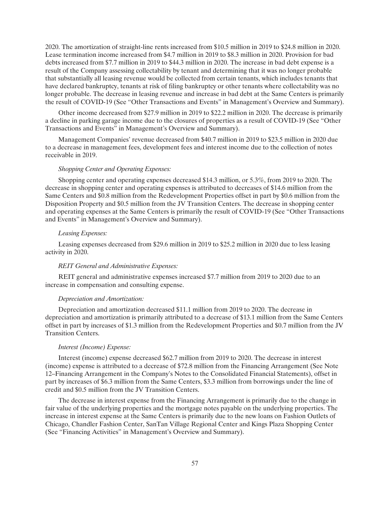2020. The amortization of straight-line rents increased from \$10.5 million in 2019 to \$24.8 million in 2020. Lease termination income increased from \$4.7 million in 2019 to \$8.3 million in 2020. Provision for bad debts increased from \$7.7 million in 2019 to \$44.3 million in 2020. The increase in bad debt expense is a result of the Company assessing collectability by tenant and determining that it was no longer probable that substantially all leasing revenue would be collected from certain tenants, which includes tenants that have declared bankruptcy, tenants at risk of filing bankruptcy or other tenants where collectability was no longer probable. The decrease in leasing revenue and increase in bad debt at the Same Centers is primarily the result of COVID-19 (See "Other Transactions and Events" in Management's Overview and Summary).

Other income decreased from \$27.9 million in 2019 to \$22.2 million in 2020. The decrease is primarily a decline in parking garage income due to the closures of properties as a result of COVID-19 (See "Other Transactions and Events" in Management's Overview and Summary).

Management Companies' revenue decreased from \$40.7 million in 2019 to \$23.5 million in 2020 due to a decrease in management fees, development fees and interest income due to the collection of notes receivable in 2019.

### *Shopping Center and Operating Expenses:*

Shopping center and operating expenses decreased \$14.3 million, or 5.3%, from 2019 to 2020. The decrease in shopping center and operating expenses is attributed to decreases of \$14.6 million from the Same Centers and \$0.8 million from the Redevelopment Properties offset in part by \$0.6 million from the Disposition Property and \$0.5 million from the JV Transition Centers. The decrease in shopping center and operating expenses at the Same Centers is primarily the result of COVID-19 (See "Other Transactions and Events" in Management's Overview and Summary).

### *Leasing Expenses:*

Leasing expenses decreased from \$29.6 million in 2019 to \$25.2 million in 2020 due to less leasing activity in 2020.

### *REIT General and Administrative Expenses:*

REIT general and administrative expenses increased \$7.7 million from 2019 to 2020 due to an increase in compensation and consulting expense.

#### *Depreciation and Amortization:*

Depreciation and amortization decreased \$11.1 million from 2019 to 2020. The decrease in depreciation and amortization is primarily attributed to a decrease of \$13.1 million from the Same Centers offset in part by increases of \$1.3 million from the Redevelopment Properties and \$0.7 million from the JV Transition Centers.

### *Interest (Income) Expense:*

Interest (income) expense decreased \$62.7 million from 2019 to 2020. The decrease in interest (income) expense is attributed to a decrease of \$72.8 million from the Financing Arrangement (See Note 12–Financing Arrangement in the Company's Notes to the Consolidated Financial Statements), offset in part by increases of \$6.3 million from the Same Centers, \$3.3 million from borrowings under the line of credit and \$0.5 million from the JV Transition Centers.

The decrease in interest expense from the Financing Arrangement is primarily due to the change in fair value of the underlying properties and the mortgage notes payable on the underlying properties. The increase in interest expense at the Same Centers is primarily due to the new loans on Fashion Outlets of Chicago, Chandler Fashion Center, SanTan Village Regional Center and Kings Plaza Shopping Center (See "Financing Activities" in Management's Overview and Summary).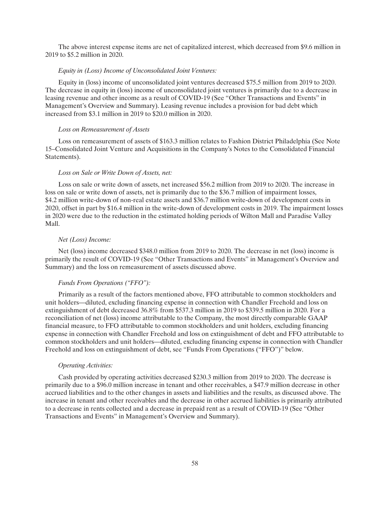The above interest expense items are net of capitalized interest, which decreased from \$9.6 million in 2019 to \$5.2 million in 2020.

#### *Equity in (Loss) Income of Unconsolidated Joint Ventures:*

Equity in (loss) income of unconsolidated joint ventures decreased \$75.5 million from 2019 to 2020. The decrease in equity in (loss) income of unconsolidated joint ventures is primarily due to a decrease in leasing revenue and other income as a result of COVID-19 (See "Other Transactions and Events" in Management's Overview and Summary). Leasing revenue includes a provision for bad debt which increased from \$3.1 million in 2019 to \$20.0 million in 2020.

#### *Loss on Remeasurement of Assets*

Loss on remeasurement of assets of \$163.3 million relates to Fashion District Philadelphia (See Note 15–Consolidated Joint Venture and Acquisitions in the Company's Notes to the Consolidated Financial Statements).

### *Loss on Sale or Write Down of Assets, net:*

Loss on sale or write down of assets, net increased \$56.2 million from 2019 to 2020. The increase in loss on sale or write down of assets, net is primarily due to the \$36.7 million of impairment losses, \$4.2 million write-down of non-real estate assets and \$36.7 million write-down of development costs in 2020, offset in part by \$16.4 million in the write-down of development costs in 2019. The impairment losses in 2020 were due to the reduction in the estimated holding periods of Wilton Mall and Paradise Valley Mall.

#### *Net (Loss) Income:*

Net (loss) income decreased \$348.0 million from 2019 to 2020. The decrease in net (loss) income is primarily the result of COVID-19 (See "Other Transactions and Events" in Management's Overview and Summary) and the loss on remeasurement of assets discussed above.

### *Funds From Operations ("FFO"):*

Primarily as a result of the factors mentioned above, FFO attributable to common stockholders and unit holders—diluted, excluding financing expense in connection with Chandler Freehold and loss on extinguishment of debt decreased 36.8% from \$537.3 million in 2019 to \$339.5 million in 2020. For a reconciliation of net (loss) income attributable to the Company, the most directly comparable GAAP financial measure, to FFO attributable to common stockholders and unit holders, excluding financing expense in connection with Chandler Freehold and loss on extinguishment of debt and FFO attributable to common stockholders and unit holders—diluted, excluding financing expense in connection with Chandler Freehold and loss on extinguishment of debt, see "Funds From Operations ("FFO")" below.

### *Operating Activities:*

Cash provided by operating activities decreased \$230.3 million from 2019 to 2020. The decrease is primarily due to a \$96.0 million increase in tenant and other receivables, a \$47.9 million decrease in other accrued liabilities and to the other changes in assets and liabilities and the results, as discussed above. The increase in tenant and other receivables and the decrease in other accrued liabilities is primarily attributed to a decrease in rents collected and a decrease in prepaid rent as a result of COVID-19 (See "Other Transactions and Events" in Management's Overview and Summary).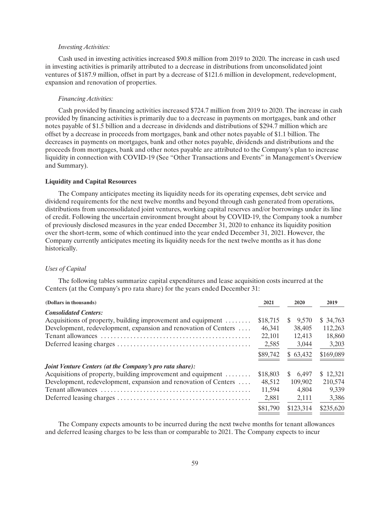### *Investing Activities:*

Cash used in investing activities increased \$90.8 million from 2019 to 2020. The increase in cash used in investing activities is primarily attributed to a decrease in distributions from unconsolidated joint ventures of \$187.9 million, offset in part by a decrease of \$121.6 million in development, redevelopment, expansion and renovation of properties.

### *Financing Activities:*

Cash provided by financing activities increased \$724.7 million from 2019 to 2020. The increase in cash provided by financing activities is primarily due to a decrease in payments on mortgages, bank and other notes payable of \$1.5 billion and a decrease in dividends and distributions of \$294.7 million which are offset by a decrease in proceeds from mortgages, bank and other notes payable of \$1.1 billion. The decreases in payments on mortgages, bank and other notes payable, dividends and distributions and the proceeds from mortgages, bank and other notes payable are attributed to the Company's plan to increase liquidity in connection with COVID-19 (See "Other Transactions and Events" in Management's Overview and Summary).

### **Liquidity and Capital Resources**

The Company anticipates meeting its liquidity needs for its operating expenses, debt service and dividend requirements for the next twelve months and beyond through cash generated from operations, distributions from unconsolidated joint ventures, working capital reserves and/or borrowings under its line of credit. Following the uncertain environment brought about by COVID-19, the Company took a number of previously disclosed measures in the year ended December 31, 2020 to enhance its liquidity position over the short-term, some of which continued into the year ended December 31, 2021. However, the Company currently anticipates meeting its liquidity needs for the next twelve months as it has done historically.

### *Uses of Capital*

The following tables summarize capital expenditures and lease acquisition costs incurred at the Centers (at the Company's pro rata share) for the years ended December 31:

| (Dollars in thousands)                                          | 2021     | 2020        | 2019      |
|-----------------------------------------------------------------|----------|-------------|-----------|
| <b>Consolidated Centers:</b>                                    |          |             |           |
| Acquisitions of property, building improvement and equipment    | \$18,715 | 9,570<br>S. | \$ 34,763 |
| Development, redevelopment, expansion and renovation of Centers | 46.341   | 38,405      | 112,263   |
|                                                                 | 22,101   | 12,413      | 18,860    |
|                                                                 | 2,585    | 3,044       | 3,203     |
|                                                                 | \$89,742 | \$63,432    | \$169,089 |
| Joint Venture Centers (at the Company's pro rata share):        |          |             |           |
| Acquisitions of property, building improvement and equipment    | \$18,803 | 6.497<br>S. | \$12,321  |
| Development, redevelopment, expansion and renovation of Centers | 48,512   | 109,902     | 210,574   |
|                                                                 | 11,594   | 4.804       | 9.339     |
|                                                                 | 2,881    | 2,111       | 3,386     |
|                                                                 | \$81,790 | \$123,314   | \$235,620 |
|                                                                 |          |             |           |

The Company expects amounts to be incurred during the next twelve months for tenant allowances and deferred leasing charges to be less than or comparable to 2021. The Company expects to incur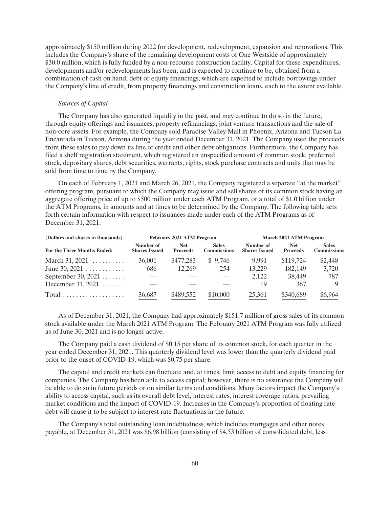approximately \$150 million during 2022 for development, redevelopment, expansion and renovations. This includes the Company's share of the remaining development costs of One Westside of approximately \$30.0 million, which is fully funded by a non-recourse construction facility. Capital for these expenditures, developments and/or redevelopments has been, and is expected to continue to be, obtained from a combination of cash on hand, debt or equity financings, which are expected to include borrowings under the Company's line of credit, from property financings and construction loans, each to the extent available.

### *Sources of Capital*

The Company has also generated liquidity in the past, and may continue to do so in the future, through equity offerings and issuances, property refinancings, joint venture transactions and the sale of non-core assets. For example, the Company sold Paradise Valley Mall in Phoenix, Arizona and Tucson La Encantada in Tucson, Arizona during the year ended December 31, 2021. The Company used the proceeds from these sales to pay down its line of credit and other debt obligations. Furthermore, the Company has filed a shelf registration statement, which registered an unspecified amount of common stock, preferred stock, depositary shares, debt securities, warrants, rights, stock purchase contracts and units that may be sold from time to time by the Company.

On each of February 1, 2021 and March 26, 2021, the Company registered a separate "at the market" offering program, pursuant to which the Company may issue and sell shares of its common stock having an aggregate offering price of up to \$500 million under each ATM Program, or a total of \$1.0 billion under the ATM Programs, in amounts and at times to be determined by the Company. The following table sets forth certain information with respect to issuances made under each of the ATM Programs as of December 31, 2021.

| (Dollars and shares in thousands)  |                                   | <b>February 2021 ATM Program</b> |                                    | March 2021 ATM Program            |                               |                                    |  |
|------------------------------------|-----------------------------------|----------------------------------|------------------------------------|-----------------------------------|-------------------------------|------------------------------------|--|
| <b>For the Three Months Ended:</b> | Number of<br><b>Shares Issued</b> | <b>Net</b><br><b>Proceeds</b>    | <b>Sales</b><br><b>Commissions</b> | Number of<br><b>Shares Issued</b> | <b>Net</b><br><b>Proceeds</b> | <b>Sales</b><br><b>Commissions</b> |  |
| March 31, 2021 $\dots$             | 36,001                            | \$477,283                        | \$9,746                            | 9.991                             | \$119,724                     | \$2,448                            |  |
|                                    | 686                               | 12.269                           | 254                                | 13,229                            | 182,149                       | 3,720                              |  |
| September 30, $2021$               |                                   |                                  |                                    | 2,122                             | 38,449                        | 787                                |  |
| December 31, 2021 $\dots$          |                                   |                                  |                                    | 19                                | 367                           | 9                                  |  |
|                                    | 36,687                            | \$489,552                        | \$10,000                           | 25,361                            | \$340,689                     | \$6,964                            |  |

As of December 31, 2021, the Company had approximately \$151.7 million of gross sales of its common stock available under the March 2021 ATM Program. The February 2021 ATM Program was fully utilized as of June 30, 2021 and is no longer active.

The Company paid a cash dividend of \$0.15 per share of its common stock, for each quarter in the year ended December 31, 2021. This quarterly dividend level was lower than the quarterly dividend paid prior to the onset of COVID-19, which was \$0.75 per share.

The capital and credit markets can fluctuate and, at times, limit access to debt and equity financing for companies. The Company has been able to access capital; however, there is no assurance the Company will be able to do so in future periods or on similar terms and conditions. Many factors impact the Company's ability to access capital, such as its overall debt level, interest rates, interest coverage ratios, prevailing market conditions and the impact of COVID-19. Increases in the Company's proportion of floating rate debt will cause it to be subject to interest rate fluctuations in the future.

The Company's total outstanding loan indebtedness, which includes mortgages and other notes payable, at December 31, 2021 was \$6.98 billion (consisting of \$4.53 billion of consolidated debt, less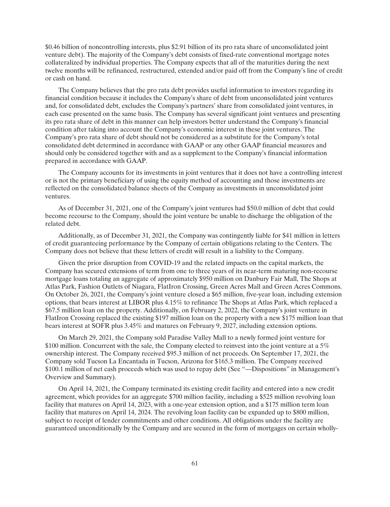\$0.46 billion of noncontrolling interests, plus \$2.91 billion of its pro rata share of unconsolidated joint venture debt). The majority of the Company's debt consists of fixed-rate conventional mortgage notes collateralized by individual properties. The Company expects that all of the maturities during the next twelve months will be refinanced, restructured, extended and/or paid off from the Company's line of credit or cash on hand.

The Company believes that the pro rata debt provides useful information to investors regarding its financial condition because it includes the Company's share of debt from unconsolidated joint ventures and, for consolidated debt, excludes the Company's partners' share from consolidated joint ventures, in each case presented on the same basis. The Company has several significant joint ventures and presenting its pro rata share of debt in this manner can help investors better understand the Company's financial condition after taking into account the Company's economic interest in these joint ventures. The Company's pro rata share of debt should not be considered as a substitute for the Company's total consolidated debt determined in accordance with GAAP or any other GAAP financial measures and should only be considered together with and as a supplement to the Company's financial information prepared in accordance with GAAP.

The Company accounts for its investments in joint ventures that it does not have a controlling interest or is not the primary beneficiary of using the equity method of accounting and those investments are reflected on the consolidated balance sheets of the Company as investments in unconsolidated joint ventures.

As of December 31, 2021, one of the Company's joint ventures had \$50.0 million of debt that could become recourse to the Company, should the joint venture be unable to discharge the obligation of the related debt.

Additionally, as of December 31, 2021, the Company was contingently liable for \$41 million in letters of credit guaranteeing performance by the Company of certain obligations relating to the Centers. The Company does not believe that these letters of credit will result in a liability to the Company.

Given the prior disruption from COVID-19 and the related impacts on the capital markets, the Company has secured extensions of term from one to three years of its near-term maturing non-recourse mortgage loans totaling an aggregate of approximately \$950 million on Danbury Fair Mall, The Shops at Atlas Park, Fashion Outlets of Niagara, FlatIron Crossing, Green Acres Mall and Green Acres Commons. On October 26, 2021, the Company's joint venture closed a \$65 million, five-year loan, including extension options, that bears interest at LIBOR plus 4.15% to refinance The Shops at Atlas Park, which replaced a \$67.5 million loan on the property. Additionally, on February 2, 2022, the Company's joint venture in FlatIron Crossing replaced the existing \$197 million loan on the property with a new \$175 million loan that bears interest at SOFR plus 3.45% and matures on February 9, 2027, including extension options.

On March 29, 2021, the Company sold Paradise Valley Mall to a newly formed joint venture for \$100 million. Concurrent with the sale, the Company elected to reinvest into the joint venture at a 5% ownership interest. The Company received \$95.3 million of net proceeds. On September 17, 2021, the Company sold Tucson La Encantada in Tucson, Arizona for \$165.3 million. The Company received \$100.1 million of net cash proceeds which was used to repay debt (See "—Dispositions" in Management's Overview and Summary).

On April 14, 2021, the Company terminated its existing credit facility and entered into a new credit agreement, which provides for an aggregate \$700 million facility, including a \$525 million revolving loan facility that matures on April 14, 2023, with a one-year extension option, and a \$175 million term loan facility that matures on April 14, 2024. The revolving loan facility can be expanded up to \$800 million, subject to receipt of lender commitments and other conditions. All obligations under the facility are guaranteed unconditionally by the Company and are secured in the form of mortgages on certain wholly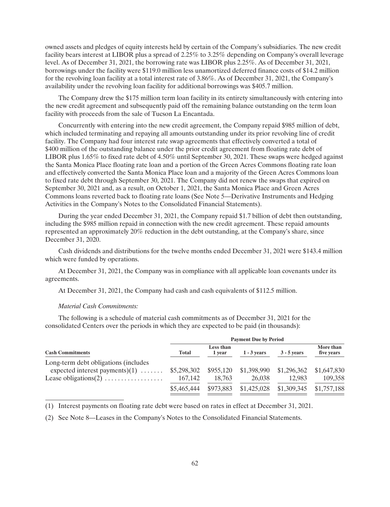owned assets and pledges of equity interests held by certain of the Company's subsidiaries. The new credit facility bears interest at LIBOR plus a spread of 2.25% to 3.25% depending on Company's overall leverage level. As of December 31, 2021, the borrowing rate was LIBOR plus 2.25%. As of December 31, 2021, borrowings under the facility were \$119.0 million less unamortized deferred finance costs of \$14.2 million for the revolving loan facility at a total interest rate of 3.86%. As of December 31, 2021, the Company's availability under the revolving loan facility for additional borrowings was \$405.7 million.

The Company drew the \$175 million term loan facility in its entirety simultaneously with entering into the new credit agreement and subsequently paid off the remaining balance outstanding on the term loan facility with proceeds from the sale of Tucson La Encantada.

Concurrently with entering into the new credit agreement, the Company repaid \$985 million of debt, which included terminating and repaying all amounts outstanding under its prior revolving line of credit facility. The Company had four interest rate swap agreements that effectively converted a total of \$400 million of the outstanding balance under the prior credit agreement from floating rate debt of LIBOR plus 1.65% to fixed rate debt of 4.50% until September 30, 2021. These swaps were hedged against the Santa Monica Place floating rate loan and a portion of the Green Acres Commons floating rate loan and effectively converted the Santa Monica Place loan and a majority of the Green Acres Commons loan to fixed rate debt through September 30, 2021. The Company did not renew the swaps that expired on September 30, 2021 and, as a result, on October 1, 2021, the Santa Monica Place and Green Acres Commons loans reverted back to floating rate loans (See Note 5—Derivative Instruments and Hedging Activities in the Company's Notes to the Consolidated Financial Statements).

During the year ended December 31, 2021, the Company repaid \$1.7 billion of debt then outstanding, including the \$985 million repaid in connection with the new credit agreement. These repaid amounts represented an approximately 20% reduction in the debt outstanding, at the Company's share, since December 31, 2020.

Cash dividends and distributions for the twelve months ended December 31, 2021 were \$143.4 million which were funded by operations.

At December 31, 2021, the Company was in compliance with all applicable loan covenants under its agreements.

At December 31, 2021, the Company had cash and cash equivalents of \$112.5 million.

### *Material Cash Commitments:*

The following is a schedule of material cash commitments as of December 31, 2021 for the consolidated Centers over the periods in which they are expected to be paid (in thousands):

|                                                                           | <b>Payment Due by Period</b> |                     |               |               |                         |  |  |
|---------------------------------------------------------------------------|------------------------------|---------------------|---------------|---------------|-------------------------|--|--|
| <b>Cash Commitments</b>                                                   | <b>Total</b>                 | Less than<br>1 year | $1 - 3$ years | $3 - 5$ years | More than<br>five years |  |  |
| Long-term debt obligations (includes<br>expected interest payments) $(1)$ | \$5,298,302                  | \$955,120           | \$1,398,990   | \$1,296,362   | \$1,647,830             |  |  |
| Lease obligations $(2)$                                                   | 167,142                      | 18.763              | 26,038        | 12.983        | 109,358                 |  |  |
|                                                                           | \$5,465,444                  | \$973,883           | \$1,425,028   | \$1,309,345   | \$1,757,188             |  |  |

(1) Interest payments on floating rate debt were based on rates in effect at December 31, 2021.

(2) See Note 8—Leases in the Company's Notes to the Consolidated Financial Statements.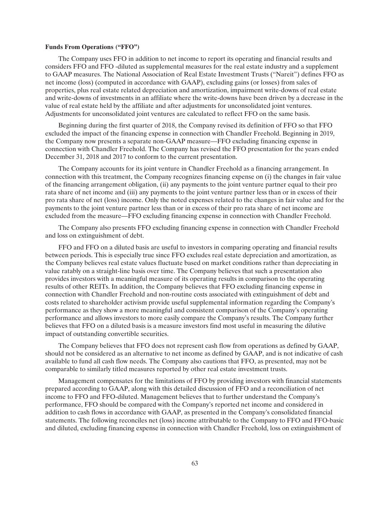#### **Funds From Operations ("FFO")**

The Company uses FFO in addition to net income to report its operating and financial results and considers FFO and FFO -diluted as supplemental measures for the real estate industry and a supplement to GAAP measures. The National Association of Real Estate Investment Trusts ("Nareit") defines FFO as net income (loss) (computed in accordance with GAAP), excluding gains (or losses) from sales of properties, plus real estate related depreciation and amortization, impairment write-downs of real estate and write-downs of investments in an affiliate where the write-downs have been driven by a decrease in the value of real estate held by the affiliate and after adjustments for unconsolidated joint ventures. Adjustments for unconsolidated joint ventures are calculated to reflect FFO on the same basis.

Beginning during the first quarter of 2018, the Company revised its definition of FFO so that FFO excluded the impact of the financing expense in connection with Chandler Freehold. Beginning in 2019, the Company now presents a separate non-GAAP measure—FFO excluding financing expense in connection with Chandler Freehold. The Company has revised the FFO presentation for the years ended December 31, 2018 and 2017 to conform to the current presentation.

The Company accounts for its joint venture in Chandler Freehold as a financing arrangement. In connection with this treatment, the Company recognizes financing expense on (i) the changes in fair value of the financing arrangement obligation, (ii) any payments to the joint venture partner equal to their pro rata share of net income and (iii) any payments to the joint venture partner less than or in excess of their pro rata share of net (loss) income. Only the noted expenses related to the changes in fair value and for the payments to the joint venture partner less than or in excess of their pro rata share of net income are excluded from the measure—FFO excluding financing expense in connection with Chandler Freehold.

The Company also presents FFO excluding financing expense in connection with Chandler Freehold and loss on extinguishment of debt.

FFO and FFO on a diluted basis are useful to investors in comparing operating and financial results between periods. This is especially true since FFO excludes real estate depreciation and amortization, as the Company believes real estate values fluctuate based on market conditions rather than depreciating in value ratably on a straight-line basis over time. The Company believes that such a presentation also provides investors with a meaningful measure of its operating results in comparison to the operating results of other REITs. In addition, the Company believes that FFO excluding financing expense in connection with Chandler Freehold and non-routine costs associated with extinguishment of debt and costs related to shareholder activism provide useful supplemental information regarding the Company's performance as they show a more meaningful and consistent comparison of the Company's operating performance and allows investors to more easily compare the Company's results. The Company further believes that FFO on a diluted basis is a measure investors find most useful in measuring the dilutive impact of outstanding convertible securities.

The Company believes that FFO does not represent cash flow from operations as defined by GAAP, should not be considered as an alternative to net income as defined by GAAP, and is not indicative of cash available to fund all cash flow needs. The Company also cautions that FFO, as presented, may not be comparable to similarly titled measures reported by other real estate investment trusts.

Management compensates for the limitations of FFO by providing investors with financial statements prepared according to GAAP, along with this detailed discussion of FFO and a reconciliation of net income to FFO and FFO-diluted. Management believes that to further understand the Company's performance, FFO should be compared with the Company's reported net income and considered in addition to cash flows in accordance with GAAP, as presented in the Company's consolidated financial statements. The following reconciles net (loss) income attributable to the Company to FFO and FFO-basic and diluted, excluding financing expense in connection with Chandler Freehold, loss on extinguishment of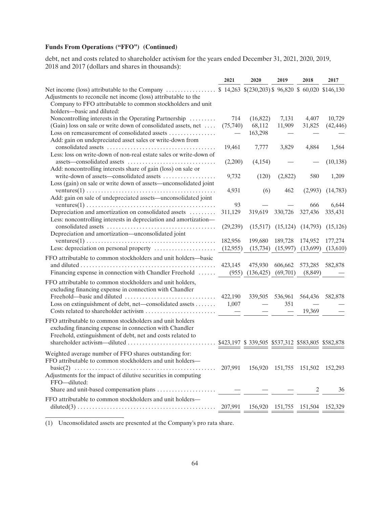# **Funds From Operations ("FFO") (Continued)**

debt, net and costs related to shareholder activism for the years ended December 31, 2021, 2020, 2019, 2018 and 2017 (dollars and shares in thousands):

|                                                                                                                                                               | 2021            | 2020                                              | 2019            | 2018                            | 2017                |
|---------------------------------------------------------------------------------------------------------------------------------------------------------------|-----------------|---------------------------------------------------|-----------------|---------------------------------|---------------------|
| Net income (loss) attributable to the Company \$ 14,263 \$(230,203) \$ 96,820 \$ 60,020 \$146,130                                                             |                 |                                                   |                 |                                 |                     |
| Adjustments to reconcile net income (loss) attributable to the<br>Company to FFO attributable to common stockholders and unit<br>holders—basic and diluted:   |                 |                                                   |                 |                                 |                     |
| Noncontrolling interests in the Operating Partnership<br>(Gain) loss on sale or write down of consolidated assets, net                                        | 714<br>(75,740) | (16,822)<br>68,112                                | 7,131<br>11,909 | 4,407<br>31,825                 | 10,729<br>(42, 446) |
| Loss on remeasurement of consolidated assets                                                                                                                  |                 | 163,298                                           |                 |                                 |                     |
| Add: gain on undepreciated asset sales or write-down from                                                                                                     | 19,461          | 7,777                                             | 3,829           | 4,884                           | 1,564               |
| Less: loss on write-down of non-real estate sales or write-down of<br>assets—consolidated assets                                                              | (2,200)         | (4, 154)                                          |                 |                                 | (10, 138)           |
| Add: noncontrolling interests share of gain (loss) on sale or<br>write-down of assets—consolidated assets                                                     | 9,732           | (120)                                             | (2,822)         | 580                             | 1,209               |
| Loss (gain) on sale or write down of assets—unconsolidated joint                                                                                              | 4,931           | (6)                                               | 462             | (2,993)                         | (14,783)            |
| Add: gain on sale of undepreciated assets-unconsolidated joint                                                                                                | 93              |                                                   |                 | 666                             |                     |
| Depreciation and amortization on consolidated assets                                                                                                          | 311,129         | 319,619                                           | 330,726         | 327,436                         | 6,644<br>335,431    |
| Less: noncontrolling interests in depreciation and amortization-                                                                                              | (29,239)        | (15,517)                                          | (15, 124)       | (14,793)                        | (15, 126)           |
| Depreciation and amortization-unconsolidated joint                                                                                                            | 182,956         | 199,680                                           | 189,728         | 174,952                         | 177,274             |
|                                                                                                                                                               | (12, 955)       | (15, 734)                                         | (15,997)        | (13,699)                        | (13,610)            |
| FFO attributable to common stockholders and unit holders-basic                                                                                                | 423,145         | 475,930                                           | 606,662         | 573,285                         | 582,878             |
| Financing expense in connection with Chandler Freehold                                                                                                        | (955)           | (136, 425)                                        | (69,701)        | (8, 849)                        |                     |
| FFO attributable to common stockholders and unit holders,<br>excluding financing expense in connection with Chandler                                          | 422,190         | 339,505                                           | 536,961         | 564,436                         | 582,878             |
| Loss on extinguishment of debt, net—consolidated assets                                                                                                       | 1,007           |                                                   | 351             | 19,369                          |                     |
| FFO attributable to common stockholders and unit holders<br>excluding financing expense in connection with Chandler                                           |                 |                                                   |                 |                                 |                     |
| Freehold, extinguishment of debt, net and costs related to                                                                                                    |                 | \$423,197 \$339,505 \$537,312 \$583,805 \$582,878 |                 |                                 |                     |
| Weighted average number of FFO shares outstanding for:<br>FFO attributable to common stockholders and unit holders-                                           |                 |                                                   |                 |                                 |                     |
| Adjustments for the impact of dilutive securities in computing<br>FFO-diluted:                                                                                | 207,991         | 156,920                                           | 151,755         | 151,502                         | 152,293             |
|                                                                                                                                                               |                 |                                                   |                 | 2                               | 36                  |
| FFO attributable to common stockholders and unit holders—<br>$diluted(3) \ldots \ldots \ldots \ldots \ldots \ldots \ldots \ldots \ldots \ldots \ldots \ldots$ | 207,991         |                                                   |                 | 156,920 151,755 151,504 152,329 |                     |

(1) Unconsolidated assets are presented at the Company's pro rata share.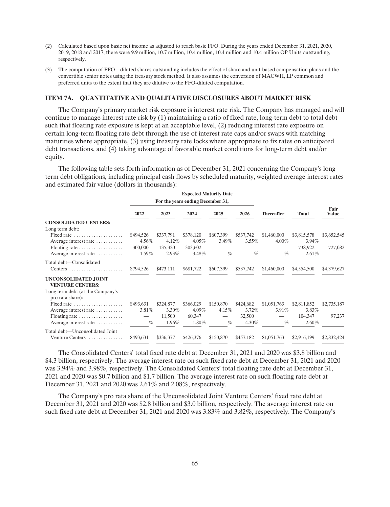- (2) Calculated based upon basic net income as adjusted to reach basic FFO. During the years ended December 31, 2021, 2020, 2019, 2018 and 2017, there were 9.9 million, 10.7 million, 10.4 million, 10.4 million and 10.4 million OP Units outstanding, respectively.
- (3) The computation of FFO—diluted shares outstanding includes the effect of share and unit-based compensation plans and the convertible senior notes using the treasury stock method. It also assumes the conversion of MACWH, LP common and preferred units to the extent that they are dilutive to the FFO-diluted computation.

### **ITEM 7A. QUANTITATIVE AND QUALITATIVE DISCLOSURES ABOUT MARKET RISK**

The Company's primary market risk exposure is interest rate risk. The Company has managed and will continue to manage interest rate risk by (1) maintaining a ratio of fixed rate, long-term debt to total debt such that floating rate exposure is kept at an acceptable level, (2) reducing interest rate exposure on certain long-term floating rate debt through the use of interest rate caps and/or swaps with matching maturities where appropriate, (3) using treasury rate locks where appropriate to fix rates on anticipated debt transactions, and (4) taking advantage of favorable market conditions for long-term debt and/or equity.

The following table sets forth information as of December 31, 2021 concerning the Company's long term debt obligations, including principal cash flows by scheduled maturity, weighted average interest rates and estimated fair value (dollars in thousands):

| 2022<br>\$494,526<br>4.56%<br>300,000<br>$1.59\%$ | 2023<br>\$337,791<br>4.12%<br>135,320 | For the years ending December 31,<br>2024<br>\$378,120<br>$4.05\%$ | 2025<br>\$607,399<br>$3.49\%$ | 2026<br>\$537,742 | <b>Thereafter</b><br>\$1,460,000 | <b>Total</b><br>\$3,815,578 | Fair<br>Value<br>\$3,652,545 |
|---------------------------------------------------|---------------------------------------|--------------------------------------------------------------------|-------------------------------|-------------------|----------------------------------|-----------------------------|------------------------------|
|                                                   |                                       |                                                                    |                               |                   |                                  |                             |                              |
|                                                   |                                       |                                                                    |                               |                   |                                  |                             |                              |
|                                                   |                                       |                                                                    |                               |                   |                                  |                             |                              |
|                                                   |                                       |                                                                    |                               |                   |                                  |                             |                              |
|                                                   |                                       |                                                                    |                               | $3.55\%$          | $4.00\%$                         | 3.94%                       |                              |
|                                                   | $2.93\%$                              | 303,602<br>3.48%                                                   | $-\%$                         | $-\%$             | $-\%$                            | 738,922<br>2.61%            | 727,082                      |
|                                                   |                                       |                                                                    |                               |                   |                                  |                             |                              |
| \$794,526                                         | \$473,111                             | \$681,722                                                          | \$607,399                     | \$537,742         | \$1,460,000                      | \$4,554,500                 | \$4,379,627                  |
|                                                   |                                       |                                                                    |                               |                   |                                  |                             |                              |
|                                                   |                                       |                                                                    |                               |                   |                                  |                             |                              |
| \$493,631                                         | \$324,877                             | \$366,029                                                          | \$150,870                     | \$424,682         | \$1,051,763                      | \$2,811,852                 | \$2,735,187                  |
| 3.81%                                             | 3.30%                                 | $4.09\%$                                                           | 4.15%                         | $3.72\%$          | $3.91\%$                         | 3.83%                       |                              |
| $\overline{\phantom{m}}$                          | 11,500                                | 60,347                                                             | $\overbrace{\phantom{aaaaa}}$ | 32,500            | $\overbrace{\phantom{12333}}$    | 104,347                     | 97,237                       |
| $-\%$                                             | 1.96%                                 | 1.80%                                                              | $-\%$                         | 4.30%             | $-\%$                            | $2.60\%$                    |                              |
| \$493,631                                         | \$336,377                             | \$426,376                                                          | \$150,870                     | \$457,182         | \$1,051,763                      | \$2,916,199                 | \$2,832,424                  |
|                                                   |                                       |                                                                    |                               |                   |                                  |                             |                              |

The Consolidated Centers' total fixed rate debt at December 31, 2021 and 2020 was \$3.8 billion and \$4.3 billion, respectively. The average interest rate on such fixed rate debt at December 31, 2021 and 2020 was 3.94% and 3.98%, respectively. The Consolidated Centers' total floating rate debt at December 31, 2021 and 2020 was \$0.7 billion and \$1.7 billion. The average interest rate on such floating rate debt at December 31, 2021 and 2020 was 2.61% and 2.08%, respectively.

The Company's pro rata share of the Unconsolidated Joint Venture Centers' fixed rate debt at December 31, 2021 and 2020 was \$2.8 billion and \$3.0 billion, respectively. The average interest rate on such fixed rate debt at December 31, 2021 and 2020 was 3.83% and 3.82%, respectively. The Company's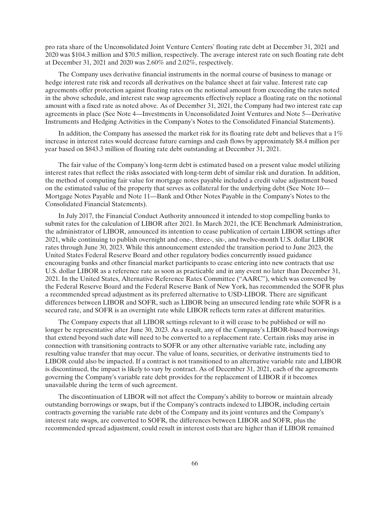pro rata share of the Unconsolidated Joint Venture Centers' floating rate debt at December 31, 2021 and 2020 was \$104.3 million and \$70.5 million, respectively. The average interest rate on such floating rate debt at December 31, 2021 and 2020 was 2.60% and 2.02%, respectively.

The Company uses derivative financial instruments in the normal course of business to manage or hedge interest rate risk and records all derivatives on the balance sheet at fair value. Interest rate cap agreements offer protection against floating rates on the notional amount from exceeding the rates noted in the above schedule, and interest rate swap agreements effectively replace a floating rate on the notional amount with a fixed rate as noted above. As of December 31, 2021, the Company had two interest rate cap agreements in place (See Note 4—Investments in Unconsolidated Joint Ventures and Note 5—Derivative Instruments and Hedging Activities in the Company's Notes to the Consolidated Financial Statements).

In addition, the Company has assessed the market risk for its floating rate debt and believes that a  $1\%$ increase in interest rates would decrease future earnings and cash flows by approximately \$8.4 million per year based on \$843.3 million of floating rate debt outstanding at December 31, 2021.

The fair value of the Company's long-term debt is estimated based on a present value model utilizing interest rates that reflect the risks associated with long-term debt of similar risk and duration. In addition, the method of computing fair value for mortgage notes payable included a credit value adjustment based on the estimated value of the property that serves as collateral for the underlying debt (See Note 10— Mortgage Notes Payable and Note 11—Bank and Other Notes Payable in the Company's Notes to the Consolidated Financial Statements).

In July 2017, the Financial Conduct Authority announced it intended to stop compelling banks to submit rates for the calculation of LIBOR after 2021. In March 2021, the ICE Benchmark Administration, the administrator of LIBOR, announced its intention to cease publication of certain LIBOR settings after 2021, while continuing to publish overnight and one-, three-, six-, and twelve-month U.S. dollar LIBOR rates through June 30, 2023. While this announcement extended the transition period to June 2023, the United States Federal Reserve Board and other regulatory bodies concurrently issued guidance encouraging banks and other financial market participants to cease entering into new contracts that use U.S. dollar LIBOR as a reference rate as soon as practicable and in any event no later than December 31, 2021. In the United States, Alternative Reference Rates Committee ("AARC"), which was convened by the Federal Reserve Board and the Federal Reserve Bank of New York, has recommended the SOFR plus a recommended spread adjustment as its preferred alternative to USD-LIBOR. There are significant differences between LIBOR and SOFR, such as LIBOR being an unsecured lending rate while SOFR is a secured rate, and SOFR is an overnight rate while LIBOR reflects term rates at different maturities.

The Company expects that all LIBOR settings relevant to it will cease to be published or will no longer be representative after June 30, 2023. As a result, any of the Company's LIBOR-based borrowings that extend beyond such date will need to be converted to a replacement rate. Certain risks may arise in connection with transitioning contracts to SOFR or any other alternative variable rate, including any resulting value transfer that may occur. The value of loans, securities, or derivative instruments tied to LIBOR could also be impacted. If a contract is not transitioned to an alternative variable rate and LIBOR is discontinued, the impact is likely to vary by contract. As of December 31, 2021, each of the agreements governing the Company's variable rate debt provides for the replacement of LIBOR if it becomes unavailable during the term of such agreement.

The discontinuation of LIBOR will not affect the Company's ability to borrow or maintain already outstanding borrowings or swaps, but if the Company's contracts indexed to LIBOR, including certain contracts governing the variable rate debt of the Company and its joint ventures and the Company's interest rate swaps, are converted to SOFR, the differences between LIBOR and SOFR, plus the recommended spread adjustment, could result in interest costs that are higher than if LIBOR remained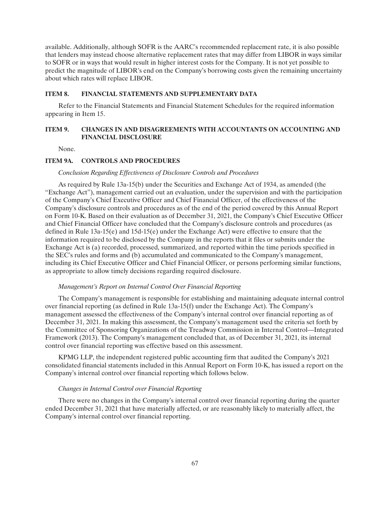available. Additionally, although SOFR is the AARC's recommended replacement rate, it is also possible that lenders may instead choose alternative replacement rates that may differ from LIBOR in ways similar to SOFR or in ways that would result in higher interest costs for the Company. It is not yet possible to predict the magnitude of LIBOR's end on the Company's borrowing costs given the remaining uncertainty about which rates will replace LIBOR.

# **ITEM 8. FINANCIAL STATEMENTS AND SUPPLEMENTARY DATA**

Refer to the Financial Statements and Financial Statement Schedules for the required information appearing in Item 15.

## **ITEM 9. CHANGES IN AND DISAGREEMENTS WITH ACCOUNTANTS ON ACCOUNTING AND FINANCIAL DISCLOSURE**

None.

## **ITEM 9A. CONTROLS AND PROCEDURES**

### *Conclusion Regarding Effectiveness of Disclosure Controls and Procedures*

As required by Rule 13a-15(b) under the Securities and Exchange Act of 1934, as amended (the "Exchange Act"), management carried out an evaluation, under the supervision and with the participation of the Company's Chief Executive Officer and Chief Financial Officer, of the effectiveness of the Company's disclosure controls and procedures as of the end of the period covered by this Annual Report on Form 10-K. Based on their evaluation as of December 31, 2021, the Company's Chief Executive Officer and Chief Financial Officer have concluded that the Company's disclosure controls and procedures (as defined in Rule 13a-15(e) and 15d-15(e) under the Exchange Act) were effective to ensure that the information required to be disclosed by the Company in the reports that it files or submits under the Exchange Act is (a) recorded, processed, summarized, and reported within the time periods specified in the SEC's rules and forms and (b) accumulated and communicated to the Company's management, including its Chief Executive Officer and Chief Financial Officer, or persons performing similar functions, as appropriate to allow timely decisions regarding required disclosure.

## *Management's Report on Internal Control Over Financial Reporting*

The Company's management is responsible for establishing and maintaining adequate internal control over financial reporting (as defined in Rule 13a-15(f) under the Exchange Act). The Company's management assessed the effectiveness of the Company's internal control over financial reporting as of December 31, 2021. In making this assessment, the Company's management used the criteria set forth by the Committee of Sponsoring Organizations of the Treadway Commission in Internal Control—Integrated Framework (2013). The Company's management concluded that, as of December 31, 2021, its internal control over financial reporting was effective based on this assessment.

KPMG LLP, the independent registered public accounting firm that audited the Company's 2021 consolidated financial statements included in this Annual Report on Form 10-K, has issued a report on the Company's internal control over financial reporting which follows below.

## *Changes in Internal Control over Financial Reporting*

There were no changes in the Company's internal control over financial reporting during the quarter ended December 31, 2021 that have materially affected, or are reasonably likely to materially affect, the Company's internal control over financial reporting.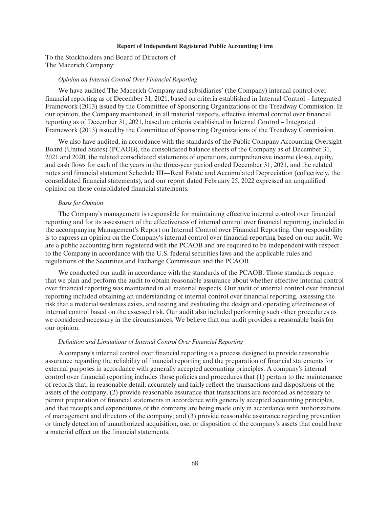## **Report of Independent Registered Public Accounting Firm**

To the Stockholders and Board of Directors of The Macerich Company:

### *Opinion on Internal Control Over Financial Reporting*

We have audited The Macerich Company and subsidiaries' (the Company) internal control over financial reporting as of December 31, 2021, based on criteria established in Internal Control – Integrated Framework (2013) issued by the Committee of Sponsoring Organizations of the Treadway Commission. In our opinion, the Company maintained, in all material respects, effective internal control over financial reporting as of December 31, 2021, based on criteria established in Internal Control – Integrated Framework (2013) issued by the Committee of Sponsoring Organizations of the Treadway Commission.

We also have audited, in accordance with the standards of the Public Company Accounting Oversight Board (United States) (PCAOB), the consolidated balance sheets of the Company as of December 31, 2021 and 2020, the related consolidated statements of operations, comprehensive income (loss), equity, and cash flows for each of the years in the three-year period ended December 31, 2021, and the related notes and financial statement Schedule III—Real Estate and Accumulated Depreciation (collectively, the consolidated financial statements), and our report dated February 25, 2022 expressed an unqualified opinion on those consolidated financial statements.

#### *Basis for Opinion*

The Company's management is responsible for maintaining effective internal control over financial reporting and for its assessment of the effectiveness of internal control over financial reporting, included in the accompanying Management's Report on Internal Control over Financial Reporting. Our responsibility is to express an opinion on the Company's internal control over financial reporting based on our audit. We are a public accounting firm registered with the PCAOB and are required to be independent with respect to the Company in accordance with the U.S. federal securities laws and the applicable rules and regulations of the Securities and Exchange Commission and the PCAOB.

We conducted our audit in accordance with the standards of the PCAOB. Those standards require that we plan and perform the audit to obtain reasonable assurance about whether effective internal control over financial reporting was maintained in all material respects. Our audit of internal control over financial reporting included obtaining an understanding of internal control over financial reporting, assessing the risk that a material weakness exists, and testing and evaluating the design and operating effectiveness of internal control based on the assessed risk. Our audit also included performing such other procedures as we considered necessary in the circumstances. We believe that our audit provides a reasonable basis for our opinion.

## *Definition and Limitations of Internal Control Over Financial Reporting*

A company's internal control over financial reporting is a process designed to provide reasonable assurance regarding the reliability of financial reporting and the preparation of financial statements for external purposes in accordance with generally accepted accounting principles. A company's internal control over financial reporting includes those policies and procedures that (1) pertain to the maintenance of records that, in reasonable detail, accurately and fairly reflect the transactions and dispositions of the assets of the company; (2) provide reasonable assurance that transactions are recorded as necessary to permit preparation of financial statements in accordance with generally accepted accounting principles, and that receipts and expenditures of the company are being made only in accordance with authorizations of management and directors of the company; and (3) provide reasonable assurance regarding prevention or timely detection of unauthorized acquisition, use, or disposition of the company's assets that could have a material effect on the financial statements.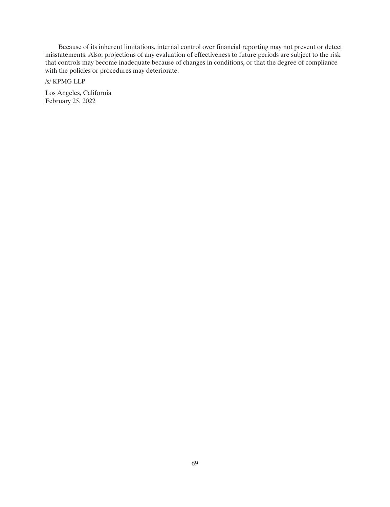Because of its inherent limitations, internal control over financial reporting may not prevent or detect misstatements. Also, projections of any evaluation of effectiveness to future periods are subject to the risk that controls may become inadequate because of changes in conditions, or that the degree of compliance with the policies or procedures may deteriorate.

/s/ KPMG LLP

Los Angeles, California February 25, 2022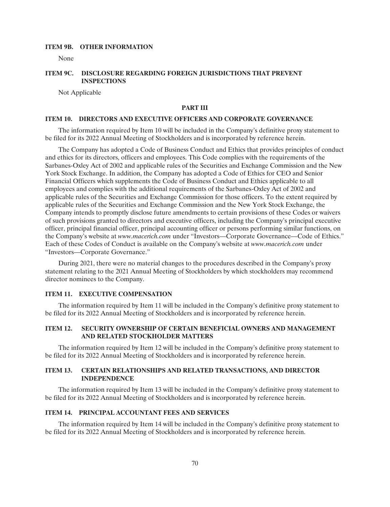## **ITEM 9B. OTHER INFORMATION**

None

## **ITEM 9C. DISCLOSURE REGARDING FOREIGN JURISDICTIONS THAT PREVENT INSPECTIONS**

Not Applicable

#### **PART III**

## **ITEM 10. DIRECTORS AND EXECUTIVE OFFICERS AND CORPORATE GOVERNANCE**

The information required by Item 10 will be included in the Company's definitive proxy statement to be filed for its 2022 Annual Meeting of Stockholders and is incorporated by reference herein.

The Company has adopted a Code of Business Conduct and Ethics that provides principles of conduct and ethics for its directors, officers and employees. This Code complies with the requirements of the Sarbanes-Oxley Act of 2002 and applicable rules of the Securities and Exchange Commission and the New York Stock Exchange. In addition, the Company has adopted a Code of Ethics for CEO and Senior Financial Officers which supplements the Code of Business Conduct and Ethics applicable to all employees and complies with the additional requirements of the Sarbanes-Oxley Act of 2002 and applicable rules of the Securities and Exchange Commission for those officers. To the extent required by applicable rules of the Securities and Exchange Commission and the New York Stock Exchange, the Company intends to promptly disclose future amendments to certain provisions of these Codes or waivers of such provisions granted to directors and executive officers, including the Company's principal executive officer, principal financial officer, principal accounting officer or persons performing similar functions, on the Company's website at *www.macerich.com* under "Investors—Corporate Governance—Code of Ethics." Each of these Codes of Conduct is available on the Company's website at *www.macerich.com* under "Investors—Corporate Governance."

During 2021, there were no material changes to the procedures described in the Company's proxy statement relating to the 2021 Annual Meeting of Stockholders by which stockholders may recommend director nominees to the Company.

## **ITEM 11. EXECUTIVE COMPENSATION**

The information required by Item 11 will be included in the Company's definitive proxy statement to be filed for its 2022 Annual Meeting of Stockholders and is incorporated by reference herein.

## **ITEM 12. SECURITY OWNERSHIP OF CERTAIN BENEFICIAL OWNERS AND MANAGEMENT AND RELATED STOCKHOLDER MATTERS**

The information required by Item 12 will be included in the Company's definitive proxy statement to be filed for its 2022 Annual Meeting of Stockholders and is incorporated by reference herein.

## **ITEM 13. CERTAIN RELATIONSHIPS AND RELATED TRANSACTIONS, AND DIRECTOR INDEPENDENCE**

The information required by Item 13 will be included in the Company's definitive proxy statement to be filed for its 2022 Annual Meeting of Stockholders and is incorporated by reference herein.

## **ITEM 14. PRINCIPAL ACCOUNTANT FEES AND SERVICES**

The information required by Item 14 will be included in the Company's definitive proxy statement to be filed for its 2022 Annual Meeting of Stockholders and is incorporated by reference herein.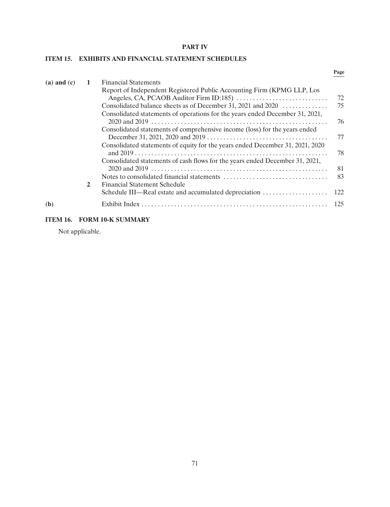# **PART IV**

**Page**

# **ITEM 15. EXHIBITS AND FINANCIAL STATEMENT SCHEDULES**

| $(a)$ and $(c)$ |              | <b>Financial Statements</b>                                                   |     |
|-----------------|--------------|-------------------------------------------------------------------------------|-----|
|                 |              | Report of Independent Registered Public Accounting Firm (KPMG LLP, Los        | 72  |
|                 |              | Consolidated balance sheets as of December 31, 2021 and 2020                  | 75  |
|                 |              | Consolidated statements of operations for the years ended December 31, 2021,  |     |
|                 |              |                                                                               | 76  |
|                 |              | Consolidated statements of comprehensive income (loss) for the years ended    | 77  |
|                 |              | Consolidated statements of equity for the years ended December 31, 2021, 2020 | 78  |
|                 |              | Consolidated statements of cash flows for the years ended December 31, 2021,  | 81  |
|                 |              |                                                                               | 83  |
|                 | $\mathbf{2}$ | <b>Financial Statement Schedule</b>                                           |     |
|                 |              |                                                                               |     |
| (b)             |              |                                                                               | 125 |
|                 |              |                                                                               |     |

# **ITEM 16. FORM 10-K SUMMARY**

Not applicable.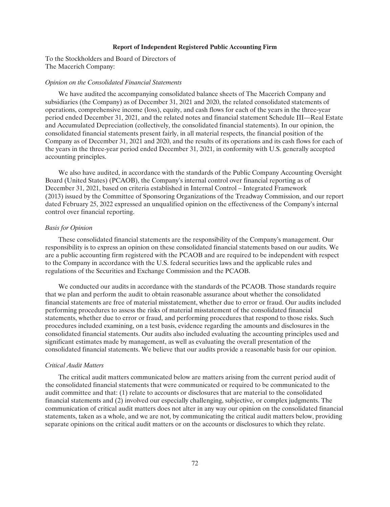#### **Report of Independent Registered Public Accounting Firm**

To the Stockholders and Board of Directors of The Macerich Company:

#### *Opinion on the Consolidated Financial Statements*

We have audited the accompanying consolidated balance sheets of The Macerich Company and subsidiaries (the Company) as of December 31, 2021 and 2020, the related consolidated statements of operations, comprehensive income (loss), equity, and cash flows for each of the years in the three-year period ended December 31, 2021, and the related notes and financial statement Schedule III—Real Estate and Accumulated Depreciation (collectively, the consolidated financial statements). In our opinion, the consolidated financial statements present fairly, in all material respects, the financial position of the Company as of December 31, 2021 and 2020, and the results of its operations and its cash flows for each of the years in the three-year period ended December 31, 2021, in conformity with U.S. generally accepted accounting principles.

We also have audited, in accordance with the standards of the Public Company Accounting Oversight Board (United States) (PCAOB), the Company's internal control over financial reporting as of December 31, 2021, based on criteria established in Internal Control – Integrated Framework (2013) issued by the Committee of Sponsoring Organizations of the Treadway Commission, and our report dated February 25, 2022 expressed an unqualified opinion on the effectiveness of the Company's internal control over financial reporting.

## *Basis for Opinion*

These consolidated financial statements are the responsibility of the Company's management. Our responsibility is to express an opinion on these consolidated financial statements based on our audits. We are a public accounting firm registered with the PCAOB and are required to be independent with respect to the Company in accordance with the U.S. federal securities laws and the applicable rules and regulations of the Securities and Exchange Commission and the PCAOB.

We conducted our audits in accordance with the standards of the PCAOB. Those standards require that we plan and perform the audit to obtain reasonable assurance about whether the consolidated financial statements are free of material misstatement, whether due to error or fraud. Our audits included performing procedures to assess the risks of material misstatement of the consolidated financial statements, whether due to error or fraud, and performing procedures that respond to those risks. Such procedures included examining, on a test basis, evidence regarding the amounts and disclosures in the consolidated financial statements. Our audits also included evaluating the accounting principles used and significant estimates made by management, as well as evaluating the overall presentation of the consolidated financial statements. We believe that our audits provide a reasonable basis for our opinion.

#### *Critical Audit Matters*

The critical audit matters communicated below are matters arising from the current period audit of the consolidated financial statements that were communicated or required to be communicated to the audit committee and that: (1) relate to accounts or disclosures that are material to the consolidated financial statements and (2) involved our especially challenging, subjective, or complex judgments. The communication of critical audit matters does not alter in any way our opinion on the consolidated financial statements, taken as a whole, and we are not, by communicating the critical audit matters below, providing separate opinions on the critical audit matters or on the accounts or disclosures to which they relate.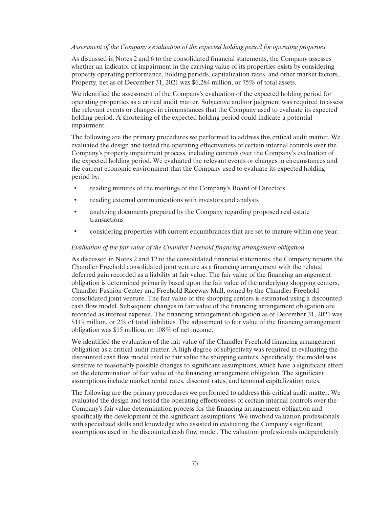## *Assessment of the Company's evaluation of the expected holding period for operating properties*

As discussed in Notes 2 and 6 to the consolidated financial statements, the Company assesses whether an indicator of impairment in the carrying value of its properties exists by considering property operating performance, holding periods, capitalization rates, and other market factors. Property, net as of December 31, 2021 was \$6,284 million, or 75% of total assets.

We identified the assessment of the Company's evaluation of the expected holding period for operating properties as a critical audit matter. Subjective auditor judgment was required to assess the relevant events or changes in circumstances that the Company used to evaluate its expected holding period. A shortening of the expected holding period could indicate a potential impairment.

The following are the primary procedures we performed to address this critical audit matter. We evaluated the design and tested the operating effectiveness of certain internal controls over the Company's property impairment process, including controls over the Company's evaluation of the expected holding period. We evaluated the relevant events or changes in circumstances and the current economic environment that the Company used to evaluate its expected holding period by:

- reading minutes of the meetings of the Company's Board of Directors
- reading external communications with investors and analysts
- analyzing documents prepared by the Company regarding proposed real estate transactions
- considering properties with current encumbrances that are set to mature within one year.

### *Evaluation of the fair value of the Chandler Freehold financing arrangement obligation*

As discussed in Notes 2 and 12 to the consolidated financial statements, the Company reports the Chandler Freehold consolidated joint venture as a financing arrangement with the related deferred gain recorded as a liability at fair value. The fair value of the financing arrangement obligation is determined primarily based upon the fair value of the underlying shopping centers, Chandler Fashion Center and Freehold Raceway Mall, owned by the Chandler Freehold consolidated joint venture. The fair value of the shopping centers is estimated using a discounted cash flow model. Subsequent changes in fair value of the financing arrangement obligation are recorded as interest expense. The financing arrangement obligation as of December 31, 2021 was \$119 million, or 2% of total liabilities. The adjustment to fair value of the financing arrangement obligation was \$15 million, or 108% of net income.

We identified the evaluation of the fair value of the Chandler Freehold financing arrangement obligation as a critical audit matter. A high degree of subjectivity was required in evaluating the discounted cash flow model used to fair value the shopping centers. Specifically, the model was sensitive to reasonably possible changes to significant assumptions, which have a significant effect on the determination of fair value of the financing arrangement obligation. The significant assumptions include market rental rates, discount rates, and terminal capitalization rates.

The following are the primary procedures we performed to address this critical audit matter. We evaluated the design and tested the operating effectiveness of certain internal controls over the Company's fair value determination process for the financing arrangement obligation and specifically the development of the significant assumptions. We involved valuation professionals with specialized skills and knowledge who assisted in evaluating the Company's significant assumptions used in the discounted cash flow model. The valuation professionals independently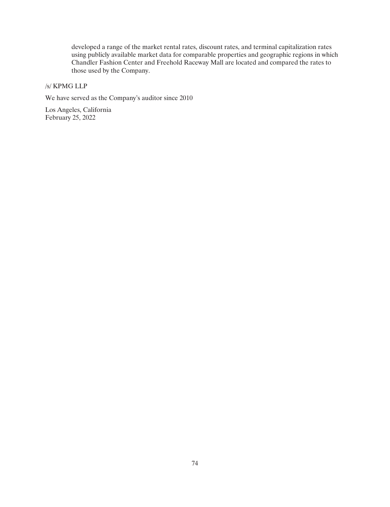developed a range of the market rental rates, discount rates, and terminal capitalization rates using publicly available market data for comparable properties and geographic regions in which Chandler Fashion Center and Freehold Raceway Mall are located and compared the rates to those used by the Company.

# /s/ KPMG LLP

We have served as the Company's auditor since 2010

Los Angeles, California February 25, 2022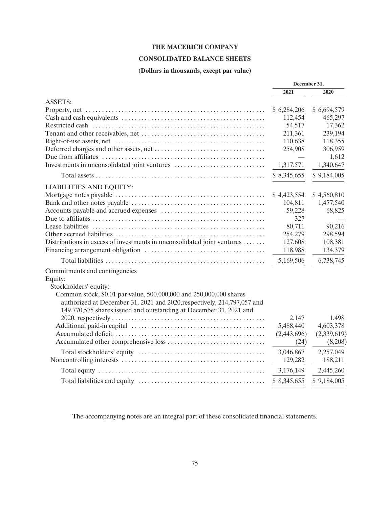## **CONSOLIDATED BALANCE SHEETS**

## **(Dollars in thousands, except par value)**

|                                                                           | December 31, |             |
|---------------------------------------------------------------------------|--------------|-------------|
|                                                                           | 2021         | 2020        |
| <b>ASSETS:</b>                                                            |              |             |
|                                                                           | \$6,284,206  | \$6,694,579 |
|                                                                           | 112,454      | 465,297     |
|                                                                           | 54,517       | 17,362      |
|                                                                           | 211,361      | 239,194     |
|                                                                           | 110,638      | 118,355     |
|                                                                           | 254,908      | 306,959     |
|                                                                           |              | 1,612       |
| Investments in unconsolidated joint ventures                              | 1,317,571    | 1,340,647   |
|                                                                           | \$8,345,655  | \$9,184,005 |
| <b>LIABILITIES AND EQUITY:</b>                                            |              |             |
|                                                                           | \$4,423,554  | \$4,560,810 |
|                                                                           | 104,811      | 1,477,540   |
|                                                                           | 59,228       | 68,825      |
|                                                                           | 327          |             |
|                                                                           | 80,711       | 90,216      |
|                                                                           | 254,279      | 298,594     |
| Distributions in excess of investments in unconsolidated joint ventures   | 127,608      | 108,381     |
|                                                                           | 118,988      | 134,379     |
|                                                                           | 5,169,506    | 6,738,745   |
| Commitments and contingencies                                             |              |             |
| Equity:                                                                   |              |             |
| Stockholders' equity:                                                     |              |             |
| Common stock, \$0.01 par value, 500,000,000 and 250,000,000 shares        |              |             |
| authorized at December 31, 2021 and 2020, respectively, 214, 797, 057 and |              |             |
| 149,770,575 shares issued and outstanding at December 31, 2021 and        |              |             |
|                                                                           | 2,147        | 1,498       |
|                                                                           | 5,488,440    | 4,603,378   |
|                                                                           | (2,443,696)  | (2,339,619) |
|                                                                           | (24)         | (8,208)     |
|                                                                           | 3,046,867    | 2,257,049   |
|                                                                           | 129,282      | 188,211     |
|                                                                           | 3,176,149    | 2,445,260   |
|                                                                           | \$8,345,655  | \$9,184,005 |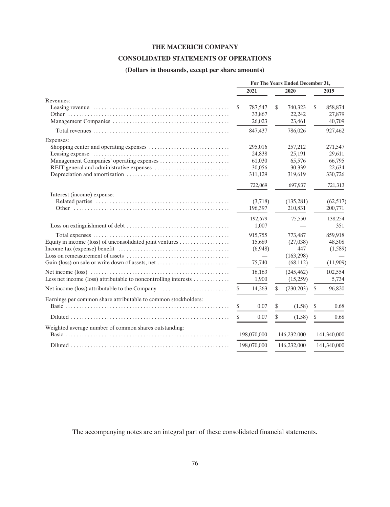# **CONSOLIDATED STATEMENTS OF OPERATIONS**

# **(Dollars in thousands, except per share amounts)**

|                                                                                        | For The Years Ended December 31, |             |    |             |    |             |
|----------------------------------------------------------------------------------------|----------------------------------|-------------|----|-------------|----|-------------|
|                                                                                        |                                  | 2021        |    | 2020        |    | 2019        |
| Revenues:                                                                              |                                  |             |    |             |    |             |
|                                                                                        | \$                               | 787,547     | \$ | 740,323     | \$ | 858,874     |
|                                                                                        |                                  | 33,867      |    | 22,242      |    | 27,879      |
|                                                                                        |                                  | 26,023      |    | 23,461      |    | 40,709      |
|                                                                                        |                                  | 847,437     |    | 786,026     |    | 927,462     |
| Expenses:                                                                              |                                  |             |    |             |    |             |
|                                                                                        |                                  | 295,016     |    | 257,212     |    | 271,547     |
|                                                                                        |                                  | 24,838      |    | 25,191      |    | 29,611      |
|                                                                                        |                                  | 61,030      |    | 65,576      |    | 66,795      |
|                                                                                        |                                  | 30,056      |    | 30,339      |    | 22,634      |
|                                                                                        |                                  | 311,129     |    | 319,619     |    | 330,726     |
|                                                                                        |                                  | 722,069     |    | 697,937     |    | 721,313     |
| Interest (income) expense:                                                             |                                  |             |    |             |    |             |
|                                                                                        |                                  | (3,718)     |    | (135, 281)  |    | (62, 517)   |
|                                                                                        |                                  | 196,397     |    | 210,831     |    | 200,771     |
|                                                                                        |                                  | 192,679     |    | 75,550      |    | 138,254     |
|                                                                                        |                                  | 1,007       |    |             |    | 351         |
|                                                                                        |                                  | 915,755     |    | 773,487     |    | 859,918     |
|                                                                                        |                                  | 15,689      |    | (27,038)    |    | 48,508      |
|                                                                                        |                                  | (6,948)     |    | 447         |    | (1,589)     |
|                                                                                        |                                  |             |    | (163, 298)  |    |             |
| Gain (loss) on sale or write down of assets, net                                       |                                  | 75,740      |    | (68, 112)   |    | (11,909)    |
|                                                                                        |                                  | 16,163      |    | (245, 462)  |    | 102,554     |
| Less net income (loss) attributable to noncontrolling interests $\dots\dots\dots\dots$ |                                  | 1,900       |    | (15,259)    |    | 5,734       |
| Net income (loss) attributable to the Company                                          | \$                               | 14,263      | \$ | (230,203)   | \$ | 96,820      |
| Earnings per common share attributable to common stockholders:                         |                                  |             |    |             |    |             |
|                                                                                        | \$                               | 0.07        | \$ | (1.58)      | \$ | 0.68        |
|                                                                                        | \$                               | 0.07        | \$ | (1.58)      | \$ | 0.68        |
| Weighted average number of common shares outstanding:                                  |                                  |             |    |             |    |             |
|                                                                                        |                                  | 198,070,000 |    | 146,232,000 |    | 141,340,000 |
|                                                                                        |                                  | 198,070,000 |    | 146,232,000 |    | 141,340,000 |
|                                                                                        |                                  |             |    |             |    |             |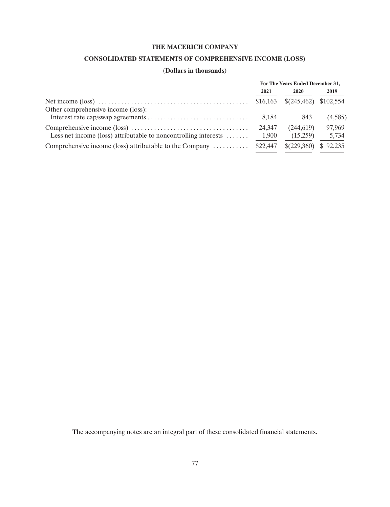# **CONSOLIDATED STATEMENTS OF COMPREHENSIVE INCOME (LOSS)**

# **(Dollars in thousands)**

|                                                                              | For The Years Ended December 31, |                                   |                 |
|------------------------------------------------------------------------------|----------------------------------|-----------------------------------|-----------------|
|                                                                              | 2021                             | 2020                              | 2019            |
|                                                                              |                                  | $$16,163$ $$(245,462)$ $$102,554$ |                 |
| Other comprehensive income (loss):                                           | 8,184                            | 843                               | (4,585)         |
| Less net income (loss) attributable to noncontrolling interests $\dots\dots$ | 24,347<br>1,900                  | (244, 619)<br>(15,259)            | 97,969<br>5,734 |
| Comprehensive income (loss) attributable to the Company                      | \$22,447                         | \$(229,360)                       | 92,235          |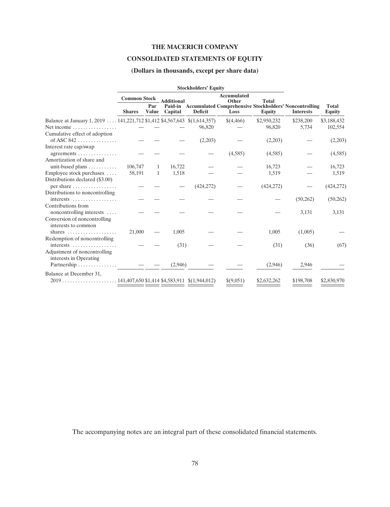# **CONSOLIDATED STATEMENTS OF EQUITY**

# **(Dollars in thousands, except per share data)**

|                                                                                   | <b>Common Stock</b><br><b>Shares</b> | Par<br><b>Value</b> | <b>Additional</b><br>Capital | <b>Deficit</b> | <b>Accumulated</b><br>Other<br>Paid-in Accumulated Comprehensive Stockholders' Noncontrolling<br>Loss | <b>Total</b><br><b>Equity</b> | <b>Interests</b> | <b>Total</b><br><b>Equity</b> |
|-----------------------------------------------------------------------------------|--------------------------------------|---------------------|------------------------------|----------------|-------------------------------------------------------------------------------------------------------|-------------------------------|------------------|-------------------------------|
| Balance at January 1, 2019  141, 221, 712 \$1, 412 \$4, 567, 643 \$ (1, 614, 357) |                                      |                     |                              |                | \$(4,466)                                                                                             | \$2,950,232                   | \$238,200        | \$3,188,432                   |
| Net income                                                                        |                                      |                     |                              | 96,820         |                                                                                                       | 96,820                        | 5,734            | 102,554                       |
| Cumulative effect of adoption                                                     |                                      |                     |                              |                |                                                                                                       |                               |                  |                               |
| of ASC $842$                                                                      |                                      |                     |                              | (2,203)        |                                                                                                       | (2,203)                       |                  | (2,203)                       |
| Interest rate cap/swap                                                            |                                      |                     |                              |                |                                                                                                       |                               |                  |                               |
| agreements                                                                        |                                      |                     |                              |                | (4,585)                                                                                               | (4,585)                       |                  | (4,585)                       |
| Amortization of share and                                                         |                                      |                     |                              |                |                                                                                                       |                               |                  |                               |
| unit-based plans $\dots\dots\dots\dots$                                           | 106,747                              | 1                   | 16,722                       |                |                                                                                                       | 16,723                        |                  | 16,723                        |
| Employee stock purchases                                                          | 58,191                               | 1                   | 1,518                        |                |                                                                                                       | 1,519                         |                  | 1,519                         |
| Distributions declared (\$3.00)<br>per share $\dots\dots\dots\dots\dots\dots$     |                                      |                     |                              | (424, 272)     |                                                                                                       | (424, 272)                    |                  | (424, 272)                    |
| Distributions to noncontrolling                                                   |                                      |                     |                              |                |                                                                                                       |                               |                  |                               |
| interests                                                                         |                                      |                     |                              |                |                                                                                                       |                               | (50,262)         | (50, 262)                     |
| Contributions from                                                                |                                      |                     |                              |                |                                                                                                       |                               |                  |                               |
| noncontrolling interests                                                          |                                      |                     |                              |                |                                                                                                       |                               | 3,131            | 3,131                         |
| Conversion of noncontrolling<br>interests to common                               |                                      |                     |                              |                |                                                                                                       |                               |                  |                               |
| shares $\ldots \ldots \ldots \ldots \ldots$                                       | 21,000                               |                     | 1.005                        |                |                                                                                                       | 1,005                         | (1,005)          |                               |
| Redemption of noncontrolling                                                      |                                      |                     |                              |                |                                                                                                       |                               |                  |                               |
| interests $\ldots \ldots \ldots \ldots$                                           |                                      |                     | (31)                         |                |                                                                                                       | (31)                          | (36)             | (67)                          |
| Adjustment of noncontrolling<br>interests in Operating                            |                                      |                     |                              |                |                                                                                                       |                               |                  |                               |
| Partnership                                                                       |                                      |                     | (2,946)                      |                |                                                                                                       | (2,946)                       | 2,946            |                               |
| Balance at December 31,                                                           |                                      |                     |                              |                |                                                                                                       |                               |                  |                               |
|                                                                                   |                                      |                     |                              |                | \$(9,051)                                                                                             | \$2,632,262                   | \$198,708        | \$2,830,970                   |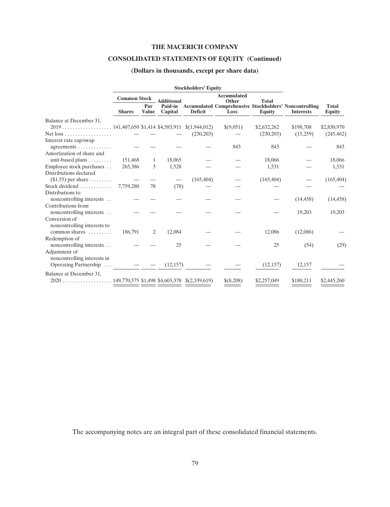# **CONSOLIDATED STATEMENTS OF EQUITY (Continued)**

# **(Dollars in thousands, except per share data)**

| <b>Accumulated</b>                                                                                                                                                                                                                                                     |                               |
|------------------------------------------------------------------------------------------------------------------------------------------------------------------------------------------------------------------------------------------------------------------------|-------------------------------|
| <b>Common Stock</b><br><b>Additional</b><br>Other<br><b>Total</b><br><b>Accumulated Comprehensive Stockholders' Noncontrolling</b><br><b>Paid-in</b><br>Par<br><b>Value</b><br><b>Deficit</b><br><b>Shares</b><br>Capital<br>Loss<br><b>Equity</b><br><b>Interests</b> | <b>Total</b><br><b>Equity</b> |
| Balance at December 31,                                                                                                                                                                                                                                                |                               |
| \$(9,051)<br>\$198,708<br>\$2,632,262                                                                                                                                                                                                                                  | \$2,830,970                   |
| (230,203)<br>(15,259)<br>(230, 203)                                                                                                                                                                                                                                    | (245, 462)                    |
| Interest rate cap/swap                                                                                                                                                                                                                                                 |                               |
| 843<br>843<br>agreements $\dots\dots\dots\dots\dots$                                                                                                                                                                                                                   | 843                           |
| Amortization of share and                                                                                                                                                                                                                                              |                               |
| unit-based plans $\dots\dots\dots$<br>151,468<br>18,065<br>18,066<br>1                                                                                                                                                                                                 | 18,066                        |
| Employee stock purchases<br>265,386<br>3<br>1,528<br>1,531                                                                                                                                                                                                             | 1,531                         |
| Distributions declared                                                                                                                                                                                                                                                 |                               |
| $($1.55)$ per share $\dots\dots$<br>(165, 404)<br>(165, 404)                                                                                                                                                                                                           | (165, 404)                    |
| 7,759,280<br>78<br>Stock dividend<br>(78)                                                                                                                                                                                                                              |                               |
| Distributions to                                                                                                                                                                                                                                                       |                               |
| noncontrolling interests<br>(14, 458)                                                                                                                                                                                                                                  | (14, 458)                     |
| Contributions from                                                                                                                                                                                                                                                     |                               |
| noncontrolling interests<br>19,203                                                                                                                                                                                                                                     | 19,203                        |
| Conversion of                                                                                                                                                                                                                                                          |                               |
| noncontrolling interests to                                                                                                                                                                                                                                            |                               |
| common shares $\dots\dots\dots$<br>186,791<br>12,084<br>12,086<br>(12,086)<br>2                                                                                                                                                                                        |                               |
| Redemption of                                                                                                                                                                                                                                                          |                               |
| 25<br>noncontrolling interests<br>25<br>(54)                                                                                                                                                                                                                           | (29)                          |
| Adjustment of                                                                                                                                                                                                                                                          |                               |
| noncontrolling interests in                                                                                                                                                                                                                                            |                               |
| Operating Partnership<br>(12, 157)<br>(12, 157)<br>12,157                                                                                                                                                                                                              |                               |
| Balance at December 31,                                                                                                                                                                                                                                                |                               |
| \$(8,208)<br>\$188,211<br>\$2,257,049                                                                                                                                                                                                                                  | \$2,445,260                   |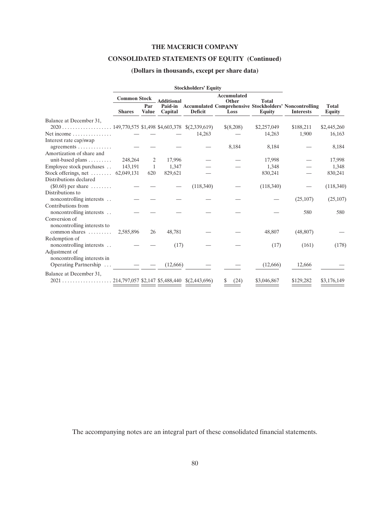# **CONSOLIDATED STATEMENTS OF EQUITY (Continued)**

# **(Dollars in thousands, except per share data)**

|                                               | <b>Stockholders' Equity</b>          |                     |                                         |                |                                                                                                      |                               |                  |                               |
|-----------------------------------------------|--------------------------------------|---------------------|-----------------------------------------|----------------|------------------------------------------------------------------------------------------------------|-------------------------------|------------------|-------------------------------|
|                                               | <b>Common Stock</b><br><b>Shares</b> | Par<br><b>Value</b> | <b>Additional</b><br>Paid-in<br>Capital | <b>Deficit</b> | <b>Accumulated</b><br>Other<br><b>Accumulated Comprehensive Stockholders' Noncontrolling</b><br>Loss | <b>Total</b><br><b>Equity</b> | <b>Interests</b> | <b>Total</b><br><b>Equity</b> |
| Balance at December 31,                       |                                      |                     |                                         |                |                                                                                                      |                               |                  |                               |
|                                               |                                      |                     |                                         |                | \$(8,208)                                                                                            | \$2,257,049                   | \$188,211        | \$2,445,260                   |
| Net income $\dots\dots\dots\dots\dots$        |                                      |                     |                                         | 14,263         |                                                                                                      | 14,263                        | 1,900            | 16,163                        |
| Interest rate cap/swap                        |                                      |                     |                                         |                |                                                                                                      |                               |                  |                               |
| $agreements \ldots \ldots \ldots \ldots$      |                                      |                     |                                         |                | 8,184                                                                                                | 8,184                         |                  | 8,184                         |
| Amortization of share and                     |                                      |                     |                                         |                |                                                                                                      |                               |                  |                               |
| unit-based plans $\dots \dots$                | 248,264                              | 2                   | 17,996                                  |                |                                                                                                      | 17,998                        |                  | 17,998                        |
| Employee stock purchases                      | 143,191                              | 1                   | 1,347                                   |                |                                                                                                      | 1,348                         |                  | 1,348                         |
| Stock offerings, net $\dots \dots$ 62,049,131 |                                      | 620                 | 829,621                                 |                |                                                                                                      | 830,241                       |                  | 830,241                       |
| Distributions declared                        |                                      |                     |                                         |                |                                                                                                      |                               |                  |                               |
| $(\$0.60)$ per share                          |                                      |                     |                                         | (118,340)      |                                                                                                      | (118,340)                     |                  | (118,340)                     |
| Distributions to                              |                                      |                     |                                         |                |                                                                                                      |                               |                  |                               |
| noncontrolling interests                      |                                      |                     |                                         |                |                                                                                                      |                               | (25, 107)        | (25,107)                      |
| Contributions from                            |                                      |                     |                                         |                |                                                                                                      |                               |                  |                               |
| noncontrolling interests                      |                                      |                     |                                         |                |                                                                                                      |                               | 580              | 580                           |
| Conversion of                                 |                                      |                     |                                         |                |                                                                                                      |                               |                  |                               |
| noncontrolling interests to                   |                                      |                     |                                         |                |                                                                                                      |                               |                  |                               |
| common shares                                 | 2,585,896                            | 26                  | 48.781                                  |                |                                                                                                      | 48,807                        | (48, 807)        |                               |
| Redemption of                                 |                                      |                     |                                         |                |                                                                                                      |                               |                  |                               |
| noncontrolling interests                      |                                      |                     | (17)                                    |                |                                                                                                      | (17)                          | (161)            | (178)                         |
| Adjustment of                                 |                                      |                     |                                         |                |                                                                                                      |                               |                  |                               |
| noncontrolling interests in                   |                                      |                     |                                         |                |                                                                                                      |                               |                  |                               |
| Operating Partnership                         |                                      |                     | (12,666)                                |                |                                                                                                      | (12,666)                      | 12,666           |                               |
| Balance at December 31,                       |                                      |                     |                                         |                |                                                                                                      |                               |                  |                               |
|                                               |                                      |                     |                                         |                | (24)                                                                                                 | \$3,046,867                   | \$129,282        | \$3,176,149                   |
|                                               |                                      |                     |                                         |                |                                                                                                      |                               |                  |                               |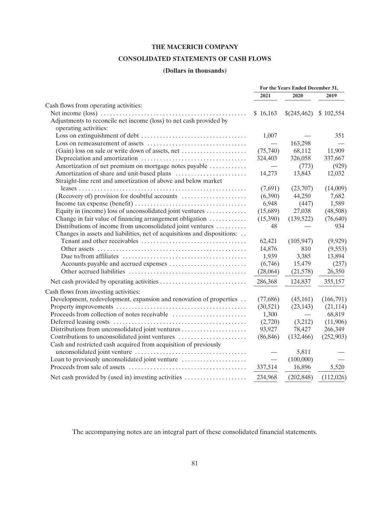# **CONSOLIDATED STATEMENTS OF CASH FLOWS**

# **(Dollars in thousands)**

|                                                                          |                          | For the Years Ended December 31, |           |
|--------------------------------------------------------------------------|--------------------------|----------------------------------|-----------|
|                                                                          | 2021                     | 2020                             | 2019      |
| Cash flows from operating activities:                                    |                          |                                  |           |
|                                                                          | \$16,163                 | \$(245,462)                      | \$102,554 |
| Adjustments to reconcile net income (loss) to net cash provided by       |                          |                                  |           |
| operating activities:                                                    |                          |                                  |           |
|                                                                          | 1,007                    |                                  | 351       |
|                                                                          |                          | 163,298                          |           |
|                                                                          | (75,740)                 | 68,112                           | 11,909    |
|                                                                          | 324,403                  | 326,058                          | 337,667   |
| Amortization of net premium on mortgage notes payable                    |                          | (773)                            | (929)     |
|                                                                          | 14,273                   | 13,843                           | 12,032    |
| Straight-line rent and amortization of above and below market            |                          |                                  |           |
|                                                                          | (7,691)                  | (23,707)                         | (14,009)  |
|                                                                          | (6,390)                  | 44,250                           | 7,682     |
|                                                                          | 6,948                    | (447)                            | 1,589     |
| Equity in (income) loss of unconsolidated joint ventures                 | (15,689)                 | 27,038                           | (48,508)  |
| Change in fair value of financing arrangement obligation                 | (15,390)                 | (139, 522)                       | (76, 640) |
| Distributions of income from unconsolidated joint ventures               | 48                       |                                  | 934       |
| Changes in assets and liabilities, net of acquisitions and dispositions: |                          |                                  |           |
|                                                                          | 62,421                   | (105, 947)                       | (9,929)   |
|                                                                          | 14,876                   | 810                              | (9, 553)  |
|                                                                          | 1,939                    | 3,385                            | 13,894    |
|                                                                          | (6,746)                  | 15,479                           | (237)     |
|                                                                          | (28,064)                 | (21,578)                         | 26,350    |
|                                                                          | 286,368                  | 124,837                          | 355,157   |
| Cash flows from investing activities:                                    |                          |                                  |           |
| Development, redevelopment, expansion and renovation of properties       | (77,686)                 | (45,161)                         | (166,791) |
|                                                                          | (30,521)                 | (23, 143)                        | (21, 114) |
|                                                                          | 1,300                    | $\hspace{0.05cm}$                | 68,819    |
|                                                                          | (2,720)                  | (3,212)                          | (11,906)  |
|                                                                          | 93,927                   | 78,427                           | 266,349   |
| Contributions to unconsolidated joint ventures                           | (86, 846)                | (132, 466)                       | (252,903) |
| Cash and restricted cash acquired from acquisition of previously         |                          |                                  |           |
|                                                                          |                          | 5,811                            |           |
| Loan to previously unconsolidated joint venture                          | $\overline{\phantom{m}}$ | (100,000)                        |           |
|                                                                          | 337,514                  | 16,896                           | 5,520     |
| Net cash provided by (used in) investing activities                      | 234,968                  | (202, 848)                       | (112,026) |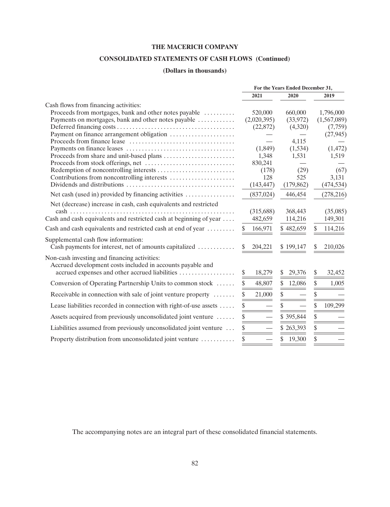# **CONSOLIDATED STATEMENTS OF CASH FLOWS (Continued)**

# **(Dollars in thousands)**

|                                                                    | For the Years Ended December 31, |              |               |
|--------------------------------------------------------------------|----------------------------------|--------------|---------------|
|                                                                    | 2021                             | 2020         | 2019          |
| Cash flows from financing activities:                              |                                  |              |               |
| Proceeds from mortgages, bank and other notes payable              | 520,000                          | 660,000      | 1,796,000     |
| Payments on mortgages, bank and other notes payable                | (2,020,395)                      | (33,972)     | (1,567,089)   |
|                                                                    | (22, 872)                        | (4,320)      | (7,759)       |
| Payment on finance arrangement obligation                          |                                  |              | (27, 945)     |
|                                                                    |                                  | 4,115        |               |
|                                                                    | (1,849)                          | (1,534)      | (1, 472)      |
|                                                                    | 1,348                            | 1,531        | 1,519         |
|                                                                    | 830,241                          |              |               |
|                                                                    | (178)                            | (29)         | (67)          |
|                                                                    | 128                              | 525          | 3,131         |
|                                                                    | (143, 447)                       | (179, 862)   | (474, 534)    |
| Net cash (used in) provided by financing activities                | (837, 024)                       | 446,454      | (278, 216)    |
| Net (decrease) increase in cash, cash equivalents and restricted   |                                  |              |               |
|                                                                    | (315,688)                        | 368,443      | (35,085)      |
| Cash and cash equivalents and restricted cash at beginning of year | 482,659                          | 114,216      | 149,301       |
| Cash and cash equivalents and restricted cash at end of year       | 166,971                          | \$482,659    | 114,216<br>\$ |
| Supplemental cash flow information:                                |                                  |              |               |
| Cash payments for interest, net of amounts capitalized             | 204,221<br>\$                    | \$199,147    | 210,026<br>S  |
| Non-cash investing and financing activities:                       |                                  |              |               |
| Accrued development costs included in accounts payable and         |                                  |              |               |
| accrued expenses and other accrued liabilities                     | 18,279<br>S                      | 29,376<br>\$ | 32,452<br>S   |
| Conversion of Operating Partnership Units to common stock          | \$<br>48,807                     | \$<br>12,086 | \$<br>1,005   |
| Receivable in connection with sale of joint venture property       | \$<br>21,000                     | \$           | \$            |
| Lease liabilities recorded in connection with right-of-use assets  | \$                               | \$           | \$<br>109,299 |
| Assets acquired from previously unconsolidated joint venture       | \$                               | \$395,844    | \$            |
| Liabilities assumed from previously unconsolidated joint venture   | \$                               | \$263,393    | \$            |
| Property distribution from unconsolidated joint venture            | \$                               | \$<br>19,300 | \$            |
|                                                                    |                                  |              |               |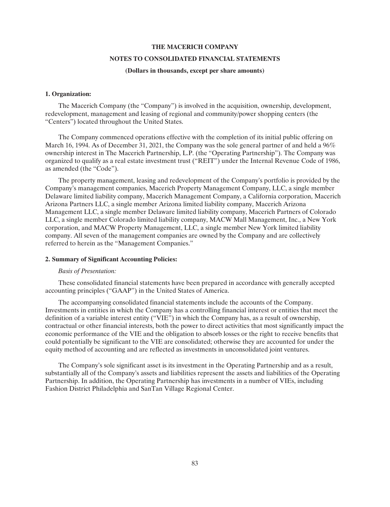## **NOTES TO CONSOLIDATED FINANCIAL STATEMENTS**

#### **(Dollars in thousands, except per share amounts)**

#### **1. Organization:**

The Macerich Company (the "Company") is involved in the acquisition, ownership, development, redevelopment, management and leasing of regional and community/power shopping centers (the "Centers") located throughout the United States.

The Company commenced operations effective with the completion of its initial public offering on March 16, 1994. As of December 31, 2021, the Company was the sole general partner of and held a 96% ownership interest in The Macerich Partnership, L.P. (the "Operating Partnership"). The Company was organized to qualify as a real estate investment trust ("REIT") under the Internal Revenue Code of 1986, as amended (the "Code").

The property management, leasing and redevelopment of the Company's portfolio is provided by the Company's management companies, Macerich Property Management Company, LLC, a single member Delaware limited liability company, Macerich Management Company, a California corporation, Macerich Arizona Partners LLC, a single member Arizona limited liability company, Macerich Arizona Management LLC, a single member Delaware limited liability company, Macerich Partners of Colorado LLC, a single member Colorado limited liability company, MACW Mall Management, Inc., a New York corporation, and MACW Property Management, LLC, a single member New York limited liability company. All seven of the management companies are owned by the Company and are collectively referred to herein as the "Management Companies."

### **2. Summary of Significant Accounting Policies:**

#### *Basis of Presentation:*

These consolidated financial statements have been prepared in accordance with generally accepted accounting principles ("GAAP") in the United States of America.

The accompanying consolidated financial statements include the accounts of the Company. Investments in entities in which the Company has a controlling financial interest or entities that meet the definition of a variable interest entity (" $\hat{VIE}$ ") in which the Company has, as a result of ownership, contractual or other financial interests, both the power to direct activities that most significantly impact the economic performance of the VIE and the obligation to absorb losses or the right to receive benefits that could potentially be significant to the VIE are consolidated; otherwise they are accounted for under the equity method of accounting and are reflected as investments in unconsolidated joint ventures.

The Company's sole significant asset is its investment in the Operating Partnership and as a result, substantially all of the Company's assets and liabilities represent the assets and liabilities of the Operating Partnership. In addition, the Operating Partnership has investments in a number of VIEs, including Fashion District Philadelphia and SanTan Village Regional Center.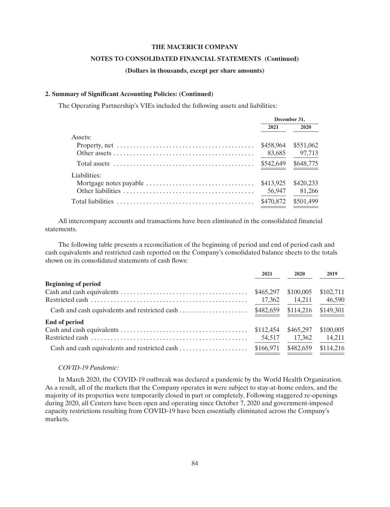## **NOTES TO CONSOLIDATED FINANCIAL STATEMENTS (Continued)**

## **(Dollars in thousands, except per share amounts)**

## **2. Summary of Significant Accounting Policies: (Continued)**

The Operating Partnership's VIEs included the following assets and liabilities:

|           | December 31. |
|-----------|--------------|
| 2021      | 2020         |
|           |              |
| \$458,964 | \$551,062    |
| 83,685    | 97,713       |
| \$542,649 | \$648,775    |
|           |              |
|           | \$420,233    |
| 56,947    | 81,266       |
| \$470,872 | \$501,499    |
|           |              |

All intercompany accounts and transactions have been eliminated in the consolidated financial statements.

The following table presents a reconciliation of the beginning of period and end of period cash and cash equivalents and restricted cash reported on the Company's consolidated balance sheets to the totals shown on its consolidated statements of cash flows:

|                                               | 2021      | 2020      | 2019      |
|-----------------------------------------------|-----------|-----------|-----------|
| <b>Beginning of period</b>                    |           |           |           |
|                                               | \$465,297 | \$100,005 | \$102,711 |
|                                               | 17,362    | 14,211    | 46,590    |
| Cash and cash equivalents and restricted cash | \$482,659 | \$114,216 | \$149,301 |
| End of period                                 |           |           |           |
|                                               | \$112,454 | \$465,297 | \$100,005 |
|                                               | 54,517    | 17,362    | 14,211    |
|                                               | \$166,971 | \$482,659 | \$114,216 |

#### *COVID-19 Pandemic:*

In March 2020, the COVID-19 outbreak was declared a pandemic by the World Health Organization. As a result, all of the markets that the Company operates in were subject to stay-at-home orders, and the majority of its properties were temporarily closed in part or completely. Following staggered re-openings during 2020, all Centers have been open and operating since October 7, 2020 and government-imposed capacity restrictions resulting from COVID-19 have been essentially eliminated across the Company's markets.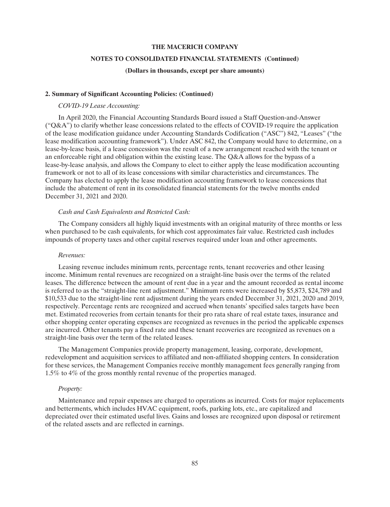## **NOTES TO CONSOLIDATED FINANCIAL STATEMENTS (Continued)**

#### **(Dollars in thousands, except per share amounts)**

## **2. Summary of Significant Accounting Policies: (Continued)**

# *COVID-19 Lease Accounting:*

In April 2020, the Financial Accounting Standards Board issued a Staff Question-and-Answer (" $Q&A$ ") to clarify whether lease concessions related to the effects of COVID-19 require the application of the lease modification guidance under Accounting Standards Codification ("ASC") 842, "Leases" ("the lease modification accounting framework"). Under ASC 842, the Company would have to determine, on a lease-by-lease basis, if a lease concession was the result of a new arrangement reached with the tenant or an enforceable right and obligation within the existing lease. The Q&A allows for the bypass of a lease-by-lease analysis, and allows the Company to elect to either apply the lease modification accounting framework or not to all of its lease concessions with similar characteristics and circumstances. The Company has elected to apply the lease modification accounting framework to lease concessions that include the abatement of rent in its consolidated financial statements for the twelve months ended December 31, 2021 and 2020.

## *Cash and Cash Equivalents and Restricted Cash:*

The Company considers all highly liquid investments with an original maturity of three months or less when purchased to be cash equivalents, for which cost approximates fair value. Restricted cash includes impounds of property taxes and other capital reserves required under loan and other agreements.

#### *Revenues:*

Leasing revenue includes minimum rents, percentage rents, tenant recoveries and other leasing income. Minimum rental revenues are recognized on a straight-line basis over the terms of the related leases. The difference between the amount of rent due in a year and the amount recorded as rental income is referred to as the "straight-line rent adjustment." Minimum rents were increased by \$5,873, \$24,789 and \$10,533 due to the straight-line rent adjustment during the years ended December 31, 2021, 2020 and 2019, respectively. Percentage rents are recognized and accrued when tenants' specified sales targets have been met. Estimated recoveries from certain tenants for their pro rata share of real estate taxes, insurance and other shopping center operating expenses are recognized as revenues in the period the applicable expenses are incurred. Other tenants pay a fixed rate and these tenant recoveries are recognized as revenues on a straight-line basis over the term of the related leases.

The Management Companies provide property management, leasing, corporate, development, redevelopment and acquisition services to affiliated and non-affiliated shopping centers. In consideration for these services, the Management Companies receive monthly management fees generally ranging from 1.5% to 4% of the gross monthly rental revenue of the properties managed.

#### *Property:*

Maintenance and repair expenses are charged to operations as incurred. Costs for major replacements and betterments, which includes HVAC equipment, roofs, parking lots, etc., are capitalized and depreciated over their estimated useful lives. Gains and losses are recognized upon disposal or retirement of the related assets and are reflected in earnings.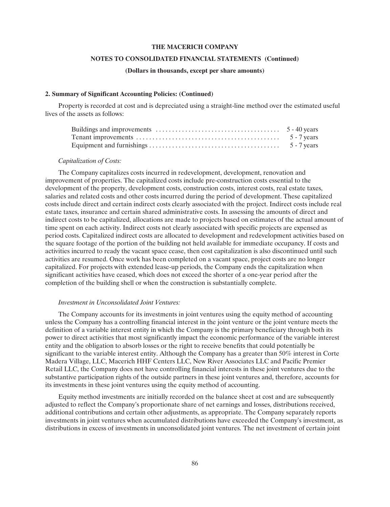#### **NOTES TO CONSOLIDATED FINANCIAL STATEMENTS (Continued)**

#### **(Dollars in thousands, except per share amounts)**

## **2. Summary of Significant Accounting Policies: (Continued)**

Property is recorded at cost and is depreciated using a straight-line method over the estimated useful lives of the assets as follows:

| Buildings and improvements $\dots \dots \dots \dots \dots \dots \dots \dots \dots \dots$ 5 - 40 years |  |
|-------------------------------------------------------------------------------------------------------|--|
|                                                                                                       |  |
|                                                                                                       |  |

### *Capitalization of Costs:*

The Company capitalizes costs incurred in redevelopment, development, renovation and improvement of properties. The capitalized costs include pre-construction costs essential to the development of the property, development costs, construction costs, interest costs, real estate taxes, salaries and related costs and other costs incurred during the period of development. These capitalized costs include direct and certain indirect costs clearly associated with the project. Indirect costs include real estate taxes, insurance and certain shared administrative costs. In assessing the amounts of direct and indirect costs to be capitalized, allocations are made to projects based on estimates of the actual amount of time spent on each activity. Indirect costs not clearly associated with specific projects are expensed as period costs. Capitalized indirect costs are allocated to development and redevelopment activities based on the square footage of the portion of the building not held available for immediate occupancy. If costs and activities incurred to ready the vacant space cease, then cost capitalization is also discontinued until such activities are resumed. Once work has been completed on a vacant space, project costs are no longer capitalized. For projects with extended lease-up periods, the Company ends the capitalization when significant activities have ceased, which does not exceed the shorter of a one-year period after the completion of the building shell or when the construction is substantially complete.

#### *Investment in Unconsolidated Joint Ventures:*

The Company accounts for its investments in joint ventures using the equity method of accounting unless the Company has a controlling financial interest in the joint venture or the joint venture meets the definition of a variable interest entity in which the Company is the primary beneficiary through both its power to direct activities that most significantly impact the economic performance of the variable interest entity and the obligation to absorb losses or the right to receive benefits that could potentially be significant to the variable interest entity. Although the Company has a greater than 50% interest in Corte Madera Village, LLC, Macerich HHF Centers LLC, New River Associates LLC and Pacific Premier Retail LLC, the Company does not have controlling financial interests in these joint ventures due to the substantive participation rights of the outside partners in these joint ventures and, therefore, accounts for its investments in these joint ventures using the equity method of accounting.

Equity method investments are initially recorded on the balance sheet at cost and are subsequently adjusted to reflect the Company's proportionate share of net earnings and losses, distributions received, additional contributions and certain other adjustments, as appropriate. The Company separately reports investments in joint ventures when accumulated distributions have exceeded the Company's investment, as distributions in excess of investments in unconsolidated joint ventures. The net investment of certain joint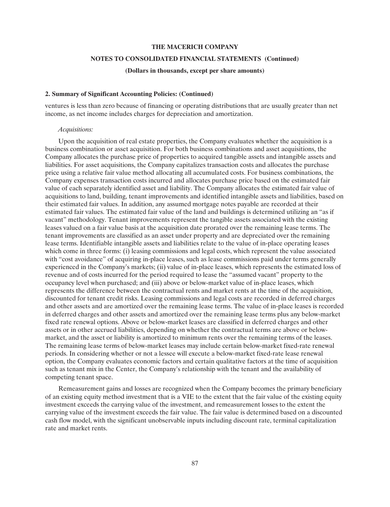#### **NOTES TO CONSOLIDATED FINANCIAL STATEMENTS (Continued)**

## **(Dollars in thousands, except per share amounts)**

## **2. Summary of Significant Accounting Policies: (Continued)**

ventures is less than zero because of financing or operating distributions that are usually greater than net income, as net income includes charges for depreciation and amortization.

#### *Acquisitions:*

Upon the acquisition of real estate properties, the Company evaluates whether the acquisition is a business combination or asset acquisition. For both business combinations and asset acquisitions, the Company allocates the purchase price of properties to acquired tangible assets and intangible assets and liabilities. For asset acquisitions, the Company capitalizes transaction costs and allocates the purchase price using a relative fair value method allocating all accumulated costs. For business combinations, the Company expenses transaction costs incurred and allocates purchase price based on the estimated fair value of each separately identified asset and liability. The Company allocates the estimated fair value of acquisitions to land, building, tenant improvements and identified intangible assets and liabilities, based on their estimated fair values. In addition, any assumed mortgage notes payable are recorded at their estimated fair values. The estimated fair value of the land and buildings is determined utilizing an "as if vacant" methodology. Tenant improvements represent the tangible assets associated with the existing leases valued on a fair value basis at the acquisition date prorated over the remaining lease terms. The tenant improvements are classified as an asset under property and are depreciated over the remaining lease terms. Identifiable intangible assets and liabilities relate to the value of in-place operating leases which come in three forms: (i) leasing commissions and legal costs, which represent the value associated with "cost avoidance" of acquiring in-place leases, such as lease commissions paid under terms generally experienced in the Company's markets; (ii) value of in-place leases, which represents the estimated loss of revenue and of costs incurred for the period required to lease the "assumed vacant" property to the occupancy level when purchased; and (iii) above or below-market value of in-place leases, which represents the difference between the contractual rents and market rents at the time of the acquisition, discounted for tenant credit risks. Leasing commissions and legal costs are recorded in deferred charges and other assets and are amortized over the remaining lease terms. The value of in-place leases is recorded in deferred charges and other assets and amortized over the remaining lease terms plus any below-market fixed rate renewal options. Above or below-market leases are classified in deferred charges and other assets or in other accrued liabilities, depending on whether the contractual terms are above or belowmarket, and the asset or liability is amortized to minimum rents over the remaining terms of the leases. The remaining lease terms of below-market leases may include certain below-market fixed-rate renewal periods. In considering whether or not a lessee will execute a below-market fixed-rate lease renewal option, the Company evaluates economic factors and certain qualitative factors at the time of acquisition such as tenant mix in the Center, the Company's relationship with the tenant and the availability of competing tenant space.

Remeasurement gains and losses are recognized when the Company becomes the primary beneficiary of an existing equity method investment that is a VIE to the extent that the fair value of the existing equity investment exceeds the carrying value of the investment, and remeasurement losses to the extent the carrying value of the investment exceeds the fair value. The fair value is determined based on a discounted cash flow model, with the significant unobservable inputs including discount rate, terminal capitalization rate and market rents.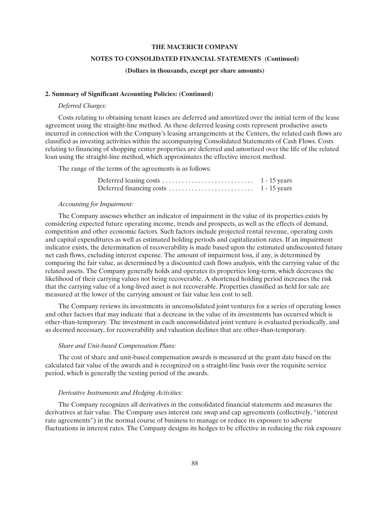#### **NOTES TO CONSOLIDATED FINANCIAL STATEMENTS (Continued)**

#### **(Dollars in thousands, except per share amounts)**

## **2. Summary of Significant Accounting Policies: (Continued)**

## *Deferred Charges:*

Costs relating to obtaining tenant leases are deferred and amortized over the initial term of the lease agreement using the straight-line method. As these deferred leasing costs represent productive assets incurred in connection with the Company's leasing arrangements at the Centers, the related cash flows are classified as investing activities within the accompanying Consolidated Statements of Cash Flows. Costs relating to financing of shopping center properties are deferred and amortized over the life of the related loan using the straight-line method, which approximates the effective interest method.

The range of the terms of the agreements is as follows:

#### *Accounting for Impairment:*

The Company assesses whether an indicator of impairment in the value of its properties exists by considering expected future operating income, trends and prospects, as well as the effects of demand, competition and other economic factors. Such factors include projected rental revenue, operating costs and capital expenditures as well as estimated holding periods and capitalization rates. If an impairment indicator exists, the determination of recoverability is made based upon the estimated undiscounted future net cash flows, excluding interest expense. The amount of impairment loss, if any, is determined by comparing the fair value, as determined by a discounted cash flows analysis, with the carrying value of the related assets. The Company generally holds and operates its properties long-term, which decreases the likelihood of their carrying values not being recoverable. A shortened holding period increases the risk that the carrying value of a long-lived asset is not recoverable. Properties classified as held for sale are measured at the lower of the carrying amount or fair value less cost to sell.

The Company reviews its investments in unconsolidated joint ventures for a series of operating losses and other factors that may indicate that a decrease in the value of its investments has occurred which is other-than-temporary. The investment in each unconsolidated joint venture is evaluated periodically, and as deemed necessary, for recoverability and valuation declines that are other-than-temporary.

## *Share and Unit-based Compensation Plans:*

The cost of share and unit-based compensation awards is measured at the grant date based on the calculated fair value of the awards and is recognized on a straight-line basis over the requisite service period, which is generally the vesting period of the awards.

### *Derivative Instruments and Hedging Activities:*

The Company recognizes all derivatives in the consolidated financial statements and measures the derivatives at fair value. The Company uses interest rate swap and cap agreements (collectively, "interest rate agreements") in the normal course of business to manage or reduce its exposure to adverse fluctuations in interest rates. The Company designs its hedges to be effective in reducing the risk exposure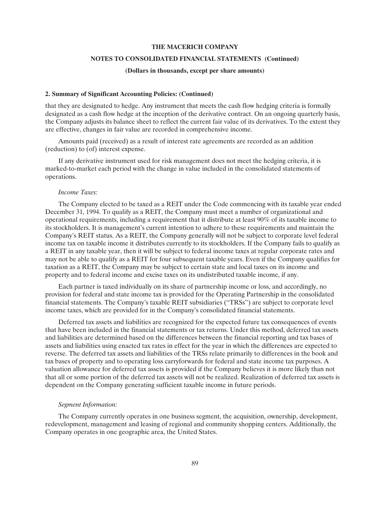#### **NOTES TO CONSOLIDATED FINANCIAL STATEMENTS (Continued)**

#### **(Dollars in thousands, except per share amounts)**

## **2. Summary of Significant Accounting Policies: (Continued)**

that they are designated to hedge. Any instrument that meets the cash flow hedging criteria is formally designated as a cash flow hedge at the inception of the derivative contract. On an ongoing quarterly basis, the Company adjusts its balance sheet to reflect the current fair value of its derivatives. To the extent they are effective, changes in fair value are recorded in comprehensive income.

Amounts paid (received) as a result of interest rate agreements are recorded as an addition (reduction) to (of) interest expense.

If any derivative instrument used for risk management does not meet the hedging criteria, it is marked-to-market each period with the change in value included in the consolidated statements of operations.

### *Income Taxes:*

The Company elected to be taxed as a REIT under the Code commencing with its taxable year ended December 31, 1994. To qualify as a REIT, the Company must meet a number of organizational and operational requirements, including a requirement that it distribute at least 90% of its taxable income to its stockholders. It is management's current intention to adhere to these requirements and maintain the Company's REIT status. As a REIT, the Company generally will not be subject to corporate level federal income tax on taxable income it distributes currently to its stockholders. If the Company fails to qualify as a REIT in any taxable year, then it will be subject to federal income taxes at regular corporate rates and may not be able to qualify as a REIT for four subsequent taxable years. Even if the Company qualifies for taxation as a REIT, the Company may be subject to certain state and local taxes on its income and property and to federal income and excise taxes on its undistributed taxable income, if any.

Each partner is taxed individually on its share of partnership income or loss, and accordingly, no provision for federal and state income tax is provided for the Operating Partnership in the consolidated financial statements. The Company's taxable REIT subsidiaries ("TRSs") are subject to corporate level income taxes, which are provided for in the Company's consolidated financial statements.

Deferred tax assets and liabilities are recognized for the expected future tax consequences of events that have been included in the financial statements or tax returns. Under this method, deferred tax assets and liabilities are determined based on the differences between the financial reporting and tax bases of assets and liabilities using enacted tax rates in effect for the year in which the differences are expected to reverse. The deferred tax assets and liabilities of the TRSs relate primarily to differences in the book and tax bases of property and to operating loss carryforwards for federal and state income tax purposes. A valuation allowance for deferred tax assets is provided if the Company believes it is more likely than not that all or some portion of the deferred tax assets will not be realized. Realization of deferred tax assets is dependent on the Company generating sufficient taxable income in future periods.

#### *Segment Information:*

The Company currently operates in one business segment, the acquisition, ownership, development, redevelopment, management and leasing of regional and community shopping centers. Additionally, the Company operates in one geographic area, the United States.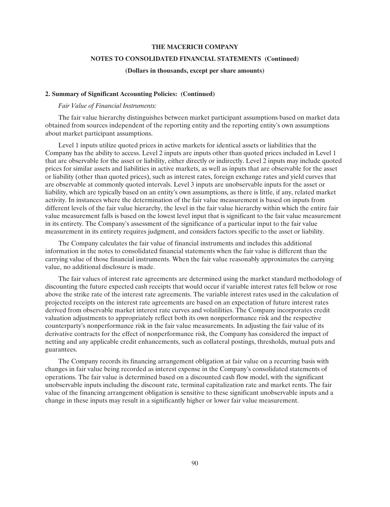#### **NOTES TO CONSOLIDATED FINANCIAL STATEMENTS (Continued)**

#### **(Dollars in thousands, except per share amounts)**

## **2. Summary of Significant Accounting Policies: (Continued)**

## *Fair Value of Financial Instruments:*

The fair value hierarchy distinguishes between market participant assumptions based on market data obtained from sources independent of the reporting entity and the reporting entity's own assumptions about market participant assumptions.

Level 1 inputs utilize quoted prices in active markets for identical assets or liabilities that the Company has the ability to access. Level 2 inputs are inputs other than quoted prices included in Level 1 that are observable for the asset or liability, either directly or indirectly. Level 2 inputs may include quoted prices for similar assets and liabilities in active markets, as well as inputs that are observable for the asset or liability (other than quoted prices), such as interest rates, foreign exchange rates and yield curves that are observable at commonly quoted intervals. Level 3 inputs are unobservable inputs for the asset or liability, which are typically based on an entity's own assumptions, as there is little, if any, related market activity. In instances where the determination of the fair value measurement is based on inputs from different levels of the fair value hierarchy, the level in the fair value hierarchy within which the entire fair value measurement falls is based on the lowest level input that is significant to the fair value measurement in its entirety. The Company's assessment of the significance of a particular input to the fair value measurement in its entirety requires judgment, and considers factors specific to the asset or liability.

The Company calculates the fair value of financial instruments and includes this additional information in the notes to consolidated financial statements when the fair value is different than the carrying value of those financial instruments. When the fair value reasonably approximates the carrying value, no additional disclosure is made.

The fair values of interest rate agreements are determined using the market standard methodology of discounting the future expected cash receipts that would occur if variable interest rates fell below or rose above the strike rate of the interest rate agreements. The variable interest rates used in the calculation of projected receipts on the interest rate agreements are based on an expectation of future interest rates derived from observable market interest rate curves and volatilities. The Company incorporates credit valuation adjustments to appropriately reflect both its own nonperformance risk and the respective counterparty's nonperformance risk in the fair value measurements. In adjusting the fair value of its derivative contracts for the effect of nonperformance risk, the Company has considered the impact of netting and any applicable credit enhancements, such as collateral postings, thresholds, mutual puts and guarantees.

The Company records its financing arrangement obligation at fair value on a recurring basis with changes in fair value being recorded as interest expense in the Company's consolidated statements of operations. The fair value is determined based on a discounted cash flow model, with the significant unobservable inputs including the discount rate, terminal capitalization rate and market rents. The fair value of the financing arrangement obligation is sensitive to these significant unobservable inputs and a change in these inputs may result in a significantly higher or lower fair value measurement.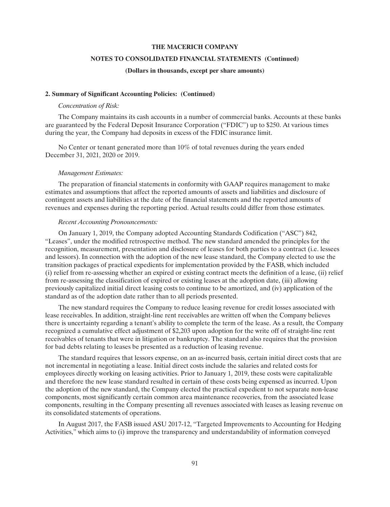#### **NOTES TO CONSOLIDATED FINANCIAL STATEMENTS (Continued)**

#### **(Dollars in thousands, except per share amounts)**

## **2. Summary of Significant Accounting Policies: (Continued)**

## *Concentration of Risk:*

The Company maintains its cash accounts in a number of commercial banks. Accounts at these banks are guaranteed by the Federal Deposit Insurance Corporation ("FDIC") up to \$250. At various times during the year, the Company had deposits in excess of the FDIC insurance limit.

No Center or tenant generated more than 10% of total revenues during the years ended December 31, 2021, 2020 or 2019.

## *Management Estimates:*

The preparation of financial statements in conformity with GAAP requires management to make estimates and assumptions that affect the reported amounts of assets and liabilities and disclosure of contingent assets and liabilities at the date of the financial statements and the reported amounts of revenues and expenses during the reporting period. Actual results could differ from those estimates.

### *Recent Accounting Pronouncements:*

On January 1, 2019, the Company adopted Accounting Standards Codification ("ASC") 842, "Leases", under the modified retrospective method. The new standard amended the principles for the recognition, measurement, presentation and disclosure of leases for both parties to a contract (i.e. lessees and lessors). In connection with the adoption of the new lease standard, the Company elected to use the transition packages of practical expedients for implementation provided by the FASB, which included (i) relief from re-assessing whether an expired or existing contract meets the definition of a lease, (ii) relief from re-assessing the classification of expired or existing leases at the adoption date, (iii) allowing previously capitalized initial direct leasing costs to continue to be amortized, and (iv) application of the standard as of the adoption date rather than to all periods presented.

The new standard requires the Company to reduce leasing revenue for credit losses associated with lease receivables. In addition, straight-line rent receivables are written off when the Company believes there is uncertainty regarding a tenant's ability to complete the term of the lease. As a result, the Company recognized a cumulative effect adjustment of \$2,203 upon adoption for the write off of straight-line rent receivables of tenants that were in litigation or bankruptcy. The standard also requires that the provision for bad debts relating to leases be presented as a reduction of leasing revenue.

The standard requires that lessors expense, on an as-incurred basis, certain initial direct costs that are not incremental in negotiating a lease. Initial direct costs include the salaries and related costs for employees directly working on leasing activities. Prior to January 1, 2019, these costs were capitalizable and therefore the new lease standard resulted in certain of these costs being expensed as incurred. Upon the adoption of the new standard, the Company elected the practical expedient to not separate non-lease components, most significantly certain common area maintenance recoveries, from the associated lease components, resulting in the Company presenting all revenues associated with leases as leasing revenue on its consolidated statements of operations.

In August 2017, the FASB issued ASU 2017-12, "Targeted Improvements to Accounting for Hedging Activities," which aims to (i) improve the transparency and understandability of information conveyed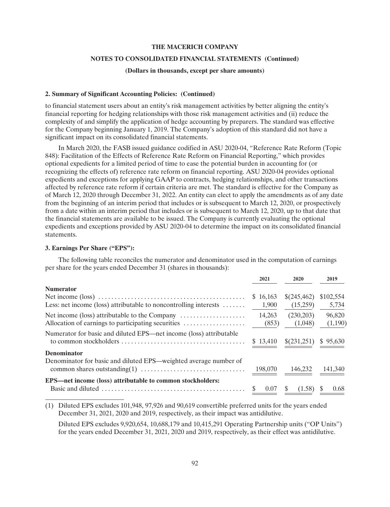### **NOTES TO CONSOLIDATED FINANCIAL STATEMENTS (Continued)**

#### **(Dollars in thousands, except per share amounts)**

## **2. Summary of Significant Accounting Policies: (Continued)**

to financial statement users about an entity's risk management activities by better aligning the entity's financial reporting for hedging relationships with those risk management activities and (ii) reduce the complexity of and simplify the application of hedge accounting by preparers. The standard was effective for the Company beginning January 1, 2019. The Company's adoption of this standard did not have a significant impact on its consolidated financial statements.

In March 2020, the FASB issued guidance codified in ASU 2020-04, "Reference Rate Reform (Topic 848): Facilitation of the Effects of Reference Rate Reform on Financial Reporting," which provides optional expedients for a limited period of time to ease the potential burden in accounting for (or recognizing the effects of) reference rate reform on financial reporting. ASU 2020-04 provides optional expedients and exceptions for applying GAAP to contracts, hedging relationships, and other transactions affected by reference rate reform if certain criteria are met. The standard is effective for the Company as of March 12, 2020 through December 31, 2022. An entity can elect to apply the amendments as of any date from the beginning of an interim period that includes or is subsequent to March 12, 2020, or prospectively from a date within an interim period that includes or is subsequent to March 12, 2020, up to that date that the financial statements are available to be issued. The Company is currently evaluating the optional expedients and exceptions provided by ASU 2020-04 to determine the impact on its consolidated financial statements.

## **3. Earnings Per Share ("EPS"):**

The following table reconciles the numerator and denominator used in the computation of earnings per share for the years ended December 31 (shares in thousands):

|                                                                                                                                          | 2021     | 2020        | 2019      |
|------------------------------------------------------------------------------------------------------------------------------------------|----------|-------------|-----------|
| <b>Numerator</b>                                                                                                                         |          |             |           |
|                                                                                                                                          | \$16,163 | \$(245,462) | \$102,554 |
| Less: net income (loss) attributable to noncontrolling interests                                                                         | 1,900    | (15,259)    | 5,734     |
|                                                                                                                                          | 14,263   | (230,203)   | 96,820    |
|                                                                                                                                          | (853)    | (1,048)     | (1,190)   |
| Numerator for basic and diluted EPS—net income (loss) attributable                                                                       |          |             |           |
| to common stockholders $\dots \dots \dots \dots \dots \dots \dots \dots \dots \dots \dots \dots$                                         | \$13,410 | \$(231,251) | \$95,630  |
| <b>Denominator</b>                                                                                                                       |          |             |           |
| Denominator for basic and diluted EPS—weighted average number of                                                                         |          |             |           |
|                                                                                                                                          | 198,070  | 146,232     | 141,340   |
| <b>EPS—net income (loss) attributable to common stockholders:</b>                                                                        |          |             |           |
| Basic and diluted $\ldots$ , $\ldots$ , $\ldots$ , $\ldots$ , $\ldots$ , $\ldots$ , $\ldots$ , $\ldots$ , $\ldots$ , $\ldots$ , $\ldots$ | 0.07     | (1.58)      | 0.68      |
|                                                                                                                                          |          |             |           |

(1) Diluted EPS excludes 101,948, 97,926 and 90,619 convertible preferred units for the years ended December 31, 2021, 2020 and 2019, respectively, as their impact was antidilutive.

Diluted EPS excludes 9,920,654, 10,688,179 and 10,415,291 Operating Partnership units ("OP Units") for the years ended December 31, 2021, 2020 and 2019, respectively, as their effect was antidilutive.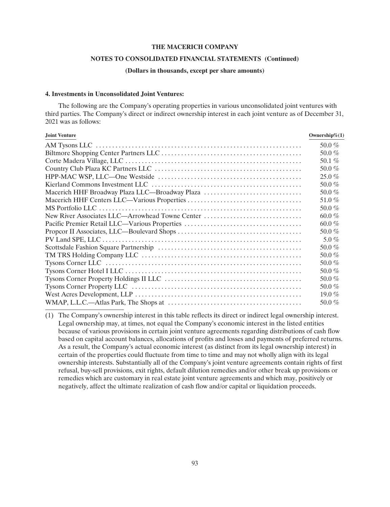## **NOTES TO CONSOLIDATED FINANCIAL STATEMENTS (Continued)**

#### **(Dollars in thousands, except per share amounts)**

### **4. Investments in Unconsolidated Joint Ventures:**

The following are the Company's operating properties in various unconsolidated joint ventures with third parties. The Company's direct or indirect ownership interest in each joint venture as of December 31, 2021 was as follows:

| Joint Venture                                   | Ownership $%(1)$ |
|-------------------------------------------------|------------------|
|                                                 | 50.0 $%$         |
|                                                 | 50.0 $%$         |
|                                                 | 50.1 $\%$        |
|                                                 | 50.0 $\%$        |
|                                                 | $25.0\%$         |
|                                                 | 50.0 $%$         |
| Macerich HHF Broadway Plaza LLC—Broadway Plaza  | 50.0 $%$         |
|                                                 | 51.0 $\%$        |
|                                                 | 50.0 $%$         |
| New River Associates LLC—Arrowhead Towne Center | 60.0 $\%$        |
| Pacific Premier Retail LLC—Various Properties   | 60.0 $%$         |
|                                                 | 50.0 $\%$        |
|                                                 | 5.0 $%$          |
|                                                 | 50.0%            |
|                                                 | 50.0 $\%$        |
|                                                 | 50.0 $\%$        |
|                                                 | 50.0 $\%$        |
|                                                 | 50.0 $%$         |
|                                                 | 50.0 $%$         |
|                                                 | 19.0 $\%$        |
|                                                 | 50.0%            |

(1) The Company's ownership interest in this table reflects its direct or indirect legal ownership interest. Legal ownership may, at times, not equal the Company's economic interest in the listed entities because of various provisions in certain joint venture agreements regarding distributions of cash flow based on capital account balances, allocations of profits and losses and payments of preferred returns. As a result, the Company's actual economic interest (as distinct from its legal ownership interest) in certain of the properties could fluctuate from time to time and may not wholly align with its legal ownership interests. Substantially all of the Company's joint venture agreements contain rights of first refusal, buy-sell provisions, exit rights, default dilution remedies and/or other break up provisions or remedies which are customary in real estate joint venture agreements and which may, positively or negatively, affect the ultimate realization of cash flow and/or capital or liquidation proceeds.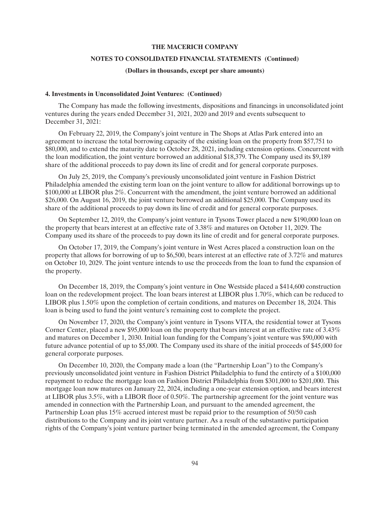#### **NOTES TO CONSOLIDATED FINANCIAL STATEMENTS (Continued)**

#### **(Dollars in thousands, except per share amounts)**

## **4. Investments in Unconsolidated Joint Ventures: (Continued)**

The Company has made the following investments, dispositions and financings in unconsolidated joint ventures during the years ended December 31, 2021, 2020 and 2019 and events subsequent to December 31, 2021:

On February 22, 2019, the Company's joint venture in The Shops at Atlas Park entered into an agreement to increase the total borrowing capacity of the existing loan on the property from \$57,751 to \$80,000, and to extend the maturity date to October 28, 2021, including extension options. Concurrent with the loan modification, the joint venture borrowed an additional \$18,379. The Company used its \$9,189 share of the additional proceeds to pay down its line of credit and for general corporate purposes.

On July 25, 2019, the Company's previously unconsolidated joint venture in Fashion District Philadelphia amended the existing term loan on the joint venture to allow for additional borrowings up to \$100,000 at LIBOR plus 2%. Concurrent with the amendment, the joint venture borrowed an additional \$26,000. On August 16, 2019, the joint venture borrowed an additional \$25,000. The Company used its share of the additional proceeds to pay down its line of credit and for general corporate purposes.

On September 12, 2019, the Company's joint venture in Tysons Tower placed a new \$190,000 loan on the property that bears interest at an effective rate of 3.38% and matures on October 11, 2029. The Company used its share of the proceeds to pay down its line of credit and for general corporate purposes.

On October 17, 2019, the Company's joint venture in West Acres placed a construction loan on the property that allows for borrowing of up to \$6,500, bears interest at an effective rate of 3.72% and matures on October 10, 2029. The joint venture intends to use the proceeds from the loan to fund the expansion of the property.

On December 18, 2019, the Company's joint venture in One Westside placed a \$414,600 construction loan on the redevelopment project. The loan bears interest at LIBOR plus 1.70%, which can be reduced to LIBOR plus 1.50% upon the completion of certain conditions, and matures on December 18, 2024. This loan is being used to fund the joint venture's remaining cost to complete the project.

On November 17, 2020, the Company's joint venture in Tysons VITA, the residential tower at Tysons Corner Center, placed a new \$95,000 loan on the property that bears interest at an effective rate of 3.43% and matures on December 1, 2030. Initial loan funding for the Company's joint venture was \$90,000 with future advance potential of up to \$5,000. The Company used its share of the initial proceeds of \$45,000 for general corporate purposes.

On December 10, 2020, the Company made a loan (the "Partnership Loan") to the Company's previously unconsolidated joint venture in Fashion District Philadelphia to fund the entirety of a \$100,000 repayment to reduce the mortgage loan on Fashion District Philadelphia from \$301,000 to \$201,000. This mortgage loan now matures on January 22, 2024, including a one-year extension option, and bears interest at LIBOR plus 3.5%, with a LIBOR floor of 0.50%. The partnership agreement for the joint venture was amended in connection with the Partnership Loan, and pursuant to the amended agreement, the Partnership Loan plus 15% accrued interest must be repaid prior to the resumption of 50/50 cash distributions to the Company and its joint venture partner. As a result of the substantive participation rights of the Company's joint venture partner being terminated in the amended agreement, the Company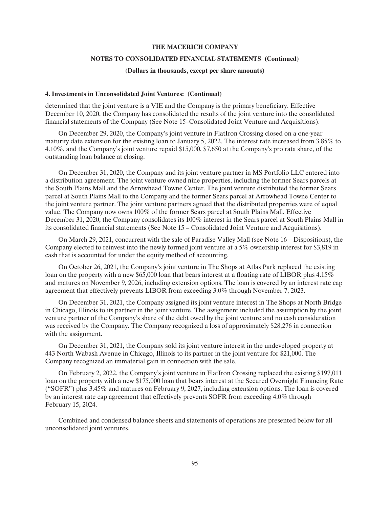#### **NOTES TO CONSOLIDATED FINANCIAL STATEMENTS (Continued)**

#### **(Dollars in thousands, except per share amounts)**

## **4. Investments in Unconsolidated Joint Ventures: (Continued)**

determined that the joint venture is a VIE and the Company is the primary beneficiary. Effective December 10, 2020, the Company has consolidated the results of the joint venture into the consolidated financial statements of the Company (See Note 15–Consolidated Joint Venture and Acquisitions).

On December 29, 2020, the Company's joint venture in FlatIron Crossing closed on a one-year maturity date extension for the existing loan to January 5, 2022. The interest rate increased from 3.85% to 4.10%, and the Company's joint venture repaid \$15,000, \$7,650 at the Company's pro rata share, of the outstanding loan balance at closing.

On December 31, 2020, the Company and its joint venture partner in MS Portfolio LLC entered into a distribution agreement. The joint venture owned nine properties, including the former Sears parcels at the South Plains Mall and the Arrowhead Towne Center. The joint venture distributed the former Sears parcel at South Plains Mall to the Company and the former Sears parcel at Arrowhead Towne Center to the joint venture partner. The joint venture partners agreed that the distributed properties were of equal value. The Company now owns 100% of the former Sears parcel at South Plains Mall. Effective December 31, 2020, the Company consolidates its 100% interest in the Sears parcel at South Plains Mall in its consolidated financial statements (See Note 15 – Consolidated Joint Venture and Acquisitions).

On March 29, 2021, concurrent with the sale of Paradise Valley Mall (see Note 16 – Dispositions), the Company elected to reinvest into the newly formed joint venture at a 5% ownership interest for \$3,819 in cash that is accounted for under the equity method of accounting.

On October 26, 2021, the Company's joint venture in The Shops at Atlas Park replaced the existing loan on the property with a new \$65,000 loan that bears interest at a floating rate of LIBOR plus 4.15% and matures on November 9, 2026, including extension options. The loan is covered by an interest rate cap agreement that effectively prevents LIBOR from exceeding 3.0% through November 7, 2023.

On December 31, 2021, the Company assigned its joint venture interest in The Shops at North Bridge in Chicago, Illinois to its partner in the joint venture. The assignment included the assumption by the joint venture partner of the Company's share of the debt owed by the joint venture and no cash consideration was received by the Company. The Company recognized a loss of approximately \$28,276 in connection with the assignment.

On December 31, 2021, the Company sold its joint venture interest in the undeveloped property at 443 North Wabash Avenue in Chicago, Illinois to its partner in the joint venture for \$21,000. The Company recognized an immaterial gain in connection with the sale.

On February 2, 2022, the Company's joint venture in FlatIron Crossing replaced the existing \$197,011 loan on the property with a new \$175,000 loan that bears interest at the Secured Overnight Financing Rate ("SOFR") plus 3.45% and matures on February 9, 2027, including extension options. The loan is covered by an interest rate cap agreement that effectively prevents SOFR from exceeding 4.0% through February 15, 2024.

Combined and condensed balance sheets and statements of operations are presented below for all unconsolidated joint ventures.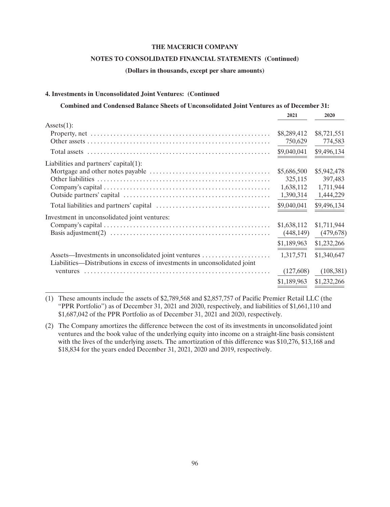#### **NOTES TO CONSOLIDATED FINANCIAL STATEMENTS (Continued)**

## **(Dollars in thousands, except per share amounts)**

## **4. Investments in Unconsolidated Joint Ventures: (Continued**

## **Combined and Condensed Balance Sheets of Unconsolidated Joint Ventures as of December 31:**

|                                                                            | 2021        | 2020        |
|----------------------------------------------------------------------------|-------------|-------------|
| $Assets(1)$ :                                                              |             |             |
|                                                                            | \$8,289,412 | \$8,721,551 |
|                                                                            | 750,629     | 774,583     |
|                                                                            | \$9,040,041 | \$9,496,134 |
| Liabilities and partners' capital $(1)$ :                                  |             |             |
|                                                                            | \$5,686,500 | \$5,942,478 |
|                                                                            | 325,115     | 397,483     |
|                                                                            | 1,638,112   | 1,711,944   |
|                                                                            | 1,390,314   | 1,444,229   |
|                                                                            | \$9,040,041 | \$9,496,134 |
| Investment in unconsolidated joint ventures:                               |             |             |
|                                                                            | \$1,638,112 | \$1,711,944 |
|                                                                            | (448, 149)  | (479, 678)  |
|                                                                            | \$1,189,963 | \$1,232,266 |
|                                                                            | 1,317,571   | \$1,340,647 |
| Liabilities—Distributions in excess of investments in unconsolidated joint |             |             |
| ventures                                                                   | (127,608)   | (108, 381)  |
|                                                                            | \$1,189,963 | \$1,232,266 |

(1) These amounts include the assets of \$2,789,568 and \$2,857,757 of Pacific Premier Retail LLC (the "PPR Portfolio") as of December 31, 2021 and 2020, respectively, and liabilities of \$1,661,110 and \$1,687,042 of the PPR Portfolio as of December 31, 2021 and 2020, respectively.

(2) The Company amortizes the difference between the cost of its investments in unconsolidated joint ventures and the book value of the underlying equity into income on a straight-line basis consistent with the lives of the underlying assets. The amortization of this difference was \$10,276, \$13,168 and \$18,834 for the years ended December 31, 2021, 2020 and 2019, respectively.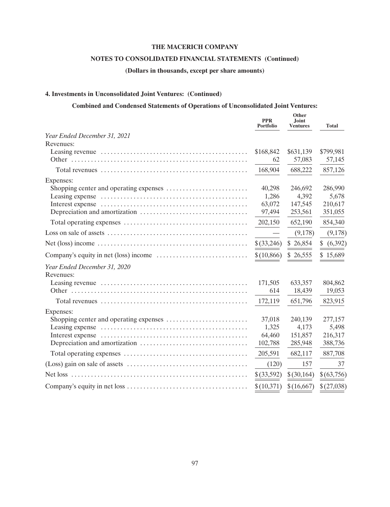## **NOTES TO CONSOLIDATED FINANCIAL STATEMENTS (Continued)**

## **(Dollars in thousands, except per share amounts)**

## **4. Investments in Unconsolidated Joint Ventures: (Continued)**

# **Combined and Condensed Statements of Operations of Unconsolidated Joint Ventures:**

|                                                                                                                  | <b>PPR</b><br><b>Portfolio</b> | Other<br><b>Joint</b><br><b>Ventures</b> | <b>Total</b>  |
|------------------------------------------------------------------------------------------------------------------|--------------------------------|------------------------------------------|---------------|
| Year Ended December 31, 2021                                                                                     |                                |                                          |               |
| Revenues:                                                                                                        |                                |                                          |               |
|                                                                                                                  | \$168,842                      | \$631,139                                | \$799,981     |
|                                                                                                                  | 62                             | 57,083                                   | 57,145        |
| Total revenues $\dots \dots \dots \dots \dots \dots \dots \dots \dots \dots \dots \dots \dots \dots \dots \dots$ | 168,904                        | 688,222                                  | 857,126       |
| Expenses:                                                                                                        |                                |                                          |               |
|                                                                                                                  | 40,298                         | 246,692                                  | 286,990       |
|                                                                                                                  | 1,286                          | 4,392                                    | 5,678         |
|                                                                                                                  | 63,072                         | 147,545                                  | 210,617       |
|                                                                                                                  | 97,494                         | 253,561                                  | 351,055       |
|                                                                                                                  | 202,150                        | 652,190                                  | 854,340       |
|                                                                                                                  |                                | (9,178)                                  | (9,178)       |
| $Net (loss) income \dots \dots \dots \dots \dots \dots \dots \dots \dots \dots \dots \dots \dots \dots$          | \$(33,246)                     | \$26,854                                 | \$<br>(6,392) |
| Company's equity in net (loss) income $\dots\dots\dots\dots\dots\dots\dots\dots\dots\dots$                       | \$(10,866)                     | \$26,555                                 | \$15,689      |
| Year Ended December 31, 2020                                                                                     |                                |                                          |               |
| Revenues:                                                                                                        |                                |                                          |               |
|                                                                                                                  | 171,505                        | 633,357                                  | 804,862       |
|                                                                                                                  | 614                            | 18,439                                   | 19,053        |
|                                                                                                                  | 172,119                        | 651,796                                  | 823,915       |
| Expenses:                                                                                                        |                                |                                          |               |
|                                                                                                                  | 37,018                         | 240,139                                  | 277,157       |
|                                                                                                                  | 1,325                          | 4,173                                    | 5,498         |
|                                                                                                                  | 64,460                         | 151,857                                  | 216,317       |
|                                                                                                                  | 102,788                        | 285,948                                  | 388,736       |
|                                                                                                                  | 205,591                        | 682,117                                  | 887,708       |
|                                                                                                                  | (120)                          | 157                                      | 37            |
|                                                                                                                  | \$(33,592)                     | \$(30,164)                               | \$(63,756)    |
|                                                                                                                  | \$(10,371)                     | \$(16,667)                               | \$(27,038)    |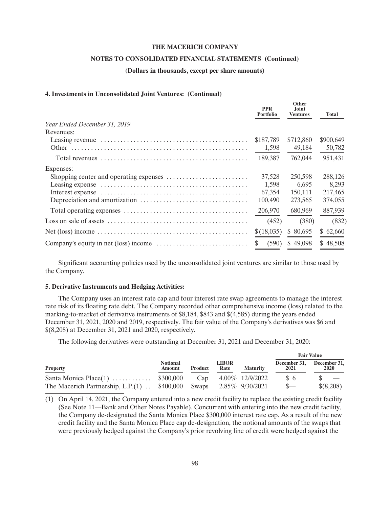## **NOTES TO CONSOLIDATED FINANCIAL STATEMENTS (Continued)**

#### **(Dollars in thousands, except per share amounts)**

**Other**

## **4. Investments in Unconsolidated Joint Ventures: (Continued)**

|                                                                                                                     | <b>PPR</b><br>Portfolio | Other<br>Joint<br><b>Ventures</b> | <b>Total</b> |
|---------------------------------------------------------------------------------------------------------------------|-------------------------|-----------------------------------|--------------|
| Year Ended December 31, 2019                                                                                        |                         |                                   |              |
| Revenues:                                                                                                           |                         |                                   |              |
|                                                                                                                     | \$187,789               | \$712,860                         | \$900,649    |
|                                                                                                                     | 1,598                   | 49,184                            | 50,782       |
|                                                                                                                     | 189,387                 | 762,044                           | 951,431      |
| Expenses:                                                                                                           |                         |                                   |              |
|                                                                                                                     | 37,528                  | 250,598                           | 288,126      |
|                                                                                                                     | 1,598                   | 6,695                             | 8,293        |
|                                                                                                                     | 67,354                  | 150,111                           | 217,465      |
|                                                                                                                     | 100,490                 | 273,565                           | 374,055      |
|                                                                                                                     | 206,970                 | 680,969                           | 887,939      |
| Loss on sale of assets $\dots \dots \dots \dots \dots \dots \dots \dots \dots \dots \dots \dots \dots \dots$        | (452)                   | (380)                             | (832)        |
| Net (loss) income $\dots \dots \dots \dots \dots \dots \dots \dots \dots \dots \dots \dots \dots \dots \dots \dots$ | \$(18,035)              | \$80,695                          | \$62,660     |
|                                                                                                                     | \$<br>(590)             | \$49,098                          | \$48,508     |

Significant accounting policies used by the unconsolidated joint ventures are similar to those used by the Company.

## **5. Derivative Instruments and Hedging Activities:**

The Company uses an interest rate cap and four interest rate swap agreements to manage the interest rate risk of its floating rate debt. The Company recorded other comprehensive income (loss) related to the marking-to-market of derivative instruments of \$8,184, \$843 and \$(4,585) during the years ended December 31, 2021, 2020 and 2019, respectively. The fair value of the Company's derivatives was \$6 and \$(8,208) at December 31, 2021 and 2020, respectively.

The following derivatives were outstanding at December 31, 2021 and December 31, 2020:

|                                                |                           |                |                      |                  |                      | <b>Fair Value</b>           |
|------------------------------------------------|---------------------------|----------------|----------------------|------------------|----------------------|-----------------------------|
| <b>Property</b>                                | <b>Notional</b><br>Amount | <b>Product</b> | <b>LIBOR</b><br>Rate | <b>Maturity</b>  | December 31,<br>2021 | December 31,<br><b>2020</b> |
| Santa Monica Place $(1)$                       | \$300,000                 | Cap            |                      | 4.00\% 12/9/2022 | $\frac{1}{2}$ 6      |                             |
| The Macerich Partnership, L.P. $(1)$ \$400,000 |                           | Swaps          |                      | 2.85% 9/30/2021  |                      | \$(8,208)                   |

(1) On April 14, 2021, the Company entered into a new credit facility to replace the existing credit facility (See Note 11—Bank and Other Notes Payable). Concurrent with entering into the new credit facility, the Company de-designated the Santa Monica Place \$300,000 interest rate cap. As a result of the new credit facility and the Santa Monica Place cap de-designation, the notional amounts of the swaps that were previously hedged against the Company's prior revolving line of credit were hedged against the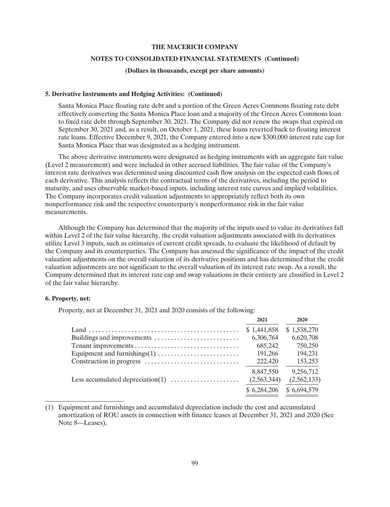### **NOTES TO CONSOLIDATED FINANCIAL STATEMENTS (Continued)**

#### **(Dollars in thousands, except per share amounts)**

## **5. Derivative Instruments and Hedging Activities: (Continued)**

Santa Monica Place floating rate debt and a portion of the Green Acres Commons floating rate debt effectively converting the Santa Monica Place loan and a majority of the Green Acres Commons loan to fixed rate debt through September 30, 2021. The Company did not renew the swaps that expired on September 30, 2021 and, as a result, on October 1, 2021, these loans reverted back to floating interest rate loans. Effective December 9, 2021, the Company entered into a new \$300,000 interest rate cap for Santa Monica Place that was designated as a hedging instrument.

The above derivative instruments were designated as hedging instruments with an aggregate fair value (Level 2 measurement) and were included in other accrued liabilities. The fair value of the Company's interest rate derivatives was determined using discounted cash flow analysis on the expected cash flows of each derivative. This analysis reflects the contractual terms of the derivatives, including the period to maturity, and uses observable market-based inputs, including interest rate curves and implied volatilities. The Company incorporates credit valuation adjustments to appropriately reflect both its own nonperformance risk and the respective counterparty's nonperformance risk in the fair value measurements.

Although the Company has determined that the majority of the inputs used to value its derivatives fall within Level 2 of the fair value hierarchy, the credit valuation adjustments associated with its derivatives utilize Level 3 inputs, such as estimates of current credit spreads, to evaluate the likelihood of default by the Company and its counterparties. The Company has assessed the significance of the impact of the credit valuation adjustments on the overall valuation of its derivative positions and has determined that the credit valuation adjustments are not significant to the overall valuation of its interest rate swap. As a result, the Company determined that its interest rate cap and swap valuations in their entirety are classified in Level 2 of the fair value hierarchy.

### **6. Property, net:**

Property, net at December 31, 2021 and 2020 consists of the following:

|                                                                   | 2021        | 2020        |
|-------------------------------------------------------------------|-------------|-------------|
|                                                                   | \$1,441,858 | \$1,538,270 |
|                                                                   | 6,306,764   | 6,620,708   |
|                                                                   | 685,242     | 750,250     |
|                                                                   | 191,266     | 194,231     |
|                                                                   | 222,420     | 153,253     |
|                                                                   | 8,847,550   | 9,256,712   |
| Less accumulated depreciation(1) $\dots\dots\dots\dots\dots\dots$ | (2,563,344) | (2,562,133) |
|                                                                   | \$6,284,206 | \$6,694,579 |

<sup>(1)</sup> Equipment and furnishings and accumulated depreciation include the cost and accumulated amortization of ROU assets in connection with finance leases at December 31, 2021 and 2020 (See Note 8—Leases).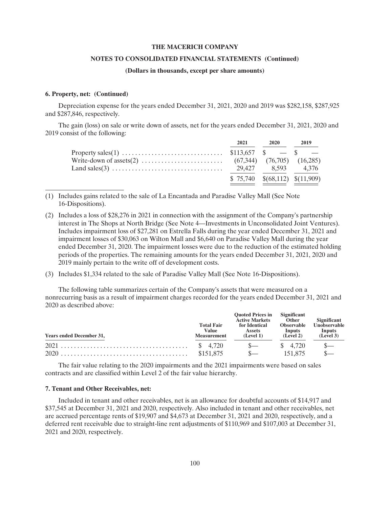#### **NOTES TO CONSOLIDATED FINANCIAL STATEMENTS (Continued)**

#### **(Dollars in thousands, except per share amounts)**

#### **6. Property, net: (Continued)**

Depreciation expense for the years ended December 31, 2021, 2020 and 2019 was \$282,158, \$287,925 and \$287,846, respectively.

The gain (loss) on sale or write down of assets, net for the years ended December 31, 2021, 2020 and 2019 consist of the following:

|                                                                                                                                                                                                                                                                                                                                      | 2021                              | 2020               | 2019 |
|--------------------------------------------------------------------------------------------------------------------------------------------------------------------------------------------------------------------------------------------------------------------------------------------------------------------------------------|-----------------------------------|--------------------|------|
| Property sales (1) $\ldots$ $\ldots$ $\ldots$ $\ldots$ $\ldots$ $\ldots$ $\ldots$ $\ldots$ $\ldots$ $\ldots$ $\ldots$ $\ldots$ $\ldots$ $\ldots$ $\ldots$ $\ldots$ $\ldots$ $\ldots$ $\ldots$ $\ldots$ $\ldots$ $\ldots$ $\ldots$ $\ldots$ $\ldots$ $\ldots$ $\ldots$ $\ldots$ $\ldots$ $\ldots$ $\ldots$ $\ldots$ $\ldots$ $\ldots$ |                                   |                    |      |
|                                                                                                                                                                                                                                                                                                                                      |                                   |                    |      |
|                                                                                                                                                                                                                                                                                                                                      |                                   | 29,427 8,593 4,376 |      |
|                                                                                                                                                                                                                                                                                                                                      | $$75,740 \$ (68,112) \$ (11,909)$ |                    |      |

(1) Includes gains related to the sale of La Encantada and Paradise Valley Mall (See Note 16-Dispositions).

- (2) Includes a loss of \$28,276 in 2021 in connection with the assignment of the Company's partnership interest in The Shops at North Bridge (See Note 4—Investments in Unconsolidated Joint Ventures). Includes impairment loss of \$27,281 on Estrella Falls during the year ended December 31, 2021 and impairment losses of \$30,063 on Wilton Mall and \$6,640 on Paradise Valley Mall during the year ended December 31, 2020. The impairment losses were due to the reduction of the estimated holding periods of the properties. The remaining amounts for the years ended December 31, 2021, 2020 and 2019 mainly pertain to the write off of development costs.
- (3) Includes \$1,334 related to the sale of Paradise Valley Mall (See Note 16-Dispositions).

The following table summarizes certain of the Company's assets that were measured on a nonrecurring basis as a result of impairment charges recorded for the years ended December 31, 2021 and 2020 as described above:

| <b>Years ended December 31,</b> | <b>Total Fair</b><br><b>Value</b><br><b>Measurement</b> | <b>Ouoted Prices in</b><br><b>Active Markets</b><br>for Identical<br><b>Assets</b><br>(Level 1) | Significant<br>Other<br><b>Observable</b><br>Inputs<br>(Level 2) | Significant<br>Unobservable<br>Inputs<br>(Level 3) |
|---------------------------------|---------------------------------------------------------|-------------------------------------------------------------------------------------------------|------------------------------------------------------------------|----------------------------------------------------|
|                                 |                                                         |                                                                                                 | \$ 4.720                                                         |                                                    |
|                                 | \$151,875                                               |                                                                                                 | 151.875                                                          |                                                    |

The fair value relating to the 2020 impairments and the 2021 impairments were based on sales contracts and are classified within Level 2 of the fair value hierarchy.

#### **7. Tenant and Other Receivables, net:**

Included in tenant and other receivables, net is an allowance for doubtful accounts of \$14,917 and \$37,545 at December 31, 2021 and 2020, respectively. Also included in tenant and other receivables, net are accrued percentage rents of \$19,907 and \$4,673 at December 31, 2021 and 2020, respectively, and a deferred rent receivable due to straight-line rent adjustments of \$110,969 and \$107,003 at December 31, 2021 and 2020, respectively.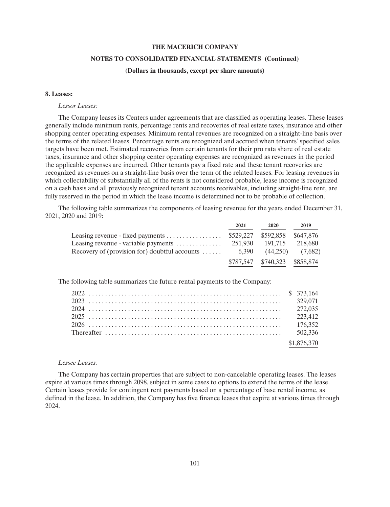#### **NOTES TO CONSOLIDATED FINANCIAL STATEMENTS (Continued)**

#### **(Dollars in thousands, except per share amounts)**

#### **8. Leases:**

## *Lessor Leases:*

The Company leases its Centers under agreements that are classified as operating leases. These leases generally include minimum rents, percentage rents and recoveries of real estate taxes, insurance and other shopping center operating expenses. Minimum rental revenues are recognized on a straight-line basis over the terms of the related leases. Percentage rents are recognized and accrued when tenants' specified sales targets have been met. Estimated recoveries from certain tenants for their pro rata share of real estate taxes, insurance and other shopping center operating expenses are recognized as revenues in the period the applicable expenses are incurred. Other tenants pay a fixed rate and these tenant recoveries are recognized as revenues on a straight-line basis over the term of the related leases. For leasing revenues in which collectability of substantially all of the rents is not considered probable, lease income is recognized on a cash basis and all previously recognized tenant accounts receivables, including straight-line rent, are fully reserved in the period in which the lease income is determined not to be probable of collection.

The following table summarizes the components of leasing revenue for the years ended December 31, 2021, 2020 and 2019:

|                                                         | 2021    | 2020                          | 2019      |
|---------------------------------------------------------|---------|-------------------------------|-----------|
|                                                         |         | \$592,858                     | \$647.876 |
| Leasing revenue - variable payments                     | 251.930 | 191.715                       | 218,680   |
| Recovery of (provision for) doubtful accounts $\dots$ . | 6.390   | (44.250)                      | (7,682)   |
|                                                         |         | \$787,547 \$740,323 \$858,874 |           |

The following table summarizes the future rental payments to the Company:

| Thereafter $\ldots$ $\ldots$ $\ldots$ $\ldots$ $\ldots$ $\ldots$ $\ldots$ $\ldots$ $\ldots$ $\ldots$ $\ldots$ $\ldots$ $\ldots$ 502,336 |             |
|-----------------------------------------------------------------------------------------------------------------------------------------|-------------|
|                                                                                                                                         | \$1,876,370 |

## *Lessee Leases:*

The Company has certain properties that are subject to non-cancelable operating leases. The leases expire at various times through 2098, subject in some cases to options to extend the terms of the lease. Certain leases provide for contingent rent payments based on a percentage of base rental income, as defined in the lease. In addition, the Company has five finance leases that expire at various times through 2024.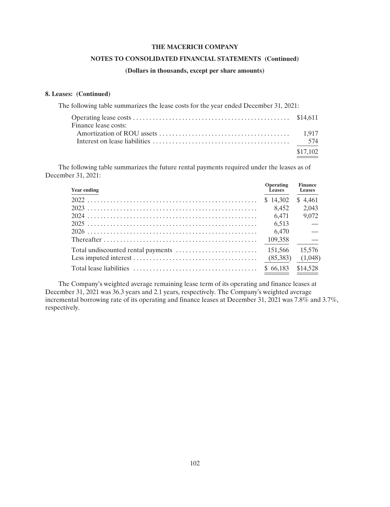## **NOTES TO CONSOLIDATED FINANCIAL STATEMENTS (Continued)**

## **(Dollars in thousands, except per share amounts)**

## **8. Leases: (Continued)**

| The following table summarizes the lease costs for the year ended December 31, 2021: |                 |
|--------------------------------------------------------------------------------------|-----------------|
| Finance lease costs:                                                                 |                 |
|                                                                                      |                 |
|                                                                                      | 574<br>\$17,102 |

The following table summarizes the future rental payments required under the leases as of December 31, 2021:

| <b>Year ending</b> | <b>Operating</b><br><b>Leases</b> | <b>Finance</b><br><b>Leases</b> |
|--------------------|-----------------------------------|---------------------------------|
|                    | \$14,302                          | \$4,461                         |
|                    | 8,452                             | 2,043                           |
|                    | 6.471                             | 9,072                           |
|                    | 6,513                             |                                 |
|                    | 6.470                             |                                 |
|                    | 109,358                           | $\overline{\phantom{0}}$        |
|                    | 151,566                           | 15,576                          |
|                    | (85,383)                          | (1,048)                         |
|                    | \$66,183                          | \$14,528                        |
|                    |                                   |                                 |

The Company's weighted average remaining lease term of its operating and finance leases at December 31, 2021 was 36.3 years and 2.1 years, respectively. The Company's weighted average incremental borrowing rate of its operating and finance leases at December 31, 2021 was 7.8% and 3.7%, respectively.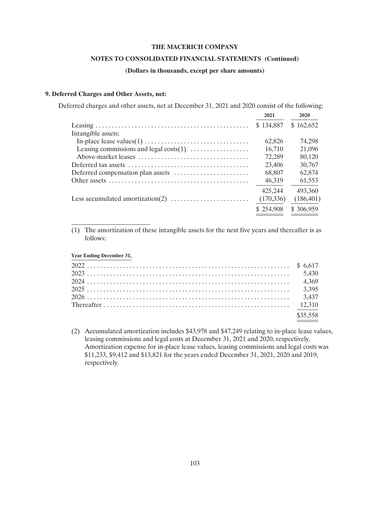### **NOTES TO CONSOLIDATED FINANCIAL STATEMENTS (Continued)**

### **(Dollars in thousands, except per share amounts)**

### **9. Deferred Charges and Other Assets, net:**

Deferred charges and other assets, net at December 31, 2021 and 2020 consist of the following:

|                                                                        | 2021       | 2020       |
|------------------------------------------------------------------------|------------|------------|
|                                                                        | \$134,887  | \$162,652  |
| Intangible assets:                                                     |            |            |
|                                                                        | 62,826     | 74,298     |
|                                                                        | 16,710     | 21,096     |
|                                                                        | 72,289     | 80,120     |
|                                                                        | 23,406     | 30,767     |
|                                                                        | 68,807     | 62,874     |
|                                                                        | 46,319     | 61,553     |
|                                                                        | 425,244    | 493,360    |
| Less accumulated amortization(2) $\dots\dots\dots\dots\dots\dots\dots$ | (170, 336) | (186, 401) |
|                                                                        | \$254,908  | \$306,959  |
|                                                                        |            |            |

(1) The amortization of these intangible assets for the next five years and thereafter is as follows:

### **Year Ending December 31,**

| \$35,558 |
|----------|

(2) Accumulated amortization includes \$43,978 and \$47,249 relating to in-place lease values, leasing commissions and legal costs at December 31, 2021 and 2020, respectively. Amortization expense for in-place lease values, leasing commissions and legal costs was \$11,233, \$9,412 and \$13,821 for the years ended December 31, 2021, 2020 and 2019, respectively.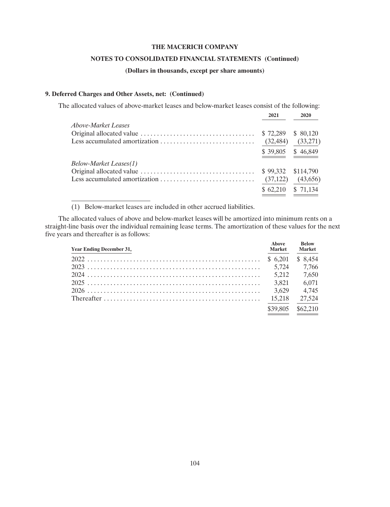### **NOTES TO CONSOLIDATED FINANCIAL STATEMENTS (Continued)**

### **(Dollars in thousands, except per share amounts)**

### **9. Deferred Charges and Other Assets, net: (Continued)**

The allocated values of above-market leases and below-market leases consist of the following:

|                                                                                                               | 2021                | 2020                |
|---------------------------------------------------------------------------------------------------------------|---------------------|---------------------|
| <i>Above-Market Leases</i>                                                                                    |                     |                     |
| Original allocated value $\ldots \ldots \ldots \ldots \ldots \ldots \ldots \ldots \ldots$ \$ 72,289 \$ 80,120 |                     |                     |
|                                                                                                               |                     | (33,271)            |
|                                                                                                               | $$39,805$ $$46,849$ |                     |
| Below-Market Leases(1)                                                                                        |                     |                     |
|                                                                                                               |                     |                     |
|                                                                                                               |                     |                     |
|                                                                                                               |                     | $$62,210$ $$71,134$ |
|                                                                                                               |                     |                     |

(1) Below-market leases are included in other accrued liabilities.

The allocated values of above and below-market leases will be amortized into minimum rents on a straight-line basis over the individual remaining lease terms. The amortization of these values for the next five years and thereafter is as follows:

| <b>Year Ending December 31,</b> | Above<br><b>Market</b> | <b>Below</b><br><b>Market</b> |
|---------------------------------|------------------------|-------------------------------|
|                                 |                        | \$8,454                       |
|                                 | 5,724                  | 7,766                         |
|                                 | 5.212                  | 7,650                         |
|                                 | 3,821                  | 6,071                         |
|                                 | 3,629                  | 4,745                         |
|                                 | 15,218                 | 27,524                        |
|                                 | \$39,805               | \$62,210                      |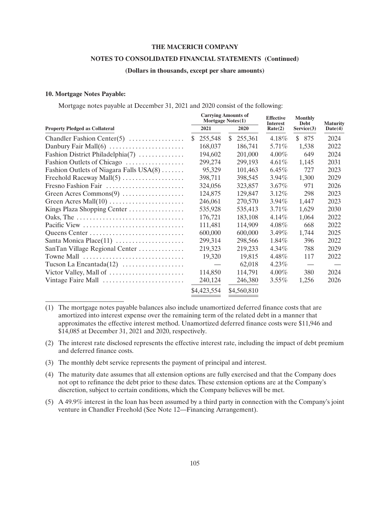### **NOTES TO CONSOLIDATED FINANCIAL STATEMENTS (Continued)**

### **(Dollars in thousands, except per share amounts)**

**Carrying Amounts of**

### **10. Mortgage Notes Payable:**

Mortgage notes payable at December 31, 2021 and 2020 consist of the following:

| Carrying Amounts of<br>Mortgage Notes(1)<br><b>Property Pledged as Collateral</b><br>2021<br>2020 |    | <b>Effective</b><br><b>Interest</b> | <b>Monthly</b><br><b>Debt</b> | <b>Maturity</b> |          |                               |         |
|---------------------------------------------------------------------------------------------------|----|-------------------------------------|-------------------------------|-----------------|----------|-------------------------------|---------|
|                                                                                                   |    |                                     |                               |                 | Rate(2)  | Service(3)                    | Date(4) |
| Chandler Fashion Center(5)                                                                        | \$ | 255,548                             | \$                            | 255,361         | 4.18%    | \$875                         | 2024    |
|                                                                                                   |    | 168,037                             |                               | 186,741         | 5.71\%   | 1,538                         | 2022    |
| Fashion District Philadelphia(7)                                                                  |    | 194,602                             |                               | 201,000         | $4.00\%$ | 649                           | 2024    |
| Fashion Outlets of Chicago                                                                        |    | 299,274                             |                               | 299,193         | $4.61\%$ | 1,145                         | 2031    |
| Fashion Outlets of Niagara Falls USA(8)                                                           |    | 95,329                              |                               | 101,463         | $6.45\%$ | 727                           | 2023    |
| Freehold Raceway Mall(5)                                                                          |    | 398,711                             |                               | 398,545         | $3.94\%$ | 1,300                         | 2029    |
| Fresno Fashion Fair                                                                               |    | 324,056                             |                               | 323,857         | $3.67\%$ | 971                           | 2026    |
| Green Acres Commons $(9)$                                                                         |    | 124,875                             |                               | 129,847         | $3.12\%$ | 298                           | 2023    |
| Green Acres Mall(10)                                                                              |    | 246,061                             |                               | 270,570         | $3.94\%$ | 1,447                         | 2023    |
| Kings Plaza Shopping Center                                                                       |    | 535,928                             |                               | 535,413         | $3.71\%$ | 1,629                         | 2030    |
| Oaks, The $\dots \dots \dots \dots \dots \dots \dots \dots \dots \dots$                           |    | 176,721                             |                               | 183,108         | $4.14\%$ | 1,064                         | 2022    |
| Pacific View                                                                                      |    | 111,481                             |                               | 114,909         | 4.08%    | 668                           | 2022    |
| Queens Center                                                                                     |    | 600,000                             |                               | 600,000         | $3.49\%$ | 1,744                         | 2025    |
| Santa Monica Place(11)                                                                            |    | 299,314                             |                               | 298,566         | $1.84\%$ | 396                           | 2022    |
| SanTan Village Regional Center                                                                    |    | 219,323                             |                               | 219,233         | $4.34\%$ | 788                           | 2029    |
| Towne Mall                                                                                        |    | 19,320                              |                               | 19,815          | $4.48\%$ | 117                           | 2022    |
| Tucson La Encantada $(12)$                                                                        |    |                                     |                               | 62,018          | 4.23%    | $\overbrace{\phantom{13333}}$ |         |
|                                                                                                   |    | 114,850                             |                               | 114,791         | 4.00%    | 380                           | 2024    |
| Vintage Faire Mall                                                                                |    | 240,124                             |                               | 246,380         | $3.55\%$ | 1,256                         | 2026    |
|                                                                                                   |    | \$4,423,554                         |                               | \$4,560,810     |          |                               |         |

<sup>(1)</sup> The mortgage notes payable balances also include unamortized deferred finance costs that are amortized into interest expense over the remaining term of the related debt in a manner that approximates the effective interest method. Unamortized deferred finance costs were \$11,946 and \$14,085 at December 31, 2021 and 2020, respectively.

- (2) The interest rate disclosed represents the effective interest rate, including the impact of debt premium and deferred finance costs.
- (3) The monthly debt service represents the payment of principal and interest.
- (4) The maturity date assumes that all extension options are fully exercised and that the Company does not opt to refinance the debt prior to these dates. These extension options are at the Company's discretion, subject to certain conditions, which the Company believes will be met.
- (5) A 49.9% interest in the loan has been assumed by a third party in connection with the Company's joint venture in Chandler Freehold (See Note 12—Financing Arrangement).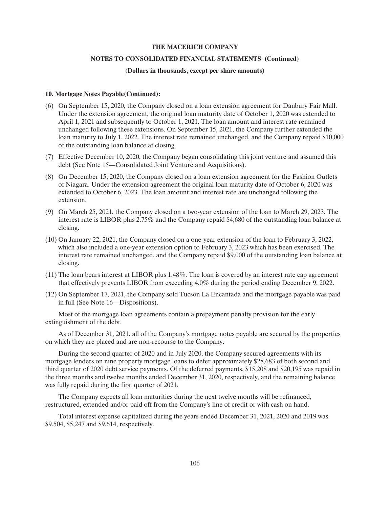### **NOTES TO CONSOLIDATED FINANCIAL STATEMENTS (Continued)**

### **(Dollars in thousands, except per share amounts)**

### **10. Mortgage Notes Payable(Continued):**

- (6) On September 15, 2020, the Company closed on a loan extension agreement for Danbury Fair Mall. Under the extension agreement, the original loan maturity date of October 1, 2020 was extended to April 1, 2021 and subsequently to October 1, 2021. The loan amount and interest rate remained unchanged following these extensions. On September 15, 2021, the Company further extended the loan maturity to July 1, 2022. The interest rate remained unchanged, and the Company repaid \$10,000 of the outstanding loan balance at closing.
- (7) Effective December 10, 2020, the Company began consolidating this joint venture and assumed this debt (See Note 15—Consolidated Joint Venture and Acquisitions).
- (8) On December 15, 2020, the Company closed on a loan extension agreement for the Fashion Outlets of Niagara. Under the extension agreement the original loan maturity date of October 6, 2020 was extended to October 6, 2023. The loan amount and interest rate are unchanged following the extension.
- (9) On March 25, 2021, the Company closed on a two-year extension of the loan to March 29, 2023. The interest rate is LIBOR plus 2.75% and the Company repaid \$4,680 of the outstanding loan balance at closing.
- (10) On January 22, 2021, the Company closed on a one-year extension of the loan to February 3, 2022, which also included a one-year extension option to February 3, 2023 which has been exercised. The interest rate remained unchanged, and the Company repaid \$9,000 of the outstanding loan balance at closing.
- (11) The loan bears interest at LIBOR plus 1.48%. The loan is covered by an interest rate cap agreement that effectively prevents LIBOR from exceeding 4.0% during the period ending December 9, 2022.
- (12) On September 17, 2021, the Company sold Tucson La Encantada and the mortgage payable was paid in full (See Note 16—Dispositions).

Most of the mortgage loan agreements contain a prepayment penalty provision for the early extinguishment of the debt.

As of December 31, 2021, all of the Company's mortgage notes payable are secured by the properties on which they are placed and are non-recourse to the Company.

During the second quarter of 2020 and in July 2020, the Company secured agreements with its mortgage lenders on nine property mortgage loans to defer approximately \$28,683 of both second and third quarter of 2020 debt service payments. Of the deferred payments, \$15,208 and \$20,195 was repaid in the three months and twelve months ended December 31, 2020, respectively, and the remaining balance was fully repaid during the first quarter of 2021.

The Company expects all loan maturities during the next twelve months will be refinanced, restructured, extended and/or paid off from the Company's line of credit or with cash on hand.

Total interest expense capitalized during the years ended December 31, 2021, 2020 and 2019 was \$9,504, \$5,247 and \$9,614, respectively.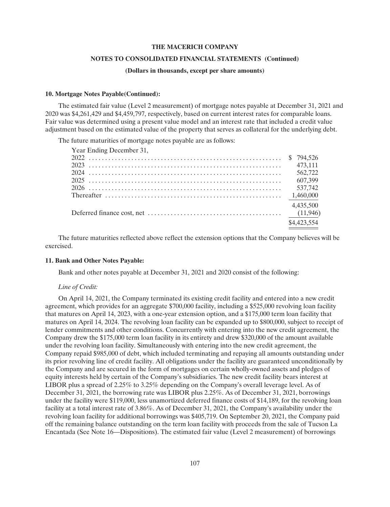### **NOTES TO CONSOLIDATED FINANCIAL STATEMENTS (Continued)**

### **(Dollars in thousands, except per share amounts)**

### **10. Mortgage Notes Payable(Continued):**

The estimated fair value (Level 2 measurement) of mortgage notes payable at December 31, 2021 and 2020 was \$4,261,429 and \$4,459,797, respectively, based on current interest rates for comparable loans. Fair value was determined using a present value model and an interest rate that included a credit value adjustment based on the estimated value of the property that serves as collateral for the underlying debt.

The future maturities of mortgage notes payable are as follows:

|  | Year Ending December 31, |  |
|--|--------------------------|--|
|  |                          |  |

| 4,435,500   |
|-------------|
|             |
| \$4,423,554 |
|             |

The future maturities reflected above reflect the extension options that the Company believes will be exercised.

### **11. Bank and Other Notes Payable:**

Bank and other notes payable at December 31, 2021 and 2020 consist of the following:

### *Line of Credit:*

On April 14, 2021, the Company terminated its existing credit facility and entered into a new credit agreement, which provides for an aggregate \$700,000 facility, including a \$525,000 revolving loan facility that matures on April 14, 2023, with a one-year extension option, and a \$175,000 term loan facility that matures on April 14, 2024. The revolving loan facility can be expanded up to \$800,000, subject to receipt of lender commitments and other conditions. Concurrently with entering into the new credit agreement, the Company drew the \$175,000 term loan facility in its entirety and drew \$320,000 of the amount available under the revolving loan facility. Simultaneously with entering into the new credit agreement, the Company repaid \$985,000 of debt, which included terminating and repaying all amounts outstanding under its prior revolving line of credit facility. All obligations under the facility are guaranteed unconditionally by the Company and are secured in the form of mortgages on certain wholly-owned assets and pledges of equity interests held by certain of the Company's subsidiaries. The new credit facility bears interest at LIBOR plus a spread of 2.25% to 3.25% depending on the Company's overall leverage level. As of December 31, 2021, the borrowing rate was LIBOR plus 2.25%. As of December 31, 2021, borrowings under the facility were \$119,000, less unamortized deferred finance costs of \$14,189, for the revolving loan facility at a total interest rate of 3.86%. As of December 31, 2021, the Company's availability under the revolving loan facility for additional borrowings was \$405,719. On September 20, 2021, the Company paid off the remaining balance outstanding on the term loan facility with proceeds from the sale of Tucson La Encantada (See Note 16—Dispositions). The estimated fair value (Level 2 measurement) of borrowings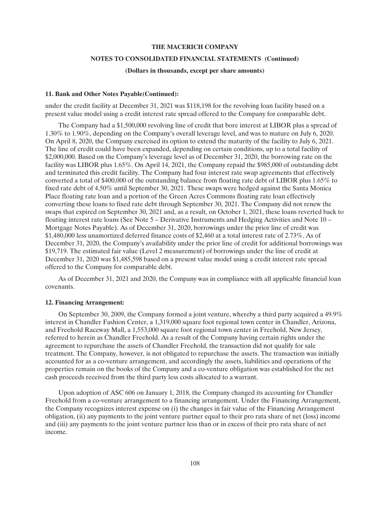### **NOTES TO CONSOLIDATED FINANCIAL STATEMENTS (Continued)**

### **(Dollars in thousands, except per share amounts)**

### **11. Bank and Other Notes Payable(Continued):**

under the credit facility at December 31, 2021 was \$118,198 for the revolving loan facility based on a present value model using a credit interest rate spread offered to the Company for comparable debt.

The Company had a \$1,500,000 revolving line of credit that bore interest at LIBOR plus a spread of 1.30% to 1.90%, depending on the Company's overall leverage level, and was to mature on July 6, 2020. On April 8, 2020, the Company exercised its option to extend the maturity of the facility to July 6, 2021. The line of credit could have been expanded, depending on certain conditions, up to a total facility of \$2,000,000. Based on the Company's leverage level as of December 31, 2020, the borrowing rate on the facility was LIBOR plus 1.65%. On April 14, 2021, the Company repaid the \$985,000 of outstanding debt and terminated this credit facility. The Company had four interest rate swap agreements that effectively converted a total of \$400,000 of the outstanding balance from floating rate debt of LIBOR plus 1.65% to fixed rate debt of 4.50% until September 30, 2021. These swaps were hedged against the Santa Monica Place floating rate loan and a portion of the Green Acres Commons floating rate loan effectively converting these loans to fixed rate debt through September 30, 2021. The Company did not renew the swaps that expired on September 30, 2021 and, as a result, on October 1, 2021, these loans reverted back to floating interest rate loans (See Note 5 – Derivative Instruments and Hedging Activities and Note 10 – Mortgage Notes Payable). As of December 31, 2020, borrowings under the prior line of credit was \$1,480,000 less unamortized deferred finance costs of \$2,460 at a total interest rate of 2.73%. As of December 31, 2020, the Company's availability under the prior line of credit for additional borrowings was \$19,719. The estimated fair value (Level 2 measurement) of borrowings under the line of credit at December 31, 2020 was \$1,485,598 based on a present value model using a credit interest rate spread offered to the Company for comparable debt.

As of December 31, 2021 and 2020, the Company was in compliance with all applicable financial loan covenants.

### **12. Financing Arrangement:**

On September 30, 2009, the Company formed a joint venture, whereby a third party acquired a 49.9% interest in Chandler Fashion Center, a 1,319,000 square foot regional town center in Chandler, Arizona, and Freehold Raceway Mall, a 1,553,000 square foot regional town center in Freehold, New Jersey, referred to herein as Chandler Freehold. As a result of the Company having certain rights under the agreement to repurchase the assets of Chandler Freehold, the transaction did not qualify for sale treatment. The Company, however, is not obligated to repurchase the assets. The transaction was initially accounted for as a co-venture arrangement, and accordingly the assets, liabilities and operations of the properties remain on the books of the Company and a co-venture obligation was established for the net cash proceeds received from the third party less costs allocated to a warrant.

Upon adoption of ASC 606 on January 1, 2018, the Company changed its accounting for Chandler Freehold from a co-venture arrangement to a financing arrangement. Under the Financing Arrangement, the Company recognizes interest expense on (i) the changes in fair value of the Financing Arrangement obligation, (ii) any payments to the joint venture partner equal to their pro rata share of net (loss) income and (iii) any payments to the joint venture partner less than or in excess of their pro rata share of net income.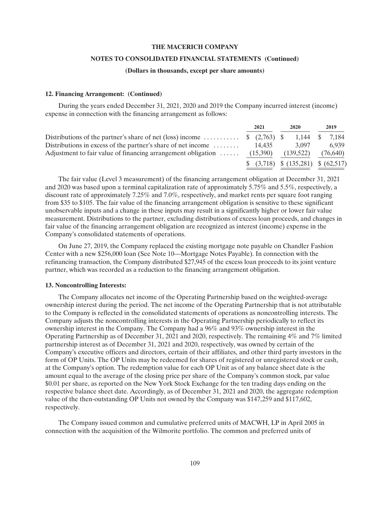### **NOTES TO CONSOLIDATED FINANCIAL STATEMENTS (Continued)**

### **(Dollars in thousands, except per share amounts)**

### **12. Financing Arrangement: (Continued)**

During the years ended December 31, 2021, 2020 and 2019 the Company incurred interest (income) expense in connection with the financing arrangement as follows:

|                                                                                |  | 2021     |  | 2020                                           | 2019  |           |          |
|--------------------------------------------------------------------------------|--|----------|--|------------------------------------------------|-------|-----------|----------|
| Distributions of the partner's share of net (loss) income $\frac{2}{3}(2,763)$ |  |          |  | 1.144 \$                                       | 7.184 |           |          |
| Distributions in excess of the partner's share of net income $\dots\dots$      |  | 14.435   |  | 3.097                                          | 6.939 |           |          |
| Adjustment to fair value of financing arrangement obligation                   |  | (15,390) |  |                                                |       | (139,522) | (76,640) |
|                                                                                |  |          |  | $\frac{1}{2}$ (3,718) \; (135,281) \; (62,517) |       |           |          |

The fair value (Level 3 measurement) of the financing arrangement obligation at December 31, 2021 and 2020 was based upon a terminal capitalization rate of approximately 5.75% and 5.5%, respectively, a discount rate of approximately 7.25% and 7.0%, respectively, and market rents per square foot ranging from \$35 to \$105. The fair value of the financing arrangement obligation is sensitive to these significant unobservable inputs and a change in these inputs may result in a significantly higher or lower fair value measurement. Distributions to the partner, excluding distributions of excess loan proceeds, and changes in fair value of the financing arrangement obligation are recognized as interest (income) expense in the Company's consolidated statements of operations.

On June 27, 2019, the Company replaced the existing mortgage note payable on Chandler Fashion Center with a new \$256,000 loan (See Note 10—Mortgage Notes Payable). In connection with the refinancing transaction, the Company distributed \$27,945 of the excess loan proceeds to its joint venture partner, which was recorded as a reduction to the financing arrangement obligation.

### **13. Noncontrolling Interests:**

The Company allocates net income of the Operating Partnership based on the weighted-average ownership interest during the period. The net income of the Operating Partnership that is not attributable to the Company is reflected in the consolidated statements of operations as noncontrolling interests. The Company adjusts the noncontrolling interests in the Operating Partnership periodically to reflect its ownership interest in the Company. The Company had a 96% and 93% ownership interest in the Operating Partnership as of December 31, 2021 and 2020, respectively. The remaining 4% and 7% limited partnership interest as of December 31, 2021 and 2020, respectively, was owned by certain of the Company's executive officers and directors, certain of their affiliates, and other third party investors in the form of OP Units. The OP Units may be redeemed for shares of registered or unregistered stock or cash, at the Company's option. The redemption value for each OP Unit as of any balance sheet date is the amount equal to the average of the closing price per share of the Company's common stock, par value \$0.01 per share, as reported on the New York Stock Exchange for the ten trading days ending on the respective balance sheet date. Accordingly, as of December 31, 2021 and 2020, the aggregate redemption value of the then-outstanding OP Units not owned by the Company was \$147,259 and \$117,602, respectively.

The Company issued common and cumulative preferred units of MACWH, LP in April 2005 in connection with the acquisition of the Wilmorite portfolio. The common and preferred units of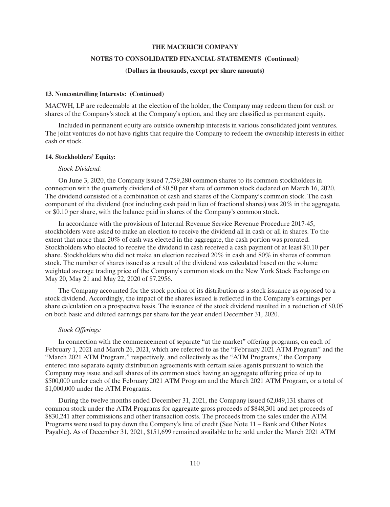### **NOTES TO CONSOLIDATED FINANCIAL STATEMENTS (Continued)**

### **(Dollars in thousands, except per share amounts)**

### **13. Noncontrolling Interests: (Continued)**

MACWH, LP are redeemable at the election of the holder, the Company may redeem them for cash or shares of the Company's stock at the Company's option, and they are classified as permanent equity.

Included in permanent equity are outside ownership interests in various consolidated joint ventures. The joint ventures do not have rights that require the Company to redeem the ownership interests in either cash or stock.

### **14. Stockholders' Equity:**

### *Stock Dividend:*

On June 3, 2020, the Company issued 7,759,280 common shares to its common stockholders in connection with the quarterly dividend of \$0.50 per share of common stock declared on March 16, 2020. The dividend consisted of a combination of cash and shares of the Company's common stock. The cash component of the dividend (not including cash paid in lieu of fractional shares) was 20% in the aggregate, or \$0.10 per share, with the balance paid in shares of the Company's common stock.

In accordance with the provisions of Internal Revenue Service Revenue Procedure 2017-45, stockholders were asked to make an election to receive the dividend all in cash or all in shares. To the extent that more than 20% of cash was elected in the aggregate, the cash portion was prorated. Stockholders who elected to receive the dividend in cash received a cash payment of at least \$0.10 per share. Stockholders who did not make an election received 20% in cash and 80% in shares of common stock. The number of shares issued as a result of the dividend was calculated based on the volume weighted average trading price of the Company's common stock on the New York Stock Exchange on May 20, May 21 and May 22, 2020 of \$7.2956.

The Company accounted for the stock portion of its distribution as a stock issuance as opposed to a stock dividend. Accordingly, the impact of the shares issued is reflected in the Company's earnings per share calculation on a prospective basis. The issuance of the stock dividend resulted in a reduction of \$0.05 on both basic and diluted earnings per share for the year ended December 31, 2020.

### *Stock Offerings:*

In connection with the commencement of separate "at the market" offering programs, on each of February 1, 2021 and March 26, 2021, which are referred to as the "February 2021 ATM Program" and the "March 2021 ATM Program," respectively, and collectively as the "ATM Programs," the Company entered into separate equity distribution agreements with certain sales agents pursuant to which the Company may issue and sell shares of its common stock having an aggregate offering price of up to \$500,000 under each of the February 2021 ATM Program and the March 2021 ATM Program, or a total of \$1,000,000 under the ATM Programs.

During the twelve months ended December 31, 2021, the Company issued 62,049,131 shares of common stock under the ATM Programs for aggregate gross proceeds of \$848,301 and net proceeds of \$830,241 after commissions and other transaction costs. The proceeds from the sales under the ATM Programs were used to pay down the Company's line of credit (See Note 11 – Bank and Other Notes Payable). As of December 31, 2021, \$151,699 remained available to be sold under the March 2021 ATM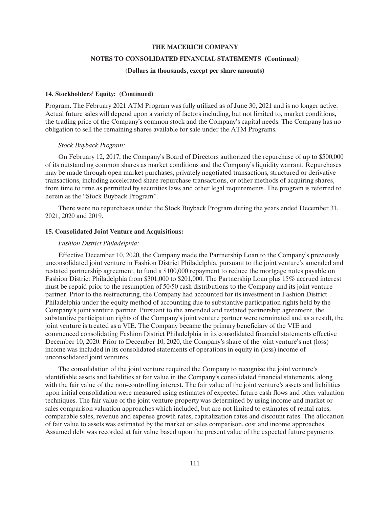### **NOTES TO CONSOLIDATED FINANCIAL STATEMENTS (Continued)**

### **(Dollars in thousands, except per share amounts)**

### **14. Stockholders' Equity: (Continued)**

Program. The February 2021 ATM Program was fully utilized as of June 30, 2021 and is no longer active. Actual future sales will depend upon a variety of factors including, but not limited to, market conditions, the trading price of the Company's common stock and the Company's capital needs. The Company has no obligation to sell the remaining shares available for sale under the ATM Programs.

### *Stock Buyback Program:*

On February 12, 2017, the Company's Board of Directors authorized the repurchase of up to \$500,000 of its outstanding common shares as market conditions and the Company's liquidity warrant. Repurchases may be made through open market purchases, privately negotiated transactions, structured or derivative transactions, including accelerated share repurchase transactions, or other methods of acquiring shares, from time to time as permitted by securities laws and other legal requirements. The program is referred to herein as the "Stock Buyback Program".

There were no repurchases under the Stock Buyback Program during the years ended December 31, 2021, 2020 and 2019.

### **15. Consolidated Joint Venture and Acquisitions:**

### *Fashion District Philadelphia:*

Effective December 10, 2020, the Company made the Partnership Loan to the Company's previously unconsolidated joint venture in Fashion District Philadelphia, pursuant to the joint venture's amended and restated partnership agreement, to fund a \$100,000 repayment to reduce the mortgage notes payable on Fashion District Philadelphia from \$301,000 to \$201,000. The Partnership Loan plus 15% accrued interest must be repaid prior to the resumption of 50/50 cash distributions to the Company and its joint venture partner. Prior to the restructuring, the Company had accounted for its investment in Fashion District Philadelphia under the equity method of accounting due to substantive participation rights held by the Company's joint venture partner. Pursuant to the amended and restated partnership agreement, the substantive participation rights of the Company's joint venture partner were terminated and as a result, the joint venture is treated as a VIE. The Company became the primary beneficiary of the VIE and commenced consolidating Fashion District Philadelphia in its consolidated financial statements effective December 10, 2020. Prior to December 10, 2020, the Company's share of the joint venture's net (loss) income was included in its consolidated statements of operations in equity in (loss) income of unconsolidated joint ventures.

The consolidation of the joint venture required the Company to recognize the joint venture's identifiable assets and liabilities at fair value in the Company's consolidated financial statements, along with the fair value of the non-controlling interest. The fair value of the joint venture's assets and liabilities upon initial consolidation were measured using estimates of expected future cash flows and other valuation techniques. The fair value of the joint venture property was determined by using income and market or sales comparison valuation approaches which included, but are not limited to estimates of rental rates, comparable sales, revenue and expense growth rates, capitalization rates and discount rates. The allocation of fair value to assets was estimated by the market or sales comparison, cost and income approaches. Assumed debt was recorded at fair value based upon the present value of the expected future payments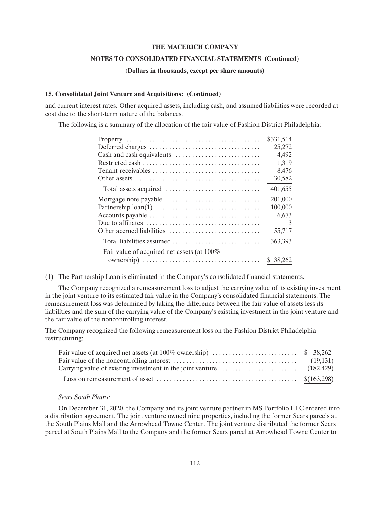### **NOTES TO CONSOLIDATED FINANCIAL STATEMENTS (Continued)**

### **(Dollars in thousands, except per share amounts)**

### **15. Consolidated Joint Venture and Acquisitions: (Continued)**

and current interest rates. Other acquired assets, including cash, and assumed liabilities were recorded at cost due to the short-term nature of the balances.

The following is a summary of the allocation of the fair value of Fashion District Philadelphia:

|                                            | \$331,514     |
|--------------------------------------------|---------------|
|                                            | 25,272        |
|                                            | 4,492         |
|                                            | 1,319         |
| Tenant receivables                         | 8,476         |
|                                            | 30,582        |
|                                            | 401,655       |
|                                            | 201,000       |
|                                            | 100,000       |
|                                            | 6,673         |
|                                            | $\mathcal{F}$ |
|                                            | 55,717        |
| Total liabilities assumed                  | 363,393       |
| Fair value of acquired net assets (at 100% |               |
|                                            | \$38,262      |
|                                            |               |

(1) The Partnership Loan is eliminated in the Company's consolidated financial statements.

The Company recognized a remeasurement loss to adjust the carrying value of its existing investment in the joint venture to its estimated fair value in the Company's consolidated financial statements. The remeasurement loss was determined by taking the difference between the fair value of assets less its liabilities and the sum of the carrying value of the Company's existing investment in the joint venture and the fair value of the noncontrolling interest.

The Company recognized the following remeasurement loss on the Fashion District Philadelphia restructuring:

| Fair value of the noncontrolling interest $\dots \dots \dots \dots \dots \dots \dots \dots \dots \dots \dots \dots \dots \dots \tag{19.131}$ |  |
|----------------------------------------------------------------------------------------------------------------------------------------------|--|
| Carrying value of existing investment in the joint venture $\dots \dots \dots \dots \dots \dots \dots$ (182,429)                             |  |
| Loss on remeasurement of asset $\dots \dots \dots \dots \dots \dots \dots \dots \dots \dots \dots$ \$(163,298)                               |  |

### *Sears South Plains:*

On December 31, 2020, the Company and its joint venture partner in MS Portfolio LLC entered into a distribution agreement. The joint venture owned nine properties, including the former Sears parcels at the South Plains Mall and the Arrowhead Towne Center. The joint venture distributed the former Sears parcel at South Plains Mall to the Company and the former Sears parcel at Arrowhead Towne Center to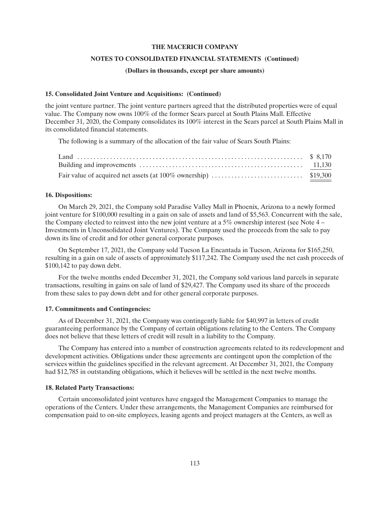### **NOTES TO CONSOLIDATED FINANCIAL STATEMENTS (Continued)**

### **(Dollars in thousands, except per share amounts)**

### **15. Consolidated Joint Venture and Acquisitions: (Continued)**

the joint venture partner. The joint venture partners agreed that the distributed properties were of equal value. The Company now owns 100% of the former Sears parcel at South Plains Mall. Effective December 31, 2020, the Company consolidates its 100% interest in the Sears parcel at South Plains Mall in its consolidated financial statements.

The following is a summary of the allocation of the fair value of Sears South Plains:

### **16. Dispositions:**

On March 29, 2021, the Company sold Paradise Valley Mall in Phoenix, Arizona to a newly formed joint venture for \$100,000 resulting in a gain on sale of assets and land of \$5,563. Concurrent with the sale, the Company elected to reinvest into the new joint venture at a 5% ownership interest (see Note 4 – Investments in Unconsolidated Joint Ventures). The Company used the proceeds from the sale to pay down its line of credit and for other general corporate purposes.

On September 17, 2021, the Company sold Tucson La Encantada in Tucson, Arizona for \$165,250, resulting in a gain on sale of assets of approximately \$117,242. The Company used the net cash proceeds of \$100,142 to pay down debt.

For the twelve months ended December 31, 2021, the Company sold various land parcels in separate transactions, resulting in gains on sale of land of \$29,427. The Company used its share of the proceeds from these sales to pay down debt and for other general corporate purposes.

### **17. Commitments and Contingencies:**

As of December 31, 2021, the Company was contingently liable for \$40,997 in letters of credit guaranteeing performance by the Company of certain obligations relating to the Centers. The Company does not believe that these letters of credit will result in a liability to the Company.

The Company has entered into a number of construction agreements related to its redevelopment and development activities. Obligations under these agreements are contingent upon the completion of the services within the guidelines specified in the relevant agreement. At December 31, 2021, the Company had \$12,785 in outstanding obligations, which it believes will be settled in the next twelve months.

### **18. Related Party Transactions:**

Certain unconsolidated joint ventures have engaged the Management Companies to manage the operations of the Centers. Under these arrangements, the Management Companies are reimbursed for compensation paid to on-site employees, leasing agents and project managers at the Centers, as well as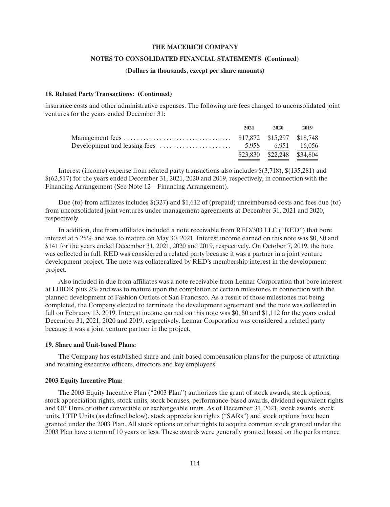### **NOTES TO CONSOLIDATED FINANCIAL STATEMENTS (Continued)**

### **(Dollars in thousands, except per share amounts)**

### **18. Related Party Transactions: (Continued)**

insurance costs and other administrative expenses. The following are fees charged to unconsolidated joint ventures for the years ended December 31:

|                                                                                       | 2021 | 2020                       | 2019 |
|---------------------------------------------------------------------------------------|------|----------------------------|------|
|                                                                                       |      |                            |      |
| Development and leasing fees $\dots \dots \dots \dots \dots \dots$ 5,958 6,951 16,056 |      |                            |      |
|                                                                                       |      | \$23,830 \$22,248 \$34,804 |      |

Interest (income) expense from related party transactions also includes \$(3,718), \$(135,281) and \$(62,517) for the years ended December 31, 2021, 2020 and 2019, respectively, in connection with the Financing Arrangement (See Note 12—Financing Arrangement).

Due (to) from affiliates includes \$(327) and \$1,612 of (prepaid) unreimbursed costs and fees due (to) from unconsolidated joint ventures under management agreements at December 31, 2021 and 2020, respectively.

In addition, due from affiliates included a note receivable from RED/303 LLC ("RED") that bore interest at 5.25% and was to mature on May 30, 2021. Interest income earned on this note was \$0, \$0 and \$141 for the years ended December 31, 2021, 2020 and 2019, respectively. On October 7, 2019, the note was collected in full. RED was considered a related party because it was a partner in a joint venture development project. The note was collateralized by RED's membership interest in the development project.

Also included in due from affiliates was a note receivable from Lennar Corporation that bore interest at LIBOR plus 2% and was to mature upon the completion of certain milestones in connection with the planned development of Fashion Outlets of San Francisco. As a result of those milestones not being completed, the Company elected to terminate the development agreement and the note was collected in full on February 13, 2019. Interest income earned on this note was \$0, \$0 and \$1,112 for the years ended December 31, 2021, 2020 and 2019, respectively. Lennar Corporation was considered a related party because it was a joint venture partner in the project.

### **19. Share and Unit-based Plans:**

The Company has established share and unit-based compensation plans for the purpose of attracting and retaining executive officers, directors and key employees.

### **2003 Equity Incentive Plan:**

The 2003 Equity Incentive Plan ("2003 Plan") authorizes the grant of stock awards, stock options, stock appreciation rights, stock units, stock bonuses, performance-based awards, dividend equivalent rights and OP Units or other convertible or exchangeable units. As of December 31, 2021, stock awards, stock units, LTIP Units (as defined below), stock appreciation rights ("SARs") and stock options have been granted under the 2003 Plan. All stock options or other rights to acquire common stock granted under the 2003 Plan have a term of 10 years or less. These awards were generally granted based on the performance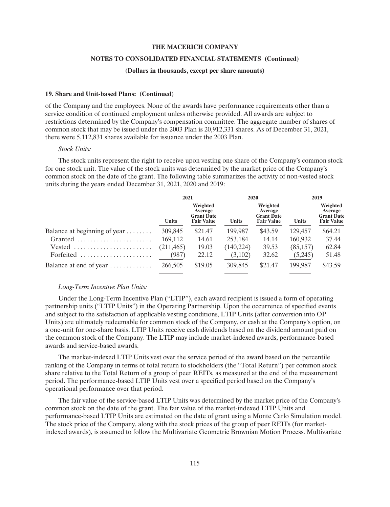### **NOTES TO CONSOLIDATED FINANCIAL STATEMENTS (Continued)**

### **(Dollars in thousands, except per share amounts)**

### **19. Share and Unit-based Plans: (Continued)**

of the Company and the employees. None of the awards have performance requirements other than a service condition of continued employment unless otherwise provided. All awards are subject to restrictions determined by the Company's compensation committee. The aggregate number of shares of common stock that may be issued under the 2003 Plan is 20,912,331 shares. As of December 31, 2021, there were 5,112,831 shares available for issuance under the 2003 Plan.

### *Stock Units:*

The stock units represent the right to receive upon vesting one share of the Company's common stock for one stock unit. The value of the stock units was determined by the market price of the Company's common stock on the date of the grant. The following table summarizes the activity of non-vested stock units during the years ended December 31, 2021, 2020 and 2019:

|                              | 2021         |                                                               |              | 2020                                                          |              | 2019                                                          |
|------------------------------|--------------|---------------------------------------------------------------|--------------|---------------------------------------------------------------|--------------|---------------------------------------------------------------|
|                              | <b>Units</b> | Weighted<br>Average<br><b>Grant Date</b><br><b>Fair Value</b> | <b>Units</b> | Weighted<br>Average<br><b>Grant Date</b><br><b>Fair Value</b> | <b>Units</b> | Weighted<br>Average<br><b>Grant Date</b><br><b>Fair Value</b> |
| Balance at beginning of year | 309,845      | \$21.47                                                       | 199,987      | \$43.59                                                       | 129,457      | \$64.21                                                       |
| Granted                      | 169,112      | 14.61                                                         | 253,184      | 14.14                                                         | 160,932      | 37.44                                                         |
| Vested                       | (211, 465)   | 19.03                                                         | (140, 224)   | 39.53                                                         | (85, 157)    | 62.84                                                         |
| Forfeited                    | (987)        | 22.12                                                         | (3,102)      | 32.62                                                         | (5,245)      | 51.48                                                         |
| Balance at end of year       | 266,505      | \$19.05                                                       | 309,845      | \$21.47                                                       | 199,987      | \$43.59                                                       |

### *Long-Term Incentive Plan Units:*

Under the Long-Term Incentive Plan ("LTIP"), each award recipient is issued a form of operating partnership units ("LTIP Units") in the Operating Partnership. Upon the occurrence of specified events and subject to the satisfaction of applicable vesting conditions, LTIP Units (after conversion into OP Units) are ultimately redeemable for common stock of the Company, or cash at the Company's option, on a one-unit for one-share basis. LTIP Units receive cash dividends based on the dividend amount paid on the common stock of the Company. The LTIP may include market-indexed awards, performance-based awards and service-based awards.

The market-indexed LTIP Units vest over the service period of the award based on the percentile ranking of the Company in terms of total return to stockholders (the "Total Return") per common stock share relative to the Total Return of a group of peer REITs, as measured at the end of the measurement period. The performance-based LTIP Units vest over a specified period based on the Company's operational performance over that period.

The fair value of the service-based LTIP Units was determined by the market price of the Company's common stock on the date of the grant. The fair value of the market-indexed LTIP Units and performance-based LTIP Units are estimated on the date of grant using a Monte Carlo Simulation model. The stock price of the Company, along with the stock prices of the group of peer REITs (for marketindexed awards), is assumed to follow the Multivariate Geometric Brownian Motion Process. Multivariate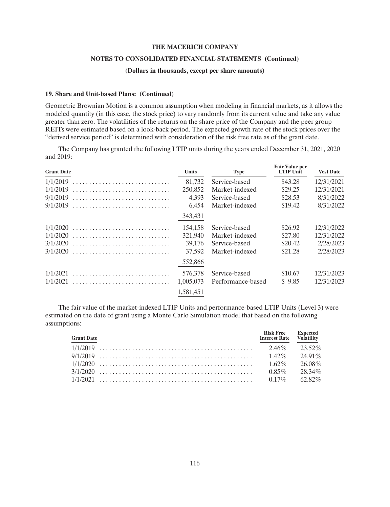### **NOTES TO CONSOLIDATED FINANCIAL STATEMENTS (Continued)**

### **(Dollars in thousands, except per share amounts)**

### **19. Share and Unit-based Plans: (Continued)**

Geometric Brownian Motion is a common assumption when modeling in financial markets, as it allows the modeled quantity (in this case, the stock price) to vary randomly from its current value and take any value greater than zero. The volatilities of the returns on the share price of the Company and the peer group REITs were estimated based on a look-back period. The expected growth rate of the stock prices over the "derived service period" is determined with consideration of the risk free rate as of the grant date.

The Company has granted the following LTIP units during the years ended December 31, 2021, 2020 and 2019:

| <b>Grant Date</b> | <b>Units</b> | <b>Type</b>       | <b>Fair Value per</b><br><b>LTIP Unit</b> | <b>Vest Date</b> |
|-------------------|--------------|-------------------|-------------------------------------------|------------------|
| 1/1/2019          | 81,732       | Service-based     | \$43.28                                   | 12/31/2021       |
| 1/1/2019          | 250,852      | Market-indexed    | \$29.25                                   | 12/31/2021       |
| 9/1/2019          | 4,393        | Service-based     | \$28.53                                   | 8/31/2022        |
| 9/1/2019          | 6,454        | Market-indexed    | \$19.42                                   | 8/31/2022        |
|                   | 343,431      |                   |                                           |                  |
| 1/1/2020          | 154,158      | Service-based     | \$26.92                                   | 12/31/2022       |
| 1/1/2020          | 321,940      | Market-indexed    | \$27.80                                   | 12/31/2022       |
| 3/1/2020          | 39,176       | Service-based     | \$20.42                                   | 2/28/2023        |
| 3/1/2020          | 37,592       | Market-indexed    | \$21.28                                   | 2/28/2023        |
|                   | 552,866      |                   |                                           |                  |
| 1/1/2021          | 576,378      | Service-based     | \$10.67                                   | 12/31/2023       |
| 1/1/2021          | 1,005,073    | Performance-based | \$9.85                                    | 12/31/2023       |
|                   | 1,581,451    |                   |                                           |                  |

The fair value of the market-indexed LTIP Units and performance-based LTIP Units (Level 3) were estimated on the date of grant using a Monte Carlo Simulation model that based on the following assumptions:

| <b>Grant Date</b> | <b>Risk Free</b> Expected<br><b>Interest Rate Volatility</b> |                 |
|-------------------|--------------------------------------------------------------|-----------------|
|                   |                                                              |                 |
|                   |                                                              |                 |
|                   |                                                              |                 |
|                   |                                                              | $0.85\%$ 28.34% |
|                   |                                                              |                 |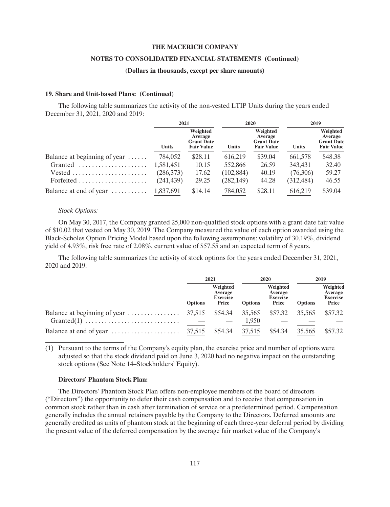### **NOTES TO CONSOLIDATED FINANCIAL STATEMENTS (Continued)**

### **(Dollars in thousands, except per share amounts)**

### **19. Share and Unit-based Plans: (Continued)**

The following table summarizes the activity of the non-vested LTIP Units during the years ended December 31, 2021, 2020 and 2019:

|                                                          | 2021         |                                                                      |              | 2020                                                                 |              | 2019                                                          |
|----------------------------------------------------------|--------------|----------------------------------------------------------------------|--------------|----------------------------------------------------------------------|--------------|---------------------------------------------------------------|
|                                                          | <b>Units</b> | Weighted<br><b>Average</b><br><b>Grant Date</b><br><b>Fair Value</b> | <b>Units</b> | Weighted<br><b>Average</b><br><b>Grant Date</b><br><b>Fair Value</b> | <b>Units</b> | Weighted<br>Average<br><b>Grant Date</b><br><b>Fair Value</b> |
| Balance at beginning of year                             | 784,052      | \$28.11                                                              | 616.219      | \$39.04                                                              | 661,578      | \$48.38                                                       |
| Granted $\dots\dots\dots\dots\dots\dots\dots$            | 1,581,451    | 10.15                                                                | 552,866      | 26.59                                                                | 343.431      | 32.40                                                         |
| $Vested \dots \dots \dots \dots \dots \dots \dots \dots$ | (286,373)    | 17.62                                                                | (102, 884)   | 40.19                                                                | (76,306)     | 59.27                                                         |
| Forfeited                                                | (241, 439)   | 29.25                                                                | (282, 149)   | 44.28                                                                | (312, 484)   | 46.55                                                         |
| Balance at end of year                                   | 1,837,691    | \$14.14                                                              | 784,052      | \$28.11                                                              | 616,219      | \$39.04                                                       |

### *Stock Options:*

On May 30, 2017, the Company granted 25,000 non-qualified stock options with a grant date fair value of \$10.02 that vested on May 30, 2019. The Company measured the value of each option awarded using the Black-Scholes Option Pricing Model based upon the following assumptions: volatility of 30.19%, dividend yield of 4.93%, risk free rate of 2.08%, current value of \$57.55 and an expected term of 8 years.

The following table summarizes the activity of stock options for the years ended December 31, 2021, 2020 and 2019:

|                                                                           |                | 2021                                            |                | 2020                                            |                | 2019                                                   |
|---------------------------------------------------------------------------|----------------|-------------------------------------------------|----------------|-------------------------------------------------|----------------|--------------------------------------------------------|
|                                                                           | <b>Options</b> | Weighted<br>Average<br><b>Exercise</b><br>Price | <b>Options</b> | Weighted<br>Average<br><b>Exercise</b><br>Price | <b>Options</b> | Weighted<br><b>Average</b><br><b>Exercise</b><br>Price |
| Balance at beginning of year                                              | 37,515         | \$54.34                                         | 35,565         | \$57.32                                         | 35.565         | \$57.32                                                |
|                                                                           |                |                                                 | 1.950          |                                                 |                |                                                        |
| Balance at end of year $\dots \dots \dots \dots \dots \dots \dots$ 37,515 |                | \$54.34                                         | 37,515         | \$54.34                                         | 35.565         | \$57.32                                                |

(1) Pursuant to the terms of the Company's equity plan, the exercise price and number of options were adjusted so that the stock dividend paid on June 3, 2020 had no negative impact on the outstanding stock options (See Note 14–Stockholders' Equity).

### **Directors' Phantom Stock Plan:**

The Directors' Phantom Stock Plan offers non-employee members of the board of directors ("Directors") the opportunity to defer their cash compensation and to receive that compensation in common stock rather than in cash after termination of service or a predetermined period. Compensation generally includes the annual retainers payable by the Company to the Directors. Deferred amounts are generally credited as units of phantom stock at the beginning of each three-year deferral period by dividing the present value of the deferred compensation by the average fair market value of the Company's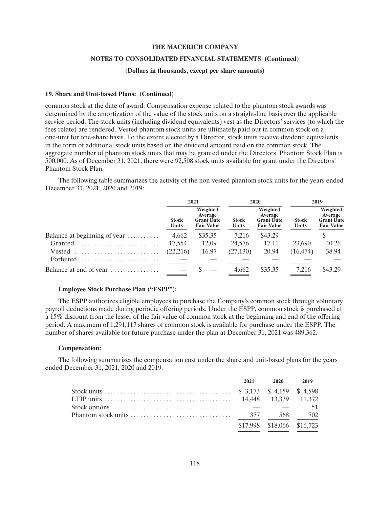### **NOTES TO CONSOLIDATED FINANCIAL STATEMENTS (Continued)**

### **(Dollars in thousands, except per share amounts)**

### **19. Share and Unit-based Plans: (Continued)**

common stock at the date of award. Compensation expense related to the phantom stock awards was determined by the amortization of the value of the stock units on a straight-line basis over the applicable service period. The stock units (including dividend equivalents) vest as the Directors' services (to which the fees relate) are rendered. Vested phantom stock units are ultimately paid out in common stock on a one-unit for one-share basis. To the extent elected by a Director, stock units receive dividend equivalents in the form of additional stock units based on the dividend amount paid on the common stock. The aggregate number of phantom stock units that may be granted under the Directors' Phantom Stock Plan is 500,000. As of December 31, 2021, there were 92,508 stock units available for grant under the Directors' Phantom Stock Plan.

The following table summarizes the activity of the non-vested phantom stock units for the years ended December 31, 2021, 2020 and 2019:

|                              |                       | 2021                                                          |                              | 2020                                                          |                              | 2019                                                                 |
|------------------------------|-----------------------|---------------------------------------------------------------|------------------------------|---------------------------------------------------------------|------------------------------|----------------------------------------------------------------------|
|                              | <b>Stock</b><br>Units | Weighted<br>Average<br><b>Grant Date</b><br><b>Fair Value</b> | <b>Stock</b><br><b>Units</b> | Weighted<br>Average<br><b>Grant Date</b><br><b>Fair Value</b> | <b>Stock</b><br><b>Units</b> | Weighted<br><b>Average</b><br><b>Grant Date</b><br><b>Fair Value</b> |
| Balance at beginning of year | 4,662                 | \$35.35                                                       | 7.216                        | \$43.29                                                       |                              |                                                                      |
| Granted                      | 17,554                | 12.09                                                         | 24,576                       | 17.11                                                         | 23,690                       | 40.26                                                                |
| $Vested$                     | (22, 216)             | 16.97                                                         | (27, 130)                    | 20.94                                                         | (16, 474)                    | 38.94                                                                |
| Forfeited                    |                       |                                                               |                              |                                                               |                              |                                                                      |
| Balance at end of year       |                       |                                                               | 4,662                        | \$35.35                                                       | 7,216                        | \$43.29                                                              |

### **Employee Stock Purchase Plan ("ESPP"):**

The ESPP authorizes eligible employees to purchase the Company's common stock through voluntary payroll deductions made during periodic offering periods. Under the ESPP, common stock is purchased at a 15% discount from the lesser of the fair value of common stock at the beginning and end of the offering period. A maximum of 1,291,117 shares of common stock is available for purchase under the ESPP. The number of shares available for future purchase under the plan at December 31, 2021 was 489,362.

### **Compensation:**

The following summarizes the compensation cost under the share and unit-based plans for the years ended December 31, 2021, 2020 and 2019:

| 2021 | 2020                       | 2019 |
|------|----------------------------|------|
|      |                            |      |
|      |                            |      |
|      | - - 51                     |      |
|      |                            |      |
|      | \$17,998 \$18,066 \$16,723 |      |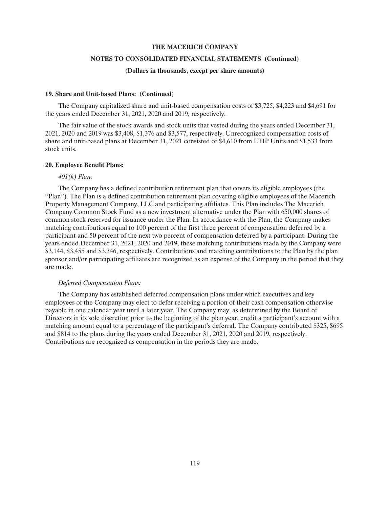### **NOTES TO CONSOLIDATED FINANCIAL STATEMENTS (Continued)**

### **(Dollars in thousands, except per share amounts)**

### **19. Share and Unit-based Plans: (Continued)**

The Company capitalized share and unit-based compensation costs of \$3,725, \$4,223 and \$4,691 for the years ended December 31, 2021, 2020 and 2019, respectively.

The fair value of the stock awards and stock units that vested during the years ended December 31, 2021, 2020 and 2019 was \$3,408, \$1,376 and \$3,577, respectively. Unrecognized compensation costs of share and unit-based plans at December 31, 2021 consisted of \$4,610 from LTIP Units and \$1,533 from stock units.

### **20. Employee Benefit Plans:**

### *401(k) Plan:*

The Company has a defined contribution retirement plan that covers its eligible employees (the "Plan"). The Plan is a defined contribution retirement plan covering eligible employees of the Macerich Property Management Company, LLC and participating affiliates. This Plan includes The Macerich Company Common Stock Fund as a new investment alternative under the Plan with 650,000 shares of common stock reserved for issuance under the Plan. In accordance with the Plan, the Company makes matching contributions equal to 100 percent of the first three percent of compensation deferred by a participant and 50 percent of the next two percent of compensation deferred by a participant. During the years ended December 31, 2021, 2020 and 2019, these matching contributions made by the Company were \$3,144, \$3,455 and \$3,346, respectively. Contributions and matching contributions to the Plan by the plan sponsor and/or participating affiliates are recognized as an expense of the Company in the period that they are made.

### *Deferred Compensation Plans:*

The Company has established deferred compensation plans under which executives and key employees of the Company may elect to defer receiving a portion of their cash compensation otherwise payable in one calendar year until a later year. The Company may, as determined by the Board of Directors in its sole discretion prior to the beginning of the plan year, credit a participant's account with a matching amount equal to a percentage of the participant's deferral. The Company contributed \$325, \$695 and \$814 to the plans during the years ended December 31, 2021, 2020 and 2019, respectively. Contributions are recognized as compensation in the periods they are made.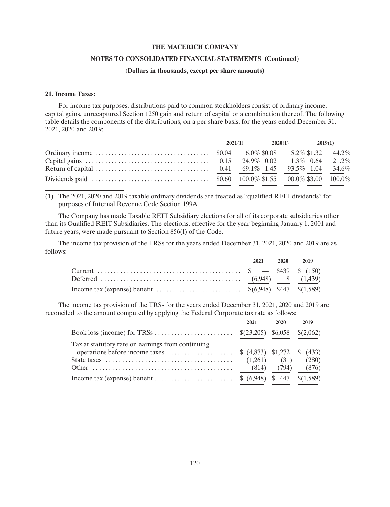### **NOTES TO CONSOLIDATED FINANCIAL STATEMENTS (Continued)**

### **(Dollars in thousands, except per share amounts)**

### **21. Income Taxes:**

For income tax purposes, distributions paid to common stockholders consist of ordinary income, capital gains, unrecaptured Section 1250 gain and return of capital or a combination thereof. The following table details the components of the distributions, on a per share basis, for the years ended December 31, 2021, 2020 and 2019:

|  | 2021(1) | 2020(1) | 2019(1) |  |
|--|---------|---------|---------|--|
|  |         |         |         |  |
|  |         |         |         |  |
|  |         |         |         |  |
|  |         |         |         |  |

(1) The 2021, 2020 and 2019 taxable ordinary dividends are treated as "qualified REIT dividends" for purposes of Internal Revenue Code Section 199A.

The Company has made Taxable REIT Subsidiary elections for all of its corporate subsidiaries other than its Qualified REIT Subsidiaries. The elections, effective for the year beginning January 1, 2001 and future years, were made pursuant to Section 856(l) of the Code.

The income tax provision of the TRSs for the years ended December 31, 2021, 2020 and 2019 are as follows:

| 2021 2020 2019 |  |
|----------------|--|
|                |  |
|                |  |
|                |  |

The income tax provision of the TRSs for the years ended December 31, 2021, 2020 and 2019 are reconciled to the amount computed by applying the Federal Corporate tax rate as follows:

|                                                   | 2021       | 2020    | 2019      |
|---------------------------------------------------|------------|---------|-----------|
|                                                   | \$(23,205) | \$6,058 | \$(2,062) |
| Tax at statutory rate on earnings from continuing |            |         |           |
|                                                   |            |         |           |
|                                                   | (1.261)    | (31)    | (280)     |
|                                                   | (814)      | (794)   | (876)     |
|                                                   |            |         |           |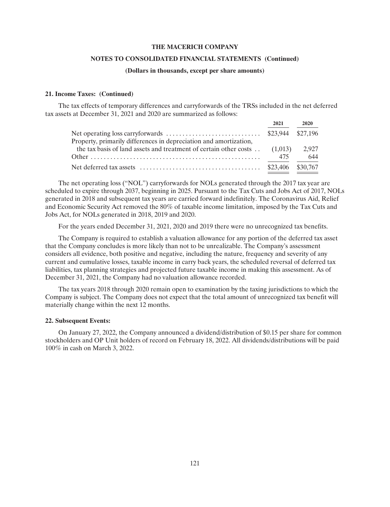### **NOTES TO CONSOLIDATED FINANCIAL STATEMENTS (Continued)**

### **(Dollars in thousands, except per share amounts)**

### **21. Income Taxes: (Continued)**

The tax effects of temporary differences and carryforwards of the TRSs included in the net deferred tax assets at December 31, 2021 and 2020 are summarized as follows:

| Property, primarily differences in depreciation and amortization,                  |     |       |
|------------------------------------------------------------------------------------|-----|-------|
| the tax basis of land assets and treatment of certain other costs $\ldots$ (1,013) |     | 2,927 |
|                                                                                    | 475 | 644   |
|                                                                                    |     |       |

**2021 2020**

The net operating loss ("NOL") carryforwards for NOLs generated through the 2017 tax year are scheduled to expire through 2037, beginning in 2025. Pursuant to the Tax Cuts and Jobs Act of 2017, NOLs generated in 2018 and subsequent tax years are carried forward indefinitely. The Coronavirus Aid, Relief and Economic Security Act removed the 80% of taxable income limitation, imposed by the Tax Cuts and Jobs Act, for NOLs generated in 2018, 2019 and 2020.

For the years ended December 31, 2021, 2020 and 2019 there were no unrecognized tax benefits.

The Company is required to establish a valuation allowance for any portion of the deferred tax asset that the Company concludes is more likely than not to be unrealizable. The Company's assessment considers all evidence, both positive and negative, including the nature, frequency and severity of any current and cumulative losses, taxable income in carry back years, the scheduled reversal of deferred tax liabilities, tax planning strategies and projected future taxable income in making this assessment. As of December 31, 2021, the Company had no valuation allowance recorded.

The tax years 2018 through 2020 remain open to examination by the taxing jurisdictions to which the Company is subject. The Company does not expect that the total amount of unrecognized tax benefit will materially change within the next 12 months.

### **22. Subsequent Events:**

On January 27, 2022, the Company announced a dividend/distribution of \$0.15 per share for common stockholders and OP Unit holders of record on February 18, 2022. All dividends/distributions will be paid 100% in cash on March 3, 2022.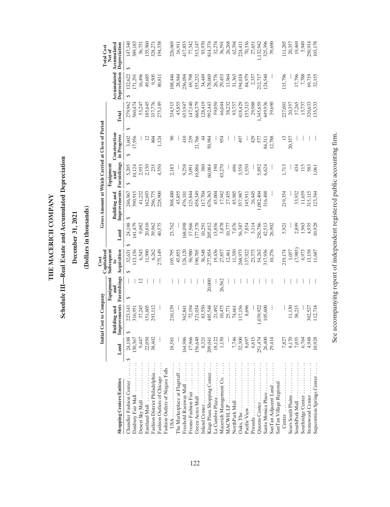## THE MACERICH COMPANY **THE MACERICH COMPANY**

## Schedule III-Real Estate and Accumulated Depreciation **Schedule III—Real Estate and Accumulated Depreciation**

## December 31, 2021 **December 31, 2021**

## (Dollars in thousands) **(Dollars in thousands)**

|                                                             | Initial | Cost to Company     |                  | Capitalized<br>Cost                    |                                                                                                                                                              |                     | Gross Amount at Which Carried at Close of Period |                |   |                              |                                                           | <b>Total Cost</b>                                         |                    |
|-------------------------------------------------------------|---------|---------------------|------------------|----------------------------------------|--------------------------------------------------------------------------------------------------------------------------------------------------------------|---------------------|--------------------------------------------------|----------------|---|------------------------------|-----------------------------------------------------------|-----------------------------------------------------------|--------------------|
| <b>Shopping Centers/Entities</b>                            |         | <b>Building</b> and | Equipment<br>and | Subsequent                             | Land                                                                                                                                                         | <b>Building</b> and | Furnishings<br>Equipment                         | Construction   |   | Total                        | Accumulated                                               | Accumulated<br>Net of                                     |                    |
|                                                             | Land    | Improvements        | Furnishings      | Acquisition                            |                                                                                                                                                              | Improvements        |                                                  | in Progress    |   |                              | Depreciation                                              | Depreciation                                              |                    |
| ↮<br>Chandler Fashion Center                                | 24,188  | 223,143<br>S        | ↮                | 32,631<br>5                            | 24,188<br>S                                                                                                                                                  | 246,967<br>5        | 5,205<br>S                                       | 3,602<br>5     | S | 279,962                      | 132,622<br>S                                              | 5                                                         | 147,340            |
| <b>Danbury Fair Mall</b>                                    | 130,367 | 316,951             |                  | 113,156                                | 141,479                                                                                                                                                      | 390,915             | 10,124                                           | 17,956         |   | 560,474                      | 171,291                                                   |                                                           | 389,183            |
| Desert Sky Mall.                                            | 9,447   | 37,245              | $\mathbf{c}$     | 6,543                                  | 9,082                                                                                                                                                        | 41,232              | 2,933                                            |                |   | 53,247                       | 16,496                                                    |                                                           | 36,751             |
| Eastland Mall                                               | 22,050  | 151,605             |                  | 11,990                                 |                                                                                                                                                              | 162,693             |                                                  |                |   | 185,645                      | 49,685                                                    |                                                           | 135,960            |
| Pashion District Philadelphia                               | 38,402  | 293,112             |                  | 6,262                                  |                                                                                                                                                              | 296,775             | 2,130<br>235<br>4,550                            | 804            |   |                              |                                                           | 328,271                                                   |                    |
| Fashion Outlets of Chicago                                  |         |                     |                  | 75,149                                 | 20,810<br>39,962<br>40,575                                                                                                                                   | 228,900             |                                                  | 124            |   | 337,776<br>275,149           | 9,505<br>80,811                                           |                                                           | 194,338            |
| Fashion Outlets of Niagara Falls                            |         |                     |                  |                                        |                                                                                                                                                              |                     |                                                  |                |   |                              |                                                           |                                                           |                    |
| USA                                                         | 18,581  | 210,139             |                  | 105,795                                | 23,762                                                                                                                                                       | 308,480             | 2,183                                            |                |   | 334,515                      | 108,446                                                   | 226,069                                                   |                    |
| The Marketplace at Flagstaff                                |         |                     |                  | 45,855                                 |                                                                                                                                                              | 45,855              |                                                  |                |   | 45,855                       | 28,944                                                    |                                                           | 16,911             |
| Freehold Raceway Mall                                       | 164,986 | 362,841             |                  | 126,120                                |                                                                                                                                                              | 476,181             | 9,258                                            | $\frac{10}{1}$ |   | 653,947                      | 236,094                                                   | 417,853                                                   |                    |
| Fresno Fashion Fair                                         | 17,966  | 72,194              |                  | 56,980                                 |                                                                                                                                                              | 125,844             | 3,091                                            | 239            |   | 147,140                      | 69,798                                                    |                                                           | 77,342             |
| Green Acres Mall                                            | 156,640 | 321,034             |                  | 190,705                                | 168,098<br>17,966<br>17,378                                                                                                                                  | 458,349             | 10,886                                           | 21,766         |   | 668,379                      | 155,232<br>34,449                                         | 513,147                                                   |                    |
| Inland Center                                               | 8,321   |                     |                  |                                        |                                                                                                                                                              | 117,704             | 380                                              |                |   | 128,419                      |                                                           |                                                           |                    |
| Kings Plaza Shopping Center                                 | 209,041 | 83,550<br>485,548   | 20,000           | 36,548<br>277,854                      |                                                                                                                                                              | 676,363             | 60,084                                           | 50,984         |   | 992,443                      | 178,069                                                   |                                                           |                    |
| La Cumbre Plaza                                             | 18,122  | 21,492              |                  | 19,436                                 | $\begin{array}{c} 10{,}291 \\ 205{,}012 \\ 13{,}856 \\ 10{,}777 \\ 7{,}076 \\ 7{,}857 \\ 7{,}857 \\ 7{,}854 \\ 7{,}854 \\ 7{,}854 \\ 3{,}114 \\ \end{array}$ | 45,004              | 190                                              |                |   | 59,050                       | 26,776                                                    | 93,970<br>814,374<br>32,274<br>36,591<br>26,268<br>26,394 |                    |
| Macerich Management Co.                                     | 1,150   |                     | 26,562           | 27,857                                 |                                                                                                                                                              | 17,942              | 43,270                                           | 954            |   | 66,044                       |                                                           |                                                           |                    |
| MACWH, LP                                                   |         | $10,475$<br>25,771  |                  |                                        |                                                                                                                                                              | 27,455              |                                                  |                |   | 38,232                       |                                                           |                                                           |                    |
| NorthPark Mall                                              | 7,746   | 74,661              |                  | 12,461<br>11,350                       |                                                                                                                                                              | 85,985              | 696                                              |                |   | 93,757                       | $\begin{array}{c} 29,453 \\ 11,964 \\ 31,363 \end{array}$ |                                                           |                    |
| $\mathrm{Oaks}, \mathrm{The}\dots\dots\dots\dots\dots\dots$ | 32,300  | 17,156              |                  | 268,973                                |                                                                                                                                                              | 357,987<br>145,911  | 3,558                                            | 497            |   | 418,429                      | 194,018                                                   |                                                           |                    |
| Pacific View                                                | 8,697   | 8,696               |                  | 137,922                                |                                                                                                                                                              |                     | 1,550                                            |                |   | 155,315                      | 84,979                                                    |                                                           | 70,336             |
| Prasada                                                     | 6,615   |                     |                  | 23,373                                 |                                                                                                                                                              | 26,445              |                                                  | 429            |   | 29,988                       | 2,337                                                     |                                                           | 27,651             |
| Queens Center $\dots\dots\dots$                             | 251,474 | ,039,922            |                  | 54,263<br>317,936                      | 256,786<br>42,513<br>26,902                                                                                                                                  | ,082,404            | 5,892                                            | 577            |   | ,345,659<br>449,936          | 212,717                                                   | ,132,942                                                  |                    |
| Santa Monica Place                                          | 26,400  | 105,600             |                  |                                        |                                                                                                                                                              | 316,488             | 6,624                                            | 84,311         |   |                              | 124,540                                                   | 325,396                                                   |                    |
| SanTan Adjacent Land.                                       | 29,414  |                     |                  | 10,276                                 |                                                                                                                                                              |                     |                                                  | 12,788         |   | 39,690                       |                                                           |                                                           | 39,690             |
| SanTan Village Regional                                     |         |                     |                  |                                        |                                                                                                                                                              |                     |                                                  |                |   |                              |                                                           |                                                           |                    |
| Center $\dots\dots\dots$                                    | 7,827   |                     |                  | 19,174                                 | 5,921                                                                                                                                                        | 219,354             | 1,713                                            | $\mathfrak{a}$ |   | 227,001                      | 15,796                                                    |                                                           | 11,205             |
| Sears South Plains                                          | 8,170   | 11,130              |                  | 1,057                                  |                                                                                                                                                              |                     |                                                  | 20,357         |   |                              |                                                           |                                                           | 20,357             |
| SouthPark Mall                                              | 7,035   | 38,215              |                  | $(7,985)$<br>6,973<br>13,158<br>11,687 | 2,899                                                                                                                                                        | 33,932              | 434                                              |                |   | 20,357<br>37,265             | 17,796                                                    |                                                           | 19,469             |
| Southridge Center.                                          | 6,764   |                     |                  |                                        | 1,963                                                                                                                                                        | 11,659              | 115                                              |                |   |                              |                                                           |                                                           | 5,949              |
| Stonewood Center                                            | 4,948   | 302,527<br>112,718  |                  |                                        | 4,935<br>10,928                                                                                                                                              | 315,115<br>123,344  | 583                                              |                |   | 13,737<br>320,633<br>135,333 | 7,788<br>69,719<br>32,155                                 |                                                           | 250,914<br>103,178 |
| Superstition Springs Center                                 | 10,928  |                     |                  |                                        |                                                                                                                                                              |                     | 1,061                                            |                |   |                              |                                                           |                                                           |                    |
|                                                             |         |                     |                  |                                        |                                                                                                                                                              |                     |                                                  |                |   |                              |                                                           |                                                           |                    |

See accompanying report of independent registered public accounting firm. See accompanying report of independent registered public accounting firm.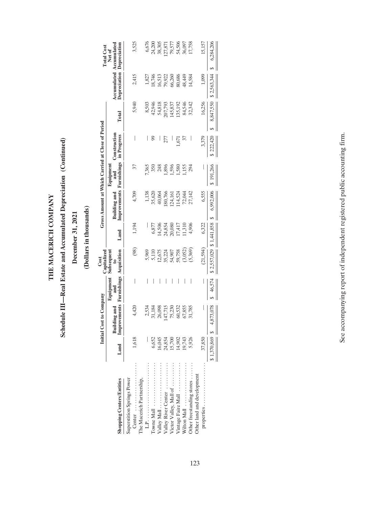## THE MACERICH COMPANY **THE MACERICH COMPANY**

# Schedule III-Real Estate and Accumulated Depreciation (Continued) **Schedule III—Real Estate and Accumulated Depreciation (Continued)**

## December 31, 2021 **December 31, 2021**

## (Dollars in thousands) **(Dollars in thousands)**

|                                                  | Initial          | Cost to Company           |                  | apitalized<br>Cost         |                            | Gross Amount at Which Carried at Close of Period |                    |                     |                                                 |                                                | <b>Total Cost</b>                                        |
|--------------------------------------------------|------------------|---------------------------|------------------|----------------------------|----------------------------|--------------------------------------------------|--------------------|---------------------|-------------------------------------------------|------------------------------------------------|----------------------------------------------------------|
|                                                  |                  |                           | Equipment<br>and |                            |                            | <b>Building</b> and                              | Equipmen<br>and    | <b>Construction</b> |                                                 | Accumulated                                    | Net of                                                   |
| <b>Shopping Centers/Entities</b>                 | Land             |                           |                  | Acquisition                | Land                       | <b>Improvements</b>                              | <u>Furnishings</u> | in Progress         | Total                                           | Depreciation                                   |                                                          |
| Superstition Springs Power                       |                  |                           |                  |                            |                            |                                                  |                    |                     |                                                 |                                                |                                                          |
| Center $\ldots$                                  | 1,618            | 4,420                     | I                | (98)                       | <b>194</b>                 | 4,709                                            |                    | I                   | 5,940                                           | 2,415                                          | 3,525                                                    |
| The Macerich Partnership,                        |                  |                           |                  |                            |                            |                                                  |                    |                     |                                                 |                                                |                                                          |
|                                                  |                  |                           |                  | 5,969                      |                            |                                                  |                    |                     |                                                 | 1,827                                          | 6,676                                                    |
| Towne Mall $\ldots \ldots \ldots \ldots$         | 6,652            | 2,534<br>31,184<br>26,098 |                  | 5,110                      | 6,877                      | 1,138<br>35,620<br>40,064<br>180,766             | 350                |                     |                                                 |                                                |                                                          |
|                                                  | 16,045           |                           |                  | 12,675                     |                            |                                                  | 248                |                     |                                                 |                                                |                                                          |
| Valley River Center                              | 24,854<br>15,700 | .47,715                   | I                |                            | 14,506<br>24,854<br>20,080 |                                                  | .896               |                     | 8,503<br>42,946<br>54,818<br>507,793<br>145,837 | 18,746<br>16,513<br>79,922<br>56,260<br>80,686 |                                                          |
| Victor Valley, Mall of                           |                  | 75,230                    | I                | 35,224<br>54,907<br>59,758 |                            | 24,161                                           | 596                |                     |                                                 |                                                |                                                          |
| Vintage Faire Mall                               | 14,902           | 60,532                    | I                |                            | 17,417                     | 14,524                                           | 1,580              | 1,671               | 135,192                                         |                                                | 24,200<br>38,305<br>37,871<br>79,577<br>54,506<br>36,097 |
| Wilton Mall $\ldots \ldots \ldots \ldots \ldots$ | 19,743           | 67,855                    | I                | $(3,052)$<br>$(5,369)$     | 1,310                      | 72,044                                           | 1,155              |                     | 84,546                                          | 48,449                                         |                                                          |
| Other freestanding stores $\dots\dots$           | 5,926            | 31,785                    |                  |                            | 4,906                      | 27,142                                           | 294                |                     | 32,342                                          | 14,584                                         | 17,758                                                   |
| Other land and development                       |                  |                           |                  |                            |                            |                                                  |                    |                     |                                                 |                                                |                                                          |
|                                                  | 37,850           |                           |                  | (21,594)                   | 6,322                      | 6,555                                            |                    | 3,379               | 16,256                                          | 1,099                                          | 15,157                                                   |
|                                                  | \$1,370,869      | 4,873,078                 | 46,574           | 2,557,029                  | \$1,441,858                | 6,992,00                                         | 191,266            | 5 222,420           | 8,847,550                                       | 3 2,563,344                                    |                                                          |
|                                                  |                  |                           |                  |                            |                            |                                                  |                    |                     |                                                 |                                                |                                                          |

See accompanying report of independent registered public accounting firm. See accompanying report of independent registered public accounting firm.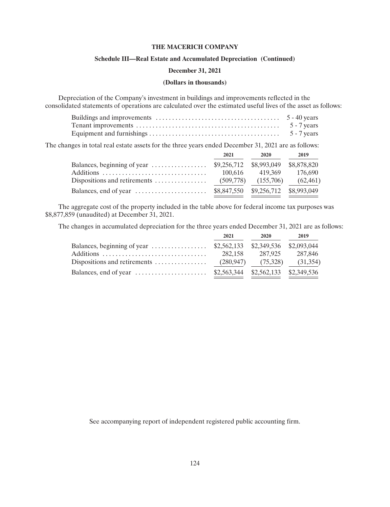### **Schedule III—Real Estate and Accumulated Depreciation (Continued)**

### **December 31, 2021**

### **(Dollars in thousands)**

Depreciation of the Company's investment in buildings and improvements reflected in the consolidated statements of operations are calculated over the estimated useful lives of the asset as follows:

The changes in total real estate assets for the three years ended December 31, 2021 are as follows:

|                              | 2021                    | 2020                    | 2019        |
|------------------------------|-------------------------|-------------------------|-------------|
| Balances, beginning of year  | \$9,256,712 \$8,993,049 |                         | \$8,878,820 |
| Additions                    | 100.616                 | 419.369                 | 176,690     |
| Dispositions and retirements | (509,778)               | (155,706)               | (62, 461)   |
|                              | \$8,847,550             | \$9,256,712 \$8,993,049 |             |

The aggregate cost of the property included in the table above for federal income tax purposes was \$8,877,859 (unaudited) at December 31, 2021.

The changes in accumulated depreciation for the three years ended December 31, 2021 are as follows:

|                                                          | 2021        | 2020                                   | 2019        |
|----------------------------------------------------------|-------------|----------------------------------------|-------------|
| Balances, beginning of year                              | \$2,562,133 | \$2,349,536                            | \$2,093,044 |
| Additions                                                | 282,158     | 287.925                                | 287.846     |
| Dispositions and retirements $\dots\dots\dots\dots\dots$ | (280, 947)  | (75,328)                               | (31,354)    |
|                                                          |             | $$2,563,344$ $$2,562,133$ $$2,349,536$ |             |

See accompanying report of independent registered public accounting firm.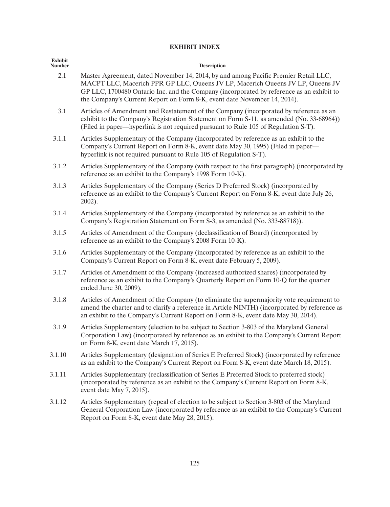### **EXHIBIT INDEX**

| <b>Exhibit</b><br><b>Number</b> | <b>Description</b>                                                                                                                                                                                                                                                                                                                            |
|---------------------------------|-----------------------------------------------------------------------------------------------------------------------------------------------------------------------------------------------------------------------------------------------------------------------------------------------------------------------------------------------|
| 2.1                             | Master Agreement, dated November 14, 2014, by and among Pacific Premier Retail LLC,<br>MACPT LLC, Macerich PPR GP LLC, Queens JV LP, Macerich Queens JV LP, Queens JV<br>GP LLC, 1700480 Ontario Inc. and the Company (incorporated by reference as an exhibit to<br>the Company's Current Report on Form 8-K, event date November 14, 2014). |
| 3.1                             | Articles of Amendment and Restatement of the Company (incorporated by reference as an<br>exhibit to the Company's Registration Statement on Form S-11, as amended (No. 33-68964))<br>(Filed in paper—hyperlink is not required pursuant to Rule 105 of Regulation S-T).                                                                       |
| 3.1.1                           | Articles Supplementary of the Company (incorporated by reference as an exhibit to the<br>Company's Current Report on Form 8-K, event date May 30, 1995) (Filed in paper-<br>hyperlink is not required pursuant to Rule 105 of Regulation S-T).                                                                                                |
| 3.1.2                           | Articles Supplementary of the Company (with respect to the first paragraph) (incorporated by<br>reference as an exhibit to the Company's 1998 Form 10-K).                                                                                                                                                                                     |
| 3.1.3                           | Articles Supplementary of the Company (Series D Preferred Stock) (incorporated by<br>reference as an exhibit to the Company's Current Report on Form 8-K, event date July 26,<br>2002).                                                                                                                                                       |
| 3.1.4                           | Articles Supplementary of the Company (incorporated by reference as an exhibit to the<br>Company's Registration Statement on Form S-3, as amended (No. 333-88718)).                                                                                                                                                                           |
| 3.1.5                           | Articles of Amendment of the Company (declassification of Board) (incorporated by<br>reference as an exhibit to the Company's 2008 Form 10-K).                                                                                                                                                                                                |
| 3.1.6                           | Articles Supplementary of the Company (incorporated by reference as an exhibit to the<br>Company's Current Report on Form 8-K, event date February 5, 2009).                                                                                                                                                                                  |
| 3.1.7                           | Articles of Amendment of the Company (increased authorized shares) (incorporated by<br>reference as an exhibit to the Company's Quarterly Report on Form 10-Q for the quarter<br>ended June 30, 2009).                                                                                                                                        |
| 3.1.8                           | Articles of Amendment of the Company (to eliminate the supermajority vote requirement to<br>amend the charter and to clarify a reference in Article NINTH) (incorporated by reference as<br>an exhibit to the Company's Current Report on Form 8-K, event date May 30, 2014).                                                                 |
| 3.1.9                           | Articles Supplementary (election to be subject to Section 3-803 of the Maryland General<br>Corporation Law) (incorporated by reference as an exhibit to the Company's Current Report<br>on Form 8-K, event date March 17, 2015).                                                                                                              |
| 3.1.10                          | Articles Supplementary (designation of Series E Preferred Stock) (incorporated by reference<br>as an exhibit to the Company's Current Report on Form 8-K, event date March 18, 2015).                                                                                                                                                         |
| 3.1.11                          | Articles Supplementary (reclassification of Series E Preferred Stock to preferred stock)<br>(incorporated by reference as an exhibit to the Company's Current Report on Form 8-K,<br>event date May 7, 2015).                                                                                                                                 |
| 3.1.12                          | Articles Supplementary (repeal of election to be subject to Section 3-803 of the Maryland<br>General Corporation Law (incorporated by reference as an exhibit to the Company's Current<br>Report on Form 8-K, event date May 28, 2015).                                                                                                       |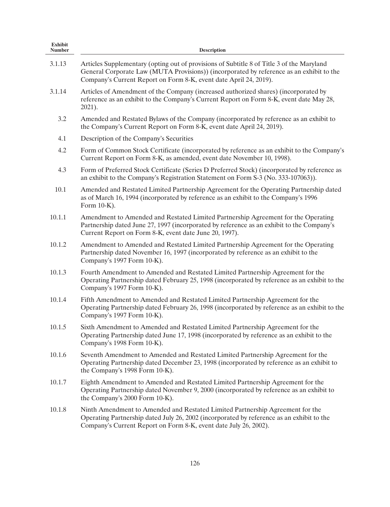| <b>Exhibit</b><br><b>Number</b> | <b>Description</b>                                                                                                                                                                                                                                         |
|---------------------------------|------------------------------------------------------------------------------------------------------------------------------------------------------------------------------------------------------------------------------------------------------------|
| 3.1.13                          | Articles Supplementary (opting out of provisions of Subtitle 8 of Title 3 of the Maryland<br>General Corporate Law (MUTA Provisions)) (incorporated by reference as an exhibit to the<br>Company's Current Report on Form 8-K, event date April 24, 2019). |
| 3.1.14                          | Articles of Amendment of the Company (increased authorized shares) (incorporated by<br>reference as an exhibit to the Company's Current Report on Form 8-K, event date May 28,<br>2021).                                                                   |
| 3.2                             | Amended and Restated Bylaws of the Company (incorporated by reference as an exhibit to<br>the Company's Current Report on Form 8-K, event date April 24, 2019).                                                                                            |
| 4.1                             | Description of the Company's Securities                                                                                                                                                                                                                    |
| 4.2                             | Form of Common Stock Certificate (incorporated by reference as an exhibit to the Company's<br>Current Report on Form 8-K, as amended, event date November 10, 1998).                                                                                       |
| 4.3                             | Form of Preferred Stock Certificate (Series D Preferred Stock) (incorporated by reference as<br>an exhibit to the Company's Registration Statement on Form S-3 (No. 333-107063)).                                                                          |
| 10.1                            | Amended and Restated Limited Partnership Agreement for the Operating Partnership dated<br>as of March 16, 1994 (incorporated by reference as an exhibit to the Company's 1996<br>Form 10-K).                                                               |
| 10.1.1                          | Amendment to Amended and Restated Limited Partnership Agreement for the Operating<br>Partnership dated June 27, 1997 (incorporated by reference as an exhibit to the Company's<br>Current Report on Form 8-K, event date June 20, 1997).                   |
| 10.1.2                          | Amendment to Amended and Restated Limited Partnership Agreement for the Operating<br>Partnership dated November 16, 1997 (incorporated by reference as an exhibit to the<br>Company's 1997 Form 10-K).                                                     |
| 10.1.3                          | Fourth Amendment to Amended and Restated Limited Partnership Agreement for the<br>Operating Partnership dated February 25, 1998 (incorporated by reference as an exhibit to the<br>Company's 1997 Form 10-K).                                              |
| 10.1.4                          | Fifth Amendment to Amended and Restated Limited Partnership Agreement for the<br>Operating Partnership dated February 26, 1998 (incorporated by reference as an exhibit to the<br>Company's 1997 Form 10-K).                                               |
| 10.1.5                          | Sixth Amendment to Amended and Restated Limited Partnership Agreement for the<br>Operating Partnership dated June 17, 1998 (incorporated by reference as an exhibit to the<br>Company's 1998 Form 10-K).                                                   |
| 10.1.6                          | Seventh Amendment to Amended and Restated Limited Partnership Agreement for the<br>Operating Partnership dated December 23, 1998 (incorporated by reference as an exhibit to<br>the Company's 1998 Form 10-K).                                             |
| 10.1.7                          | Eighth Amendment to Amended and Restated Limited Partnership Agreement for the<br>Operating Partnership dated November 9, 2000 (incorporated by reference as an exhibit to<br>the Company's 2000 Form 10-K).                                               |
| 10.1.8                          | Ninth Amendment to Amended and Restated Limited Partnership Agreement for the<br>Operating Partnership dated July 26, 2002 (incorporated by reference as an exhibit to the<br>Company's Current Report on Form 8-K, event date July 26, 2002).             |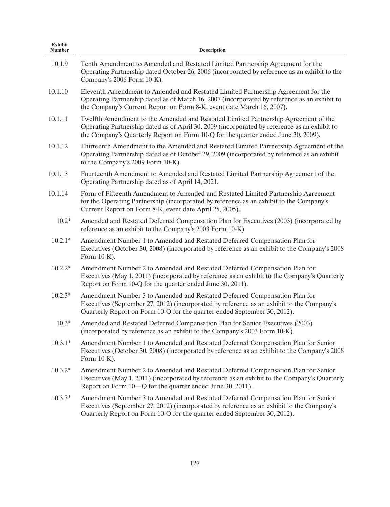| <b>Exhibit</b><br><b>Number</b> | <b>Description</b>                                                                                                                                                                                                                                                      |
|---------------------------------|-------------------------------------------------------------------------------------------------------------------------------------------------------------------------------------------------------------------------------------------------------------------------|
| 10.1.9                          | Tenth Amendment to Amended and Restated Limited Partnership Agreement for the<br>Operating Partnership dated October 26, 2006 (incorporated by reference as an exhibit to the<br>Company's 2006 Form 10-K).                                                             |
| 10.1.10                         | Eleventh Amendment to Amended and Restated Limited Partnership Agreement for the<br>Operating Partnership dated as of March 16, 2007 (incorporated by reference as an exhibit to<br>the Company's Current Report on Form 8-K, event date March 16, 2007).               |
| 10.1.11                         | Twelfth Amendment to the Amended and Restated Limited Partnership Agreement of the<br>Operating Partnership dated as of April 30, 2009 (incorporated by reference as an exhibit to<br>the Company's Quarterly Report on Form 10-Q for the quarter ended June 30, 2009). |
| 10.1.12                         | Thirteenth Amendment to the Amended and Restated Limited Partnership Agreement of the<br>Operating Partnership dated as of October 29, 2009 (incorporated by reference as an exhibit<br>to the Company's 2009 Form 10-K).                                               |
| 10.1.13                         | Fourteenth Amendment to Amended and Restated Limited Partnership Agreement of the<br>Operating Partnership dated as of April 14, 2021.                                                                                                                                  |
| 10.1.14                         | Form of Fifteenth Amendment to Amended and Restated Limited Partnership Agreement<br>for the Operating Partnership (incorporated by reference as an exhibit to the Company's<br>Current Report on Form 8-K, event date April 25, 2005).                                 |
| $10.2*$                         | Amended and Restated Deferred Compensation Plan for Executives (2003) (incorporated by<br>reference as an exhibit to the Company's 2003 Form 10-K).                                                                                                                     |
| $10.2.1*$                       | Amendment Number 1 to Amended and Restated Deferred Compensation Plan for<br>Executives (October 30, 2008) (incorporated by reference as an exhibit to the Company's 2008<br>Form 10-K).                                                                                |
| $10.2.2*$                       | Amendment Number 2 to Amended and Restated Deferred Compensation Plan for<br>Executives (May 1, 2011) (incorporated by reference as an exhibit to the Company's Quarterly<br>Report on Form 10-Q for the quarter ended June 30, 2011).                                  |
| $10.2.3*$                       | Amendment Number 3 to Amended and Restated Deferred Compensation Plan for<br>Executives (September 27, 2012) (incorporated by reference as an exhibit to the Company's<br>Quarterly Report on Form 10-Q for the quarter ended September 30, 2012).                      |
| $10.3*$                         | Amended and Restated Deferred Compensation Plan for Senior Executives (2003)<br>(incorporated by reference as an exhibit to the Company's 2003 Form 10-K).                                                                                                              |
| $10.3.1*$                       | Amendment Number 1 to Amended and Restated Deferred Compensation Plan for Senior<br>Executives (October 30, 2008) (incorporated by reference as an exhibit to the Company's 2008<br>Form 10-K).                                                                         |
| $10.3.2*$                       | Amendment Number 2 to Amended and Restated Deferred Compensation Plan for Senior<br>Executives (May 1, 2011) (incorporated by reference as an exhibit to the Company's Quarterly<br>Report on Form 10–Q for the quarter ended June 30, 2011).                           |
| $10.3.3*$                       | Amendment Number 3 to Amended and Restated Deferred Compensation Plan for Senior<br>Executives (September 27, 2012) (incorporated by reference as an exhibit to the Company's<br>Quarterly Report on Form 10-Q for the quarter ended September 30, 2012).               |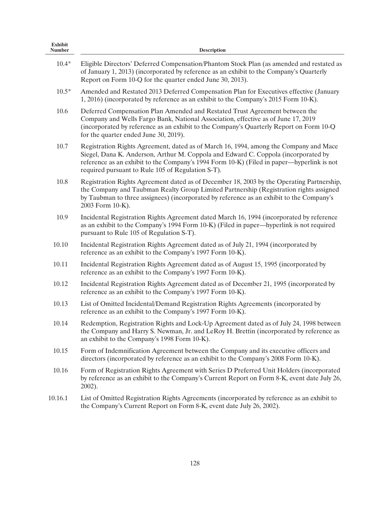| <b>Exhibit</b><br><b>Number</b> | <b>Description</b>                                                                                                                                                                                                                                                                                                            |
|---------------------------------|-------------------------------------------------------------------------------------------------------------------------------------------------------------------------------------------------------------------------------------------------------------------------------------------------------------------------------|
| $10.4*$                         | Eligible Directors' Deferred Compensation/Phantom Stock Plan (as amended and restated as<br>of January 1, 2013) (incorporated by reference as an exhibit to the Company's Quarterly<br>Report on Form 10-Q for the quarter ended June 30, 2013).                                                                              |
| $10.5*$                         | Amended and Restated 2013 Deferred Compensation Plan for Executives effective (January<br>1, 2016) (incorporated by reference as an exhibit to the Company's 2015 Form 10-K).                                                                                                                                                 |
| 10.6                            | Deferred Compensation Plan Amended and Restated Trust Agreement between the<br>Company and Wells Fargo Bank, National Association, effective as of June 17, 2019<br>(incorporated by reference as an exhibit to the Company's Quarterly Report on Form 10-Q<br>for the quarter ended June 30, 2019).                          |
| 10.7                            | Registration Rights Agreement, dated as of March 16, 1994, among the Company and Mace<br>Siegel, Dana K. Anderson, Arthur M. Coppola and Edward C. Coppola (incorporated by<br>reference as an exhibit to the Company's 1994 Form 10-K) (Filed in paper—hyperlink is not<br>required pursuant to Rule 105 of Regulation S-T). |
| 10.8                            | Registration Rights Agreement dated as of December 18, 2003 by the Operating Partnership,<br>the Company and Taubman Realty Group Limited Partnership (Registration rights assigned<br>by Taubman to three assignees) (incorporated by reference as an exhibit to the Company's<br>2003 Form 10-K).                           |
| 10.9                            | Incidental Registration Rights Agreement dated March 16, 1994 (incorporated by reference<br>as an exhibit to the Company's 1994 Form 10-K) (Filed in paper—hyperlink is not required<br>pursuant to Rule 105 of Regulation S-T).                                                                                              |
| 10.10                           | Incidental Registration Rights Agreement dated as of July 21, 1994 (incorporated by<br>reference as an exhibit to the Company's 1997 Form 10-K).                                                                                                                                                                              |
| 10.11                           | Incidental Registration Rights Agreement dated as of August 15, 1995 (incorporated by<br>reference as an exhibit to the Company's 1997 Form 10-K).                                                                                                                                                                            |
| 10.12                           | Incidental Registration Rights Agreement dated as of December 21, 1995 (incorporated by<br>reference as an exhibit to the Company's 1997 Form 10-K).                                                                                                                                                                          |
| 10.13                           | List of Omitted Incidental/Demand Registration Rights Agreements (incorporated by<br>reference as an exhibit to the Company's 1997 Form 10-K).                                                                                                                                                                                |
| 10.14                           | Redemption, Registration Rights and Lock-Up Agreement dated as of July 24, 1998 between<br>the Company and Harry S. Newman, Jr. and LeRoy H. Brettin (incorporated by reference as<br>an exhibit to the Company's 1998 Form 10-K).                                                                                            |
| 10.15                           | Form of Indemnification Agreement between the Company and its executive officers and<br>directors (incorporated by reference as an exhibit to the Company's 2008 Form 10-K).                                                                                                                                                  |
| 10.16                           | Form of Registration Rights Agreement with Series D Preferred Unit Holders (incorporated<br>by reference as an exhibit to the Company's Current Report on Form 8-K, event date July 26,<br>$2002$ ).                                                                                                                          |
| 10.16.1                         | List of Omitted Registration Rights Agreements (incorporated by reference as an exhibit to<br>the Company's Current Report on Form 8-K, event date July 26, 2002).                                                                                                                                                            |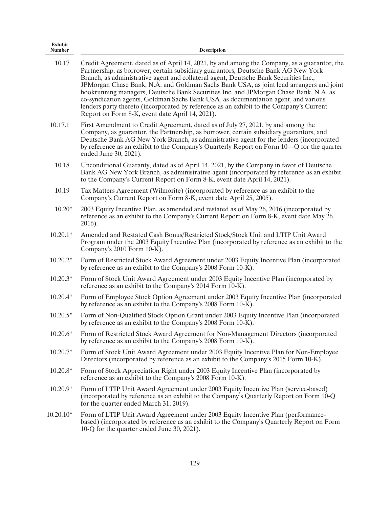| <b>Exhibit</b><br>Number | <b>Description</b>                                                                                                                                                                                                                                                                                                                                                                                                                                                                                                                                                                                                                                                                               |
|--------------------------|--------------------------------------------------------------------------------------------------------------------------------------------------------------------------------------------------------------------------------------------------------------------------------------------------------------------------------------------------------------------------------------------------------------------------------------------------------------------------------------------------------------------------------------------------------------------------------------------------------------------------------------------------------------------------------------------------|
| 10.17                    | Credit Agreement, dated as of April 14, 2021, by and among the Company, as a guarantor, the<br>Partnership, as borrower, certain subsidiary guarantors, Deutsche Bank AG New York<br>Branch, as administrative agent and collateral agent, Deutsche Bank Securities Inc.,<br>JPMorgan Chase Bank, N.A. and Goldman Sachs Bank USA, as joint lead arrangers and joint<br>bookrunning managers, Deutsche Bank Securities Inc. and JPMorgan Chase Bank, N.A. as<br>co-syndication agents, Goldman Sachs Bank USA, as documentation agent, and various<br>lenders party thereto (incorporated by reference as an exhibit to the Company's Current<br>Report on Form 8-K, event date April 14, 2021). |
| 10.17.1                  | First Amendment to Credit Agreement, dated as of July 27, 2021, by and among the<br>Company, as guarantor, the Partnership, as borrower, certain subsidiary guarantors, and<br>Deutsche Bank AG New York Branch, as administrative agent for the lenders (incorporated<br>by reference as an exhibit to the Company's Quarterly Report on Form 10—Q for the quarter<br>ended June 30, 2021).                                                                                                                                                                                                                                                                                                     |
| 10.18                    | Unconditional Guaranty, dated as of April 14, 2021, by the Company in favor of Deutsche<br>Bank AG New York Branch, as administrative agent (incorporated by reference as an exhibit<br>to the Company's Current Report on Form 8-K, event date April 14, 2021).                                                                                                                                                                                                                                                                                                                                                                                                                                 |
| 10.19                    | Tax Matters Agreement (Wilmorite) (incorporated by reference as an exhibit to the<br>Company's Current Report on Form 8-K, event date April 25, 2005).                                                                                                                                                                                                                                                                                                                                                                                                                                                                                                                                           |
| $10.20*$                 | 2003 Equity Incentive Plan, as amended and restated as of May 26, 2016 (incorporated by<br>reference as an exhibit to the Company's Current Report on Form 8-K, event date May 26,<br>2016).                                                                                                                                                                                                                                                                                                                                                                                                                                                                                                     |
| $10.20.1*$               | Amended and Restated Cash Bonus/Restricted Stock/Stock Unit and LTIP Unit Award<br>Program under the 2003 Equity Incentive Plan (incorporated by reference as an exhibit to the<br>Company's 2010 Form 10-K).                                                                                                                                                                                                                                                                                                                                                                                                                                                                                    |
| $10.20.2*$               | Form of Restricted Stock Award Agreement under 2003 Equity Incentive Plan (incorporated<br>by reference as an exhibit to the Company's 2008 Form 10-K).                                                                                                                                                                                                                                                                                                                                                                                                                                                                                                                                          |
| $10.20.3*$               | Form of Stock Unit Award Agreement under 2003 Equity Incentive Plan (incorporated by<br>reference as an exhibit to the Company's 2014 Form 10-K).                                                                                                                                                                                                                                                                                                                                                                                                                                                                                                                                                |
| $10.20.4*$               | Form of Employee Stock Option Agreement under 2003 Equity Incentive Plan (incorporated<br>by reference as an exhibit to the Company's $2008$ Form $10-\hat{K}$ ).                                                                                                                                                                                                                                                                                                                                                                                                                                                                                                                                |
| $10.20.5*$               | Form of Non-Qualified Stock Option Grant under 2003 Equity Incentive Plan (incorporated<br>by reference as an exhibit to the Company's 2008 Form 10-K).                                                                                                                                                                                                                                                                                                                                                                                                                                                                                                                                          |
|                          | 10.20.6* Form of Restricted Stock Award Agreement for Non-Management Directors (incorporated<br>by reference as an exhibit to the Company's 2008 Form 10-K).                                                                                                                                                                                                                                                                                                                                                                                                                                                                                                                                     |
| $10.20.7*$               | Form of Stock Unit Award Agreement under 2003 Equity Incentive Plan for Non-Employee<br>Directors (incorporated by reference as an exhibit to the Company's 2015 Form 10-K).                                                                                                                                                                                                                                                                                                                                                                                                                                                                                                                     |
| $10.20.8*$               | Form of Stock Appreciation Right under 2003 Equity Incentive Plan (incorporated by<br>reference as an exhibit to the Company's 2008 Form 10-K).                                                                                                                                                                                                                                                                                                                                                                                                                                                                                                                                                  |
| $10.20.9*$               | Form of LTIP Unit Award Agreement under 2003 Equity Incentive Plan (service-based)<br>(incorporated by reference as an exhibit to the Company's Quarterly Report on Form 10-Q<br>for the quarter ended March 31, 2019).                                                                                                                                                                                                                                                                                                                                                                                                                                                                          |
| $10.20.10*$              | Form of LTIP Unit Award Agreement under 2003 Equity Incentive Plan (performance-<br>based) (incorporated by reference as an exhibit to the Company's Quarterly Report on Form<br>10-Q for the quarter ended June 30, 2021).                                                                                                                                                                                                                                                                                                                                                                                                                                                                      |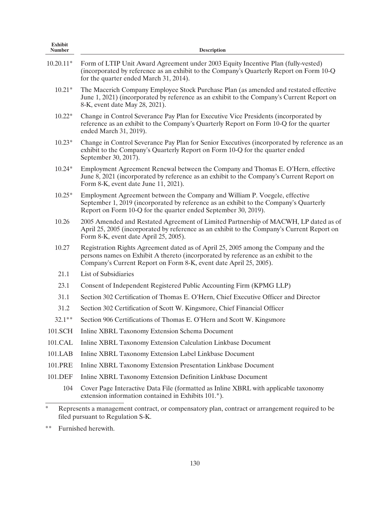| <b>Exhibit</b><br><b>Number</b> | <b>Description</b>                                                                                                                                                                                                                            |
|---------------------------------|-----------------------------------------------------------------------------------------------------------------------------------------------------------------------------------------------------------------------------------------------|
| $10.20.11*$                     | Form of LTIP Unit Award Agreement under 2003 Equity Incentive Plan (fully-vested)<br>(incorporated by reference as an exhibit to the Company's Quarterly Report on Form 10-Q<br>for the quarter ended March 31, 2014).                        |
| $10.21*$                        | The Macerich Company Employee Stock Purchase Plan (as amended and restated effective<br>June 1, 2021) (incorporated by reference as an exhibit to the Company's Current Report on<br>8-K, event date May 28, 2021).                           |
| $10.22*$                        | Change in Control Severance Pay Plan for Executive Vice Presidents (incorporated by<br>reference as an exhibit to the Company's Quarterly Report on Form 10-Q for the quarter<br>ended March 31, 2019).                                       |
| $10.23*$                        | Change in Control Severance Pay Plan for Senior Executives (incorporated by reference as an<br>exhibit to the Company's Quarterly Report on Form 10-Q for the quarter ended<br>September 30, 2017).                                           |
| $10.24*$                        | Employment Agreement Renewal between the Company and Thomas E. O'Hern, effective<br>June 8, 2021 (incorporated by reference as an exhibit to the Company's Current Report on<br>Form 8-K, event date June 11, 2021).                          |
| $10.25*$                        | Employment Agreement between the Company and William P. Voegele, effective<br>September 1, 2019 (incorporated by reference as an exhibit to the Company's Quarterly<br>Report on Form 10-Q for the quarter ended September 30, 2019).         |
| 10.26                           | 2005 Amended and Restated Agreement of Limited Partnership of MACWH, LP dated as of<br>April 25, 2005 (incorporated by reference as an exhibit to the Company's Current Report on<br>Form 8-K, event date April 25, 2005).                    |
| 10.27                           | Registration Rights Agreement dated as of April 25, 2005 among the Company and the<br>persons names on Exhibit A thereto (incorporated by reference as an exhibit to the<br>Company's Current Report on Form 8-K, event date April 25, 2005). |
| 21.1                            | List of Subsidiaries                                                                                                                                                                                                                          |
| 23.1                            | Consent of Independent Registered Public Accounting Firm (KPMG LLP)                                                                                                                                                                           |
| 31.1                            | Section 302 Certification of Thomas E. O'Hern, Chief Executive Officer and Director                                                                                                                                                           |
| 31.2                            | Section 302 Certification of Scott W. Kingsmore, Chief Financial Officer                                                                                                                                                                      |
| $32.1**$                        | Section 906 Certifications of Thomas E. O'Hern and Scott W. Kingsmore                                                                                                                                                                         |
| 101.SCH                         | Inline XBRL Taxonomy Extension Schema Document                                                                                                                                                                                                |
| 101.CAL                         | Inline XBRL Taxonomy Extension Calculation Linkbase Document                                                                                                                                                                                  |
| 101.LAB                         | Inline XBRL Taxonomy Extension Label Linkbase Document                                                                                                                                                                                        |
| 101.PRE                         | Inline XBRL Taxonomy Extension Presentation Linkbase Document                                                                                                                                                                                 |
| 101.DEF                         | Inline XBRL Taxonomy Extension Definition Linkbase Document                                                                                                                                                                                   |
| 104                             | Cover Page Interactive Data File (formatted as Inline XBRL with applicable taxonomy<br>extension information contained in Exhibits 101.*).                                                                                                    |
| *                               | Represents a management contract, or compensatory plan, contract or arrangement required to be<br>filed pursuant to Regulation S-K.                                                                                                           |

<sup>\*\*</sup> Furnished herewith.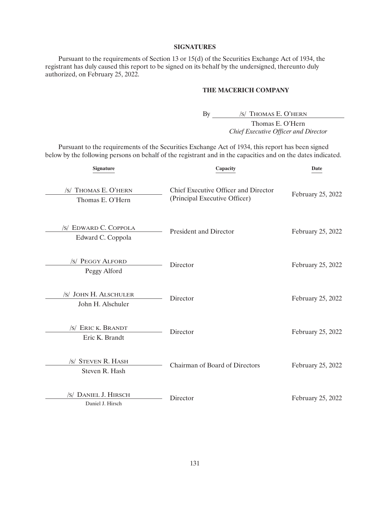### **SIGNATURES**

Pursuant to the requirements of Section 13 or 15(d) of the Securities Exchange Act of 1934, the registrant has duly caused this report to be signed on its behalf by the undersigned, thereunto duly authorized, on February 25, 2022.

### **THE MACERICH COMPANY**

By /S/ THOMAS E. O'HERN Thomas E. O'Hern *Chief Executive Officer and Director*

Pursuant to the requirements of the Securities Exchange Act of 1934, this report has been signed below by the following persons on behalf of the registrant and in the capacities and on the dates indicated.

| Signature                                          | Capacity                                                              | <b>Date</b>       |
|----------------------------------------------------|-----------------------------------------------------------------------|-------------------|
| THOMAS E. O'HERN<br>$\sqrt{s}$<br>Thomas E. O'Hern | Chief Executive Officer and Director<br>(Principal Executive Officer) | February 25, 2022 |
| /S/ EDWARD C. COPPOLA<br>Edward C. Coppola         | <b>President and Director</b>                                         | February 25, 2022 |
| /S/ PEGGY ALFORD<br>Peggy Alford                   | Director                                                              | February 25, 2022 |
| /S/ JOHN H. ALSCHULER<br>John H. Alschuler         | Director                                                              | February 25, 2022 |
| /S/ ERIC K. BRANDT<br>Eric K. Brandt               | Director                                                              | February 25, 2022 |
| /S/ STEVEN R. HASH<br>Steven R. Hash               | Chairman of Board of Directors                                        | February 25, 2022 |
| /S/ DANIEL J. HIRSCH<br>Daniel J. Hirsch           | Director                                                              | February 25, 2022 |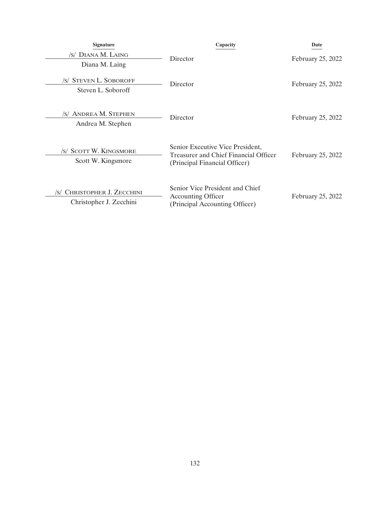| <b>Signature</b>                                              | Capacity                                                                                                   | Date              |
|---------------------------------------------------------------|------------------------------------------------------------------------------------------------------------|-------------------|
| /s/ DIANA M. LAING<br>Diana M. Laing                          | Director                                                                                                   | February 25, 2022 |
| <b>S</b> STEVEN L. SOBOROFF<br>Steven L. Soboroff             | Director                                                                                                   | February 25, 2022 |
| /S/ ANDREA M. STEPHEN<br>Andrea M. Stephen                    | Director                                                                                                   | February 25, 2022 |
| <b>SCOTT W. KINGSMORE</b><br>$\sqrt{S}$<br>Scott W. Kingsmore | Senior Executive Vice President,<br>Treasurer and Chief Financial Officer<br>(Principal Financial Officer) | February 25, 2022 |
| /S/ CHRISTOPHER J. ZECCHINI<br>Christopher J. Zecchini        | Senior Vice President and Chief<br><b>Accounting Officer</b><br>(Principal Accounting Officer)             | February 25, 2022 |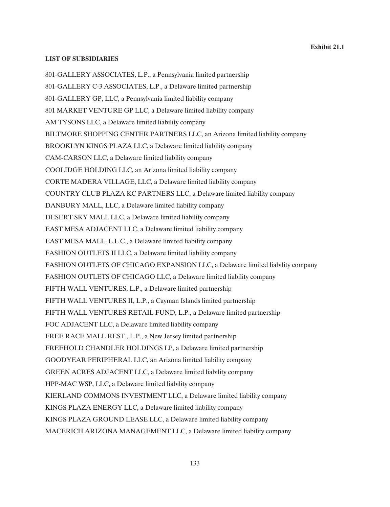### **Exhibit 21.1**

### **LIST OF SUBSIDIARIES**

801-GALLERY ASSOCIATES, L.P., a Pennsylvania limited partnership 801-GALLERY C-3 ASSOCIATES, L.P., a Delaware limited partnership 801-GALLERY GP, LLC, a Pennsylvania limited liability company 801 MARKET VENTURE GP LLC, a Delaware limited liability company AM TYSONS LLC, a Delaware limited liability company BILTMORE SHOPPING CENTER PARTNERS LLC, an Arizona limited liability company BROOKLYN KINGS PLAZA LLC, a Delaware limited liability company CAM-CARSON LLC, a Delaware limited liability company COOLIDGE HOLDING LLC, an Arizona limited liability company CORTE MADERA VILLAGE, LLC, a Delaware limited liability company COUNTRY CLUB PLAZA KC PARTNERS LLC, a Delaware limited liability company DANBURY MALL, LLC, a Delaware limited liability company DESERT SKY MALL LLC, a Delaware limited liability company EAST MESA ADJACENT LLC, a Delaware limited liability company EAST MESA MALL, L.L.C., a Delaware limited liability company FASHION OUTLETS II LLC, a Delaware limited liability company FASHION OUTLETS OF CHICAGO EXPANSION LLC, a Delaware limited liability company FASHION OUTLETS OF CHICAGO LLC, a Delaware limited liability company FIFTH WALL VENTURES, L.P., a Delaware limited partnership FIFTH WALL VENTURES II, L.P., a Cayman Islands limited partnership FIFTH WALL VENTURES RETAIL FUND, L.P., a Delaware limited partnership FOC ADJACENT LLC, a Delaware limited liability company FREE RACE MALL REST., L.P., a New Jersey limited partnership FREEHOLD CHANDLER HOLDINGS LP, a Delaware limited partnership GOODYEAR PERIPHERAL LLC, an Arizona limited liability company GREEN ACRES ADJACENT LLC, a Delaware limited liability company HPP-MAC WSP, LLC, a Delaware limited liability company KIERLAND COMMONS INVESTMENT LLC, a Delaware limited liability company KINGS PLAZA ENERGY LLC, a Delaware limited liability company KINGS PLAZA GROUND LEASE LLC, a Delaware limited liability company MACERICH ARIZONA MANAGEMENT LLC, a Delaware limited liability company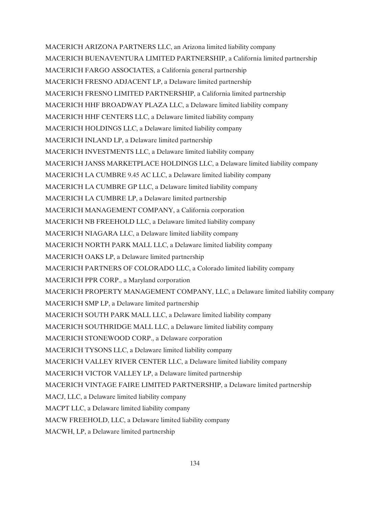MACERICH ARIZONA PARTNERS LLC, an Arizona limited liability company MACERICH BUENAVENTURA LIMITED PARTNERSHIP, a California limited partnership MACERICH FARGO ASSOCIATES, a California general partnership MACERICH FRESNO ADJACENT LP, a Delaware limited partnership MACERICH FRESNO LIMITED PARTNERSHIP, a California limited partnership MACERICH HHF BROADWAY PLAZA LLC, a Delaware limited liability company MACERICH HHF CENTERS LLC, a Delaware limited liability company MACERICH HOLDINGS LLC, a Delaware limited liability company MACERICH INLAND LP, a Delaware limited partnership MACERICH INVESTMENTS LLC, a Delaware limited liability company MACERICH JANSS MARKETPLACE HOLDINGS LLC, a Delaware limited liability company MACERICH LA CUMBRE 9.45 AC LLC, a Delaware limited liability company MACERICH LA CUMBRE GP LLC, a Delaware limited liability company MACERICH LA CUMBRE LP, a Delaware limited partnership MACERICH MANAGEMENT COMPANY, a California corporation MACERICH NB FREEHOLD LLC, a Delaware limited liability company MACERICH NIAGARA LLC, a Delaware limited liability company MACERICH NORTH PARK MALL LLC, a Delaware limited liability company MACERICH OAKS LP, a Delaware limited partnership MACERICH PARTNERS OF COLORADO LLC, a Colorado limited liability company MACERICH PPR CORP., a Maryland corporation MACERICH PROPERTY MANAGEMENT COMPANY, LLC, a Delaware limited liability company MACERICH SMP LP, a Delaware limited partnership MACERICH SOUTH PARK MALL LLC, a Delaware limited liability company MACERICH SOUTHRIDGE MALL LLC, a Delaware limited liability company MACERICH STONEWOOD CORP., a Delaware corporation MACERICH TYSONS LLC, a Delaware limited liability company MACERICH VALLEY RIVER CENTER LLC, a Delaware limited liability company MACERICH VICTOR VALLEY LP, a Delaware limited partnership MACERICH VINTAGE FAIRE LIMITED PARTNERSHIP, a Delaware limited partnership MACJ, LLC, a Delaware limited liability company MACPT LLC, a Delaware limited liability company MACW FREEHOLD, LLC, a Delaware limited liability company MACWH, LP, a Delaware limited partnership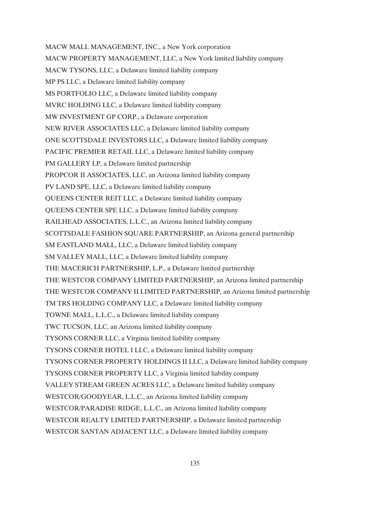MACW MALL MANAGEMENT, INC., a New York corporation MACW PROPERTY MANAGEMENT, LLC, a New York limited liability company MACW TYSONS, LLC, a Delaware limited liability company MP PS LLC, a Delaware limited liability company MS PORTFOLIO LLC, a Delaware limited liability company MVRC HOLDING LLC, a Delaware limited liability company MW INVESTMENT GP CORP., a Delaware corporation NEW RIVER ASSOCIATES LLC, a Delaware limited liability company ONE SCOTTSDALE INVESTORS LLC, a Delaware limited liability company PACIFIC PREMIER RETAIL LLC, a Delaware limited liability company PM GALLERY LP, a Delaware limited partnership PROPCOR II ASSOCIATES, LLC, an Arizona limited liability company PV LAND SPE, LLC, a Delaware limited liability company QUEENS CENTER REIT LLC, a Delaware limited liability company QUEENS CENTER SPE LLC, a Delaware limited liability company RAILHEAD ASSOCIATES, L.L.C., an Arizona limited liability company SCOTTSDALE FASHION SQUARE PARTNERSHIP, an Arizona general partnership SM EASTLAND MALL, LLC, a Delaware limited liability company SM VALLEY MALL, LLC, a Delaware limited liability company THE MACERICH PARTNERSHIP, L.P., a Delaware limited partnership THE WESTCOR COMPANY LIMITED PARTNERSHIP, an Arizona limited partnership THE WESTCOR COMPANY II LIMITED PARTNERSHIP, an Arizona limited partnership TM TRS HOLDING COMPANY LLC, a Delaware limited liability company TOWNE MALL, L.L.C., a Delaware limited liability company TWC TUCSON, LLC, an Arizona limited liability company TYSONS CORNER LLC, a Virginia limited liability company TYSONS CORNER HOTEL I LLC, a Delaware limited liability company TYSONS CORNER PROPERTY HOLDINGS II LLC, a Delaware limited liability company TYSONS CORNER PROPERTY LLC, a Virginia limited liability company VALLEY STREAM GREEN ACRES LLC, a Delaware limited liability company WESTCOR/GOODYEAR, L.L.C., an Arizona limited liability company WESTCOR/PARADISE RIDGE, L.L.C., an Arizona limited liability company WESTCOR REALTY LIMITED PARTNERSHIP, a Delaware limited partnership WESTCOR SANTAN ADJACENT LLC, a Delaware limited liability company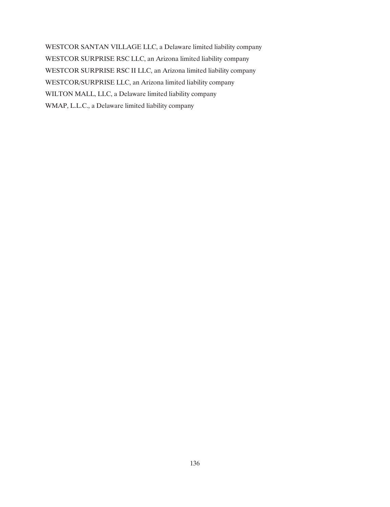WESTCOR SANTAN VILLAGE LLC, a Delaware limited liability company WESTCOR SURPRISE RSC LLC, an Arizona limited liability company WESTCOR SURPRISE RSC II LLC, an Arizona limited liability company WESTCOR/SURPRISE LLC, an Arizona limited liability company WILTON MALL, LLC, a Delaware limited liability company WMAP, L.L.C., a Delaware limited liability company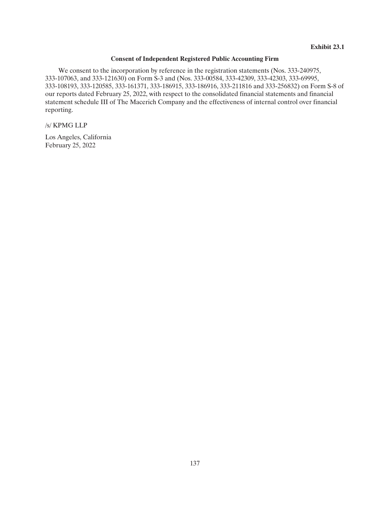### **Consent of Independent Registered Public Accounting Firm**

We consent to the incorporation by reference in the registration statements (Nos. 333-240975, 333-107063, and 333-121630) on Form S-3 and (Nos. 333-00584, 333-42309, 333-42303, 333-69995, 333-108193, 333-120585, 333-161371, 333-186915, 333-186916, 333-211816 and 333-256832) on Form S-8 of our reports dated February 25, 2022, with respect to the consolidated financial statements and financial statement schedule III of The Macerich Company and the effectiveness of internal control over financial reporting.

### /s/ KPMG LLP

Los Angeles, California February 25, 2022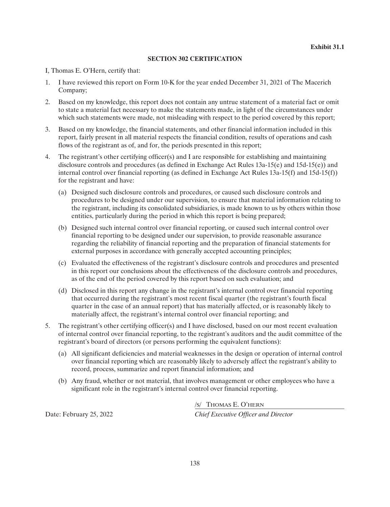### **SECTION 302 CERTIFICATION**

I, Thomas E. O'Hern, certify that:

- 1. I have reviewed this report on Form 10-K for the year ended December 31, 2021 of The Macerich Company;
- 2. Based on my knowledge, this report does not contain any untrue statement of a material fact or omit to state a material fact necessary to make the statements made, in light of the circumstances under which such statements were made, not misleading with respect to the period covered by this report;
- 3. Based on my knowledge, the financial statements, and other financial information included in this report, fairly present in all material respects the financial condition, results of operations and cash flows of the registrant as of, and for, the periods presented in this report;
- 4. The registrant's other certifying officer(s) and I are responsible for establishing and maintaining disclosure controls and procedures (as defined in Exchange Act Rules 13a-15(e) and 15d-15(e)) and internal control over financial reporting (as defined in Exchange Act Rules 13a-15(f) and 15d-15(f)) for the registrant and have:
	- (a) Designed such disclosure controls and procedures, or caused such disclosure controls and procedures to be designed under our supervision, to ensure that material information relating to the registrant, including its consolidated subsidiaries, is made known to us by others within those entities, particularly during the period in which this report is being prepared;
	- (b) Designed such internal control over financial reporting, or caused such internal control over financial reporting to be designed under our supervision, to provide reasonable assurance regarding the reliability of financial reporting and the preparation of financial statements for external purposes in accordance with generally accepted accounting principles;
	- (c) Evaluated the effectiveness of the registrant's disclosure controls and procedures and presented in this report our conclusions about the effectiveness of the disclosure controls and procedures, as of the end of the period covered by this report based on such evaluation; and
	- (d) Disclosed in this report any change in the registrant's internal control over financial reporting that occurred during the registrant's most recent fiscal quarter (the registrant's fourth fiscal quarter in the case of an annual report) that has materially affected, or is reasonably likely to materially affect, the registrant's internal control over financial reporting; and
- 5. The registrant's other certifying officer(s) and I have disclosed, based on our most recent evaluation of internal control over financial reporting, to the registrant's auditors and the audit committee of the registrant's board of directors (or persons performing the equivalent functions):
	- (a) All significant deficiencies and material weaknesses in the design or operation of internal control over financial reporting which are reasonably likely to adversely affect the registrant's ability to record, process, summarize and report financial information; and
	- (b) Any fraud, whether or not material, that involves management or other employees who have a significant role in the registrant's internal control over financial reporting.

/S/ THOMAS E. O'HERN

Date: February 25, 2022 *Chief Executive Officer and Director*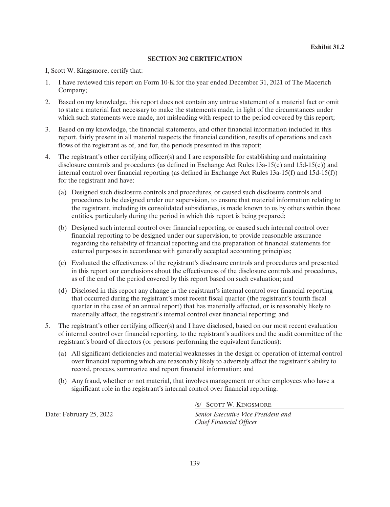## **SECTION 302 CERTIFICATION**

I, Scott W. Kingsmore, certify that:

- 1. I have reviewed this report on Form 10-K for the year ended December 31, 2021 of The Macerich Company;
- 2. Based on my knowledge, this report does not contain any untrue statement of a material fact or omit to state a material fact necessary to make the statements made, in light of the circumstances under which such statements were made, not misleading with respect to the period covered by this report;
- 3. Based on my knowledge, the financial statements, and other financial information included in this report, fairly present in all material respects the financial condition, results of operations and cash flows of the registrant as of, and for, the periods presented in this report;
- 4. The registrant's other certifying officer(s) and I are responsible for establishing and maintaining disclosure controls and procedures (as defined in Exchange Act Rules 13a-15(e) and 15d-15(e)) and internal control over financial reporting (as defined in Exchange Act Rules 13a-15(f) and 15d-15(f)) for the registrant and have:
	- (a) Designed such disclosure controls and procedures, or caused such disclosure controls and procedures to be designed under our supervision, to ensure that material information relating to the registrant, including its consolidated subsidiaries, is made known to us by others within those entities, particularly during the period in which this report is being prepared;
	- (b) Designed such internal control over financial reporting, or caused such internal control over financial reporting to be designed under our supervision, to provide reasonable assurance regarding the reliability of financial reporting and the preparation of financial statements for external purposes in accordance with generally accepted accounting principles;
	- (c) Evaluated the effectiveness of the registrant's disclosure controls and procedures and presented in this report our conclusions about the effectiveness of the disclosure controls and procedures, as of the end of the period covered by this report based on such evaluation; and
	- (d) Disclosed in this report any change in the registrant's internal control over financial reporting that occurred during the registrant's most recent fiscal quarter (the registrant's fourth fiscal quarter in the case of an annual report) that has materially affected, or is reasonably likely to materially affect, the registrant's internal control over financial reporting; and
- 5. The registrant's other certifying officer(s) and I have disclosed, based on our most recent evaluation of internal control over financial reporting, to the registrant's auditors and the audit committee of the registrant's board of directors (or persons performing the equivalent functions):
	- (a) All significant deficiencies and material weaknesses in the design or operation of internal control over financial reporting which are reasonably likely to adversely affect the registrant's ability to record, process, summarize and report financial information; and
	- (b) Any fraud, whether or not material, that involves management or other employees who have a significant role in the registrant's internal control over financial reporting.

/S/ SCOTT W. KINGSMORE

Date: February 25, 2022 *Senior Executive Vice President and Chief Financial Officer*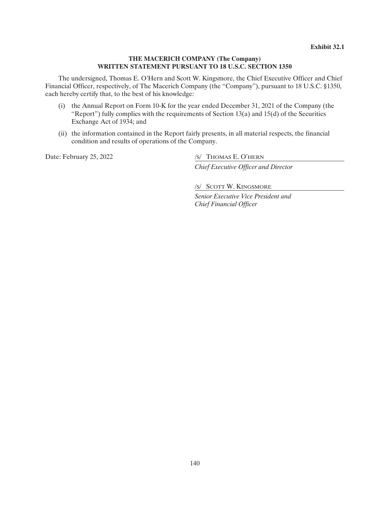## **THE MACERICH COMPANY (The Company) WRITTEN STATEMENT PURSUANT TO 18 U.S.C. SECTION 1350**

The undersigned, Thomas E. O'Hern and Scott W. Kingsmore, the Chief Executive Officer and Chief Financial Officer, respectively, of The Macerich Company (the "Company"), pursuant to 18 U.S.C. §1350, each hereby certify that, to the best of his knowledge:

- (i) the Annual Report on Form 10-K for the year ended December 31, 2021 of the Company (the "Report") fully complies with the requirements of Section  $13(a)$  and  $15(d)$  of the Securities Exchange Act of 1934; and
- (ii) the information contained in the Report fairly presents, in all material respects, the financial condition and results of operations of the Company.

Date: February 25, 2022 /S/ THOMAS E. O'HERN *Chief Executive Officer and Director*

/S/ SCOTT W. KINGSMORE

*Senior Executive Vice President and Chief Financial Officer*